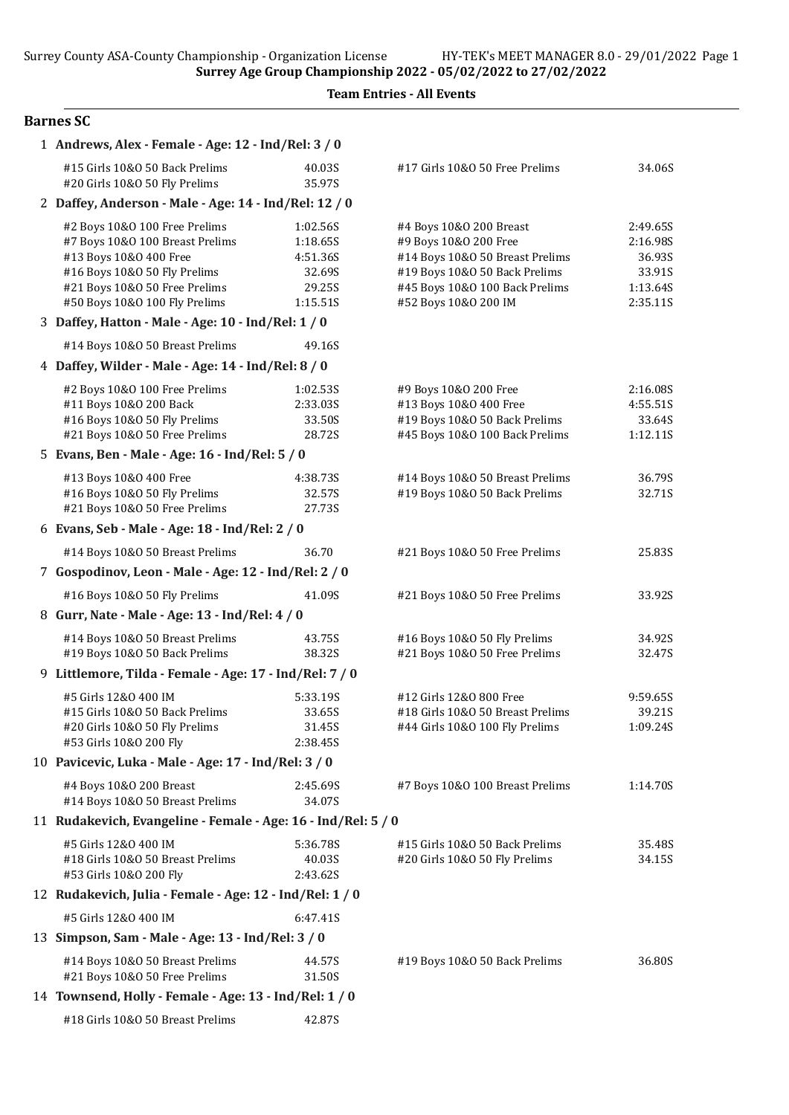Team Entries - All Events

#### Barnes SC

| 1 Andrews, Alex - Female - Age: 12 - Ind/Rel: 3 / 0                                                                                                                                          |                                                                  |                                                                                                                                                                                |                                                                  |  |
|----------------------------------------------------------------------------------------------------------------------------------------------------------------------------------------------|------------------------------------------------------------------|--------------------------------------------------------------------------------------------------------------------------------------------------------------------------------|------------------------------------------------------------------|--|
| #15 Girls 10&0 50 Back Prelims<br>#20 Girls 10&O 50 Fly Prelims                                                                                                                              | 40.03S<br>35.97S                                                 | #17 Girls 10&O 50 Free Prelims                                                                                                                                                 | 34.06S                                                           |  |
| 2 Daffey, Anderson - Male - Age: 14 - Ind/Rel: 12 / 0                                                                                                                                        |                                                                  |                                                                                                                                                                                |                                                                  |  |
| #2 Boys 10&0 100 Free Prelims<br>#7 Boys 10&0 100 Breast Prelims<br>#13 Boys 10&O 400 Free<br>#16 Boys 10&0 50 Fly Prelims<br>#21 Boys 10&0 50 Free Prelims<br>#50 Boys 10&0 100 Fly Prelims | 1:02.56S<br>1:18.65S<br>4:51.36S<br>32.69S<br>29.25S<br>1:15.51S | #4 Boys 10&0 200 Breast<br>#9 Boys 10&0 200 Free<br>#14 Boys 10&0 50 Breast Prelims<br>#19 Boys 10&0 50 Back Prelims<br>#45 Boys 10&0 100 Back Prelims<br>#52 Boys 10&0 200 IM | 2:49.65S<br>2:16.98S<br>36.93S<br>33.91S<br>1:13.64S<br>2:35.11S |  |
| 3 Daffey, Hatton - Male - Age: 10 - Ind/Rel: 1 / 0                                                                                                                                           |                                                                  |                                                                                                                                                                                |                                                                  |  |
| #14 Boys 10&0 50 Breast Prelims                                                                                                                                                              | 49.16S                                                           |                                                                                                                                                                                |                                                                  |  |
| 4 Daffey, Wilder - Male - Age: 14 - Ind/Rel: 8 / 0                                                                                                                                           |                                                                  |                                                                                                                                                                                |                                                                  |  |
| #2 Boys 10&0 100 Free Prelims<br>#11 Boys 10&0 200 Back<br>#16 Boys 10&0 50 Fly Prelims<br>#21 Boys 10&0 50 Free Prelims                                                                     | 1:02.53S<br>2:33.035<br>33.50S<br>28.72S                         | #9 Boys 10&O 200 Free<br>#13 Boys 10&0 400 Free<br>#19 Boys 10&0 50 Back Prelims<br>#45 Boys 10&0 100 Back Prelims                                                             | 2:16.08S<br>4:55.51S<br>33.64S<br>1:12.11S                       |  |
| 5 Evans, Ben - Male - Age: 16 - Ind/Rel: 5 / 0                                                                                                                                               |                                                                  |                                                                                                                                                                                |                                                                  |  |
| #13 Boys 10&0 400 Free<br>#16 Boys 10&0 50 Fly Prelims<br>#21 Boys 10&0 50 Free Prelims                                                                                                      | 4:38.73S<br>32.57S<br>27.73S                                     | #14 Boys 10&0 50 Breast Prelims<br>#19 Boys 10&0 50 Back Prelims                                                                                                               | 36.79S<br>32.71S                                                 |  |
| 6 Evans, Seb - Male - Age: 18 - Ind/Rel: 2 / 0                                                                                                                                               |                                                                  |                                                                                                                                                                                |                                                                  |  |
| #14 Boys 10&0 50 Breast Prelims                                                                                                                                                              | 36.70                                                            | #21 Boys 10&0 50 Free Prelims                                                                                                                                                  | 25.83S                                                           |  |
| 7 Gospodinov, Leon - Male - Age: 12 - Ind/Rel: 2 / 0                                                                                                                                         |                                                                  |                                                                                                                                                                                |                                                                  |  |
| #16 Boys 10&0 50 Fly Prelims                                                                                                                                                                 | 41.09S                                                           | #21 Boys 10&0 50 Free Prelims                                                                                                                                                  | 33.92S                                                           |  |
| 8 Gurr, Nate - Male - Age: 13 - Ind/Rel: 4 / 0                                                                                                                                               |                                                                  |                                                                                                                                                                                |                                                                  |  |
| #14 Boys 10&0 50 Breast Prelims<br>#19 Boys 10&0 50 Back Prelims                                                                                                                             | 43.75S<br>38.32S                                                 | #16 Boys 10&0 50 Fly Prelims<br>#21 Boys 10&0 50 Free Prelims                                                                                                                  | 34.92S<br>32.47S                                                 |  |
| 9 Littlemore, Tilda - Female - Age: 17 - Ind/Rel: 7 / 0                                                                                                                                      |                                                                  |                                                                                                                                                                                |                                                                  |  |
| #5 Girls 12&0 400 IM<br>#15 Girls 10&0 50 Back Prelims<br>#20 Girls 10&0 50 Fly Prelims<br>#53 Girls 10&0 200 Fly                                                                            | 5:33.19S<br>33.65S<br>31.45S<br>2:38.45S                         | #12 Girls 12&0 800 Free<br>#18 Girls 10&0 50 Breast Prelims<br>#44 Girls 10&0 100 Fly Prelims                                                                                  | 9:59.65S<br>39.21S<br>1:09.24S                                   |  |
| 10 Pavicevic, Luka - Male - Age: 17 - Ind/Rel: 3 / 0                                                                                                                                         |                                                                  |                                                                                                                                                                                |                                                                  |  |
| #4 Boys 10&0 200 Breast<br>#14 Boys 10&0 50 Breast Prelims                                                                                                                                   | 2:45.69S<br>34.07S                                               | #7 Boys 10&0 100 Breast Prelims                                                                                                                                                | 1:14.70S                                                         |  |
| 11 Rudakevich, Evangeline - Female - Age: 16 - Ind/Rel: 5 / 0                                                                                                                                |                                                                  |                                                                                                                                                                                |                                                                  |  |
| #5 Girls 12&0 400 IM<br>#18 Girls 10&0 50 Breast Prelims<br>#53 Girls 10&0 200 Fly                                                                                                           | 5:36.78S<br>40.03S<br>2:43.62S                                   | #15 Girls 10&0 50 Back Prelims<br>#20 Girls 10&O 50 Fly Prelims                                                                                                                | 35.48S<br>34.15S                                                 |  |
| 12 Rudakevich, Julia - Female - Age: 12 - Ind/Rel: 1 / 0                                                                                                                                     |                                                                  |                                                                                                                                                                                |                                                                  |  |
| #5 Girls 12&0 400 IM                                                                                                                                                                         | 6:47.41S                                                         |                                                                                                                                                                                |                                                                  |  |
| 13 Simpson, Sam - Male - Age: 13 - Ind/Rel: 3 / 0                                                                                                                                            |                                                                  |                                                                                                                                                                                |                                                                  |  |
| #14 Boys 10&0 50 Breast Prelims<br>#21 Boys 10&0 50 Free Prelims                                                                                                                             | 44.57S<br>31.50S                                                 | #19 Boys 10&0 50 Back Prelims                                                                                                                                                  | 36.80S                                                           |  |
| 14 Townsend, Holly - Female - Age: 13 - Ind/Rel: 1 / 0                                                                                                                                       |                                                                  |                                                                                                                                                                                |                                                                  |  |
| #18 Girls 10&0 50 Breast Prelims                                                                                                                                                             | 42.87S                                                           |                                                                                                                                                                                |                                                                  |  |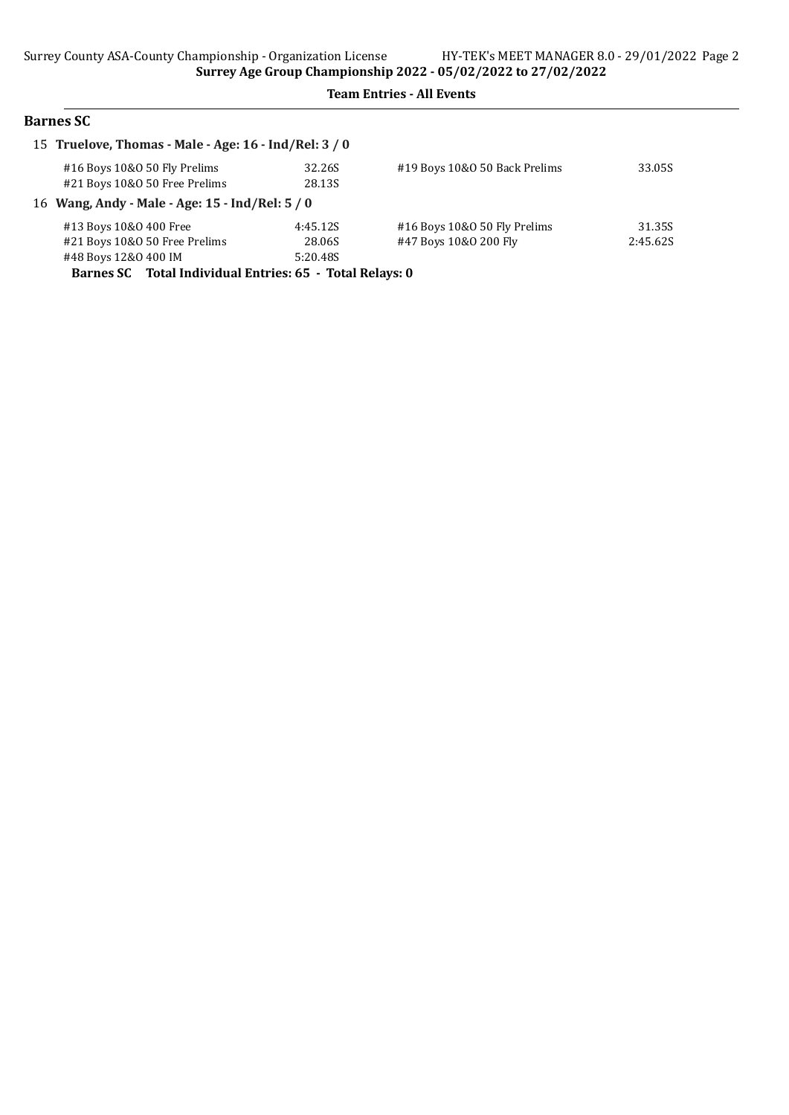## Barnes SC

| 15 Truelove, Thomas - Male - Age: 16 - Ind/Rel: 3 / 0                           |                                |                                                       |                    |
|---------------------------------------------------------------------------------|--------------------------------|-------------------------------------------------------|--------------------|
| #16 Boys 10&0 50 Fly Prelims<br>#21 Boys 10&0 50 Free Prelims                   | 32.26S<br>28.13S               | #19 Boys 10&0 50 Back Prelims                         | 33.05S             |
| 16 Wang, Andy - Male - Age: 15 - Ind/Rel: 5 / 0                                 |                                |                                                       |                    |
| #13 Boys 10&0 400 Free<br>#21 Boys 10&0 50 Free Prelims<br>#48 Boys 12&0 400 IM | 4:45.12S<br>28.06S<br>5:20.48S | #16 Boys 10&0 50 Fly Prelims<br>#47 Boys 10&0 200 Fly | 31.35S<br>2:45.625 |

Barnes SC Total Individual Entries: 65 - Total Relays: 0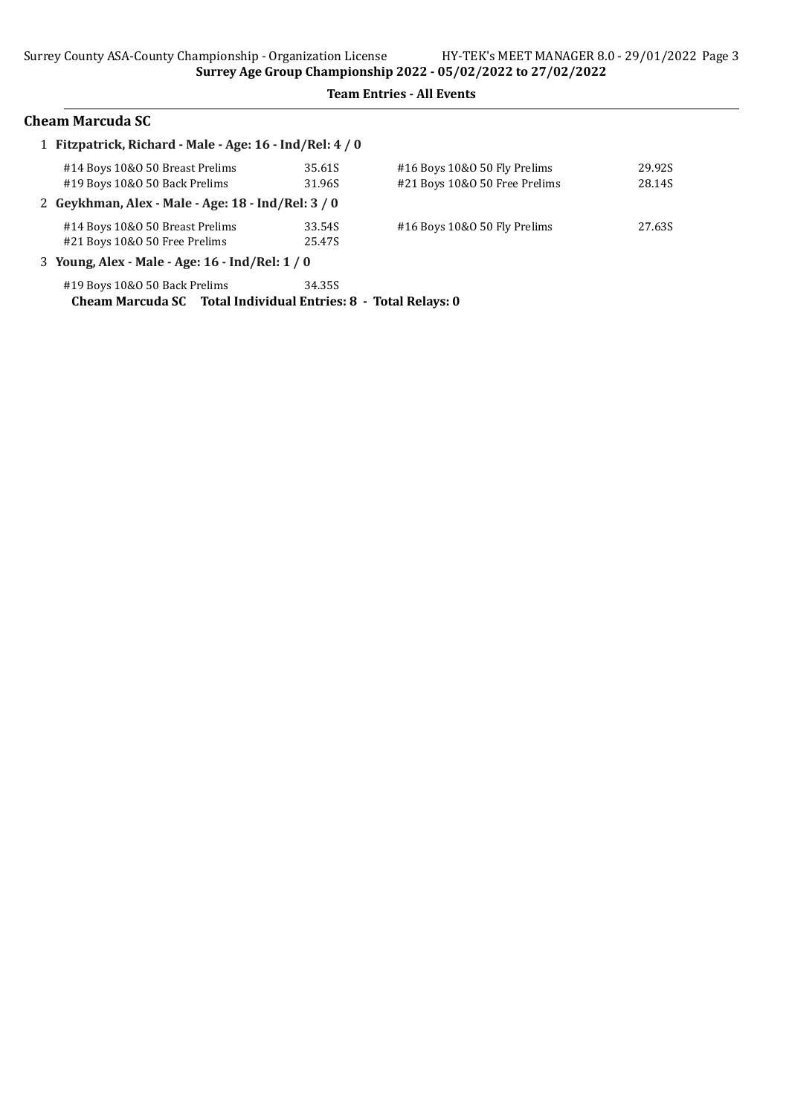## Cheam Marcuda SC

| 1 Fitzpatrick, Richard - Male - Age: 16 - Ind/Rel: 4 / 0       |        |                               |        |
|----------------------------------------------------------------|--------|-------------------------------|--------|
| #14 Boys 10&0 50 Breast Prelims                                | 35.61S | #16 Boys 10&0 50 Fly Prelims  | 29.92S |
| #19 Boys 10&0 50 Back Prelims                                  | 31.96S | #21 Boys 10&0 50 Free Prelims | 28.14S |
| 2 Geykhman, Alex - Male - Age: 18 - Ind/Rel: 3 / 0             |        |                               |        |
| #14 Boys 10&0 50 Breast Prelims                                | 33.54S | #16 Boys 10&0 50 Fly Prelims  | 27.63S |
| #21 Boys 10&0 50 Free Prelims                                  | 25.47S |                               |        |
| 3 Young, Alex - Male - Age: 16 - Ind/Rel: 1 / 0                |        |                               |        |
| #19 Boys 10&0 50 Back Prelims                                  | 34.35S |                               |        |
| Cheam Marcuda SC Total Individual Entries: 8 - Total Relays: 0 |        |                               |        |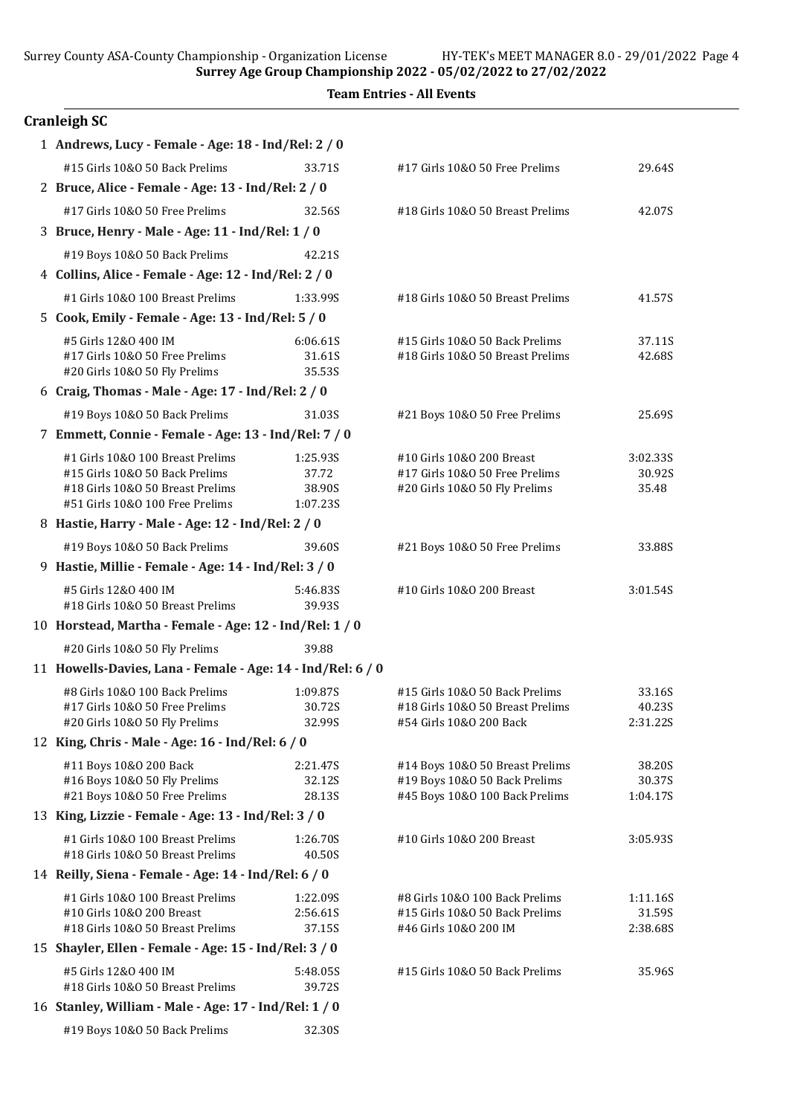Surrey County ASA-County Championship - Organization License HY-TEK's MEET MANAGER 8.0 - 29/01/2022 Page 4

Surrey Age Group Championship 2022 - 05/02/2022 to 27/02/2022

|  | <b>Team Entries - All Events</b> |  |  |
|--|----------------------------------|--|--|
|--|----------------------------------|--|--|

| <b>Cranleigh SC</b>                                                 |                    |                                                                 |                    |
|---------------------------------------------------------------------|--------------------|-----------------------------------------------------------------|--------------------|
| 1 Andrews, Lucy - Female - Age: 18 - Ind/Rel: 2 / 0                 |                    |                                                                 |                    |
| #15 Girls 10&0 50 Back Prelims                                      | 33.71S             | #17 Girls 10&0 50 Free Prelims                                  | 29.64S             |
| 2 Bruce, Alice - Female - Age: 13 - Ind/Rel: 2 / 0                  |                    |                                                                 |                    |
| #17 Girls 10&0 50 Free Prelims                                      | 32.56S             | #18 Girls 10&0 50 Breast Prelims                                | 42.07S             |
| 3 Bruce, Henry - Male - Age: 11 - Ind/Rel: 1 / 0                    |                    |                                                                 |                    |
| #19 Boys 10&0 50 Back Prelims                                       | 42.21S             |                                                                 |                    |
| 4 Collins, Alice - Female - Age: 12 - Ind/Rel: 2 / 0                |                    |                                                                 |                    |
| #1 Girls 10&0 100 Breast Prelims                                    | 1:33.99S           | #18 Girls 10&0 50 Breast Prelims                                | 41.57S             |
| 5 Cook, Emily - Female - Age: 13 - Ind/Rel: 5 / 0                   |                    |                                                                 |                    |
| #5 Girls 12&0 400 IM                                                | 6:06.61S           | #15 Girls 10&0 50 Back Prelims                                  | 37.11S             |
| #17 Girls 10&0 50 Free Prelims                                      | 31.61S             | #18 Girls 10&0 50 Breast Prelims                                | 42.68S             |
| #20 Girls 10&O 50 Fly Prelims                                       | 35.53S             |                                                                 |                    |
| 6 Craig, Thomas - Male - Age: 17 - Ind/Rel: 2 / 0                   |                    |                                                                 |                    |
| #19 Boys 10&0 50 Back Prelims                                       | 31.03S             | #21 Boys 10&0 50 Free Prelims                                   | 25.69S             |
| 7 Emmett, Connie - Female - Age: 13 - Ind/Rel: 7 / 0                |                    |                                                                 |                    |
| #1 Girls 10&0 100 Breast Prelims                                    | 1:25.93S           | #10 Girls 10&0 200 Breast                                       | 3:02.335           |
| #15 Girls 10&0 50 Back Prelims                                      | 37.72              | #17 Girls 10&0 50 Free Prelims                                  | 30.92S             |
| #18 Girls 10&0 50 Breast Prelims<br>#51 Girls 10&0 100 Free Prelims | 38.90S<br>1:07.23S | #20 Girls 10&O 50 Fly Prelims                                   | 35.48              |
| 8 Hastie, Harry - Male - Age: 12 - Ind/Rel: 2 / 0                   |                    |                                                                 |                    |
|                                                                     |                    |                                                                 |                    |
| #19 Boys 10&0 50 Back Prelims                                       | 39.60S             | #21 Boys 10&0 50 Free Prelims                                   | 33.88S             |
| 9 Hastie, Millie - Female - Age: 14 - Ind/Rel: 3 / 0                |                    |                                                                 |                    |
| #5 Girls 12&0 400 IM<br>#18 Girls 10&0 50 Breast Prelims            | 5:46.83S<br>39.93S | #10 Girls 10&0 200 Breast                                       | 3:01.54S           |
| 10 Horstead, Martha - Female - Age: 12 - Ind/Rel: 1 / 0             |                    |                                                                 |                    |
| #20 Girls 10&O 50 Fly Prelims                                       | 39.88              |                                                                 |                    |
| 11 Howells-Davies, Lana - Female - Age: 14 - Ind/Rel: 6 / 0         |                    |                                                                 |                    |
| #8 Girls 10&0 100 Back Prelims                                      | 1:09.87S           | #15 Girls 10&0 50 Back Prelims                                  | 33.16S             |
| #17 Girls 10&0 50 Free Prelims                                      | 30.72S             | #18 Girls 10&0 50 Breast Prelims                                | 40.23S             |
| #20 Girls 10&0 50 Fly Prelims                                       | 32.99S             | #54 Girls 10&0 200 Back                                         | 2:31.22S           |
| 12 King, Chris - Male - Age: 16 - Ind/Rel: 6 / 0                    |                    |                                                                 |                    |
| #11 Boys 10&0 200 Back                                              | 2:21.47S           | #14 Boys 10&0 50 Breast Prelims                                 | 38.20S             |
| #16 Boys 10&0 50 Fly Prelims<br>#21 Boys 10&0 50 Free Prelims       | 32.12S<br>28.13S   | #19 Boys 10&0 50 Back Prelims<br>#45 Boys 10&0 100 Back Prelims | 30.37S<br>1:04.17S |
| 13 King, Lizzie - Female - Age: 13 - Ind/Rel: 3 / 0                 |                    |                                                                 |                    |
| #1 Girls 10&0 100 Breast Prelims                                    | 1:26.70S           | #10 Girls 10&0 200 Breast                                       | 3:05.935           |
| #18 Girls 10&0 50 Breast Prelims                                    | 40.50S             |                                                                 |                    |
| 14 Reilly, Siena - Female - Age: 14 - Ind/Rel: 6 / 0                |                    |                                                                 |                    |
| #1 Girls 10&0 100 Breast Prelims                                    | 1:22.09S           | #8 Girls 10&0 100 Back Prelims                                  | 1:11.16S           |
| #10 Girls 10&0 200 Breast                                           | 2:56.61S           | #15 Girls 10&0 50 Back Prelims                                  | 31.59S             |
| #18 Girls 10&0 50 Breast Prelims                                    | 37.15S             | #46 Girls 10&0 200 IM                                           | 2:38.68S           |
| 15 Shayler, Ellen - Female - Age: 15 - Ind/Rel: 3 / 0               |                    |                                                                 |                    |
| #5 Girls 12&0 400 IM                                                | 5:48.05S           | #15 Girls 10&0 50 Back Prelims                                  | 35.96S             |
| #18 Girls 10&0 50 Breast Prelims                                    | 39.72S             |                                                                 |                    |
| 16 Stanley, William - Male - Age: 17 - Ind/Rel: 1 / 0               |                    |                                                                 |                    |
| #19 Boys 10&0 50 Back Prelims                                       | 32.30S             |                                                                 |                    |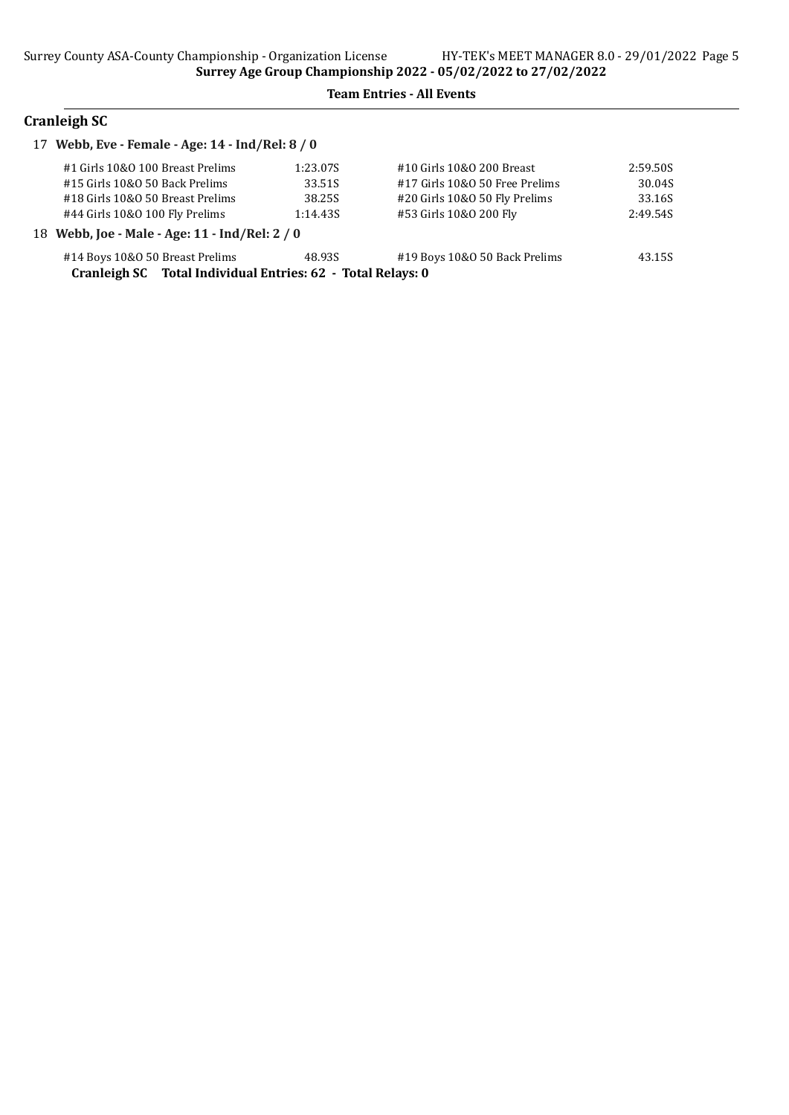## Cranleigh SC

| 17 Webb, Eve - Female - Age: 14 - Ind/Rel: 8 / 0            |          |                                |          |
|-------------------------------------------------------------|----------|--------------------------------|----------|
| #1 Girls 10&0 100 Breast Prelims                            | 1:23.07S | #10 Girls 10&0 200 Breast      | 2:59.50S |
| #15 Girls 10&0 50 Back Prelims                              | 33.51S   | #17 Girls 10&0 50 Free Prelims | 30.04S   |
| #18 Girls 10&0 50 Breast Prelims                            | 38.25S   | #20 Girls 10&0 50 Fly Prelims  | 33.16S   |
| #44 Girls 10&0 100 Fly Prelims                              | 1:14.435 | #53 Girls 10&0 200 Fly         | 2:49.54S |
| 18 Webb, Joe - Male - Age: 11 - Ind/Rel: 2 / 0              |          |                                |          |
| #14 Boys 10&0 50 Breast Prelims                             | 48.93S   | #19 Boys 10&0 50 Back Prelims  | 43.15S   |
| Cranleigh SC Total Individual Entries: 62 - Total Relays: 0 |          |                                |          |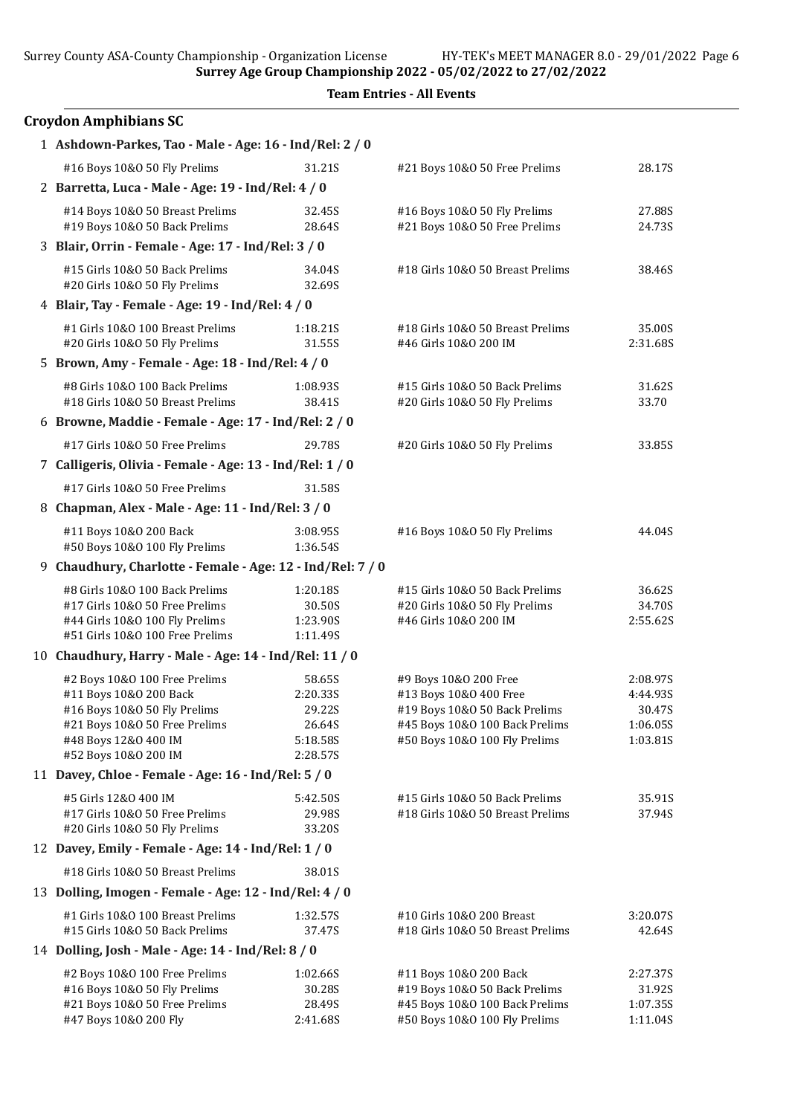Surrey County ASA-County Championship - Organization License HY-TEK's MEET MANAGER 8.0 - 29/01/2022 Page 6

Surrey Age Group Championship 2022 - 05/02/2022 to 27/02/2022

| <b>Croydon Amphibians SC</b>                                       |                      |                                                                 |                    |
|--------------------------------------------------------------------|----------------------|-----------------------------------------------------------------|--------------------|
| 1 Ashdown-Parkes, Tao - Male - Age: 16 - Ind/Rel: 2 / 0            |                      |                                                                 |                    |
| #16 Boys 10&0 50 Fly Prelims                                       | 31.21S               | #21 Boys 10&0 50 Free Prelims                                   | 28.17S             |
| 2 Barretta, Luca - Male - Age: 19 - Ind/Rel: 4 / 0                 |                      |                                                                 |                    |
| #14 Boys 10&0 50 Breast Prelims                                    | 32.45S               | #16 Boys 10&0 50 Fly Prelims                                    | 27.88S             |
| #19 Boys 10&0 50 Back Prelims                                      | 28.64S               | #21 Boys 10&0 50 Free Prelims                                   | 24.73S             |
| 3 Blair, Orrin - Female - Age: 17 - Ind/Rel: 3 / 0                 |                      |                                                                 |                    |
| #15 Girls 10&0 50 Back Prelims<br>#20 Girls 10&O 50 Fly Prelims    | 34.04S<br>32.69S     | #18 Girls 10&0 50 Breast Prelims                                | 38.46S             |
| 4 Blair, Tay - Female - Age: 19 - Ind/Rel: 4 / 0                   |                      |                                                                 |                    |
| #1 Girls 10&0 100 Breast Prelims<br>#20 Girls 10&0 50 Fly Prelims  | 1:18.21S<br>31.55S   | #18 Girls 10&0 50 Breast Prelims<br>#46 Girls 10&0 200 IM       | 35.00S<br>2:31.68S |
| 5 Brown, Amy - Female - Age: 18 - Ind/Rel: 4 / 0                   |                      |                                                                 |                    |
| #8 Girls 10&0 100 Back Prelims<br>#18 Girls 10&0 50 Breast Prelims | 1:08.935<br>38.41S   | #15 Girls 10&0 50 Back Prelims<br>#20 Girls 10&O 50 Fly Prelims | 31.62S<br>33.70    |
| 6 Browne, Maddie - Female - Age: 17 - Ind/Rel: 2 / 0               |                      |                                                                 |                    |
| #17 Girls 10&0 50 Free Prelims                                     | 29.78S               | #20 Girls 10&O 50 Fly Prelims                                   | 33.85S             |
| 7 Calligeris, Olivia - Female - Age: 13 - Ind/Rel: 1 / 0           |                      |                                                                 |                    |
| #17 Girls 10&0 50 Free Prelims                                     | 31.58S               |                                                                 |                    |
| 8 Chapman, Alex - Male - Age: 11 - Ind/Rel: 3 / 0                  |                      |                                                                 |                    |
| #11 Boys 10&0 200 Back                                             | 3:08.95S             | #16 Boys 10&0 50 Fly Prelims                                    | 44.04S             |
| #50 Boys 10&0 100 Fly Prelims                                      | 1:36.54S             |                                                                 |                    |
| 9 Chaudhury, Charlotte - Female - Age: 12 - Ind/Rel: 7 / 0         |                      |                                                                 |                    |
| #8 Girls 10&0 100 Back Prelims                                     | 1:20.18S             | #15 Girls 10&0 50 Back Prelims                                  | 36.62S             |
| #17 Girls 10&0 50 Free Prelims                                     | 30.50S               | #20 Girls 10&O 50 Fly Prelims                                   | 34.70S             |
| #44 Girls 10&0 100 Fly Prelims<br>#51 Girls 10&0 100 Free Prelims  | 1:23.90S<br>1:11.49S | #46 Girls 10&0 200 IM                                           | 2:55.62S           |
| 10 Chaudhury, Harry - Male - Age: 14 - Ind/Rel: 11 / 0             |                      |                                                                 |                    |
| #2 Boys 10&0 100 Free Prelims                                      | 58.65S               | #9 Boys 10&0 200 Free                                           | 2:08.97S           |
| #11 Boys 10&0 200 Back                                             | 2:20.33S             | #13 Boys 10&0 400 Free                                          | 4:44.93S           |
| #16 Boys 10&0 50 Fly Prelims                                       | 29.22S               | #19 Boys 10&0 50 Back Prelims                                   | 30.47S             |
| #21 Boys 10&0 50 Free Prelims                                      | 26.64S               | #45 Boys 10&0 100 Back Prelims                                  | 1:06.05S           |
| #48 Boys 12&0 400 IM                                               | 5:18.58S             | #50 Boys 10&0 100 Fly Prelims                                   | 1:03.81S           |
| #52 Boys 10&0 200 IM                                               | 2:28.57S             |                                                                 |                    |
| 11 Davey, Chloe - Female - Age: 16 - Ind/Rel: 5 / 0                |                      |                                                                 |                    |
| #5 Girls 12&0 400 IM                                               | 5:42.50S             | #15 Girls 10&0 50 Back Prelims                                  | 35.91S             |
| #17 Girls 10&0 50 Free Prelims<br>#20 Girls 10&O 50 Fly Prelims    | 29.98S<br>33.20S     | #18 Girls 10&0 50 Breast Prelims                                | 37.94S             |
| 12 Davey, Emily - Female - Age: 14 - Ind/Rel: 1 / 0                |                      |                                                                 |                    |
| #18 Girls 10&0 50 Breast Prelims                                   | 38.01S               |                                                                 |                    |
| 13 Dolling, Imogen - Female - Age: 12 - Ind/Rel: 4 / 0             |                      |                                                                 |                    |
|                                                                    | 1:32.57S             |                                                                 |                    |
| #1 Girls 10&0 100 Breast Prelims<br>#15 Girls 10&0 50 Back Prelims | 37.47S               | #10 Girls 10&0 200 Breast<br>#18 Girls 10&0 50 Breast Prelims   | 3:20.07S<br>42.64S |
| 14 Dolling, Josh - Male - Age: 14 - Ind/Rel: 8 / 0                 |                      |                                                                 |                    |
| #2 Boys 10&0 100 Free Prelims                                      | 1:02.66S             | #11 Boys 10&0 200 Back                                          | 2:27.37S           |
| #16 Boys 10&0 50 Fly Prelims                                       | 30.28S               | #19 Boys 10&0 50 Back Prelims                                   | 31.92S             |
| #21 Boys 10&0 50 Free Prelims                                      | 28.49S               | #45 Boys 10&0 100 Back Prelims                                  | 1:07.35S           |
| #47 Boys 10&0 200 Fly                                              | 2:41.68S             | #50 Boys 10&0 100 Fly Prelims                                   | 1:11.04S           |

Team Entries - All Events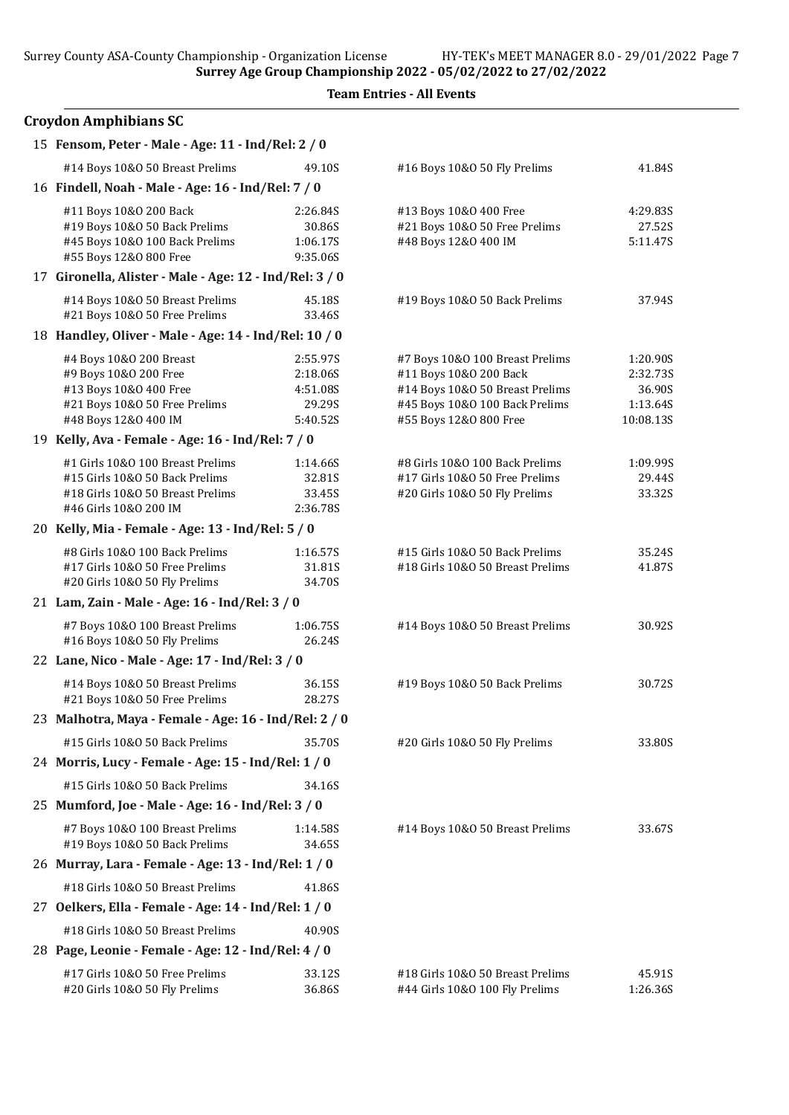|  | <b>Team Entries - All Events</b> |  |  |
|--|----------------------------------|--|--|
|--|----------------------------------|--|--|

| <b>Croydon Amphibians SC</b>                                                      |                    |                                  |           |
|-----------------------------------------------------------------------------------|--------------------|----------------------------------|-----------|
| 15 Fensom, Peter - Male - Age: 11 - Ind/Rel: 2 / 0                                |                    |                                  |           |
| #14 Boys 10&0 50 Breast Prelims                                                   | 49.10S             | #16 Boys 10&0 50 Fly Prelims     | 41.84S    |
| 16 Findell, Noah - Male - Age: 16 - Ind/Rel: 7 / 0                                |                    |                                  |           |
| #11 Boys 10&0 200 Back                                                            | 2:26.84S           | #13 Boys 10&0 400 Free           | 4:29.83S  |
| #19 Boys 10&0 50 Back Prelims                                                     | 30.86S             | #21 Boys 10&0 50 Free Prelims    | 27.52S    |
| #45 Boys 10&0 100 Back Prelims                                                    | 1:06.17S           | #48 Boys 12&0 400 IM             | 5:11.47S  |
| #55 Boys 12&0 800 Free<br>17 Gironella, Alister - Male - Age: 12 - Ind/Rel: 3 / 0 | 9:35.06S           |                                  |           |
|                                                                                   |                    |                                  |           |
| #14 Boys 10&0 50 Breast Prelims<br>#21 Boys 10&0 50 Free Prelims                  | 45.18S<br>33.46S   | #19 Boys 10&0 50 Back Prelims    | 37.94S    |
| 18 Handley, Oliver - Male - Age: 14 - Ind/Rel: 10 / 0                             |                    |                                  |           |
| #4 Boys 10&0 200 Breast                                                           | 2:55.97S           | #7 Boys 10&0 100 Breast Prelims  | 1:20.90S  |
| #9 Boys 10&0 200 Free                                                             | 2:18.06S           | #11 Boys 10&0 200 Back           | 2:32.73S  |
| #13 Boys 10&0 400 Free                                                            | 4:51.08S           | #14 Boys 10&0 50 Breast Prelims  | 36.90S    |
| #21 Boys 10&0 50 Free Prelims                                                     | 29.29S             | #45 Boys 10&0 100 Back Prelims   | 1:13.64S  |
| #48 Boys 12&0 400 IM                                                              | 5:40.52S           | #55 Boys 12&0 800 Free           | 10:08.13S |
| 19 Kelly, Ava - Female - Age: 16 - Ind/Rel: 7 / 0                                 |                    |                                  |           |
| #1 Girls 10&0 100 Breast Prelims                                                  | 1:14.66S           | #8 Girls 10&0 100 Back Prelims   | 1:09.99S  |
| #15 Girls 10&0 50 Back Prelims                                                    | 32.81S             | #17 Girls 10&O 50 Free Prelims   | 29.44S    |
| #18 Girls 10&0 50 Breast Prelims                                                  | 33.45S             | #20 Girls 10&O 50 Fly Prelims    | 33.32S    |
| #46 Girls 10&0 200 IM                                                             | 2:36.78S           |                                  |           |
| 20 Kelly, Mia - Female - Age: 13 - Ind/Rel: 5 / 0                                 |                    |                                  |           |
| #8 Girls 10&0 100 Back Prelims                                                    | 1:16.57S           | #15 Girls 10&0 50 Back Prelims   | 35.24S    |
| #17 Girls 10&0 50 Free Prelims                                                    | 31.81S             | #18 Girls 10&0 50 Breast Prelims | 41.87S    |
| #20 Girls 10&O 50 Fly Prelims<br>21 Lam, Zain - Male - Age: 16 - Ind/Rel: 3 / 0   | 34.70S             |                                  |           |
|                                                                                   |                    |                                  |           |
| #7 Boys 10&0 100 Breast Prelims                                                   | 1:06.75S           | #14 Boys 10&0 50 Breast Prelims  | 30.92S    |
| #16 Boys 10&0 50 Fly Prelims                                                      | 26.24S             |                                  |           |
| 22 Lane, Nico - Male - Age: 17 - Ind/Rel: 3 / 0                                   |                    |                                  |           |
| #14 Boys 10&0 50 Breast Prelims<br>#21 Boys 10&0 50 Free Prelims                  | 36.15S<br>28.27S   | #19 Boys 10&0 50 Back Prelims    | 30.72S    |
| 23 Malhotra, Maya - Female - Age: 16 - Ind/Rel: 2 / 0                             |                    |                                  |           |
| #15 Girls 10&0 50 Back Prelims                                                    | 35.70S             | #20 Girls 10&O 50 Fly Prelims    | 33.80S    |
| 24 Morris, Lucy - Female - Age: 15 - Ind/Rel: 1 / 0                               |                    |                                  |           |
|                                                                                   |                    |                                  |           |
| #15 Girls 10&0 50 Back Prelims                                                    | 34.16S             |                                  |           |
| 25 Mumford, Joe - Male - Age: 16 - Ind/Rel: 3 / 0                                 |                    |                                  |           |
| #7 Boys 10&0 100 Breast Prelims<br>#19 Boys 10&0 50 Back Prelims                  | 1:14.58S<br>34.65S | #14 Boys 10&0 50 Breast Prelims  | 33.67S    |
| 26 Murray, Lara - Female - Age: 13 - Ind/Rel: 1 / 0                               |                    |                                  |           |
| #18 Girls 10&0 50 Breast Prelims                                                  | 41.86S             |                                  |           |
| 27 Oelkers, Ella - Female - Age: 14 - Ind/Rel: 1 / 0                              |                    |                                  |           |
| #18 Girls 10&0 50 Breast Prelims                                                  | 40.90S             |                                  |           |
| 28 Page, Leonie - Female - Age: 12 - Ind/Rel: 4 / 0                               |                    |                                  |           |
| #17 Girls 10&O 50 Free Prelims                                                    | 33.12S             | #18 Girls 10&0 50 Breast Prelims | 45.91S    |

#20 Girls 10&O 50 Fly Prelims 36.86S #44 Girls 10&O 100 Fly Prelims 1:26.36S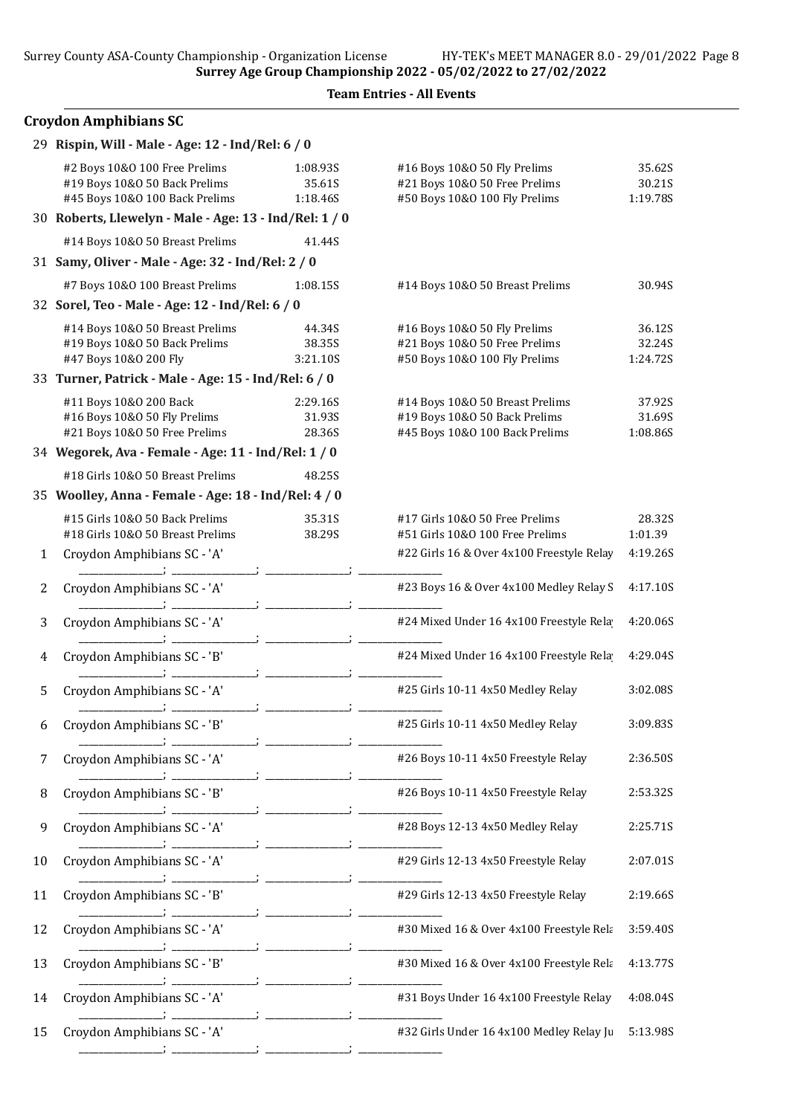|  | <b>Team Entries - All Events</b> |  |  |
|--|----------------------------------|--|--|
|--|----------------------------------|--|--|

|    | <b>Croydon Amphibians SC</b>                                                                     |                                |                                                                                                    |                              |
|----|--------------------------------------------------------------------------------------------------|--------------------------------|----------------------------------------------------------------------------------------------------|------------------------------|
|    | 29 Rispin, Will - Male - Age: 12 - Ind/Rel: 6 / 0                                                |                                |                                                                                                    |                              |
|    | #2 Boys 10&0 100 Free Prelims<br>#19 Boys 10&0 50 Back Prelims<br>#45 Boys 10&0 100 Back Prelims | 1:08.93S<br>35.61S<br>1:18.46S | #16 Boys 10&0 50 Fly Prelims<br>#21 Boys 10&0 50 Free Prelims<br>#50 Boys 10&0 100 Fly Prelims     | 35.62S<br>30.21S<br>1:19.78S |
|    | 30 Roberts, Llewelyn - Male - Age: 13 - Ind/Rel: 1 / 0                                           |                                |                                                                                                    |                              |
|    | #14 Boys 10&0 50 Breast Prelims                                                                  | 41.44S                         |                                                                                                    |                              |
|    | 31 Samy, Oliver - Male - Age: 32 - Ind/Rel: 2 / 0                                                |                                |                                                                                                    |                              |
|    | #7 Boys 10&0 100 Breast Prelims                                                                  | 1:08.15S                       | #14 Boys 10&0 50 Breast Prelims                                                                    | 30.94S                       |
|    | 32 Sorel, Teo - Male - Age: 12 - Ind/Rel: 6 / 0                                                  |                                |                                                                                                    |                              |
|    | #14 Boys 10&0 50 Breast Prelims<br>#19 Boys 10&0 50 Back Prelims<br>#47 Boys 10&0 200 Fly        | 44.34S<br>38.35S<br>3:21.10S   | #16 Boys 10&0 50 Fly Prelims<br>#21 Boys 10&0 50 Free Prelims<br>#50 Boys 10&0 100 Fly Prelims     | 36.12S<br>32.24S<br>1:24.72S |
|    | 33 Turner, Patrick - Male - Age: 15 - Ind/Rel: 6 / 0                                             |                                |                                                                                                    |                              |
|    | #11 Boys 10&0 200 Back<br>#16 Boys 10&0 50 Fly Prelims<br>#21 Boys 10&0 50 Free Prelims          | 2:29.16S<br>31.93S<br>28.36S   | #14 Boys 10&0 50 Breast Prelims<br>#19 Boys 10&0 50 Back Prelims<br>#45 Boys 10&0 100 Back Prelims | 37.92S<br>31.69S<br>1:08.86S |
|    | 34 Wegorek, Ava - Female - Age: 11 - Ind/Rel: 1 / 0                                              |                                |                                                                                                    |                              |
|    | #18 Girls 10&0 50 Breast Prelims                                                                 | 48.25S                         |                                                                                                    |                              |
|    | 35 Woolley, Anna - Female - Age: 18 - Ind/Rel: 4 / 0                                             |                                |                                                                                                    |                              |
|    | #15 Girls 10&0 50 Back Prelims<br>#18 Girls 10&0 50 Breast Prelims                               | 35.31S<br>38.29S               | #17 Girls 10&O 50 Free Prelims<br>#51 Girls 10&0 100 Free Prelims                                  | 28.32S<br>1:01.39            |
| 1  | Croydon Amphibians SC - 'A'                                                                      |                                | #22 Girls 16 & Over 4x100 Freestyle Relay                                                          | 4:19.26S                     |
| 2  | Croydon Amphibians SC - 'A'                                                                      |                                | #23 Boys 16 & Over 4x100 Medley Relay S                                                            | 4:17.10S                     |
| 3  | Croydon Amphibians SC - 'A'                                                                      |                                | #24 Mixed Under 16 4x100 Freestyle Rela                                                            | 4:20.06S                     |
| 4  | Croydon Amphibians SC - 'B'                                                                      |                                | #24 Mixed Under 16 4x100 Freestyle Rela                                                            | 4:29.04S                     |
| 5  | Croydon Amphibians SC - 'A'                                                                      |                                | #25 Girls 10-11 4x50 Medley Relay                                                                  | 3:02.08S                     |
| 6  | Croydon Amphibians SC - 'B'                                                                      |                                | #25 Girls 10-11 4x50 Medley Relay                                                                  | 3:09.83S                     |
| 7  | Croydon Amphibians SC - 'A'                                                                      |                                | #26 Boys 10-11 4x50 Freestyle Relay                                                                | 2:36.50S                     |
| 8  | Croydon Amphibians SC - 'B'                                                                      |                                | #26 Boys 10-11 4x50 Freestyle Relay                                                                | 2:53.32S                     |
| 9  | Croydon Amphibians SC - 'A'                                                                      |                                | #28 Boys 12-13 4x50 Medley Relay                                                                   | 2:25.71S                     |
| 10 | Croydon Amphibians SC - 'A'                                                                      |                                | #29 Girls 12-13 4x50 Freestyle Relay                                                               | 2:07.01S                     |
| 11 | Croydon Amphibians SC - 'B'                                                                      |                                | #29 Girls 12-13 4x50 Freestyle Relay                                                               | 2:19.66S                     |
| 12 | Croydon Amphibians SC - 'A'                                                                      |                                | #30 Mixed 16 & Over 4x100 Freestyle Rela                                                           | 3:59.40S                     |
| 13 | Croydon Amphibians SC - 'B'                                                                      |                                | #30 Mixed 16 & Over 4x100 Freestyle Rela                                                           | 4:13.77S                     |
| 14 | Croydon Amphibians SC - 'A'                                                                      |                                | #31 Boys Under 16 4x100 Freestyle Relay                                                            | 4:08.04S                     |
| 15 | Croydon Amphibians SC - 'A'                                                                      |                                | #32 Girls Under 16 4x100 Medley Relay Ju                                                           | 5:13.98S                     |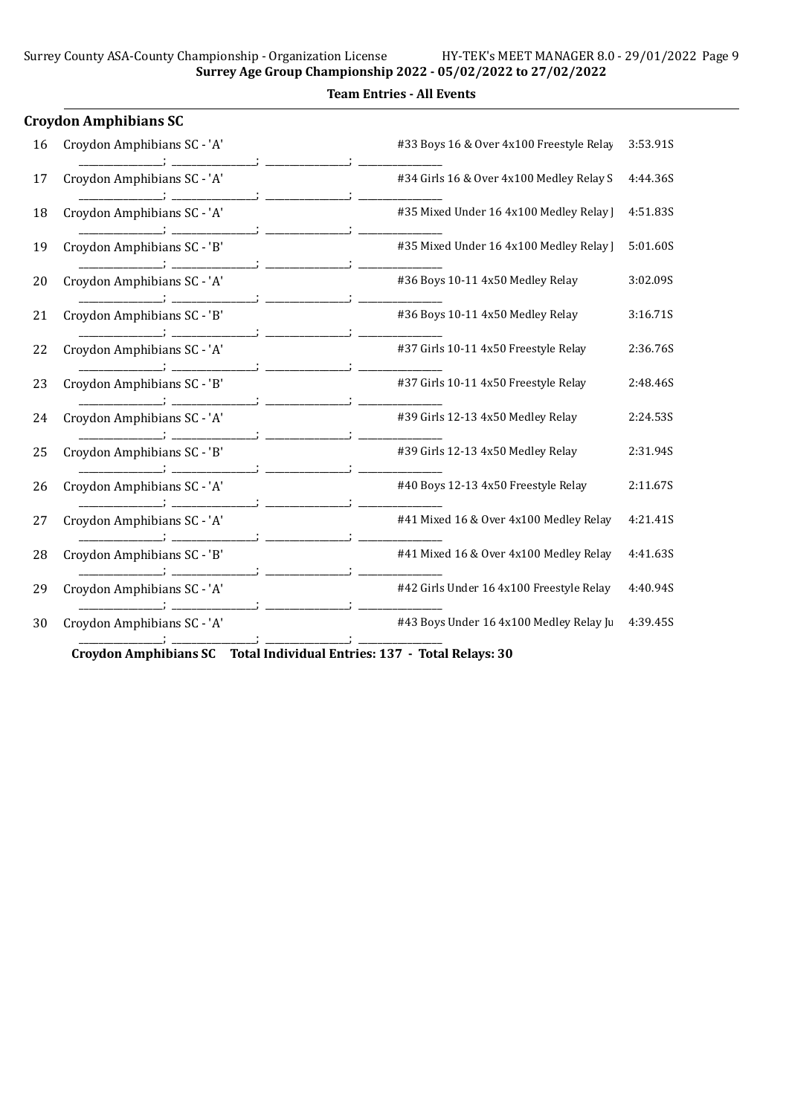## Team Entries - All Events

|    | <b>Croydon Amphibians SC</b> |                                          |          |
|----|------------------------------|------------------------------------------|----------|
| 16 | Croydon Amphibians SC - 'A'  | #33 Boys 16 & Over 4x100 Freestyle Relay | 3:53.91S |
| 17 | Croydon Amphibians SC - 'A'  | #34 Girls 16 & Over 4x100 Medley Relay S | 4:44.36S |
| 18 | Croydon Amphibians SC - 'A'  | #35 Mixed Under 16 4x100 Medley Relay    | 4:51.83S |
| 19 | Croydon Amphibians SC - 'B'  | #35 Mixed Under 16 4x100 Medley Relay    | 5:01.60S |
| 20 | Croydon Amphibians SC - 'A'  | #36 Boys 10-11 4x50 Medley Relay         | 3:02.09S |
| 21 | Croydon Amphibians SC - 'B'  | #36 Boys 10-11 4x50 Medley Relay         | 3:16.71S |
| 22 | Croydon Amphibians SC - 'A'  | #37 Girls 10-11 4x50 Freestyle Relay     | 2:36.76S |
| 23 | Croydon Amphibians SC - 'B'  | #37 Girls 10-11 4x50 Freestyle Relay     | 2:48.46S |
| 24 | Croydon Amphibians SC - 'A'  | #39 Girls 12-13 4x50 Medley Relay        | 2:24.53S |
| 25 | Croydon Amphibians SC - 'B'  | #39 Girls 12-13 4x50 Medley Relay        | 2:31.94S |
| 26 | Croydon Amphibians SC - 'A'  | #40 Boys 12-13 4x50 Freestyle Relay      | 2:11.67S |
| 27 | Croydon Amphibians SC - 'A'  | #41 Mixed 16 & Over 4x100 Medley Relay   | 4:21.41S |
| 28 | Croydon Amphibians SC - 'B'  | #41 Mixed 16 & Over 4x100 Medley Relay   | 4:41.63S |
| 29 | Croydon Amphibians SC - 'A'  | #42 Girls Under 16 4x100 Freestyle Relay | 4:40.94S |
| 30 | Croydon Amphibians SC - 'A'  | #43 Boys Under 16 4x100 Medley Relay Ju  | 4:39.45S |
|    |                              |                                          |          |

Croydon Amphibians SC Total Individual Entries: 137 - Total Relays: 30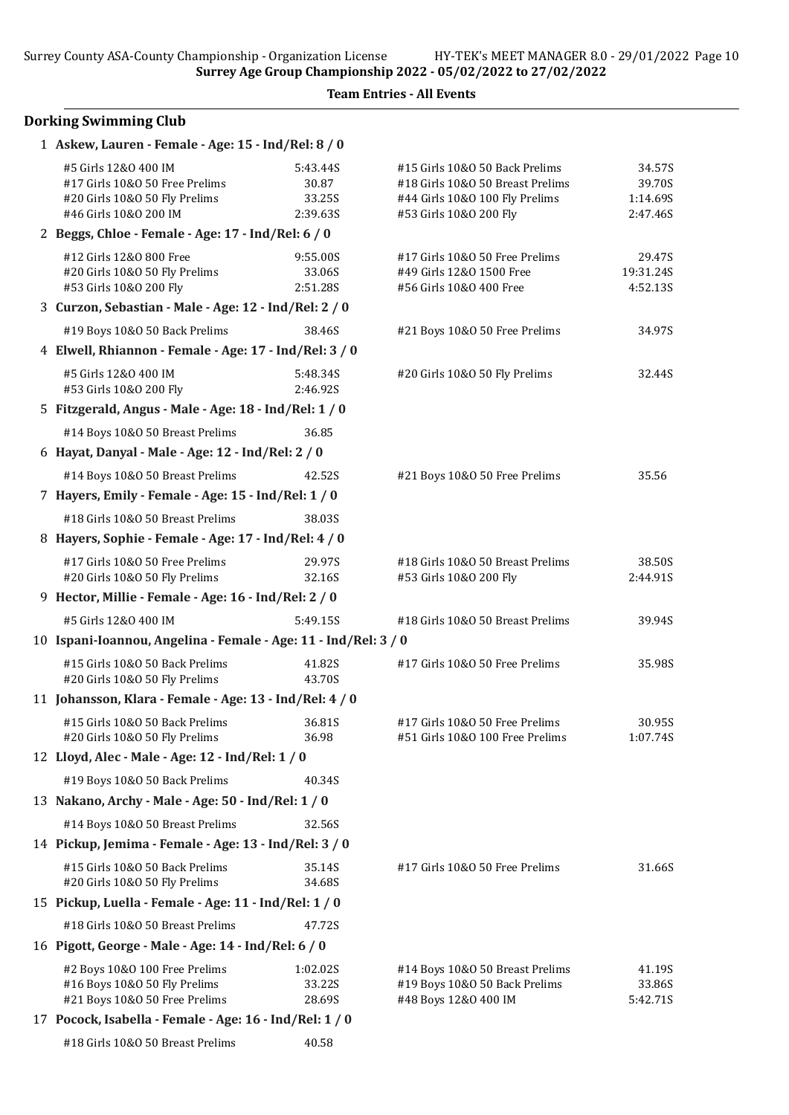### Team Entries - All Events

# Dorking Swimming Club

| 1 Askew, Lauren - Female - Age: 15 - Ind/Rel: 8 / 0                                                              |                                         |                                                                                                                                |                                          |
|------------------------------------------------------------------------------------------------------------------|-----------------------------------------|--------------------------------------------------------------------------------------------------------------------------------|------------------------------------------|
| #5 Girls 12&0 400 IM<br>#17 Girls 10&0 50 Free Prelims<br>#20 Girls 10&0 50 Fly Prelims<br>#46 Girls 10&0 200 IM | 5:43.44S<br>30.87<br>33.25S<br>2:39.63S | #15 Girls 10&0 50 Back Prelims<br>#18 Girls 10&0 50 Breast Prelims<br>#44 Girls 10&0 100 Fly Prelims<br>#53 Girls 10&0 200 Fly | 34.57S<br>39.70S<br>1:14.69S<br>2:47.46S |
| 2 Beggs, Chloe - Female - Age: 17 - Ind/Rel: 6 / 0                                                               |                                         |                                                                                                                                |                                          |
| #12 Girls 12&0 800 Free<br>#20 Girls 10&0 50 Fly Prelims<br>#53 Girls 10&0 200 Fly                               | 9:55.00S<br>33.06S<br>2:51.28S          | #17 Girls 10&0 50 Free Prelims<br>#49 Girls 12&0 1500 Free<br>#56 Girls 10&O 400 Free                                          | 29.47S<br>19:31.24S<br>4:52.13S          |
| 3 Curzon, Sebastian - Male - Age: 12 - Ind/Rel: 2 / 0                                                            |                                         |                                                                                                                                |                                          |
| #19 Boys 10&O 50 Back Prelims                                                                                    | 38.46S                                  | #21 Boys 10&0 50 Free Prelims                                                                                                  | 34.97S                                   |
| 4 Elwell, Rhiannon - Female - Age: 17 - Ind/Rel: 3 / 0                                                           |                                         |                                                                                                                                |                                          |
| #5 Girls 12&0 400 IM<br>#53 Girls 10&0 200 Fly                                                                   | 5:48.34S<br>2:46.92S                    | #20 Girls 10&O 50 Fly Prelims                                                                                                  | 32.44S                                   |
| 5 Fitzgerald, Angus - Male - Age: 18 - Ind/Rel: 1 / 0                                                            |                                         |                                                                                                                                |                                          |
| #14 Boys 10&0 50 Breast Prelims                                                                                  | 36.85                                   |                                                                                                                                |                                          |
| 6 Hayat, Danyal - Male - Age: 12 - Ind/Rel: 2 / 0                                                                |                                         |                                                                                                                                |                                          |
| #14 Boys 10&0 50 Breast Prelims                                                                                  | 42.52S                                  | #21 Boys 10&0 50 Free Prelims                                                                                                  | 35.56                                    |
| 7 Hayers, Emily - Female - Age: 15 - Ind/Rel: 1 / 0                                                              |                                         |                                                                                                                                |                                          |
| #18 Girls 10&0 50 Breast Prelims                                                                                 | 38.03S                                  |                                                                                                                                |                                          |
| 8 Hayers, Sophie - Female - Age: 17 - Ind/Rel: 4 / 0                                                             |                                         |                                                                                                                                |                                          |
| #17 Girls 10&0 50 Free Prelims<br>#20 Girls 10&0 50 Fly Prelims                                                  | 29.97S<br>32.16S                        | #18 Girls 10&0 50 Breast Prelims<br>#53 Girls 10&0 200 Fly                                                                     | 38.50S<br>2:44.91S                       |
| 9 Hector, Millie - Female - Age: 16 - Ind/Rel: 2 / 0                                                             |                                         |                                                                                                                                |                                          |
| #5 Girls 12&0 400 IM                                                                                             | 5:49.15S                                | #18 Girls 10&0 50 Breast Prelims                                                                                               | 39.94S                                   |
| 10 Ispani-Ioannou, Angelina - Female - Age: 11 - Ind/Rel: 3 / 0                                                  |                                         |                                                                                                                                |                                          |
| #15 Girls 10&0 50 Back Prelims<br>#20 Girls 10&O 50 Fly Prelims                                                  | 41.82S<br>43.70S                        | #17 Girls 10&0 50 Free Prelims                                                                                                 | 35.98S                                   |
| 11 Johansson, Klara - Female - Age: 13 - Ind/Rel: 4 / 0                                                          |                                         |                                                                                                                                |                                          |
| #15 Girls 10&0 50 Back Prelims<br>#20 Girls 10&O 50 Fly Prelims                                                  | 36.81S<br>36.98                         | #17 Girls 10&O 50 Free Prelims<br>#51 Girls 10&0 100 Free Prelims                                                              | 30.95S<br>1:07.74S                       |
| 12 Lloyd, Alec - Male - Age: 12 - Ind/Rel: 1 / 0                                                                 |                                         |                                                                                                                                |                                          |
| #19 Boys 10&O 50 Back Prelims                                                                                    | 40.34S                                  |                                                                                                                                |                                          |
| 13 Nakano, Archy - Male - Age: 50 - Ind/Rel: 1 / 0                                                               |                                         |                                                                                                                                |                                          |
| #14 Boys 10&0 50 Breast Prelims                                                                                  | 32.56S                                  |                                                                                                                                |                                          |
| 14 Pickup, Jemima - Female - Age: 13 - Ind/Rel: 3 / 0                                                            |                                         |                                                                                                                                |                                          |
| #15 Girls 10&0 50 Back Prelims<br>#20 Girls 10&0 50 Fly Prelims                                                  | 35.14S<br>34.68S                        | #17 Girls 10&0 50 Free Prelims                                                                                                 | 31.66S                                   |
| 15 Pickup, Luella - Female - Age: 11 - Ind/Rel: 1 / 0                                                            |                                         |                                                                                                                                |                                          |
| #18 Girls 10&0 50 Breast Prelims                                                                                 | 47.72S                                  |                                                                                                                                |                                          |
| 16 Pigott, George - Male - Age: 14 - Ind/Rel: 6 / 0                                                              |                                         |                                                                                                                                |                                          |
| #2 Boys 10&0 100 Free Prelims<br>#16 Boys 10&0 50 Fly Prelims<br>#21 Boys 10&0 50 Free Prelims                   | 1:02.02S<br>33.22S<br>28.69S            | #14 Boys 10&0 50 Breast Prelims<br>#19 Boys 10&0 50 Back Prelims<br>#48 Boys 12&0 400 IM                                       | 41.19S<br>33.86S<br>5:42.71S             |
| 17 Pocock, Isabella - Female - Age: 16 - Ind/Rel: 1 / 0                                                          |                                         |                                                                                                                                |                                          |
| #18 Girls 10&0 50 Breast Prelims                                                                                 | 40.58                                   |                                                                                                                                |                                          |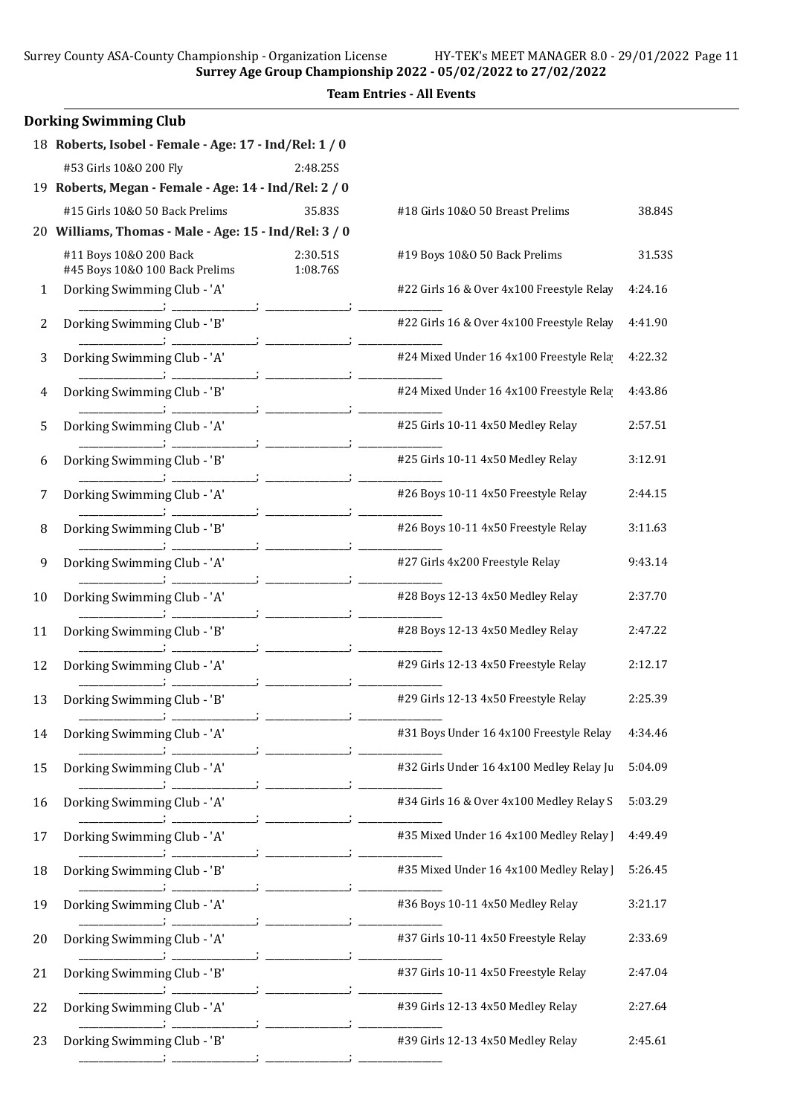Surrey County ASA-County Championship - Organization License HY-TEK's MEET MANAGER 8.0 - 29/01/2022 Page 11

Surrey Age Group Championship 2022 - 05/02/2022 to 27/02/2022

|    | <b>Dorking Swimming Club</b>                             |                      |                                           |         |
|----|----------------------------------------------------------|----------------------|-------------------------------------------|---------|
|    | 18 Roberts, Isobel - Female - Age: 17 - Ind/Rel: 1 / 0   |                      |                                           |         |
|    | #53 Girls 10&0 200 Fly                                   | 2:48.25S             |                                           |         |
|    | 19 Roberts, Megan - Female - Age: 14 - Ind/Rel: 2 / 0    |                      |                                           |         |
|    | #15 Girls 10&0 50 Back Prelims                           | 35.83S               | #18 Girls 10&0 50 Breast Prelims          | 38.84S  |
|    | 20 Williams, Thomas - Male - Age: 15 - Ind/Rel: 3 / 0    |                      |                                           |         |
|    | #11 Boys 10&0 200 Back<br>#45 Boys 10&0 100 Back Prelims | 2:30.51S<br>1:08.76S | #19 Boys 10&0 50 Back Prelims             | 31.53S  |
| 1  | Dorking Swimming Club - 'A'                              |                      | #22 Girls 16 & Over 4x100 Freestyle Relay | 4:24.16 |
| 2  | Dorking Swimming Club - 'B'                              |                      | #22 Girls 16 & Over 4x100 Freestyle Relay | 4:41.90 |
| 3  | Dorking Swimming Club - 'A'                              |                      | #24 Mixed Under 16 4x100 Freestyle Rela   | 4:22.32 |
| 4  | Dorking Swimming Club - 'B'                              |                      | #24 Mixed Under 16 4x100 Freestyle Rela   | 4:43.86 |
| 5  | Dorking Swimming Club - 'A'                              |                      | #25 Girls 10-11 4x50 Medley Relay         | 2:57.51 |
| 6  | Dorking Swimming Club - 'B'                              |                      | #25 Girls 10-11 4x50 Medley Relay         | 3:12.91 |
| 7  | Dorking Swimming Club - 'A'                              |                      | #26 Boys 10-11 4x50 Freestyle Relay       | 2:44.15 |
| 8  | Dorking Swimming Club - 'B'                              |                      | #26 Boys 10-11 4x50 Freestyle Relay       | 3:11.63 |
| 9  | Dorking Swimming Club - 'A'                              |                      | #27 Girls 4x200 Freestyle Relay           | 9:43.14 |
| 10 | Dorking Swimming Club - 'A'                              |                      | #28 Boys 12-13 4x50 Medley Relay          | 2:37.70 |
| 11 | Dorking Swimming Club - 'B'                              |                      | #28 Boys 12-13 4x50 Medley Relay          | 2:47.22 |
| 12 | Dorking Swimming Club - 'A'                              |                      | #29 Girls 12-13 4x50 Freestyle Relay      | 2:12.17 |
| 13 | Dorking Swimming Club - 'B'                              |                      | #29 Girls 12-13 4x50 Freestyle Relay      | 2:25.39 |
| 14 | Dorking Swimming Club - 'A'                              |                      | #31 Boys Under 16 4x100 Freestyle Relay   | 4:34.46 |
| 15 | Dorking Swimming Club - 'A'                              |                      | #32 Girls Under 16 4x100 Medley Relay Ju  | 5:04.09 |
| 16 | Dorking Swimming Club - 'A'                              |                      | #34 Girls 16 & Over 4x100 Medley Relay S  | 5:03.29 |
| 17 | Dorking Swimming Club - 'A'                              |                      | #35 Mixed Under 16 4x100 Medley Relay ]   | 4:49.49 |
| 18 | Dorking Swimming Club - 'B'                              |                      | #35 Mixed Under 16 4x100 Medley Relay ]   | 5:26.45 |
| 19 | Dorking Swimming Club - 'A'                              |                      | #36 Boys 10-11 4x50 Medley Relay          | 3:21.17 |
| 20 | Dorking Swimming Club - 'A'                              |                      | #37 Girls 10-11 4x50 Freestyle Relay      | 2:33.69 |
| 21 | Dorking Swimming Club - 'B'                              |                      | #37 Girls 10-11 4x50 Freestyle Relay      | 2:47.04 |
| 22 | Dorking Swimming Club - 'A'                              |                      | #39 Girls 12-13 4x50 Medley Relay         | 2:27.64 |
| 23 | Dorking Swimming Club - 'B'                              |                      | #39 Girls 12-13 4x50 Medley Relay         | 2:45.61 |
|    |                                                          |                      |                                           |         |

## Team Entries - All Events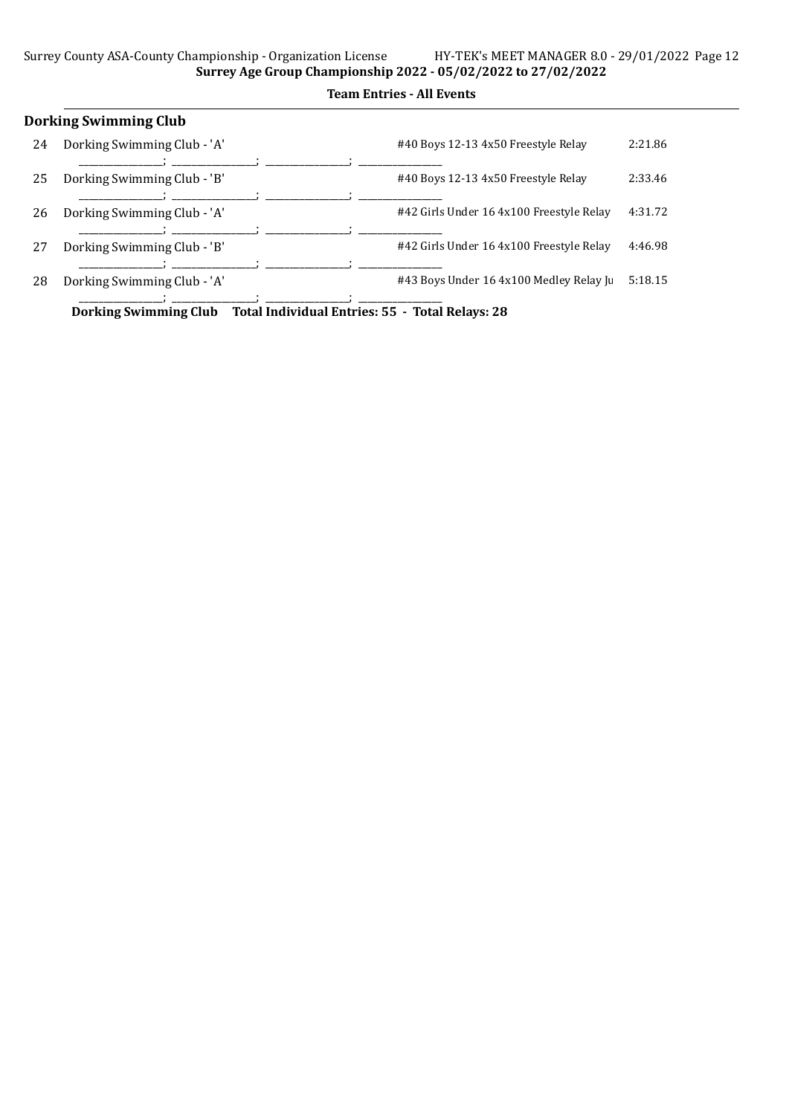|    | <b>Dorking Swimming Club</b> |                                          |         |  |  |  |  |
|----|------------------------------|------------------------------------------|---------|--|--|--|--|
| 24 | Dorking Swimming Club - 'A'  | #40 Boys 12-13 4x50 Freestyle Relay      | 2:21.86 |  |  |  |  |
| 25 | Dorking Swimming Club - 'B'  | #40 Boys 12-13 4x50 Freestyle Relay      | 2:33.46 |  |  |  |  |
| 26 | Dorking Swimming Club - 'A'  | #42 Girls Under 16 4x100 Freestyle Relay | 4:31.72 |  |  |  |  |
| 27 | Dorking Swimming Club - 'B'  | #42 Girls Under 16 4x100 Freestyle Relay | 4:46.98 |  |  |  |  |
| 28 | Dorking Swimming Club - 'A'  | #43 Boys Under 16 4x100 Medley Relay Ju  | 5:18.15 |  |  |  |  |

Dorking Swimming Club Total Individual Entries: 55 - Total Relays: 28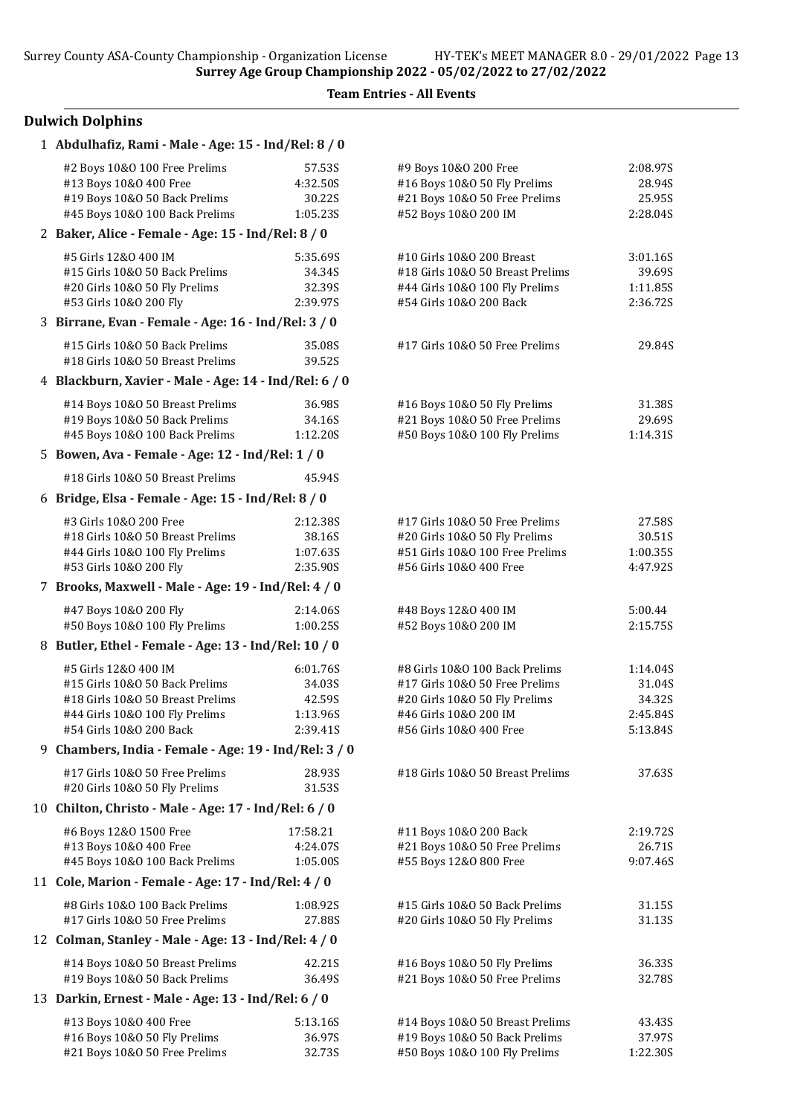Team Entries - All Events

# Dulwich Dolphins

| 1 Abdulhafiz, Rami - Male - Age: 15 - Ind/Rel: 8 / 0                                 |                  |                                                           |                      |
|--------------------------------------------------------------------------------------|------------------|-----------------------------------------------------------|----------------------|
| #2 Boys 10&0 100 Free Prelims                                                        | 57.53S           | #9 Boys 10&0 200 Free                                     | 2:08.975             |
| #13 Boys 10&0 400 Free                                                               | 4:32.50S         | #16 Boys 10&0 50 Fly Prelims                              | 28.94S               |
| #19 Boys 10&0 50 Back Prelims                                                        | 30.22S           | #21 Boys 10&0 50 Free Prelims                             | 25.95S               |
| #45 Boys 10&0 100 Back Prelims<br>2 Baker, Alice - Female - Age: 15 - Ind/Rel: 8 / 0 | 1:05.23S         | #52 Boys 10&0 200 IM                                      | 2:28.04S             |
|                                                                                      |                  |                                                           |                      |
| #5 Girls 12&0 400 IM                                                                 | 5:35.69S         | #10 Girls 10&0 200 Breast                                 | 3:01.16S             |
| #15 Girls 10&0 50 Back Prelims                                                       | 34.34S<br>32.39S | #18 Girls 10&0 50 Breast Prelims                          | 39.69S               |
| #20 Girls 10&O 50 Fly Prelims<br>#53 Girls 10&0 200 Fly                              | 2:39.97S         | #44 Girls 10&0 100 Fly Prelims<br>#54 Girls 10&0 200 Back | 1:11.85S<br>2:36.72S |
| 3 Birrane, Evan - Female - Age: 16 - Ind/Rel: 3 / 0                                  |                  |                                                           |                      |
| #15 Girls 10&0 50 Back Prelims                                                       | 35.08S           | #17 Girls 10&O 50 Free Prelims                            | 29.84S               |
| #18 Girls 10&0 50 Breast Prelims                                                     | 39.52S           |                                                           |                      |
| 4 Blackburn, Xavier - Male - Age: 14 - Ind/Rel: 6 / 0                                |                  |                                                           |                      |
| #14 Boys 10&0 50 Breast Prelims                                                      | 36.98S           | #16 Boys 10&0 50 Fly Prelims                              | 31.38S               |
| #19 Boys 10&0 50 Back Prelims                                                        | 34.16S           | #21 Boys 10&0 50 Free Prelims                             | 29.69S               |
| #45 Boys 10&0 100 Back Prelims                                                       | 1:12.20S         | #50 Boys 10&0 100 Fly Prelims                             | 1:14.31S             |
| 5 Bowen, Ava - Female - Age: 12 - Ind/Rel: 1 / 0                                     |                  |                                                           |                      |
| #18 Girls 10&0 50 Breast Prelims                                                     | 45.94S           |                                                           |                      |
| 6 Bridge, Elsa - Female - Age: 15 - Ind/Rel: 8 / 0                                   |                  |                                                           |                      |
| #3 Girls 10&0 200 Free                                                               | 2:12.38S         | #17 Girls 10&0 50 Free Prelims                            | 27.58S               |
| #18 Girls 10&0 50 Breast Prelims                                                     | 38.16S           | #20 Girls 10&O 50 Fly Prelims                             | 30.51S               |
| #44 Girls 10&0 100 Fly Prelims                                                       | 1:07.63S         | #51 Girls 10&0 100 Free Prelims                           | 1:00.355             |
| #53 Girls 10&0 200 Fly                                                               | 2:35.90S         | #56 Girls 10&0 400 Free                                   | 4:47.92S             |
| 7 Brooks, Maxwell - Male - Age: 19 - Ind/Rel: 4 / 0                                  |                  |                                                           |                      |
| #47 Boys 10&0 200 Fly                                                                | 2:14.06S         | #48 Boys 12&0 400 IM                                      | 5:00.44              |
| #50 Boys 10&0 100 Fly Prelims                                                        | 1:00.25S         | #52 Boys 10&0 200 IM                                      | 2:15.75S             |
| 8 Butler, Ethel - Female - Age: 13 - Ind/Rel: 10 / 0                                 |                  |                                                           |                      |
| #5 Girls 12&0 400 IM                                                                 | 6:01.76S         | #8 Girls 10&0 100 Back Prelims                            | 1:14.04S             |
| #15 Girls 10&0 50 Back Prelims                                                       | 34.03S           | #17 Girls 10&O 50 Free Prelims                            | 31.04S               |
| #18 Girls 10&0 50 Breast Prelims                                                     | 42.59S           | #20 Girls 10&O 50 Fly Prelims                             | 34.32S               |
| #44 Girls 10&0 100 Fly Prelims<br>#54 Girls 10&0 200 Back                            | 1:13.96S         | #46 Girls 10&0 200 IM                                     | 2:45.84S<br>5:13.84S |
| 9 Chambers, India - Female - Age: 19 - Ind/Rel: 3 / 0                                | 2:39.41S         | #56 Girls 10&0 400 Free                                   |                      |
| #17 Girls 10&0 50 Free Prelims                                                       |                  |                                                           |                      |
| #20 Girls 10&0 50 Fly Prelims                                                        | 28.93S<br>31.53S | #18 Girls 10&0 50 Breast Prelims                          | 37.63S               |
| 10 Chilton, Christo - Male - Age: 17 - Ind/Rel: 6 / 0                                |                  |                                                           |                      |
| #6 Boys 12&0 1500 Free                                                               | 17:58.21         | #11 Boys 10&0 200 Back                                    | 2:19.725             |
| #13 Boys 10&0 400 Free                                                               | 4:24.07S         | #21 Boys 10&0 50 Free Prelims                             | 26.71S               |
| #45 Boys 10&0 100 Back Prelims                                                       | 1:05.00S         | #55 Boys 12&0 800 Free                                    | 9:07.46S             |
| 11 Cole, Marion - Female - Age: 17 - Ind/Rel: 4 / 0                                  |                  |                                                           |                      |
| #8 Girls 10&0 100 Back Prelims                                                       | 1:08.92S         | #15 Girls 10&0 50 Back Prelims                            | 31.15S               |
| #17 Girls 10&0 50 Free Prelims                                                       | 27.88S           | #20 Girls 10&O 50 Fly Prelims                             | 31.13S               |
| 12 Colman, Stanley - Male - Age: 13 - Ind/Rel: 4 / 0                                 |                  |                                                           |                      |
| #14 Boys 10&0 50 Breast Prelims                                                      | 42.21S           | #16 Boys 10&0 50 Fly Prelims                              | 36.33S               |
| #19 Boys 10&0 50 Back Prelims                                                        | 36.49S           | #21 Boys 10&0 50 Free Prelims                             | 32.78S               |
| 13 Darkin, Ernest - Male - Age: 13 - Ind/Rel: 6 / 0                                  |                  |                                                           |                      |
| #13 Boys 10&0 400 Free                                                               | 5:13.16S         | #14 Boys 10&0 50 Breast Prelims                           | 43.43S               |
| #16 Boys 10&0 50 Fly Prelims                                                         | 36.97S           | #19 Boys 10&0 50 Back Prelims                             | 37.97S               |
| #21 Boys 10&0 50 Free Prelims                                                        | 32.73S           | #50 Boys 10&0 100 Fly Prelims                             | 1:22.30S             |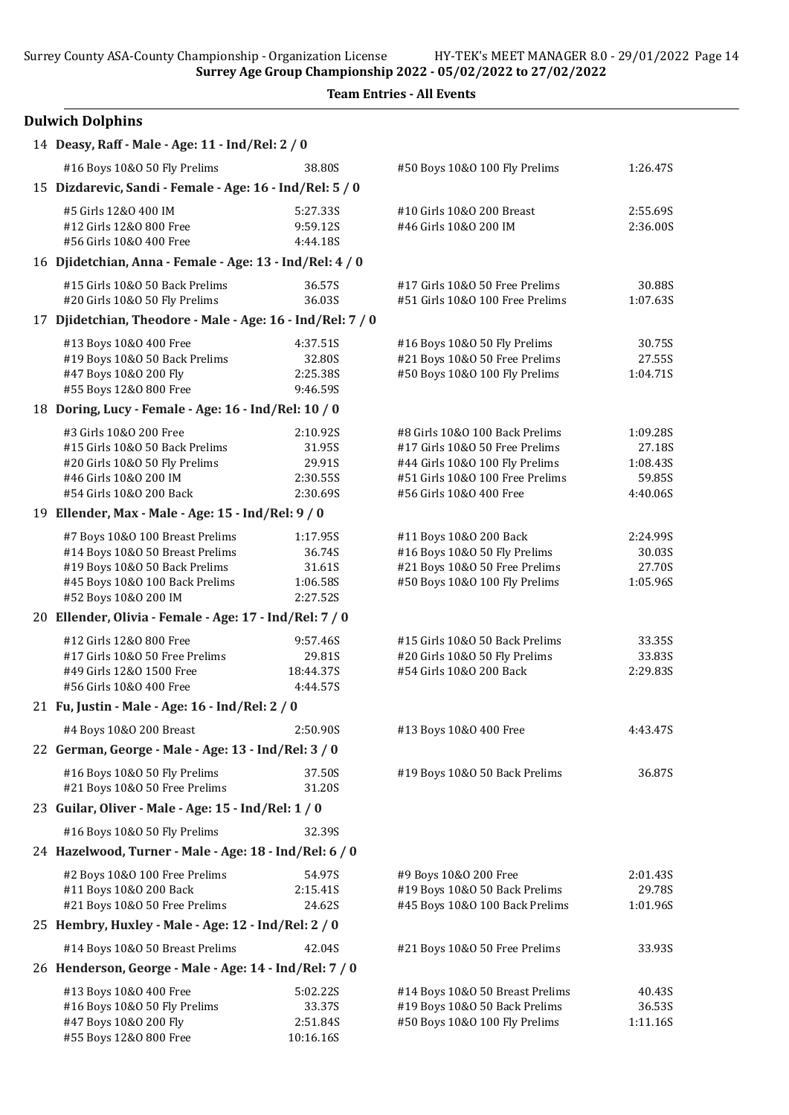Surrey County ASA-County Championship - Organization License HY-TEK's MEET MANAGER 8.0 - 29/01/2022 Page 14

Surrey Age Group Championship 2022 - 05/02/2022 to 27/02/2022

Team Entries - All Events

| <b>Dulwich Dolphins</b> |  |  |
|-------------------------|--|--|
|-------------------------|--|--|

| 14 Deasy, Raff - Male - Age: 11 - Ind/Rel: 2 / 0                |                    |                                                                |                    |
|-----------------------------------------------------------------|--------------------|----------------------------------------------------------------|--------------------|
| #16 Boys 10&0 50 Fly Prelims                                    | 38.80S             | #50 Boys 10&0 100 Fly Prelims                                  | 1:26.47S           |
| 15 Dizdarevic, Sandi - Female - Age: 16 - Ind/Rel: 5 / 0        |                    |                                                                |                    |
| #5 Girls 12&0 400 IM                                            | 5:27.33S           | #10 Girls 10&0 200 Breast                                      | 2:55.69S           |
| #12 Girls 12&0 800 Free                                         | 9:59.12S           | #46 Girls 10&0 200 IM                                          | 2:36.00S           |
| #56 Girls 10&0 400 Free                                         | 4:44.18S           |                                                                |                    |
| 16 Djidetchian, Anna - Female - Age: 13 - Ind/Rel: 4 / 0        |                    |                                                                |                    |
| #15 Girls 10&0 50 Back Prelims                                  | 36.57S             | #17 Girls 10&O 50 Free Prelims                                 | 30.88S             |
| #20 Girls 10&O 50 Fly Prelims                                   | 36.03S             | #51 Girls 10&0 100 Free Prelims                                | 1:07.63S           |
| 17 Djidetchian, Theodore - Male - Age: 16 - Ind/Rel: 7 / 0      |                    |                                                                |                    |
| #13 Boys 10&0 400 Free                                          | 4:37.51S           | #16 Boys 10&0 50 Fly Prelims                                   | 30.75S             |
| #19 Boys 10&0 50 Back Prelims<br>#47 Boys 10&0 200 Fly          | 32.80S<br>2:25.38S | #21 Boys 10&0 50 Free Prelims<br>#50 Boys 10&0 100 Fly Prelims | 27.55S<br>1:04.71S |
| #55 Boys 12&0 800 Free                                          | 9:46.59S           |                                                                |                    |
| 18 Doring, Lucy - Female - Age: 16 - Ind/Rel: 10 / 0            |                    |                                                                |                    |
| #3 Girls 10&0 200 Free                                          | 2:10.92S           | #8 Girls 10&0 100 Back Prelims                                 | 1:09.28S           |
| #15 Girls 10&0 50 Back Prelims                                  | 31.95S             | #17 Girls 10&0 50 Free Prelims                                 | 27.18S             |
| #20 Girls 10&O 50 Fly Prelims                                   | 29.91S             | #44 Girls 10&0 100 Fly Prelims                                 | 1:08.43S           |
| #46 Girls 10&0 200 IM                                           | 2:30.55S           | #51 Girls 10&0 100 Free Prelims                                | 59.85S             |
| #54 Girls 10&0 200 Back                                         | 2:30.69S           | #56 Girls 10&0 400 Free                                        | 4:40.06S           |
| 19 Ellender, Max - Male - Age: 15 - Ind/Rel: 9 / 0              |                    |                                                                |                    |
| #7 Boys 10&0 100 Breast Prelims                                 | 1:17.95S           | #11 Boys 10&0 200 Back                                         | 2:24.99S           |
| #14 Boys 10&0 50 Breast Prelims                                 | 36.74S             | #16 Boys 10&0 50 Fly Prelims                                   | 30.03S             |
| #19 Boys 10&0 50 Back Prelims<br>#45 Boys 10&0 100 Back Prelims | 31.61S<br>1:06.58S | #21 Boys 10&0 50 Free Prelims<br>#50 Boys 10&0 100 Fly Prelims | 27.70S<br>1:05.96S |
| #52 Boys 10&0 200 IM                                            | 2:27.52S           |                                                                |                    |
| 20 Ellender, Olivia - Female - Age: 17 - Ind/Rel: 7 / 0         |                    |                                                                |                    |
| #12 Girls 12&0 800 Free                                         | 9:57.46S           | #15 Girls 10&0 50 Back Prelims                                 | 33.35S             |
| #17 Girls 10&0 50 Free Prelims                                  | 29.81S             | #20 Girls 10&O 50 Fly Prelims                                  | 33.83S             |
| #49 Girls 12&0 1500 Free                                        | 18:44.37S          | #54 Girls 10&0 200 Back                                        | 2:29.835           |
| #56 Girls 10&0 400 Free                                         | 4:44.57S           |                                                                |                    |
| 21 Fu, Justin - Male - Age: 16 - Ind/Rel: 2 / 0                 |                    |                                                                |                    |
| #4 Boys 10&0 200 Breast                                         | 2:50.90S           | #13 Boys 10&0 400 Free                                         | 4:43.47S           |
| 22 German, George - Male - Age: 13 - Ind/Rel: 3 / 0             |                    |                                                                |                    |
| #16 Boys 10&0 50 Fly Prelims                                    | 37.50S             | #19 Boys 10&0 50 Back Prelims                                  | 36.87S             |
| #21 Boys 10&0 50 Free Prelims                                   | 31.20S             |                                                                |                    |
| 23 Guilar, Oliver - Male - Age: 15 - Ind/Rel: 1 / 0             |                    |                                                                |                    |
| #16 Boys 10&0 50 Fly Prelims                                    | 32.39S             |                                                                |                    |
| 24 Hazelwood, Turner - Male - Age: 18 - Ind/Rel: 6 / 0          |                    |                                                                |                    |
| #2 Boys 10&0 100 Free Prelims                                   | 54.97S             | #9 Boys 10&0 200 Free                                          | 2:01.43S           |
| #11 Boys 10&0 200 Back                                          | 2:15.41S           | #19 Boys 10&0 50 Back Prelims                                  | 29.78S             |
| #21 Boys 10&0 50 Free Prelims                                   | 24.62S             | #45 Boys 10&0 100 Back Prelims                                 | 1:01.96S           |
| 25 Hembry, Huxley - Male - Age: 12 - Ind/Rel: 2 / 0             |                    |                                                                |                    |
| #14 Boys 10&0 50 Breast Prelims                                 | 42.04S             | #21 Boys 10&0 50 Free Prelims                                  | 33.93S             |
| 26 Henderson, George - Male - Age: 14 - Ind/Rel: 7 / 0          |                    |                                                                |                    |
| #13 Boys 10&0 400 Free                                          | 5:02.22S           | #14 Boys 10&0 50 Breast Prelims                                | 40.43S             |
| #16 Boys 10&0 50 Fly Prelims<br>#47 Boys 10&0 200 Fly           | 33.37S<br>2:51.84S | #19 Boys 10&0 50 Back Prelims                                  | 36.53S             |
| #55 Boys 12&0 800 Free                                          | 10:16.16S          | #50 Boys 10&0 100 Fly Prelims                                  | 1:11.16S           |
|                                                                 |                    |                                                                |                    |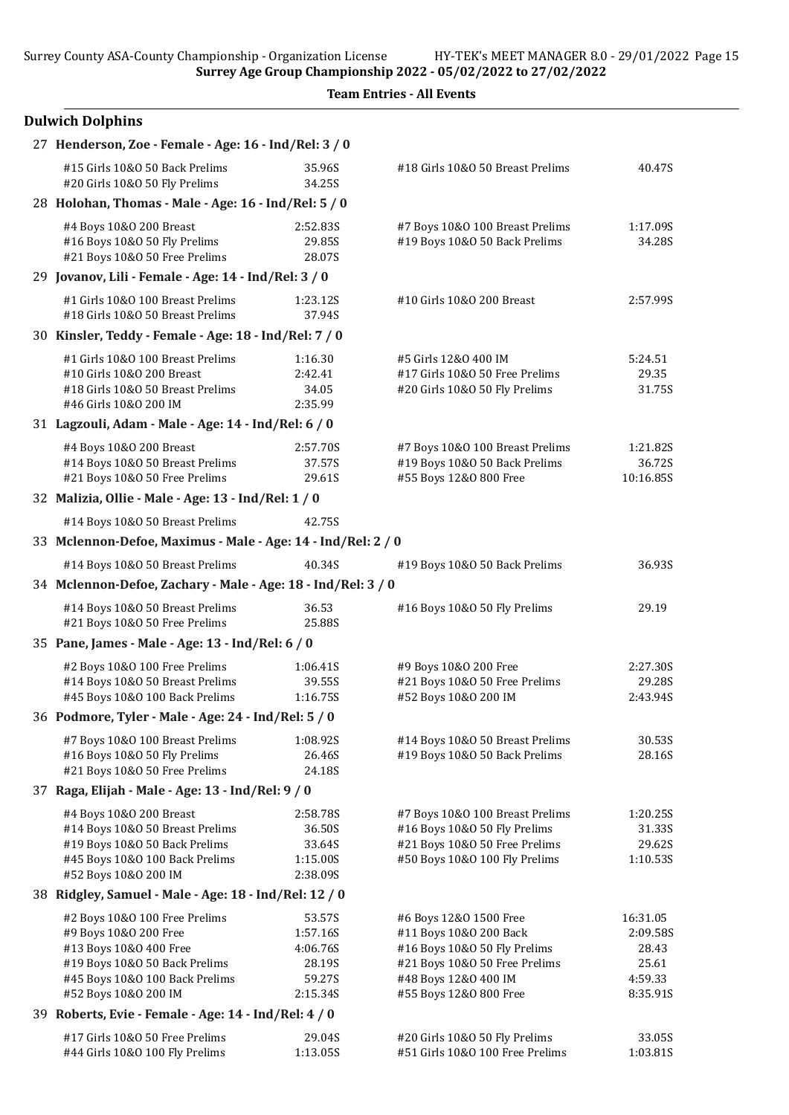|  | <b>Team Entries - All Events</b> |  |  |
|--|----------------------------------|--|--|
|--|----------------------------------|--|--|

| <b>Dulwich Dolphins</b>                                                                                                                                                     |                                                                |                                                                                                                                                                     |                                                               |
|-----------------------------------------------------------------------------------------------------------------------------------------------------------------------------|----------------------------------------------------------------|---------------------------------------------------------------------------------------------------------------------------------------------------------------------|---------------------------------------------------------------|
| 27 Henderson, Zoe - Female - Age: 16 - Ind/Rel: 3 / 0                                                                                                                       |                                                                |                                                                                                                                                                     |                                                               |
| #15 Girls 10&0 50 Back Prelims<br>#20 Girls 10&O 50 Fly Prelims                                                                                                             | 35.96S<br>34.25S                                               | #18 Girls 10&0 50 Breast Prelims                                                                                                                                    | 40.47S                                                        |
| 28 Holohan, Thomas - Male - Age: 16 - Ind/Rel: 5 / 0                                                                                                                        |                                                                |                                                                                                                                                                     |                                                               |
| #4 Boys 10&0 200 Breast<br>#16 Boys 10&0 50 Fly Prelims<br>#21 Boys 10&0 50 Free Prelims                                                                                    | 2:52.83S<br>29.85S<br>28.07S                                   | #7 Boys 10&0 100 Breast Prelims<br>#19 Boys 10&0 50 Back Prelims                                                                                                    | 1:17.09S<br>34.28S                                            |
| 29 Jovanov, Lili - Female - Age: 14 - Ind/Rel: 3 / 0                                                                                                                        |                                                                |                                                                                                                                                                     |                                                               |
| #1 Girls 10&0 100 Breast Prelims<br>#18 Girls 10&0 50 Breast Prelims                                                                                                        | 1:23.12S<br>37.94S                                             | #10 Girls 10&0 200 Breast                                                                                                                                           | 2:57.99S                                                      |
| 30 Kinsler, Teddy - Female - Age: 18 - Ind/Rel: 7 / 0                                                                                                                       |                                                                |                                                                                                                                                                     |                                                               |
| #1 Girls 10&0 100 Breast Prelims<br>#10 Girls 10&0 200 Breast<br>#18 Girls 10&0 50 Breast Prelims<br>#46 Girls 10&0 200 IM                                                  | 1:16.30<br>2:42.41<br>34.05<br>2:35.99                         | #5 Girls 12&0 400 IM<br>#17 Girls 10&0 50 Free Prelims<br>#20 Girls 10&O 50 Fly Prelims                                                                             | 5:24.51<br>29.35<br>31.75S                                    |
| 31 Lagzouli, Adam - Male - Age: 14 - Ind/Rel: 6 / 0                                                                                                                         |                                                                |                                                                                                                                                                     |                                                               |
| #4 Boys 10&0 200 Breast<br>#14 Boys 10&0 50 Breast Prelims<br>#21 Boys 10&0 50 Free Prelims                                                                                 | 2:57.70S<br>37.57S<br>29.61S                                   | #7 Boys 10&0 100 Breast Prelims<br>#19 Boys 10&0 50 Back Prelims<br>#55 Boys 12&0 800 Free                                                                          | 1:21.82S<br>36.72S<br>10:16.85S                               |
| 32 Malizia, Ollie - Male - Age: 13 - Ind/Rel: 1 / 0                                                                                                                         |                                                                |                                                                                                                                                                     |                                                               |
| #14 Boys 10&0 50 Breast Prelims                                                                                                                                             | 42.75S                                                         |                                                                                                                                                                     |                                                               |
| 33 Mclennon-Defoe, Maximus - Male - Age: 14 - Ind/Rel: 2 / 0                                                                                                                |                                                                |                                                                                                                                                                     |                                                               |
| #14 Boys 10&0 50 Breast Prelims                                                                                                                                             | 40.34S                                                         | #19 Boys 10&0 50 Back Prelims                                                                                                                                       | 36.93S                                                        |
| 34 Mclennon-Defoe, Zachary - Male - Age: 18 - Ind/Rel: 3 / 0                                                                                                                |                                                                |                                                                                                                                                                     |                                                               |
| #14 Boys 10&0 50 Breast Prelims<br>#21 Boys 10&0 50 Free Prelims                                                                                                            | 36.53<br>25.88S                                                | #16 Boys 10&0 50 Fly Prelims                                                                                                                                        | 29.19                                                         |
| 35 Pane, James - Male - Age: 13 - Ind/Rel: 6 / 0                                                                                                                            |                                                                |                                                                                                                                                                     |                                                               |
| #2 Boys 10&0 100 Free Prelims<br>#14 Boys 10&0 50 Breast Prelims<br>#45 Boys 10&0 100 Back Prelims                                                                          | 1:06.41S<br>39.55S<br>1:16.75S                                 | #9 Boys 10&0 200 Free<br>#21 Boys 10&0 50 Free Prelims<br>#52 Boys 10&0 200 IM                                                                                      | 2:27.30S<br>29.28S<br>2:43.94S                                |
| 36 Podmore, Tyler - Male - Age: 24 - Ind/Rel: 5 / 0                                                                                                                         |                                                                |                                                                                                                                                                     |                                                               |
| #7 Boys 10&0 100 Breast Prelims<br>#16 Boys 10&0 50 Fly Prelims<br>#21 Boys 10&0 50 Free Prelims                                                                            | 1:08.92S<br>26.46S<br>24.18S                                   | #14 Boys 10&0 50 Breast Prelims<br>#19 Boys 10&0 50 Back Prelims                                                                                                    | 30.53S<br>28.16S                                              |
| 37 Raga, Elijah - Male - Age: 13 - Ind/Rel: 9 / 0                                                                                                                           |                                                                |                                                                                                                                                                     |                                                               |
| #4 Boys 10&0 200 Breast<br>#14 Boys 10&0 50 Breast Prelims<br>#19 Boys 10&0 50 Back Prelims<br>#45 Boys 10&0 100 Back Prelims<br>#52 Boys 10&0 200 IM                       | 2:58.78S<br>36.50S<br>33.64S<br>1:15.00S<br>2:38.09S           | #7 Boys 10&0 100 Breast Prelims<br>#16 Boys 10&0 50 Fly Prelims<br>#21 Boys 10&0 50 Free Prelims<br>#50 Boys 10&0 100 Fly Prelims                                   | 1:20.25S<br>31.33S<br>29.62S<br>1:10.53S                      |
| 38 Ridgley, Samuel - Male - Age: 18 - Ind/Rel: 12 / 0                                                                                                                       |                                                                |                                                                                                                                                                     |                                                               |
| #2 Boys 10&0 100 Free Prelims<br>#9 Boys 10&0 200 Free<br>#13 Boys 10&0 400 Free<br>#19 Boys 10&0 50 Back Prelims<br>#45 Boys 10&0 100 Back Prelims<br>#52 Boys 10&0 200 IM | 53.57S<br>1:57.16S<br>4:06.76S<br>28.19S<br>59.27S<br>2:15.34S | #6 Boys 12&0 1500 Free<br>#11 Boys 10&0 200 Back<br>#16 Boys 10&0 50 Fly Prelims<br>#21 Boys 10&0 50 Free Prelims<br>#48 Boys 12&0 400 IM<br>#55 Boys 12&0 800 Free | 16:31.05<br>2:09.58S<br>28.43<br>25.61<br>4:59.33<br>8:35.91S |
| 39 Roberts, Evie - Female - Age: 14 - Ind/Rel: 4 / 0                                                                                                                        |                                                                |                                                                                                                                                                     |                                                               |
| #17 Girls 10&0 50 Free Prelims<br>#44 Girls 10&0 100 Fly Prelims                                                                                                            | 29.04S<br>1:13.05S                                             | #20 Girls 10&O 50 Fly Prelims<br>#51 Girls 10&0 100 Free Prelims                                                                                                    | 33.05S<br>1:03.81S                                            |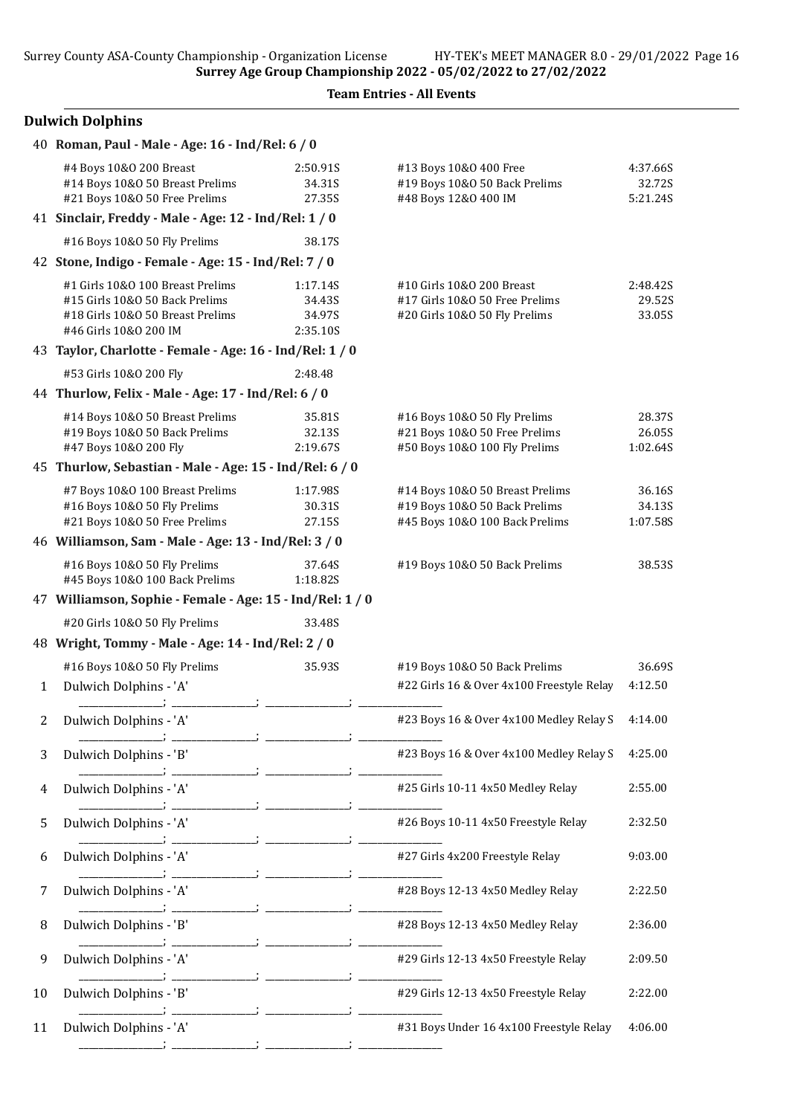# Dulwich Dolphins

|    | 40 Roman, Paul - Male - Age: 16 - Ind/Rel: 6 / 0                                                                                |                                          |                                                                                                    |                                |
|----|---------------------------------------------------------------------------------------------------------------------------------|------------------------------------------|----------------------------------------------------------------------------------------------------|--------------------------------|
|    | #4 Boys 10&0 200 Breast<br>#14 Boys 10&0 50 Breast Prelims<br>#21 Boys 10&0 50 Free Prelims                                     | 2:50.91S<br>34.31S<br>27.35S             | #13 Boys 10&0 400 Free<br>#19 Boys 10&0 50 Back Prelims<br>#48 Boys 12&0 400 IM                    | 4:37.66S<br>32.72S<br>5:21.24S |
|    | 41 Sinclair, Freddy - Male - Age: 12 - Ind/Rel: 1 / 0                                                                           |                                          |                                                                                                    |                                |
|    | #16 Boys 10&0 50 Fly Prelims                                                                                                    | 38.17S                                   |                                                                                                    |                                |
|    | 42 Stone, Indigo - Female - Age: 15 - Ind/Rel: 7 / 0                                                                            |                                          |                                                                                                    |                                |
|    | #1 Girls 10&0 100 Breast Prelims<br>#15 Girls 10&0 50 Back Prelims<br>#18 Girls 10&0 50 Breast Prelims<br>#46 Girls 10&0 200 IM | 1:17.14S<br>34.43S<br>34.97S<br>2:35.10S | #10 Girls 10&0 200 Breast<br>#17 Girls 10&0 50 Free Prelims<br>#20 Girls 10&O 50 Fly Prelims       | 2:48.42S<br>29.52S<br>33.05S   |
|    | 43 Taylor, Charlotte - Female - Age: 16 - Ind/Rel: 1 / 0                                                                        |                                          |                                                                                                    |                                |
|    | #53 Girls 10&0 200 Fly                                                                                                          | 2:48.48                                  |                                                                                                    |                                |
|    | 44 Thurlow, Felix - Male - Age: 17 - Ind/Rel: 6 / 0                                                                             |                                          |                                                                                                    |                                |
|    | #14 Boys 10&0 50 Breast Prelims<br>#19 Boys 10&0 50 Back Prelims<br>#47 Boys 10&0 200 Fly                                       | 35.81S<br>32.13S<br>2:19.67S             | #16 Boys 10&0 50 Fly Prelims<br>#21 Boys 10&0 50 Free Prelims<br>#50 Boys 10&0 100 Fly Prelims     | 28.37S<br>26.05S<br>1:02.64S   |
|    | 45 Thurlow, Sebastian - Male - Age: 15 - Ind/Rel: 6 / 0                                                                         |                                          |                                                                                                    |                                |
|    | #7 Boys 10&0 100 Breast Prelims<br>#16 Boys 10&0 50 Fly Prelims<br>#21 Boys 10&0 50 Free Prelims                                | 1:17.98S<br>30.31S<br>27.15S             | #14 Boys 10&0 50 Breast Prelims<br>#19 Boys 10&0 50 Back Prelims<br>#45 Boys 10&0 100 Back Prelims | 36.16S<br>34.13S<br>1:07.58S   |
|    | 46 Williamson, Sam - Male - Age: 13 - Ind/Rel: 3 / 0                                                                            |                                          |                                                                                                    |                                |
|    | #16 Boys 10&0 50 Fly Prelims<br>#45 Boys 10&0 100 Back Prelims                                                                  | 37.64S<br>1:18.82S                       | #19 Boys 10&0 50 Back Prelims                                                                      | 38.53S                         |
|    | 47 Williamson, Sophie - Female - Age: 15 - Ind/Rel: 1 / 0                                                                       |                                          |                                                                                                    |                                |
|    | #20 Girls 10&O 50 Fly Prelims                                                                                                   | 33.48S                                   |                                                                                                    |                                |
|    | 48 Wright, Tommy - Male - Age: 14 - Ind/Rel: 2 / 0                                                                              |                                          |                                                                                                    |                                |
|    | #16 Boys 10&0 50 Fly Prelims                                                                                                    | 35.93S                                   | #19 Boys 10&0 50 Back Prelims                                                                      | 36.69S                         |
| 1  | Dulwich Dolphins - 'A'                                                                                                          |                                          | #22 Girls 16 & Over 4x100 Freestyle Relay                                                          | 4:12.50                        |
| 2  | Dulwich Dolphins - 'A'                                                                                                          |                                          | #23 Boys 16 & Over 4x100 Medley Relay S                                                            | 4:14.00                        |
| 3  | Dulwich Dolphins - 'B'                                                                                                          |                                          | #23 Boys 16 & Over 4x100 Medley Relay S                                                            | 4:25.00                        |
| 4  | Dulwich Dolphins - 'A'                                                                                                          |                                          | #25 Girls 10-11 4x50 Medley Relay                                                                  | 2:55.00                        |
| 5  | Dulwich Dolphins - 'A'                                                                                                          |                                          | #26 Boys 10-11 4x50 Freestyle Relay                                                                | 2:32.50                        |
| 6  | Dulwich Dolphins - 'A'                                                                                                          |                                          | #27 Girls 4x200 Freestyle Relay                                                                    | 9:03.00                        |
| 7  | Dulwich Dolphins - 'A'                                                                                                          |                                          | #28 Boys 12-13 4x50 Medley Relay                                                                   | 2:22.50                        |
| 8  | Dulwich Dolphins - 'B'                                                                                                          |                                          | #28 Boys 12-13 4x50 Medley Relay                                                                   | 2:36.00                        |
| 9  | Dulwich Dolphins - 'A'                                                                                                          |                                          | #29 Girls 12-13 4x50 Freestyle Relay                                                               | 2:09.50                        |
| 10 | Dulwich Dolphins - 'B'                                                                                                          |                                          | #29 Girls 12-13 4x50 Freestyle Relay                                                               | 2:22.00                        |
| 11 | Dulwich Dolphins - 'A'                                                                                                          |                                          | #31 Boys Under 16 4x100 Freestyle Relay                                                            | 4:06.00                        |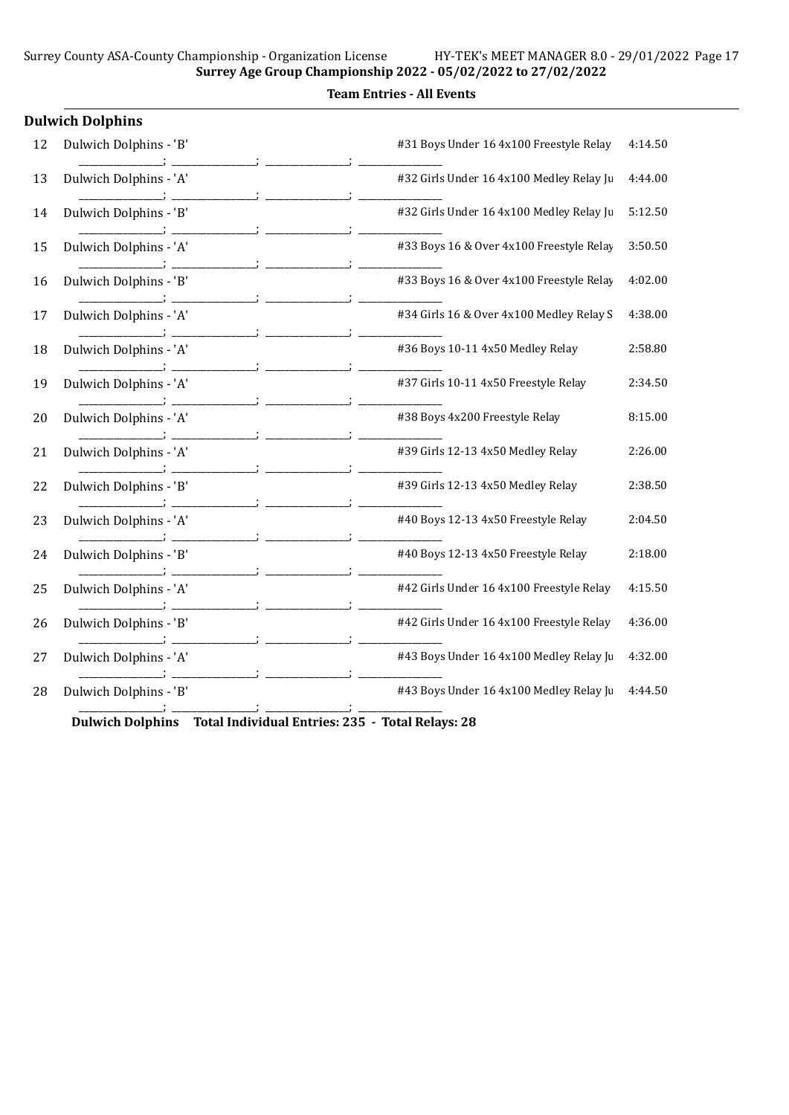|  | <b>Team Entries - All Events</b> |  |  |
|--|----------------------------------|--|--|
|--|----------------------------------|--|--|

|    | <b>Dulwich Dolphins</b> |                                          |         |
|----|-------------------------|------------------------------------------|---------|
| 12 | Dulwich Dolphins - 'B'  | #31 Boys Under 16 4x100 Freestyle Relay  | 4:14.50 |
| 13 | Dulwich Dolphins - 'A'  | #32 Girls Under 16 4x100 Medley Relay Ju | 4:44.00 |
| 14 | Dulwich Dolphins - 'B'  | #32 Girls Under 16 4x100 Medley Relay Ju | 5:12.50 |
| 15 | Dulwich Dolphins - 'A'  | #33 Boys 16 & Over 4x100 Freestyle Relay | 3:50.50 |
| 16 | Dulwich Dolphins - 'B'  | #33 Boys 16 & Over 4x100 Freestyle Relay | 4:02.00 |
| 17 | Dulwich Dolphins - 'A'  | #34 Girls 16 & Over 4x100 Medley Relay S | 4:38.00 |
| 18 | Dulwich Dolphins - 'A'  | #36 Boys 10-11 4x50 Medley Relay         | 2:58.80 |
| 19 | Dulwich Dolphins - 'A'  | #37 Girls 10-11 4x50 Freestyle Relay     | 2:34.50 |
| 20 | Dulwich Dolphins - 'A'  | #38 Boys 4x200 Freestyle Relay           | 8:15.00 |
| 21 | Dulwich Dolphins - 'A'  | #39 Girls 12-13 4x50 Medley Relay        | 2:26.00 |
| 22 | Dulwich Dolphins - 'B'  | #39 Girls 12-13 4x50 Medley Relay        | 2:38.50 |
| 23 | Dulwich Dolphins - 'A'  | #40 Boys 12-13 4x50 Freestyle Relay      | 2:04.50 |
| 24 | Dulwich Dolphins - 'B'  | #40 Boys 12-13 4x50 Freestyle Relay      | 2:18.00 |
| 25 | Dulwich Dolphins - 'A'  | #42 Girls Under 16 4x100 Freestyle Relay | 4:15.50 |
| 26 | Dulwich Dolphins - 'B'  | #42 Girls Under 16 4x100 Freestyle Relay | 4:36.00 |
| 27 | Dulwich Dolphins - 'A'  | #43 Boys Under 16 4x100 Medley Relay Ju  | 4:32.00 |
| 28 | Dulwich Dolphins - 'B'  | #43 Boys Under 16 4x100 Medley Relay Ju  | 4:44.50 |
|    |                         |                                          |         |

Dulwich Dolphins Total Individual Entries: 235 - Total Relays: 28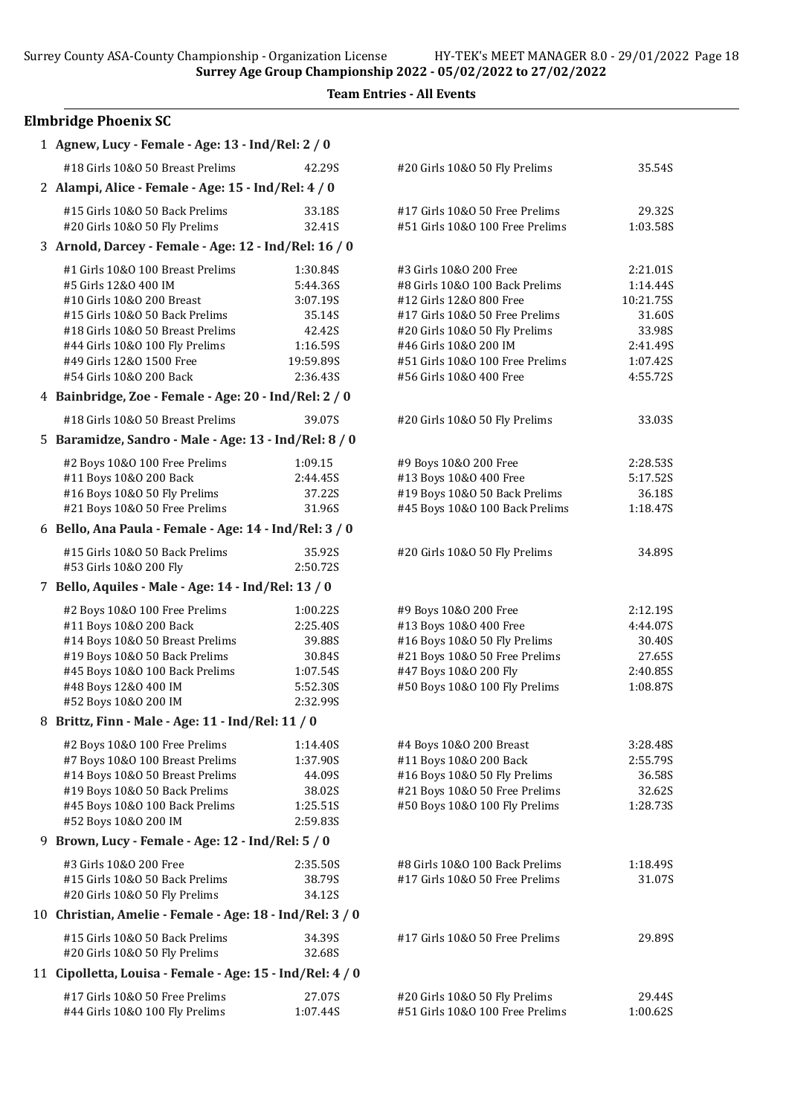Team Entries - All Events

# Elmbridge Phoenix SC

| 1 Agnew, Lucy - Female - Age: 13 - Ind/Rel: 2 / 0         |                      |                                 |           |
|-----------------------------------------------------------|----------------------|---------------------------------|-----------|
| #18 Girls 10&0 50 Breast Prelims                          | 42.29S               | #20 Girls 10&O 50 Fly Prelims   | 35.54S    |
| 2 Alampi, Alice - Female - Age: 15 - Ind/Rel: 4 / 0       |                      |                                 |           |
| #15 Girls 10&0 50 Back Prelims                            | 33.18S               | #17 Girls 10&0 50 Free Prelims  | 29.32S    |
| #20 Girls 10&O 50 Fly Prelims                             | 32.41S               | #51 Girls 10&0 100 Free Prelims | 1:03.585  |
| 3 Arnold, Darcey - Female - Age: 12 - Ind/Rel: 16 / 0     |                      |                                 |           |
| #1 Girls 10&0 100 Breast Prelims                          | 1:30.84S             | #3 Girls 10&0 200 Free          | 2:21.01S  |
| #5 Girls 12&0 400 IM                                      | 5:44.36S             | #8 Girls 10&0 100 Back Prelims  | 1:14.44S  |
| #10 Girls 10&0 200 Breast                                 | 3:07.19S             | #12 Girls 12&0 800 Free         | 10:21.75S |
| #15 Girls 10&0 50 Back Prelims                            | 35.14S               | #17 Girls 10&0 50 Free Prelims  | 31.60S    |
| #18 Girls 10&0 50 Breast Prelims                          | 42.42S               | #20 Girls 10&O 50 Fly Prelims   | 33.98S    |
| #44 Girls 10&0 100 Fly Prelims                            | 1:16.59S             | #46 Girls 10&0 200 IM           | 2:41.49S  |
| #49 Girls 12&0 1500 Free                                  | 19:59.89S            | #51 Girls 10&0 100 Free Prelims | 1:07.42S  |
| #54 Girls 10&0 200 Back                                   | 2:36.435             | #56 Girls 10&0 400 Free         | 4:55.72S  |
| 4 Bainbridge, Zoe - Female - Age: 20 - Ind/Rel: 2 / 0     |                      |                                 |           |
| #18 Girls 10&0 50 Breast Prelims                          | 39.07S               | #20 Girls 10&0 50 Fly Prelims   | 33.03S    |
| 5 Baramidze, Sandro - Male - Age: 13 - Ind/Rel: 8 / 0     |                      |                                 |           |
| #2 Boys 10&0 100 Free Prelims                             | 1:09.15              | #9 Boys 10&0 200 Free           | 2:28.535  |
| #11 Boys 10&0 200 Back                                    | 2:44.45S             | #13 Boys 10&0 400 Free          | 5:17.52S  |
| #16 Boys 10&0 50 Fly Prelims                              | 37.22S               | #19 Boys 10&0 50 Back Prelims   | 36.18S    |
| #21 Boys 10&0 50 Free Prelims                             | 31.96S               | #45 Boys 10&0 100 Back Prelims  | 1:18.47S  |
| 6 Bello, Ana Paula - Female - Age: 14 - Ind/Rel: 3 / 0    |                      |                                 |           |
| #15 Girls 10&0 50 Back Prelims                            | 35.92S               | #20 Girls 10&O 50 Fly Prelims   | 34.89S    |
| #53 Girls 10&0 200 Fly                                    | 2:50.72S             |                                 |           |
| 7 Bello, Aquiles - Male - Age: 14 - Ind/Rel: 13 / 0       |                      |                                 |           |
| #2 Boys 10&0 100 Free Prelims                             | 1:00.22S             | #9 Boys 10&0 200 Free           | 2:12.195  |
| #11 Boys 10&0 200 Back                                    | 2:25.40S             | #13 Boys 10&0 400 Free          | 4:44.07S  |
| #14 Boys 10&0 50 Breast Prelims                           | 39.88S               | #16 Boys 10&0 50 Fly Prelims    | 30.40S    |
| #19 Boys 10&0 50 Back Prelims                             | 30.84S               | #21 Boys 10&0 50 Free Prelims   | 27.65S    |
| #45 Boys 10&0 100 Back Prelims                            | 1:07.54S             | #47 Boys 10&0 200 Fly           | 2:40.85S  |
| #48 Boys 12&0 400 IM                                      | 5:52.30S             | #50 Boys 10&0 100 Fly Prelims   | 1:08.87S  |
| #52 Boys 10&0 200 IM                                      | 2:32.99S             |                                 |           |
| 8 Brittz, Finn - Male - Age: 11 - Ind/Rel: 11 / 0         |                      |                                 |           |
| #2 Boys 10&0 100 Free Prelims                             | 1:14.40S             | #4 Boys 10&0 200 Breast         | 3:28.48S  |
| #7 Boys 10&0 100 Breast Prelims                           | 1:37.90S             | #11 Boys 10&0 200 Back          | 2:55.79S  |
| #14 Boys 10&0 50 Breast Prelims                           | 44.09S               | #16 Boys 10&0 50 Fly Prelims    | 36.58S    |
| #19 Boys 10&0 50 Back Prelims                             | 38.02S               | #21 Boys 10&0 50 Free Prelims   | 32.62S    |
| #45 Boys 10&0 100 Back Prelims<br>#52 Boys 10&0 200 IM    | 1:25.51S<br>2:59.83S | #50 Boys 10&0 100 Fly Prelims   | 1:28.73S  |
| 9 Brown, Lucy - Female - Age: 12 - Ind/Rel: 5 / 0         |                      |                                 |           |
| #3 Girls 10&0 200 Free                                    | 2:35.50S             | #8 Girls 10&0 100 Back Prelims  | 1:18.49S  |
| #15 Girls 10&0 50 Back Prelims                            | 38.79S               | #17 Girls 10&0 50 Free Prelims  | 31.07S    |
| #20 Girls 10&O 50 Fly Prelims                             | 34.12S               |                                 |           |
| 10 Christian, Amelie - Female - Age: 18 - Ind/Rel: 3 / 0  |                      |                                 |           |
| #15 Girls 10&0 50 Back Prelims                            | 34.39S               | #17 Girls 10&0 50 Free Prelims  | 29.89S    |
| #20 Girls 10&O 50 Fly Prelims                             | 32.68S               |                                 |           |
| 11 Cipolletta, Louisa - Female - Age: 15 - Ind/Rel: 4 / 0 |                      |                                 |           |
| #17 Girls 10&0 50 Free Prelims                            | 27.07S               | #20 Girls 10&O 50 Fly Prelims   | 29.44S    |
| #44 Girls 10&0 100 Fly Prelims                            | 1:07.44S             | #51 Girls 10&0 100 Free Prelims | 1:00.62S  |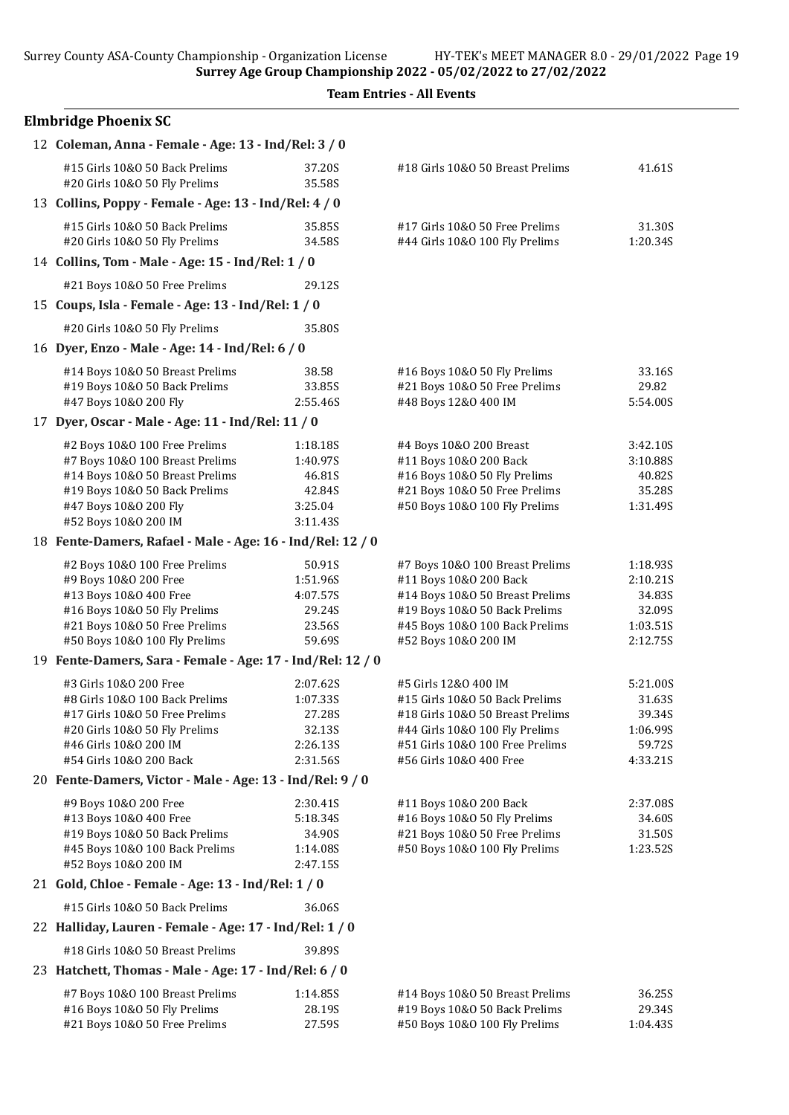| <b>Team Entries - All Events</b>                                                                                                                                                      |                                                                  |                                                                                                                                                                                            |                                                                  |
|---------------------------------------------------------------------------------------------------------------------------------------------------------------------------------------|------------------------------------------------------------------|--------------------------------------------------------------------------------------------------------------------------------------------------------------------------------------------|------------------------------------------------------------------|
| <b>Elmbridge Phoenix SC</b>                                                                                                                                                           |                                                                  |                                                                                                                                                                                            |                                                                  |
| 12 Coleman, Anna - Female - Age: 13 - Ind/Rel: 3 / 0                                                                                                                                  |                                                                  |                                                                                                                                                                                            |                                                                  |
| #15 Girls 10&0 50 Back Prelims<br>#20 Girls 10&0 50 Fly Prelims                                                                                                                       | 37.20S<br>35.58S                                                 | #18 Girls 10&0 50 Breast Prelims                                                                                                                                                           | 41.61S                                                           |
| 13 Collins, Poppy - Female - Age: 13 - Ind/Rel: 4 / 0                                                                                                                                 |                                                                  |                                                                                                                                                                                            |                                                                  |
| #15 Girls 10&0 50 Back Prelims<br>#20 Girls 10&O 50 Fly Prelims                                                                                                                       | 35.85S<br>34.58S                                                 | #17 Girls 10&0 50 Free Prelims<br>#44 Girls 10&0 100 Fly Prelims                                                                                                                           | 31.30S<br>1:20.34S                                               |
| 14 Collins, Tom - Male - Age: 15 - Ind/Rel: 1 / 0                                                                                                                                     |                                                                  |                                                                                                                                                                                            |                                                                  |
| #21 Boys 10&0 50 Free Prelims                                                                                                                                                         | 29.12S                                                           |                                                                                                                                                                                            |                                                                  |
| 15 Coups, Isla - Female - Age: 13 - Ind/Rel: 1 / 0                                                                                                                                    |                                                                  |                                                                                                                                                                                            |                                                                  |
| #20 Girls 10&0 50 Fly Prelims                                                                                                                                                         | 35.80S                                                           |                                                                                                                                                                                            |                                                                  |
| 16 Dyer, Enzo - Male - Age: 14 - Ind/Rel: 6 / 0                                                                                                                                       |                                                                  |                                                                                                                                                                                            |                                                                  |
|                                                                                                                                                                                       |                                                                  |                                                                                                                                                                                            |                                                                  |
| #14 Boys 10&0 50 Breast Prelims<br>#19 Boys 10&0 50 Back Prelims<br>#47 Boys 10&0 200 Fly                                                                                             | 38.58<br>33.85S<br>2:55.46S                                      | #16 Boys 10&0 50 Fly Prelims<br>#21 Boys 10&0 50 Free Prelims<br>#48 Boys 12&0 400 IM                                                                                                      | 33.16S<br>29.82<br>5:54.00S                                      |
| 17 Dyer, Oscar - Male - Age: 11 - Ind/Rel: 11 / 0                                                                                                                                     |                                                                  |                                                                                                                                                                                            |                                                                  |
| #2 Boys 10&0 100 Free Prelims<br>#7 Boys 10&0 100 Breast Prelims<br>#14 Boys 10&0 50 Breast Prelims<br>#19 Boys 10&0 50 Back Prelims<br>#47 Boys 10&0 200 Fly<br>#52 Boys 10&0 200 IM | 1:18.18S<br>1:40.97S<br>46.81S<br>42.84S<br>3:25.04<br>3:11.43S  | #4 Boys 10&0 200 Breast<br>#11 Boys 10&0 200 Back<br>#16 Boys 10&0 50 Fly Prelims<br>#21 Boys 10&0 50 Free Prelims<br>#50 Boys 10&0 100 Fly Prelims                                        | 3:42.10S<br>3:10.88S<br>40.82S<br>35.28S<br>1:31.49S             |
| 18 Fente-Damers, Rafael - Male - Age: 16 - Ind/Rel: 12 / 0                                                                                                                            |                                                                  |                                                                                                                                                                                            |                                                                  |
|                                                                                                                                                                                       |                                                                  |                                                                                                                                                                                            |                                                                  |
| #2 Boys 10&0 100 Free Prelims<br>#9 Boys 10&0 200 Free<br>#13 Boys 10&0 400 Free<br>#16 Boys 10&0 50 Fly Prelims<br>#21 Boys 10&0 50 Free Prelims<br>#50 Boys 10&0 100 Fly Prelims    | 50.91S<br>1:51.96S<br>4:07.57S<br>29.24S<br>23.56S<br>59.69S     | #7 Boys 10&0 100 Breast Prelims<br>#11 Boys 10&0 200 Back<br>#14 Boys 10&0 50 Breast Prelims<br>#19 Boys 10&0 50 Back Prelims<br>#45 Boys 10&0 100 Back Prelims<br>#52 Boys 10&0 200 IM    | 1:18.93S<br>2:10.21S<br>34.83S<br>32.09S<br>1:03.51S<br>2:12.75S |
| 19 Fente-Damers, Sara - Female - Age: 17 - Ind/Rel: 12 / 0                                                                                                                            |                                                                  |                                                                                                                                                                                            |                                                                  |
| #3 Girls 10&O 200 Free<br>#8 Girls 10&0 100 Back Prelims<br>#17 Girls 10&0 50 Free Prelims<br>#20 Girls 10&O 50 Fly Prelims<br>#46 Girls 10&0 200 IM<br>#54 Girls 10&0 200 Back       | 2:07.62S<br>1:07.33S<br>27.28S<br>32.13S<br>2:26.13S<br>2:31.56S | #5 Girls 12&0 400 IM<br>#15 Girls 10&0 50 Back Prelims<br>#18 Girls 10&0 50 Breast Prelims<br>#44 Girls 10&0 100 Fly Prelims<br>#51 Girls 10&0 100 Free Prelims<br>#56 Girls 10&O 400 Free | 5:21.00S<br>31.63S<br>39.34S<br>1:06.99S<br>59.72S<br>4:33.21S   |
| 20 Fente-Damers, Victor - Male - Age: 13 - Ind/Rel: 9 / 0                                                                                                                             |                                                                  |                                                                                                                                                                                            |                                                                  |
| #9 Boys 10&0 200 Free<br>#13 Boys 10&0 400 Free<br>#19 Boys 10&0 50 Back Prelims<br>#45 Boys 10&0 100 Back Prelims<br>#52 Boys 10&0 200 IM                                            | 2:30.41S<br>5:18.34S<br>34.90S<br>1:14.08S<br>2:47.15S           | #11 Boys 10&0 200 Back<br>#16 Boys 10&0 50 Fly Prelims<br>#21 Boys 10&0 50 Free Prelims<br>#50 Boys 10&0 100 Fly Prelims                                                                   | 2:37.08S<br>34.60S<br>31.50S<br>1:23.52S                         |
| 21 Gold, Chloe - Female - Age: 13 - Ind/Rel: 1 / 0                                                                                                                                    |                                                                  |                                                                                                                                                                                            |                                                                  |
| #15 Girls 10&0 50 Back Prelims                                                                                                                                                        | 36.06S                                                           |                                                                                                                                                                                            |                                                                  |
| 22 Halliday, Lauren - Female - Age: 17 - Ind/Rel: 1 / 0                                                                                                                               |                                                                  |                                                                                                                                                                                            |                                                                  |
| #18 Girls 10&0 50 Breast Prelims                                                                                                                                                      | 39.89S                                                           |                                                                                                                                                                                            |                                                                  |
| 23 Hatchett, Thomas - Male - Age: 17 - Ind/Rel: 6 / 0                                                                                                                                 |                                                                  |                                                                                                                                                                                            |                                                                  |
| #7 Boys 10&0 100 Breast Prelims<br>#16 Boys 10&0 50 Fly Prelims<br>#21 Boys 10&0 50 Free Prelims                                                                                      | 1:14.85S<br>28.19S<br>27.59S                                     | #14 Boys 10&0 50 Breast Prelims<br>#19 Boys 10&0 50 Back Prelims<br>#50 Boys 10&0 100 Fly Prelims                                                                                          | 36.25S<br>29.34S<br>1:04.435                                     |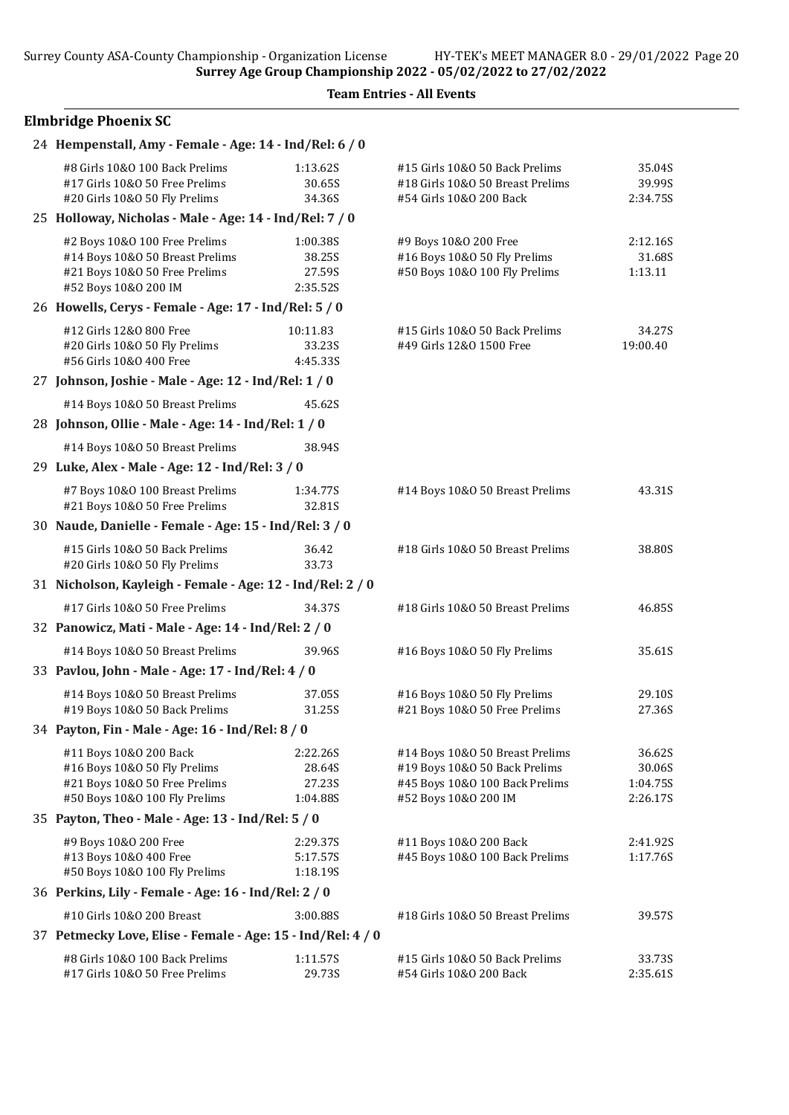# Elmbridge Phoenix SC

| 24 Hempenstall, Amy - Female - Age: 14 - Ind/Rel: 6 / 0                               |                  |                                                             |                    |
|---------------------------------------------------------------------------------------|------------------|-------------------------------------------------------------|--------------------|
| #8 Girls 10&0 100 Back Prelims                                                        | 1:13.62S         | #15 Girls 10&0 50 Back Prelims                              | 35.04S             |
| #17 Girls 10&0 50 Free Prelims<br>#20 Girls 10&O 50 Fly Prelims                       | 30.65S<br>34.36S | #18 Girls 10&0 50 Breast Prelims<br>#54 Girls 10&0 200 Back | 39.99S<br>2:34.75S |
| 25 Holloway, Nicholas - Male - Age: 14 - Ind/Rel: 7 / 0                               |                  |                                                             |                    |
| #2 Boys 10&0 100 Free Prelims                                                         | 1:00.38S         | #9 Boys 10&0 200 Free                                       | 2:12.16S           |
| #14 Boys 10&0 50 Breast Prelims                                                       | 38.25S           | #16 Boys 10&0 50 Fly Prelims                                | 31.68S             |
| #21 Boys 10&0 50 Free Prelims                                                         | 27.59S           | #50 Boys 10&0 100 Fly Prelims                               | 1:13.11            |
| #52 Boys 10&0 200 IM                                                                  | 2:35.52S         |                                                             |                    |
| 26 Howells, Cerys - Female - Age: 17 - Ind/Rel: 5 / 0                                 |                  |                                                             |                    |
| #12 Girls 12&0 800 Free                                                               | 10:11.83         | #15 Girls 10&0 50 Back Prelims                              | 34.27S             |
| #20 Girls 10&O 50 Fly Prelims                                                         | 33.23S           | #49 Girls 12&0 1500 Free                                    | 19:00.40           |
| #56 Girls 10&0 400 Free<br>27 Johnson, Joshie - Male - Age: 12 - Ind/Rel: 1 / 0       | 4:45.33S         |                                                             |                    |
| #14 Boys 10&0 50 Breast Prelims                                                       | 45.62S           |                                                             |                    |
| 28 Johnson, Ollie - Male - Age: 14 - Ind/Rel: 1 / 0                                   |                  |                                                             |                    |
| #14 Boys 10&0 50 Breast Prelims                                                       | 38.94S           |                                                             |                    |
| 29 Luke, Alex - Male - Age: 12 - Ind/Rel: 3 / 0                                       |                  |                                                             |                    |
| #7 Boys 10&0 100 Breast Prelims                                                       | 1:34.77S         | #14 Boys 10&0 50 Breast Prelims                             | 43.31S             |
| #21 Boys 10&0 50 Free Prelims                                                         | 32.81S           |                                                             |                    |
| 30 Naude, Danielle - Female - Age: 15 - Ind/Rel: 3 / 0                                |                  |                                                             |                    |
| #15 Girls 10&0 50 Back Prelims<br>#20 Girls 10&O 50 Fly Prelims                       | 36.42<br>33.73   | #18 Girls 10&0 50 Breast Prelims                            | 38.80S             |
| 31 Nicholson, Kayleigh - Female - Age: 12 - Ind/Rel: 2 / 0                            |                  |                                                             |                    |
| #17 Girls 10&0 50 Free Prelims                                                        | 34.37S           | #18 Girls 10&0 50 Breast Prelims                            | 46.85S             |
| 32 Panowicz, Mati - Male - Age: 14 - Ind/Rel: 2 / 0                                   |                  |                                                             |                    |
| #14 Boys 10&0 50 Breast Prelims                                                       | 39.96S           | #16 Boys 10&0 50 Fly Prelims                                | 35.61S             |
| 33 Pavlou, John - Male - Age: 17 - Ind/Rel: 4 / 0                                     |                  |                                                             |                    |
| #14 Boys 10&0 50 Breast Prelims                                                       | 37.05S           | #16 Boys 10&0 50 Fly Prelims                                | 29.10S             |
| #19 Boys 10&0 50 Back Prelims                                                         | 31.25S           | #21 Boys 10&0 50 Free Prelims                               | 27.36S             |
| 34 Payton, Fin - Male - Age: 16 - Ind/Rel: 8 / 0                                      |                  |                                                             |                    |
| #11 Boys 10&0 200 Back                                                                | 2:22.26S         | #14 Boys 10&0 50 Breast Prelims                             | 36.62S             |
| #16 Boys 10&0 50 Fly Prelims                                                          | 28.64S           | #19 Boys 10&0 50 Back Prelims                               | 30.06S             |
| #21 Boys 10&0 50 Free Prelims                                                         | 27.23S           | #45 Boys 10&0 100 Back Prelims                              | 1:04.75S           |
| #50 Boys 10&0 100 Fly Prelims                                                         | 1:04.88S         | #52 Boys 10&0 200 IM                                        | 2:26.17S           |
| 35 Payton, Theo - Male - Age: 13 - Ind/Rel: 5 / 0                                     |                  |                                                             |                    |
| #9 Boys 10&0 200 Free                                                                 | 2:29.37S         | #11 Boys 10&0 200 Back                                      | 2:41.92S           |
| #13 Boys 10&0 400 Free                                                                | 5:17.57S         | #45 Boys 10&0 100 Back Prelims                              | 1:17.76S           |
| #50 Boys 10&0 100 Fly Prelims<br>36 Perkins, Lily - Female - Age: 16 - Ind/Rel: 2 / 0 | 1:18.19S         |                                                             |                    |
|                                                                                       |                  |                                                             |                    |
| #10 Girls 10&0 200 Breast                                                             | 3:00.88S         | #18 Girls 10&0 50 Breast Prelims                            | 39.57S             |
| 37 Petmecky Love, Elise - Female - Age: 15 - Ind/Rel: 4 / 0                           |                  |                                                             |                    |
| #8 Girls 10&0 100 Back Prelims                                                        | 1:11.57S         | #15 Girls 10&0 50 Back Prelims                              | 33.73S             |
| #17 Girls 10&O 50 Free Prelims                                                        | 29.73S           | #54 Girls 10&0 200 Back                                     | 2:35.61S           |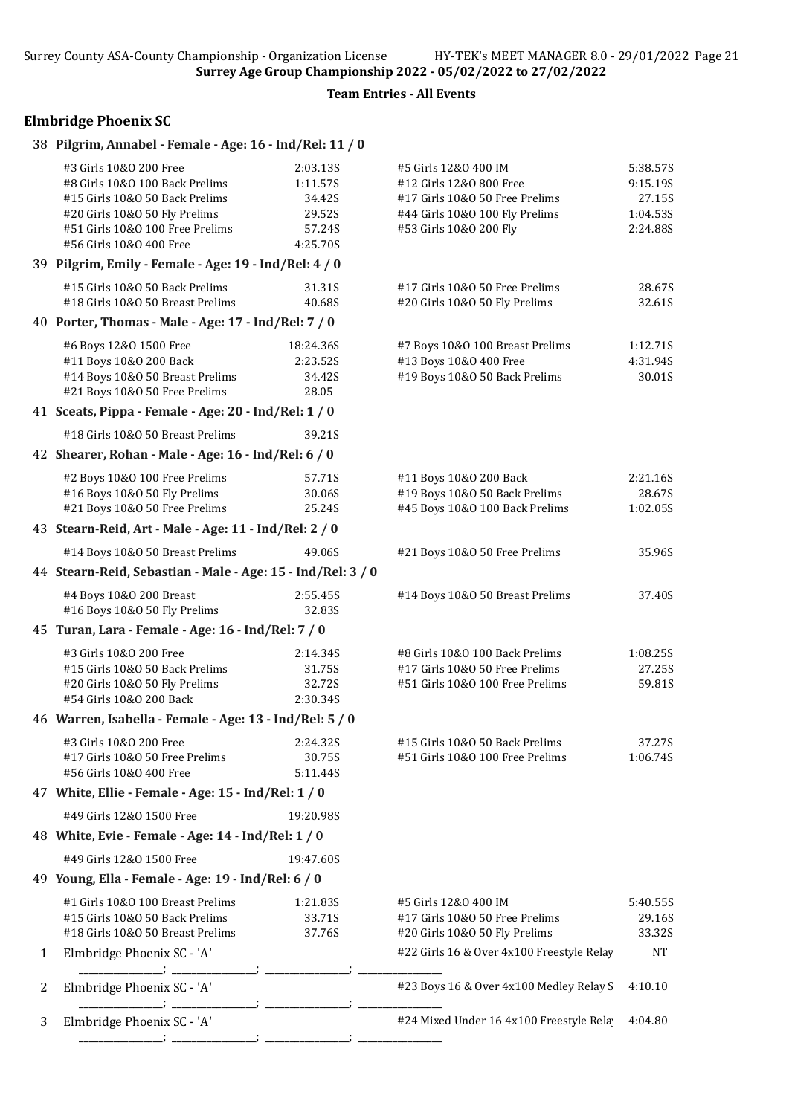## Elmbridge Phoenix SC

| #3 Girls 10&0 200 Free<br>#8 Girls 10&0 100 Back Prelims<br>#15 Girls 10&0 50 Back Prelims<br>#20 Girls 10&0 50 Fly Prelims<br>#51 Girls 10&0 100 Free Prelims<br>#56 Girls 10&0 400 Free | 2:03.13S<br>1:11.57S<br>34.42S<br>29.52S<br>57.24S<br>4:25.70S | #5 Girls 12&0 400 IM<br>#12 Girls 12&0 800 Free<br>#17 Girls 10&O 50 Free Prelims<br>#44 Girls 10&0 100 Fly Prelims<br>#53 Girls 10&0 200 Fly                                                                                                                                                                                                                                                                                                                                                                                                                                                                                        | 5:38.57S<br>9:15.19S<br>27.15S<br>1:04.53S<br>2:24.88S      |
|-------------------------------------------------------------------------------------------------------------------------------------------------------------------------------------------|----------------------------------------------------------------|--------------------------------------------------------------------------------------------------------------------------------------------------------------------------------------------------------------------------------------------------------------------------------------------------------------------------------------------------------------------------------------------------------------------------------------------------------------------------------------------------------------------------------------------------------------------------------------------------------------------------------------|-------------------------------------------------------------|
|                                                                                                                                                                                           |                                                                |                                                                                                                                                                                                                                                                                                                                                                                                                                                                                                                                                                                                                                      |                                                             |
| #15 Girls 10&0 50 Back Prelims<br>#18 Girls 10&0 50 Breast Prelims                                                                                                                        | 31.31S<br>40.68S                                               | #17 Girls 10&O 50 Free Prelims<br>#20 Girls 10&O 50 Fly Prelims                                                                                                                                                                                                                                                                                                                                                                                                                                                                                                                                                                      | 28.67S<br>32.61S                                            |
|                                                                                                                                                                                           |                                                                |                                                                                                                                                                                                                                                                                                                                                                                                                                                                                                                                                                                                                                      |                                                             |
| #6 Boys 12&0 1500 Free<br>#11 Boys 10&0 200 Back<br>#14 Boys 10&0 50 Breast Prelims<br>#21 Boys 10&0 50 Free Prelims                                                                      | 18:24.36S<br>2:23.52S<br>34.42S<br>28.05                       | #7 Boys 10&0 100 Breast Prelims<br>#13 Boys 10&0 400 Free<br>#19 Boys 10&0 50 Back Prelims                                                                                                                                                                                                                                                                                                                                                                                                                                                                                                                                           | 1:12.71S<br>4:31.94S<br>30.01S                              |
|                                                                                                                                                                                           |                                                                |                                                                                                                                                                                                                                                                                                                                                                                                                                                                                                                                                                                                                                      |                                                             |
| #18 Girls 10&0 50 Breast Prelims                                                                                                                                                          | 39.21S                                                         |                                                                                                                                                                                                                                                                                                                                                                                                                                                                                                                                                                                                                                      |                                                             |
|                                                                                                                                                                                           |                                                                |                                                                                                                                                                                                                                                                                                                                                                                                                                                                                                                                                                                                                                      |                                                             |
| #2 Boys 10&0 100 Free Prelims<br>#16 Boys 10&0 50 Fly Prelims<br>#21 Boys 10&0 50 Free Prelims                                                                                            | 57.71S<br>30.06S<br>25.24S                                     | #11 Boys 10&0 200 Back<br>#19 Boys 10&0 50 Back Prelims<br>#45 Boys 10&0 100 Back Prelims                                                                                                                                                                                                                                                                                                                                                                                                                                                                                                                                            | 2:21.16S<br>28.67S<br>1:02.05S                              |
|                                                                                                                                                                                           |                                                                |                                                                                                                                                                                                                                                                                                                                                                                                                                                                                                                                                                                                                                      |                                                             |
| #14 Boys 10&0 50 Breast Prelims                                                                                                                                                           | 49.06S                                                         | #21 Boys 10&0 50 Free Prelims                                                                                                                                                                                                                                                                                                                                                                                                                                                                                                                                                                                                        | 35.96S                                                      |
|                                                                                                                                                                                           |                                                                |                                                                                                                                                                                                                                                                                                                                                                                                                                                                                                                                                                                                                                      |                                                             |
| #4 Boys 10&0 200 Breast<br>#16 Boys 10&0 50 Fly Prelims                                                                                                                                   | 2:55.45S<br>32.83S                                             | #14 Boys 10&0 50 Breast Prelims                                                                                                                                                                                                                                                                                                                                                                                                                                                                                                                                                                                                      | 37.40S                                                      |
|                                                                                                                                                                                           |                                                                |                                                                                                                                                                                                                                                                                                                                                                                                                                                                                                                                                                                                                                      |                                                             |
| #3 Girls 10&0 200 Free<br>#15 Girls 10&0 50 Back Prelims<br>#20 Girls 10&O 50 Fly Prelims<br>#54 Girls 10&0 200 Back                                                                      | 2:14.34S<br>31.75S<br>32.72S<br>2:30.34S                       | #8 Girls 10&0 100 Back Prelims<br>#17 Girls 10&0 50 Free Prelims<br>#51 Girls 10&0 100 Free Prelims                                                                                                                                                                                                                                                                                                                                                                                                                                                                                                                                  | 1:08.255<br>27.25S<br>59.81S                                |
|                                                                                                                                                                                           |                                                                |                                                                                                                                                                                                                                                                                                                                                                                                                                                                                                                                                                                                                                      |                                                             |
| #3 Girls 10&0 200 Free<br>#17 Girls 10&O 50 Free Prelims<br>#56 Girls 10&0 400 Free                                                                                                       | 2:24.32S<br>30.75S<br>5:11.44S                                 | #15 Girls 10&0 50 Back Prelims<br>#51 Girls 10&0 100 Free Prelims                                                                                                                                                                                                                                                                                                                                                                                                                                                                                                                                                                    | 37.27S<br>1:06.74S                                          |
|                                                                                                                                                                                           |                                                                |                                                                                                                                                                                                                                                                                                                                                                                                                                                                                                                                                                                                                                      |                                                             |
| #49 Girls 12&0 1500 Free                                                                                                                                                                  | 19:20.98S                                                      |                                                                                                                                                                                                                                                                                                                                                                                                                                                                                                                                                                                                                                      |                                                             |
|                                                                                                                                                                                           |                                                                |                                                                                                                                                                                                                                                                                                                                                                                                                                                                                                                                                                                                                                      |                                                             |
| #49 Girls 12&0 1500 Free                                                                                                                                                                  | 19:47.60S                                                      |                                                                                                                                                                                                                                                                                                                                                                                                                                                                                                                                                                                                                                      |                                                             |
|                                                                                                                                                                                           |                                                                |                                                                                                                                                                                                                                                                                                                                                                                                                                                                                                                                                                                                                                      |                                                             |
| #1 Girls 10&0 100 Breast Prelims<br>#15 Girls 10&0 50 Back Prelims<br>#18 Girls 10&0 50 Breast Prelims                                                                                    | 1:21.835<br>33.71S<br>37.76S                                   | #5 Girls 12&0 400 IM<br>#17 Girls 10&0 50 Free Prelims<br>#20 Girls 10&O 50 Fly Prelims                                                                                                                                                                                                                                                                                                                                                                                                                                                                                                                                              | 5:40.55S<br>29.16S<br>33.32S                                |
| Elmbridge Phoenix SC - 'A'                                                                                                                                                                |                                                                | #22 Girls 16 & Over 4x100 Freestyle Relay                                                                                                                                                                                                                                                                                                                                                                                                                                                                                                                                                                                            | <b>NT</b>                                                   |
| Elmbridge Phoenix SC - 'A'                                                                                                                                                                |                                                                | #23 Boys 16 & Over 4x100 Medley Relay S                                                                                                                                                                                                                                                                                                                                                                                                                                                                                                                                                                                              | 4:10.10                                                     |
| Elmbridge Phoenix SC - 'A'                                                                                                                                                                |                                                                | #24 Mixed Under 16 4x100 Freestyle Rela                                                                                                                                                                                                                                                                                                                                                                                                                                                                                                                                                                                              | 4:04.80                                                     |
|                                                                                                                                                                                           |                                                                | 38 Pilgrim, Annabel - Female - Age: 16 - Ind/Rel: 11 / 0<br>39 Pilgrim, Emily - Female - Age: 19 - Ind/Rel: 4 / 0<br>40 Porter, Thomas - Male - Age: 17 - Ind/Rel: 7 / 0<br>41 Sceats, Pippa - Female - Age: 20 - Ind/Rel: 1 / 0<br>42 Shearer, Rohan - Male - Age: 16 - Ind/Rel: 6 / 0<br>43 Stearn-Reid, Art - Male - Age: 11 - Ind/Rel: 2 / 0<br>45 Turan, Lara - Female - Age: 16 - Ind/Rel: 7 / 0<br>46 Warren, Isabella - Female - Age: 13 - Ind/Rel: 5 / 0<br>47 White, Ellie - Female - Age: 15 - Ind/Rel: 1 / 0<br>48 White, Evie - Female - Age: 14 - Ind/Rel: 1 / 0<br>49 Young, Ella - Female - Age: 19 - Ind/Rel: 6 / 0 | 44 Stearn-Reid, Sebastian - Male - Age: 15 - Ind/Rel: 3 / 0 |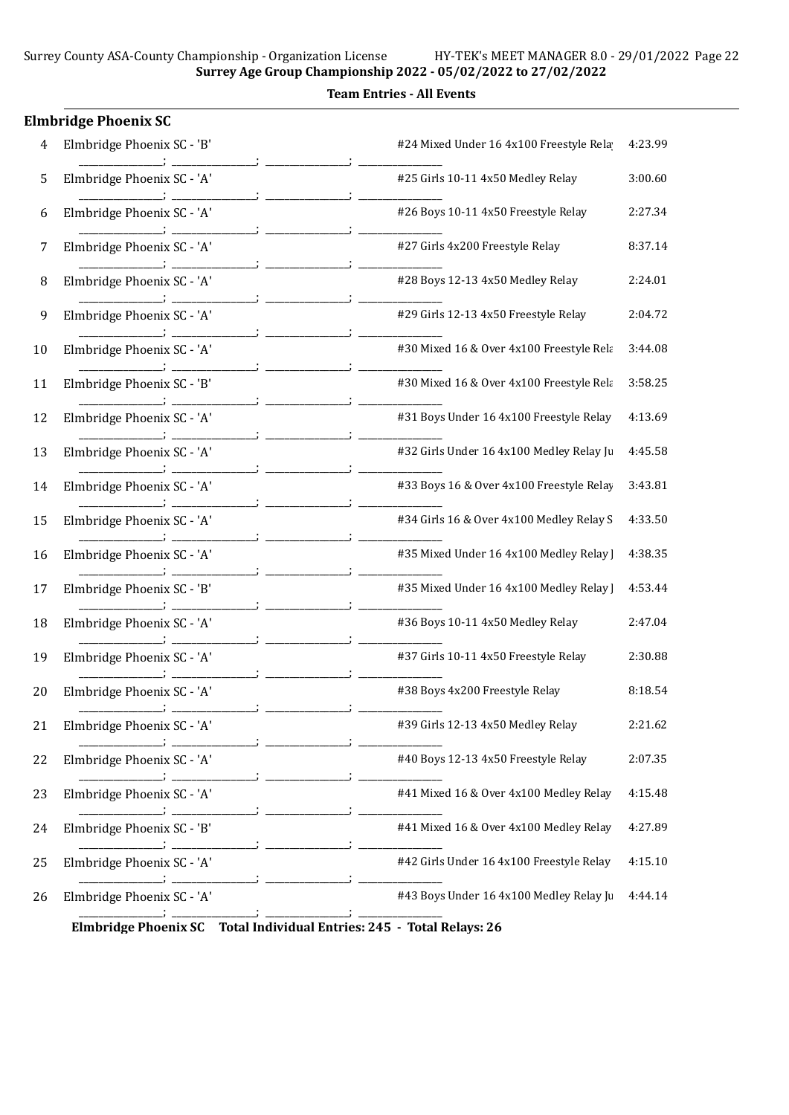Team Entries - All Events

|    | <b>Elmbridge Phoenix SC</b> |                                                                       |         |
|----|-----------------------------|-----------------------------------------------------------------------|---------|
| 4  | Elmbridge Phoenix SC - 'B'  | #24 Mixed Under 16 4x100 Freestyle Rela                               | 4:23.99 |
| 5  | Elmbridge Phoenix SC - 'A'  | #25 Girls 10-11 4x50 Medley Relay                                     | 3:00.60 |
| 6  | Elmbridge Phoenix SC - 'A'  | #26 Boys 10-11 4x50 Freestyle Relay                                   | 2:27.34 |
| 7  | Elmbridge Phoenix SC - 'A'  | #27 Girls 4x200 Freestyle Relay                                       | 8:37.14 |
| 8  | Elmbridge Phoenix SC - 'A'  | #28 Boys 12-13 4x50 Medley Relay                                      | 2:24.01 |
| 9  | Elmbridge Phoenix SC - 'A'  | #29 Girls 12-13 4x50 Freestyle Relay                                  | 2:04.72 |
| 10 | Elmbridge Phoenix SC - 'A'  | #30 Mixed 16 & Over 4x100 Freestyle Rela                              | 3:44.08 |
| 11 | Elmbridge Phoenix SC - 'B'  | #30 Mixed 16 & Over 4x100 Freestyle Rela                              | 3:58.25 |
| 12 | Elmbridge Phoenix SC - 'A'  | #31 Boys Under 16 4x100 Freestyle Relay                               | 4:13.69 |
| 13 | Elmbridge Phoenix SC - 'A'  | #32 Girls Under 16 4x100 Medley Relay Ju                              | 4:45.58 |
| 14 | Elmbridge Phoenix SC - 'A'  | #33 Boys 16 & Over 4x100 Freestyle Relay                              | 3:43.81 |
| 15 | Elmbridge Phoenix SC - 'A'  | #34 Girls 16 & Over 4x100 Medley Relay S                              | 4:33.50 |
| 16 | Elmbridge Phoenix SC - 'A'  | #35 Mixed Under 16 4x100 Medley Relay ]                               | 4:38.35 |
| 17 | Elmbridge Phoenix SC - 'B'  | #35 Mixed Under 16 4x100 Medley Relay                                 | 4:53.44 |
| 18 | Elmbridge Phoenix SC - 'A'  | #36 Boys 10-11 4x50 Medley Relay                                      | 2:47.04 |
| 19 | Elmbridge Phoenix SC - 'A'  | #37 Girls 10-11 4x50 Freestyle Relay                                  | 2:30.88 |
| 20 | Elmbridge Phoenix SC - 'A'  | #38 Boys 4x200 Freestyle Relay                                        | 8:18.54 |
| 21 | Elmbridge Phoenix SC - 'A'  | #39 Girls 12-13 4x50 Medley Relay                                     | 2:21.62 |
| 22 | Elmbridge Phoenix SC - 'A'  | #40 Boys 12-13 4x50 Freestyle Relay                                   | 2:07.35 |
| 23 | Elmbridge Phoenix SC - 'A'  | #41 Mixed 16 & Over 4x100 Medley Relay                                | 4:15.48 |
| 24 | Elmbridge Phoenix SC - 'B'  | #41 Mixed 16 & Over 4x100 Medley Relay                                | 4:27.89 |
| 25 | Elmbridge Phoenix SC - 'A'  | #42 Girls Under 16 4x100 Freestyle Relay                              | 4:15.10 |
| 26 | Elmbridge Phoenix SC - 'A'  | #43 Boys Under 16 4x100 Medley Relay Ju                               | 4:44.14 |
|    |                             | Elmbridge Phoenix SC Total Individual Entries: 245 - Total Relays: 26 |         |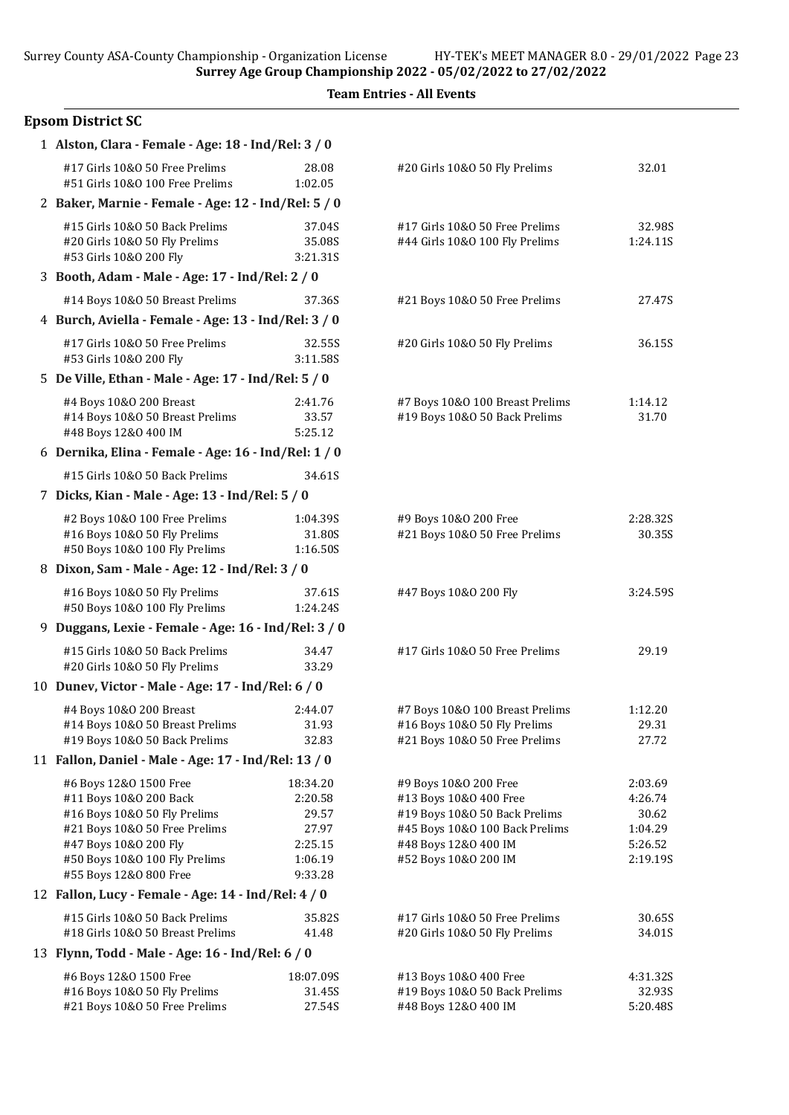|  | <b>Team Entries - All Events</b> |  |  |
|--|----------------------------------|--|--|
|--|----------------------------------|--|--|

## Epsom District SC

| 1 Alston, Clara - Female - Age: 18 - Ind/Rel: 3 / 0                                                                                                                                                   |                                                                        |                                                                                                                                                                    |                                                               |
|-------------------------------------------------------------------------------------------------------------------------------------------------------------------------------------------------------|------------------------------------------------------------------------|--------------------------------------------------------------------------------------------------------------------------------------------------------------------|---------------------------------------------------------------|
| #17 Girls 10&0 50 Free Prelims<br>#51 Girls 10&0 100 Free Prelims                                                                                                                                     | 28.08<br>1:02.05                                                       | #20 Girls 10&O 50 Fly Prelims                                                                                                                                      | 32.01                                                         |
| 2 Baker, Marnie - Female - Age: 12 - Ind/Rel: 5 / 0                                                                                                                                                   |                                                                        |                                                                                                                                                                    |                                                               |
| #15 Girls 10&0 50 Back Prelims<br>#20 Girls 10&O 50 Fly Prelims<br>#53 Girls 10&0 200 Fly                                                                                                             | 37.04S<br>35.08S<br>3:21.31S                                           | #17 Girls 10&0 50 Free Prelims<br>#44 Girls 10&0 100 Fly Prelims                                                                                                   | 32.98S<br>1:24.11S                                            |
| 3 Booth, Adam - Male - Age: 17 - Ind/Rel: 2 / 0                                                                                                                                                       |                                                                        |                                                                                                                                                                    |                                                               |
| #14 Boys 10&0 50 Breast Prelims                                                                                                                                                                       | 37.36S                                                                 | #21 Boys 10&0 50 Free Prelims                                                                                                                                      | 27.47S                                                        |
| 4 Burch, Aviella - Female - Age: 13 - Ind/Rel: 3 / 0                                                                                                                                                  |                                                                        |                                                                                                                                                                    |                                                               |
| #17 Girls 10&0 50 Free Prelims<br>#53 Girls 10&0 200 Fly                                                                                                                                              | 32.55S<br>3:11.58S                                                     | #20 Girls 10&O 50 Fly Prelims                                                                                                                                      | 36.15S                                                        |
| 5 De Ville, Ethan - Male - Age: 17 - Ind/Rel: 5 / 0                                                                                                                                                   |                                                                        |                                                                                                                                                                    |                                                               |
| #4 Boys 10&0 200 Breast<br>#14 Boys 10&0 50 Breast Prelims<br>#48 Boys 12&0 400 IM                                                                                                                    | 2:41.76<br>33.57<br>5:25.12                                            | #7 Boys 10&0 100 Breast Prelims<br>#19 Boys 10&0 50 Back Prelims                                                                                                   | 1:14.12<br>31.70                                              |
| 6 Dernika, Elina - Female - Age: 16 - Ind/Rel: 1 / 0                                                                                                                                                  |                                                                        |                                                                                                                                                                    |                                                               |
| #15 Girls 10&0 50 Back Prelims                                                                                                                                                                        | 34.61S                                                                 |                                                                                                                                                                    |                                                               |
| 7 Dicks, Kian - Male - Age: 13 - Ind/Rel: 5 / 0                                                                                                                                                       |                                                                        |                                                                                                                                                                    |                                                               |
| #2 Boys 10&0 100 Free Prelims<br>#16 Boys 10&0 50 Fly Prelims<br>#50 Boys 10&0 100 Fly Prelims                                                                                                        | 1:04.39S<br>31.80S<br>1:16.50S                                         | #9 Boys 10&0 200 Free<br>#21 Boys 10&0 50 Free Prelims                                                                                                             | 2:28.32S<br>30.35S                                            |
| 8 Dixon, Sam - Male - Age: 12 - Ind/Rel: 3 / 0                                                                                                                                                        |                                                                        |                                                                                                                                                                    |                                                               |
| #16 Boys 10&0 50 Fly Prelims<br>#50 Boys 10&0 100 Fly Prelims                                                                                                                                         | 37.61S<br>1:24.24S                                                     | #47 Boys 10&0 200 Fly                                                                                                                                              | 3:24.59S                                                      |
| 9 Duggans, Lexie - Female - Age: 16 - Ind/Rel: 3 / 0                                                                                                                                                  |                                                                        |                                                                                                                                                                    |                                                               |
| #15 Girls 10&0 50 Back Prelims<br>#20 Girls 10&O 50 Fly Prelims                                                                                                                                       | 34.47<br>33.29                                                         | #17 Girls 10&O 50 Free Prelims                                                                                                                                     | 29.19                                                         |
| 10 Dunev, Victor - Male - Age: 17 - Ind/Rel: 6 / 0                                                                                                                                                    |                                                                        |                                                                                                                                                                    |                                                               |
| #4 Boys 10&0 200 Breast<br>#14 Boys 10&0 50 Breast Prelims<br>#19 Boys 10&0 50 Back Prelims                                                                                                           | 2:44.07<br>31.93<br>32.83                                              | #7 Boys 10&0 100 Breast Prelims<br>#16 Boys 10&0 50 Fly Prelims<br>#21 Boys 10&0 50 Free Prelims                                                                   | 1:12.20<br>29.31<br>27.72                                     |
| 11 Fallon, Daniel - Male - Age: 17 - Ind/Rel: 13 / 0                                                                                                                                                  |                                                                        |                                                                                                                                                                    |                                                               |
| #6 Boys 12&0 1500 Free<br>#11 Boys 10&0 200 Back<br>#16 Boys 10&0 50 Fly Prelims<br>#21 Boys 10&0 50 Free Prelims<br>#47 Boys 10&0 200 Fly<br>#50 Boys 10&0 100 Fly Prelims<br>#55 Boys 12&0 800 Free | 18:34.20<br>2:20.58<br>29.57<br>27.97<br>2:25.15<br>1:06.19<br>9:33.28 | #9 Boys 10&0 200 Free<br>#13 Boys 10&0 400 Free<br>#19 Boys 10&0 50 Back Prelims<br>#45 Boys 10&0 100 Back Prelims<br>#48 Boys 12&0 400 IM<br>#52 Boys 10&0 200 IM | 2:03.69<br>4:26.74<br>30.62<br>1:04.29<br>5:26.52<br>2:19.19S |
| 12 Fallon, Lucy - Female - Age: 14 - Ind/Rel: 4 / 0                                                                                                                                                   |                                                                        |                                                                                                                                                                    |                                                               |
| #15 Girls 10&0 50 Back Prelims<br>#18 Girls 10&0 50 Breast Prelims                                                                                                                                    | 35.82S<br>41.48                                                        | #17 Girls 10&0 50 Free Prelims<br>#20 Girls 10&O 50 Fly Prelims                                                                                                    | 30.65S<br>34.01S                                              |
| 13 Flynn, Todd - Male - Age: 16 - Ind/Rel: 6 / 0                                                                                                                                                      |                                                                        |                                                                                                                                                                    |                                                               |
| #6 Boys 12&0 1500 Free<br>#16 Boys 10&0 50 Fly Prelims<br>#21 Boys 10&0 50 Free Prelims                                                                                                               | 18:07.09S<br>31.45S<br>27.54S                                          | #13 Boys 10&0 400 Free<br>#19 Boys 10&0 50 Back Prelims<br>#48 Boys 12&0 400 IM                                                                                    | 4:31.32S<br>32.93S<br>5:20.48S                                |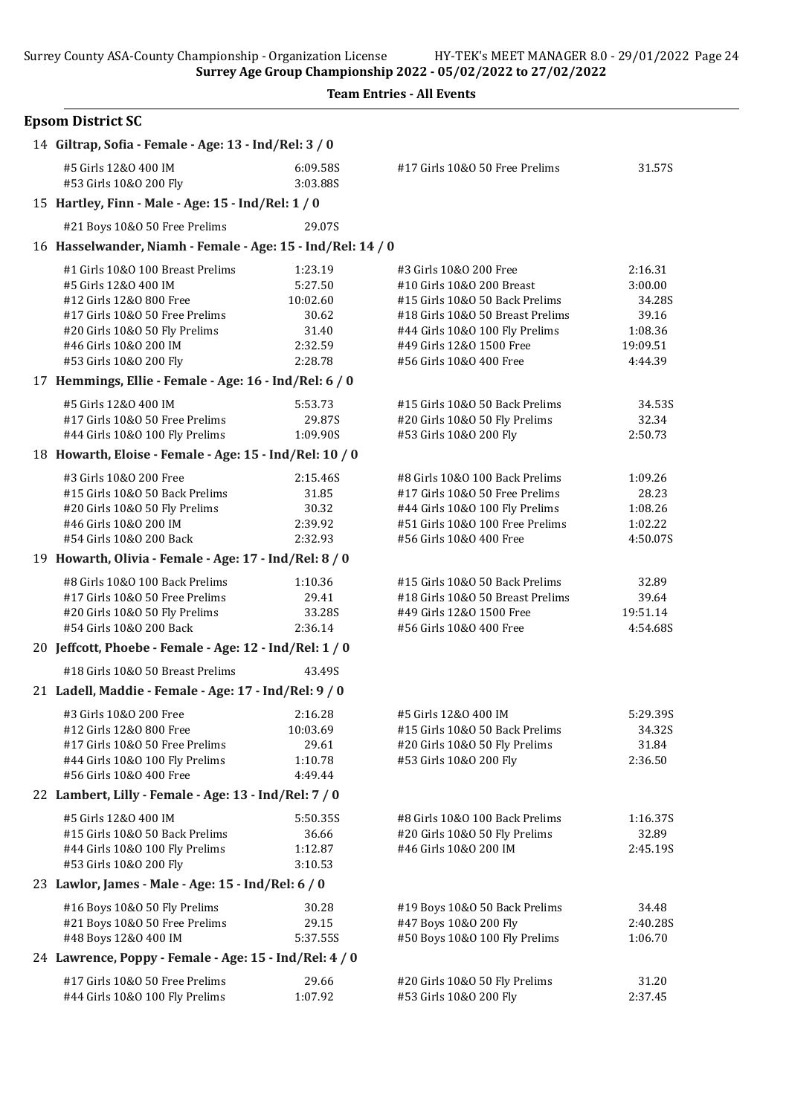|  | <b>Team Entries - All Events</b> |  |  |
|--|----------------------------------|--|--|
|--|----------------------------------|--|--|

| <b>Epsom District SC</b>                                    |                      |                                  |          |
|-------------------------------------------------------------|----------------------|----------------------------------|----------|
| 14 Giltrap, Sofia - Female - Age: 13 - Ind/Rel: 3 / 0       |                      |                                  |          |
| #5 Girls 12&0 400 IM<br>#53 Girls 10&0 200 Fly              | 6:09.58S<br>3:03.88S | #17 Girls 10&0 50 Free Prelims   | 31.57S   |
| 15 Hartley, Finn - Male - Age: 15 - Ind/Rel: 1 / 0          |                      |                                  |          |
| #21 Boys 10&0 50 Free Prelims                               | 29.07S               |                                  |          |
| 16 Hasselwander, Niamh - Female - Age: 15 - Ind/Rel: 14 / 0 |                      |                                  |          |
| #1 Girls 10&0 100 Breast Prelims                            | 1:23.19              | #3 Girls 10&0 200 Free           | 2:16.31  |
| #5 Girls 12&0 400 IM                                        | 5:27.50              | #10 Girls 10&0 200 Breast        | 3:00.00  |
| #12 Girls 12&0 800 Free                                     | 10:02.60             | #15 Girls 10&0 50 Back Prelims   | 34.28S   |
| #17 Girls 10&0 50 Free Prelims                              | 30.62                | #18 Girls 10&0 50 Breast Prelims | 39.16    |
| #20 Girls 10&0 50 Fly Prelims                               | 31.40                | #44 Girls 10&0 100 Fly Prelims   | 1:08.36  |
| #46 Girls 10&0 200 IM                                       | 2:32.59              | #49 Girls 12&0 1500 Free         | 19:09.51 |
| #53 Girls 10&0 200 Fly                                      | 2:28.78              | #56 Girls 10&0 400 Free          | 4:44.39  |
| 17 Hemmings, Ellie - Female - Age: 16 - Ind/Rel: 6 / 0      |                      |                                  |          |
| #5 Girls 12&0 400 IM                                        | 5:53.73              | #15 Girls 10&0 50 Back Prelims   | 34.53S   |
| #17 Girls 10&0 50 Free Prelims                              | 29.87S               | #20 Girls 10&O 50 Fly Prelims    | 32.34    |
| #44 Girls 10&0 100 Fly Prelims                              | 1:09.90S             | #53 Girls 10&0 200 Fly           | 2:50.73  |
| 18 Howarth, Eloise - Female - Age: 15 - Ind/Rel: 10 / 0     |                      |                                  |          |
| #3 Girls 10&0 200 Free                                      | 2:15.46S             | #8 Girls 10&0 100 Back Prelims   | 1:09.26  |
| #15 Girls 10&0 50 Back Prelims                              | 31.85                | #17 Girls 10&0 50 Free Prelims   | 28.23    |
| #20 Girls 10&0 50 Fly Prelims                               | 30.32                | #44 Girls 10&0 100 Fly Prelims   | 1:08.26  |
| #46 Girls 10&0 200 IM                                       | 2:39.92              | #51 Girls 10&0 100 Free Prelims  | 1:02.22  |
| #54 Girls 10&0 200 Back                                     | 2:32.93              | #56 Girls 10&0 400 Free          | 4:50.07S |
| 19 Howarth, Olivia - Female - Age: 17 - Ind/Rel: 8 / 0      |                      |                                  |          |
| #8 Girls 10&0 100 Back Prelims                              | 1:10.36              | #15 Girls 10&0 50 Back Prelims   | 32.89    |
| #17 Girls 10&0 50 Free Prelims                              | 29.41                | #18 Girls 10&0 50 Breast Prelims | 39.64    |
| #20 Girls 10&O 50 Fly Prelims                               | 33.28S               | #49 Girls 12&0 1500 Free         | 19:51.14 |
| #54 Girls 10&0 200 Back                                     | 2:36.14              | #56 Girls 10&0 400 Free          | 4:54.68S |
| 20 Jeffcott, Phoebe - Female - Age: 12 - Ind/Rel: 1 / 0     |                      |                                  |          |
| #18 Girls 10&0 50 Breast Prelims                            | 43.49S               |                                  |          |
| 21 Ladell, Maddie - Female - Age: 17 - Ind/Rel: 9 / 0       |                      |                                  |          |
| #3 Girls 10&0 200 Free                                      | 2:16.28              | #5 Girls 12&0 400 IM             | 5:29.39S |
| #12 Girls 12&0 800 Free                                     | 10:03.69             | #15 Girls 10&0 50 Back Prelims   | 34.32S   |
| #17 Girls 10&0 50 Free Prelims                              | 29.61                | #20 Girls 10&O 50 Fly Prelims    | 31.84    |
| #44 Girls 10&0 100 Fly Prelims                              | 1:10.78              | #53 Girls 10&0 200 Fly           | 2:36.50  |
| #56 Girls 10&0 400 Free                                     | 4:49.44              |                                  |          |
| 22 Lambert, Lilly - Female - Age: 13 - Ind/Rel: 7 / 0       |                      |                                  |          |
| #5 Girls 12&0 400 IM                                        | 5:50.35S             | #8 Girls 10&0 100 Back Prelims   | 1:16.37S |
| #15 Girls 10&0 50 Back Prelims                              | 36.66                | #20 Girls 10&O 50 Fly Prelims    | 32.89    |
| #44 Girls 10&0 100 Fly Prelims                              | 1:12.87              | #46 Girls 10&0 200 IM            | 2:45.19S |
| #53 Girls 10&0 200 Fly                                      | 3:10.53              |                                  |          |
| 23 Lawlor, James - Male - Age: 15 - Ind/Rel: 6 / 0          |                      |                                  |          |
| #16 Boys 10&0 50 Fly Prelims                                | 30.28                | #19 Boys 10&0 50 Back Prelims    | 34.48    |
| #21 Boys 10&0 50 Free Prelims                               | 29.15                | #47 Boys 10&0 200 Fly            | 2:40.28S |
| #48 Boys 12&0 400 IM                                        | 5:37.55S             | #50 Boys 10&0 100 Fly Prelims    | 1:06.70  |
| 24 Lawrence, Poppy - Female - Age: 15 - Ind/Rel: 4 / 0      |                      |                                  |          |
| #17 Girls 10&O 50 Free Prelims                              | 29.66                | #20 Girls 10&O 50 Fly Prelims    | 31.20    |
| #44 Girls 10&0 100 Fly Prelims                              | 1:07.92              | #53 Girls 10&0 200 Fly           | 2:37.45  |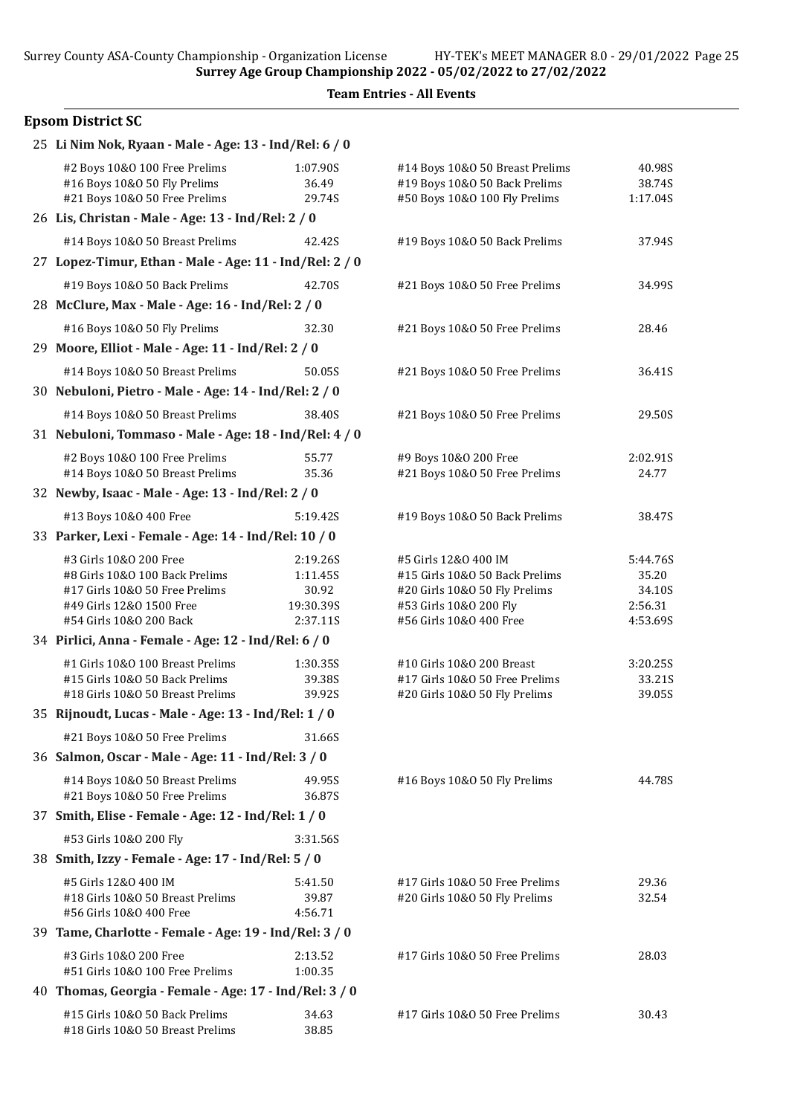# Epsom District SC

| 25 Li Nim Nok, Ryaan - Male - Age: 13 - Ind/Rel: 6 / 0                                     |                    |                                                         |                   |
|--------------------------------------------------------------------------------------------|--------------------|---------------------------------------------------------|-------------------|
| #2 Boys 10&0 100 Free Prelims                                                              | 1:07.90S           | #14 Boys 10&0 50 Breast Prelims                         | 40.98S            |
| #16 Boys 10&0 50 Fly Prelims                                                               | 36.49              | #19 Boys 10&0 50 Back Prelims                           | 38.74S            |
| #21 Boys 10&0 50 Free Prelims<br>26 Lis, Christan - Male - Age: 13 - Ind/Rel: 2 / 0        | 29.74S             | #50 Boys 10&0 100 Fly Prelims                           | 1:17.04S          |
|                                                                                            |                    |                                                         |                   |
| #14 Boys 10&0 50 Breast Prelims<br>27 Lopez-Timur, Ethan - Male - Age: 11 - Ind/Rel: 2 / 0 | 42.42S             | #19 Boys 10&0 50 Back Prelims                           | 37.94S            |
|                                                                                            |                    |                                                         |                   |
| #19 Boys 10&0 50 Back Prelims                                                              | 42.70S             | #21 Boys 10&0 50 Free Prelims                           | 34.99S            |
| 28 McClure, Max - Male - Age: 16 - Ind/Rel: 2 / 0                                          |                    |                                                         |                   |
| #16 Boys 10&0 50 Fly Prelims                                                               | 32.30              | #21 Boys 10&0 50 Free Prelims                           | 28.46             |
| 29 Moore, Elliot - Male - Age: 11 - Ind/Rel: 2 / 0                                         |                    |                                                         |                   |
| #14 Boys 10&0 50 Breast Prelims                                                            | 50.05S             | #21 Boys 10&0 50 Free Prelims                           | 36.41S            |
| 30 Nebuloni, Pietro - Male - Age: 14 - Ind/Rel: 2 / 0                                      |                    |                                                         |                   |
| #14 Boys 10&0 50 Breast Prelims                                                            | 38.40S             | #21 Boys 10&0 50 Free Prelims                           | 29.50S            |
| 31 Nebuloni, Tommaso - Male - Age: 18 - Ind/Rel: 4 / 0                                     |                    |                                                         |                   |
| #2 Boys 10&0 100 Free Prelims                                                              | 55.77              | #9 Boys 10&0 200 Free                                   | 2:02.91S          |
| #14 Boys 10&0 50 Breast Prelims                                                            | 35.36              | #21 Boys 10&0 50 Free Prelims                           | 24.77             |
| 32 Newby, Isaac - Male - Age: 13 - Ind/Rel: 2 / 0                                          |                    |                                                         |                   |
| #13 Boys 10&0 400 Free                                                                     | 5:19.42S           | #19 Boys 10&0 50 Back Prelims                           | 38.47S            |
| 33 Parker, Lexi - Female - Age: 14 - Ind/Rel: 10 / 0                                       |                    |                                                         |                   |
| #3 Girls 10&0 200 Free                                                                     | 2:19.26S           | #5 Girls 12&0 400 IM                                    | 5:44.76S          |
| #8 Girls 10&0 100 Back Prelims                                                             | 1:11.45S           | #15 Girls 10&0 50 Back Prelims                          | 35.20             |
| #17 Girls 10&0 50 Free Prelims<br>#49 Girls 12&0 1500 Free                                 | 30.92<br>19:30.39S | #20 Girls 10&O 50 Fly Prelims<br>#53 Girls 10&0 200 Fly | 34.10S<br>2:56.31 |
| #54 Girls 10&0 200 Back                                                                    | 2:37.11S           | #56 Girls 10&0 400 Free                                 | 4:53.69S          |
| 34 Pirlici, Anna - Female - Age: 12 - Ind/Rel: 6 / 0                                       |                    |                                                         |                   |
| #1 Girls 10&0 100 Breast Prelims                                                           | 1:30.35S           | #10 Girls 10&0 200 Breast                               | 3:20.25S          |
| #15 Girls 10&0 50 Back Prelims                                                             | 39.38S             | #17 Girls 10&0 50 Free Prelims                          | 33.21S            |
| #18 Girls 10&0 50 Breast Prelims                                                           | 39.92S             | #20 Girls 10&O 50 Fly Prelims                           | 39.05S            |
| 35 Rijnoudt, Lucas - Male - Age: 13 - Ind/Rel: 1 / 0                                       |                    |                                                         |                   |
| #21 Boys 10&0 50 Free Prelims                                                              | 31.66S             |                                                         |                   |
| 36 Salmon, Oscar - Male - Age: 11 - Ind/Rel: 3 / 0                                         |                    |                                                         |                   |
| #14 Boys 10&0 50 Breast Prelims                                                            | 49.95S             | #16 Boys 10&0 50 Fly Prelims                            | 44.78S            |
| #21 Boys 10&0 50 Free Prelims                                                              | 36.87S             |                                                         |                   |
| 37 Smith, Elise - Female - Age: 12 - Ind/Rel: 1 / 0                                        |                    |                                                         |                   |
| #53 Girls 10&0 200 Fly                                                                     | 3:31.56S           |                                                         |                   |
| 38 Smith, Izzy - Female - Age: 17 - Ind/Rel: 5 / 0                                         |                    |                                                         |                   |
| #5 Girls 12&0 400 IM                                                                       | 5:41.50            | #17 Girls 10&O 50 Free Prelims                          | 29.36             |
| #18 Girls 10&0 50 Breast Prelims<br>#56 Girls 10&0 400 Free                                | 39.87<br>4:56.71   | #20 Girls 10&O 50 Fly Prelims                           | 32.54             |
| 39 Tame, Charlotte - Female - Age: 19 - Ind/Rel: 3 / 0                                     |                    |                                                         |                   |
|                                                                                            |                    |                                                         |                   |
| #3 Girls 10&0 200 Free<br>#51 Girls 10&0 100 Free Prelims                                  | 2:13.52<br>1:00.35 | #17 Girls 10&O 50 Free Prelims                          | 28.03             |
| 40 Thomas, Georgia - Female - Age: 17 - Ind/Rel: 3 / 0                                     |                    |                                                         |                   |
| #15 Girls 10&0 50 Back Prelims                                                             | 34.63              | #17 Girls 10&0 50 Free Prelims                          | 30.43             |
| #18 Girls 10&0 50 Breast Prelims                                                           | 38.85              |                                                         |                   |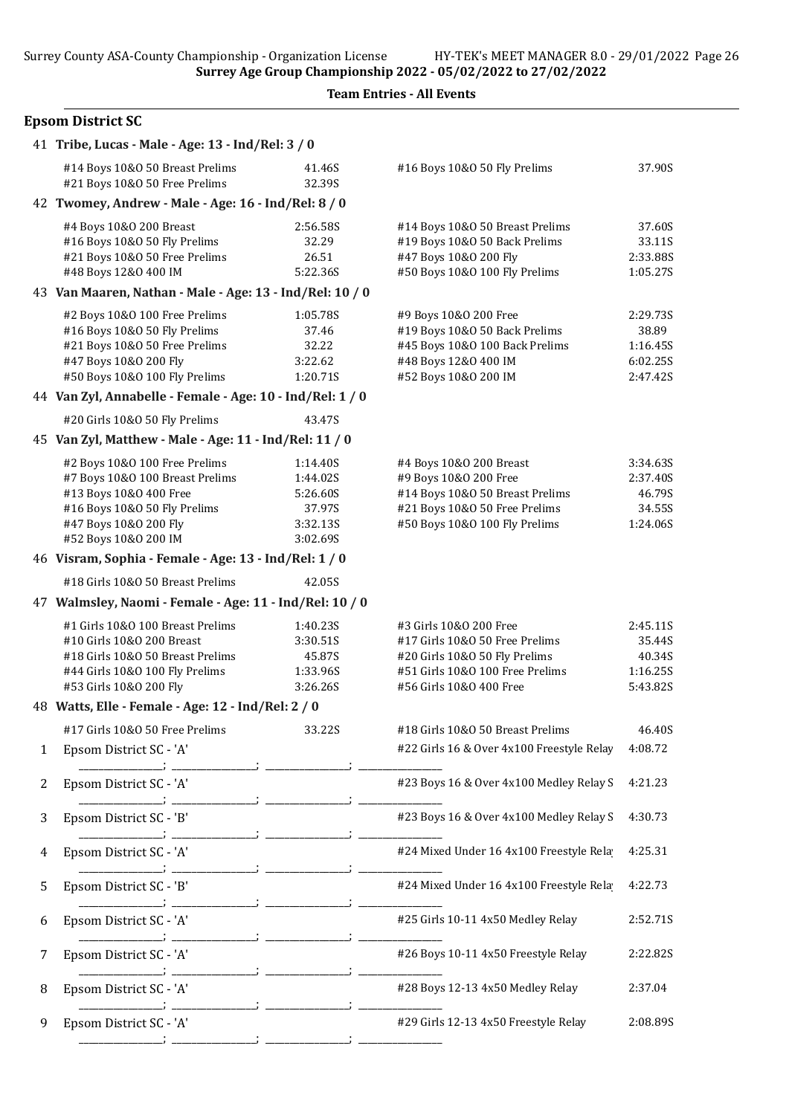### Epsom District SC

|   | 41 Tribe, Lucas - Male - Age: 13 - Ind/Rel: 3 / 0                                                                                                                           |  |                                                                    |                                                                                                                                                         |                                                       |
|---|-----------------------------------------------------------------------------------------------------------------------------------------------------------------------------|--|--------------------------------------------------------------------|---------------------------------------------------------------------------------------------------------------------------------------------------------|-------------------------------------------------------|
|   | #14 Boys 10&0 50 Breast Prelims<br>#21 Boys 10&0 50 Free Prelims                                                                                                            |  | 41.46S<br>32.39S                                                   | #16 Boys 10&0 50 Fly Prelims                                                                                                                            | 37.90S                                                |
|   | 42 Twomey, Andrew - Male - Age: 16 - Ind/Rel: 8 / 0                                                                                                                         |  |                                                                    |                                                                                                                                                         |                                                       |
|   | #4 Boys 10&0 200 Breast<br>#16 Boys 10&0 50 Fly Prelims<br>#21 Boys 10&0 50 Free Prelims<br>#48 Boys 12&0 400 IM                                                            |  | 2:56.58S<br>32.29<br>26.51<br>5:22.36S                             | #14 Boys 10&0 50 Breast Prelims<br>#19 Boys 10&0 50 Back Prelims<br>#47 Boys 10&0 200 Fly<br>#50 Boys 10&0 100 Fly Prelims                              | 37.60S<br>33.11S<br>2:33.88S<br>1:05.27S              |
|   | 43 Van Maaren, Nathan - Male - Age: 13 - Ind/Rel: 10 / 0                                                                                                                    |  |                                                                    |                                                                                                                                                         |                                                       |
|   | #2 Boys 10&0 100 Free Prelims<br>#16 Boys 10&0 50 Fly Prelims<br>#21 Boys 10&0 50 Free Prelims<br>#47 Boys 10&0 200 Fly<br>#50 Boys 10&0 100 Fly Prelims                    |  | 1:05.78S<br>37.46<br>32.22<br>3:22.62<br>1:20.71S                  | #9 Boys 10&O 200 Free<br>#19 Boys 10&0 50 Back Prelims<br>#45 Boys 10&0 100 Back Prelims<br>#48 Boys 12&0 400 IM<br>#52 Boys 10&0 200 IM                | 2:29.73S<br>38.89<br>1:16.45S<br>6:02.25S<br>2:47.42S |
|   | 44 Van Zyl, Annabelle - Female - Age: 10 - Ind/Rel: 1 / 0                                                                                                                   |  |                                                                    |                                                                                                                                                         |                                                       |
|   | #20 Girls 10&0 50 Fly Prelims                                                                                                                                               |  | 43.47S                                                             |                                                                                                                                                         |                                                       |
|   | 45 Van Zyl, Matthew - Male - Age: 11 - Ind/Rel: 11 / 0                                                                                                                      |  |                                                                    |                                                                                                                                                         |                                                       |
|   | #2 Boys 10&0 100 Free Prelims<br>#7 Boys 10&0 100 Breast Prelims<br>#13 Boys 10&0 400 Free<br>#16 Boys 10&0 50 Fly Prelims<br>#47 Boys 10&0 200 Fly<br>#52 Boys 10&0 200 IM |  | 1:14.40S<br>1:44.02S<br>5:26.60S<br>37.97S<br>3:32.13S<br>3:02.69S | #4 Boys 10&0 200 Breast<br>#9 Boys 10&0 200 Free<br>#14 Boys 10&0 50 Breast Prelims<br>#21 Boys 10&0 50 Free Prelims<br>#50 Boys 10&0 100 Fly Prelims   | 3:34.63S<br>2:37.40S<br>46.79S<br>34.55S<br>1:24.06S  |
|   | 46 Visram, Sophia - Female - Age: 13 - Ind/Rel: 1 / 0                                                                                                                       |  |                                                                    |                                                                                                                                                         |                                                       |
|   | #18 Girls 10&0 50 Breast Prelims                                                                                                                                            |  | 42.05S                                                             |                                                                                                                                                         |                                                       |
|   | 47 Walmsley, Naomi - Female - Age: 11 - Ind/Rel: 10 / 0                                                                                                                     |  |                                                                    |                                                                                                                                                         |                                                       |
|   | #1 Girls 10&0 100 Breast Prelims<br>#10 Girls 10&0 200 Breast<br>#18 Girls 10&0 50 Breast Prelims<br>#44 Girls 10&0 100 Fly Prelims<br>#53 Girls 10&0 200 Fly               |  | 1:40.23S<br>3:30.51S<br>45.87S<br>1:33.96S<br>3:26.26S             | #3 Girls 10&0 200 Free<br>#17 Girls 10&0 50 Free Prelims<br>#20 Girls 10&O 50 Fly Prelims<br>#51 Girls 10&0 100 Free Prelims<br>#56 Girls 10&0 400 Free | 2:45.11S<br>35.44S<br>40.34S<br>1:16.25S<br>5:43.82S  |
|   | 48 Watts, Elle - Female - Age: 12 - Ind/Rel: 2 / 0                                                                                                                          |  |                                                                    |                                                                                                                                                         |                                                       |
|   | #17 Girls 10&O 50 Free Prelims                                                                                                                                              |  |                                                                    | #18 Girls 10&0 50 Breast Prelims                                                                                                                        | 46.40S                                                |
| 1 | Epsom District SC - 'A'                                                                                                                                                     |  | 33.22S                                                             | #22 Girls 16 & Over 4x100 Freestyle Relay                                                                                                               | 4:08.72                                               |
|   |                                                                                                                                                                             |  |                                                                    |                                                                                                                                                         |                                                       |
| 2 | Epsom District SC - 'A'                                                                                                                                                     |  |                                                                    | #23 Boys 16 & Over 4x100 Medley Relay S                                                                                                                 | 4:21.23                                               |
| 3 | Epsom District SC - 'B'                                                                                                                                                     |  |                                                                    | #23 Boys 16 & Over 4x100 Medley Relay S                                                                                                                 | 4:30.73                                               |
| 4 | Epsom District SC - 'A'                                                                                                                                                     |  |                                                                    | #24 Mixed Under 16 4x100 Freestyle Rela                                                                                                                 | 4:25.31                                               |
| 5 | Epsom District SC - 'B'                                                                                                                                                     |  |                                                                    | #24 Mixed Under 16 4x100 Freestyle Rela                                                                                                                 | 4:22.73                                               |
| 6 | Epsom District SC - 'A'                                                                                                                                                     |  |                                                                    | #25 Girls 10-11 4x50 Medley Relay                                                                                                                       | 2:52.71S                                              |
| 7 | Epsom District SC - 'A'                                                                                                                                                     |  |                                                                    | #26 Boys 10-11 4x50 Freestyle Relay                                                                                                                     | 2:22.82S                                              |
| 8 | Epsom District SC - 'A'                                                                                                                                                     |  |                                                                    | #28 Boys 12-13 4x50 Medley Relay                                                                                                                        | 2:37.04                                               |
| 9 | Epsom District SC - 'A'                                                                                                                                                     |  |                                                                    | #29 Girls 12-13 4x50 Freestyle Relay                                                                                                                    | 2:08.89S                                              |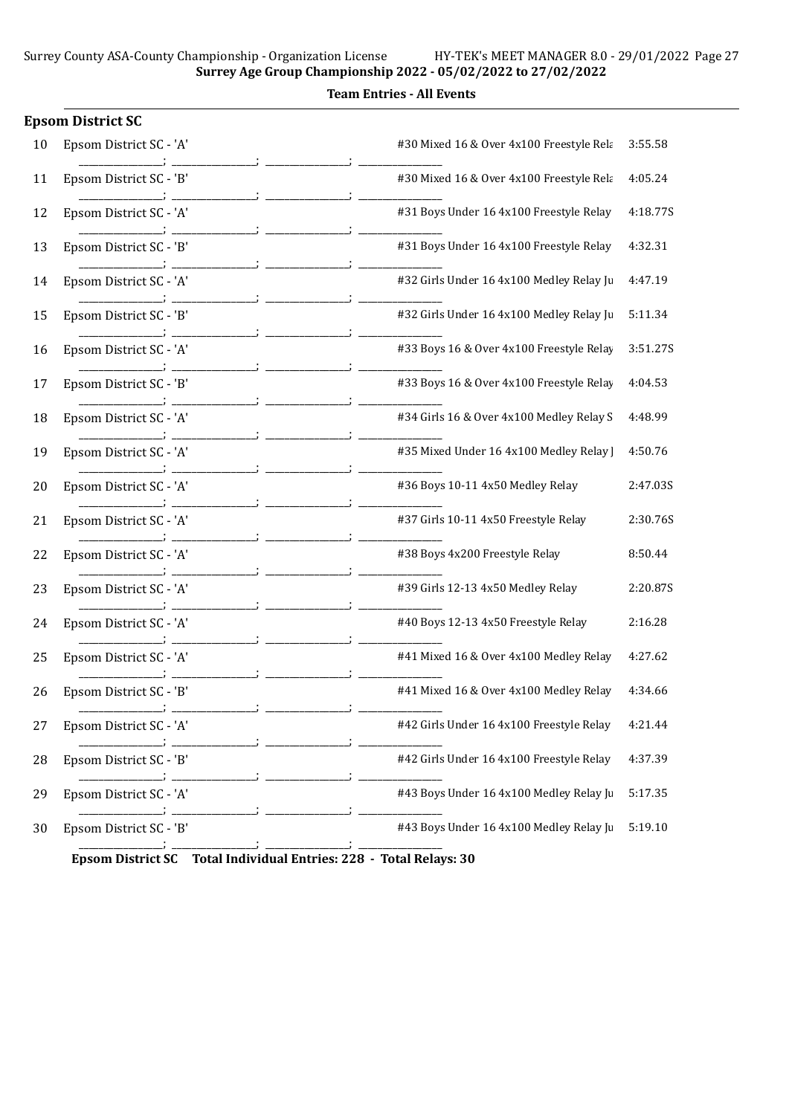|    | <b>Epsom District SC</b> |                                          |          |
|----|--------------------------|------------------------------------------|----------|
| 10 | Epsom District SC - 'A'  | #30 Mixed 16 & Over 4x100 Freestyle Rela | 3:55.58  |
| 11 | Epsom District SC - 'B'  | #30 Mixed 16 & Over 4x100 Freestyle Rela | 4:05.24  |
| 12 | Epsom District SC - 'A'  | #31 Boys Under 16 4x100 Freestyle Relay  | 4:18.77S |
| 13 | Epsom District SC - 'B'  | #31 Boys Under 16 4x100 Freestyle Relay  | 4:32.31  |
| 14 | Epsom District SC - 'A'  | #32 Girls Under 16 4x100 Medley Relay Ju | 4:47.19  |
| 15 | Epsom District SC - 'B'  | #32 Girls Under 16 4x100 Medley Relay Ju | 5:11.34  |
| 16 | Epsom District SC - 'A'  | #33 Boys 16 & Over 4x100 Freestyle Relay | 3:51.27S |
| 17 | Epsom District SC - 'B'  | #33 Boys 16 & Over 4x100 Freestyle Relay | 4:04.53  |
| 18 | Epsom District SC - 'A'  | #34 Girls 16 & Over 4x100 Medley Relay S | 4:48.99  |
| 19 | Epsom District SC - 'A'  | #35 Mixed Under 16 4x100 Medley Relay    | 4:50.76  |
| 20 | Epsom District SC - 'A'  | #36 Boys 10-11 4x50 Medley Relay         | 2:47.03S |
| 21 | Epsom District SC - 'A'  | #37 Girls 10-11 4x50 Freestyle Relay     | 2:30.76S |
| 22 | Epsom District SC - 'A'  | #38 Boys 4x200 Freestyle Relay           | 8:50.44  |
| 23 | Epsom District SC - 'A'  | #39 Girls 12-13 4x50 Medley Relay        | 2:20.87S |
| 24 | Epsom District SC - 'A'  | #40 Boys 12-13 4x50 Freestyle Relay      | 2:16.28  |
| 25 | Epsom District SC - 'A'  | #41 Mixed 16 & Over 4x100 Medley Relay   | 4:27.62  |
| 26 | Epsom District SC - 'B'  | #41 Mixed 16 & Over 4x100 Medley Relay   | 4:34.66  |
| 27 | Epsom District SC - 'A'  | #42 Girls Under 16 4x100 Freestyle Relay | 4:21.44  |
| 28 | Epsom District SC - 'B'  | #42 Girls Under 16 4x100 Freestyle Relay | 4:37.39  |
| 29 | Epsom District SC - 'A'  | #43 Boys Under 16 4x100 Medley Relay Ju  | 5:17.35  |
| 30 | Epsom District SC - 'B'  | #43 Boys Under 16 4x100 Medley Relay Ju  | 5:19.10  |
|    |                          |                                          |          |

Epsom District SC Total Individual Entries: 228 - Total Relays: 30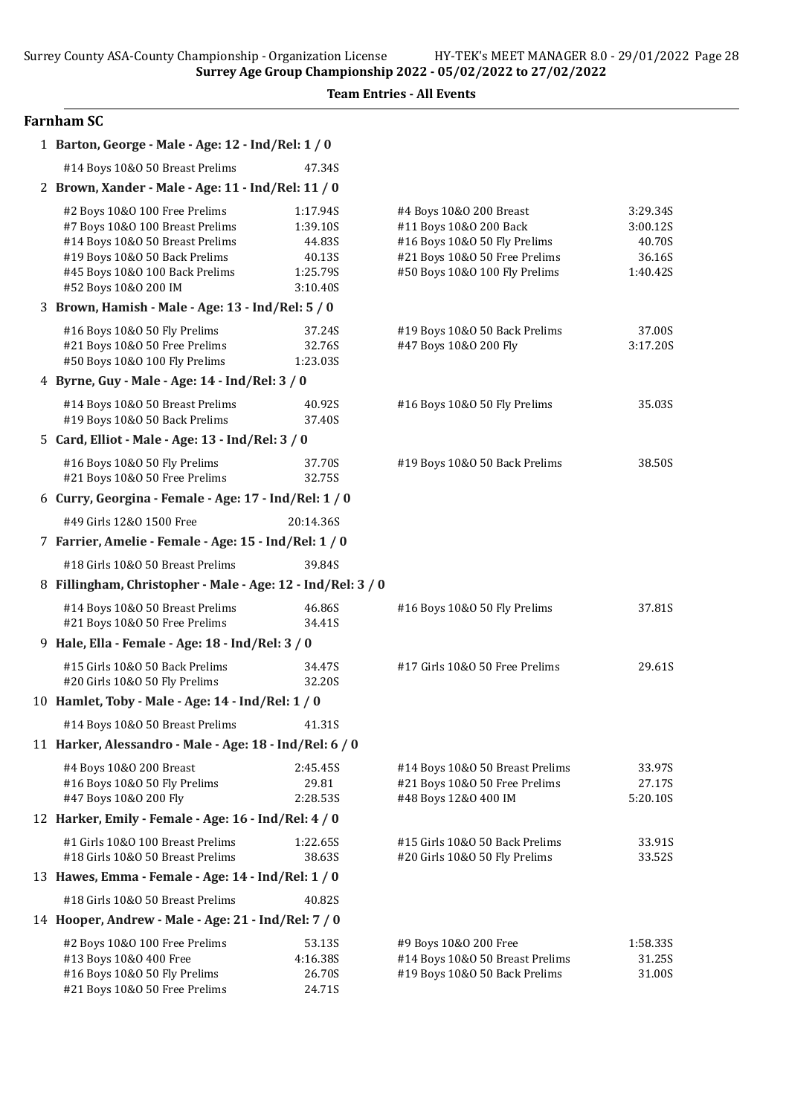Team Entries - All Events

# Farnham SC

|                                                       | 1 Barton, George - Male - Age: 12 - Ind/Rel: 1 / 0                                                                                                                                             |                                                                  |                                                                                                                                                     |                                                      |
|-------------------------------------------------------|------------------------------------------------------------------------------------------------------------------------------------------------------------------------------------------------|------------------------------------------------------------------|-----------------------------------------------------------------------------------------------------------------------------------------------------|------------------------------------------------------|
|                                                       | #14 Boys 10&0 50 Breast Prelims                                                                                                                                                                | 47.34S                                                           |                                                                                                                                                     |                                                      |
|                                                       | 2 Brown, Xander - Male - Age: 11 - Ind/Rel: 11 / 0                                                                                                                                             |                                                                  |                                                                                                                                                     |                                                      |
|                                                       | #2 Boys 10&0 100 Free Prelims<br>#7 Boys 10&0 100 Breast Prelims<br>#14 Boys 10&0 50 Breast Prelims<br>#19 Boys 10&0 50 Back Prelims<br>#45 Boys 10&0 100 Back Prelims<br>#52 Boys 10&0 200 IM | 1:17.94S<br>1:39.10S<br>44.83S<br>40.13S<br>1:25.79S<br>3:10.40S | #4 Boys 10&0 200 Breast<br>#11 Boys 10&0 200 Back<br>#16 Boys 10&0 50 Fly Prelims<br>#21 Boys 10&0 50 Free Prelims<br>#50 Boys 10&0 100 Fly Prelims | 3:29.34S<br>3:00.12S<br>40.70S<br>36.16S<br>1:40.42S |
|                                                       | 3 Brown, Hamish - Male - Age: 13 - Ind/Rel: 5 / 0                                                                                                                                              |                                                                  |                                                                                                                                                     |                                                      |
|                                                       | #16 Boys 10&0 50 Fly Prelims<br>#21 Boys 10&0 50 Free Prelims<br>#50 Boys 10&0 100 Fly Prelims                                                                                                 | 37.24S<br>32.76S<br>1:23.03S                                     | #19 Boys 10&0 50 Back Prelims<br>#47 Boys 10&0 200 Fly                                                                                              | 37.00S<br>3:17.20S                                   |
|                                                       | 4 Byrne, Guy - Male - Age: 14 - Ind/Rel: 3 / 0                                                                                                                                                 |                                                                  |                                                                                                                                                     |                                                      |
|                                                       | #14 Boys 10&0 50 Breast Prelims<br>#19 Boys 10&0 50 Back Prelims                                                                                                                               | 40.92S<br>37.40S                                                 | #16 Boys 10&0 50 Fly Prelims                                                                                                                        | 35.03S                                               |
|                                                       | 5 Card, Elliot - Male - Age: 13 - Ind/Rel: 3 / 0                                                                                                                                               |                                                                  |                                                                                                                                                     |                                                      |
|                                                       | #16 Boys 10&0 50 Fly Prelims<br>#21 Boys 10&0 50 Free Prelims                                                                                                                                  | 37.70S<br>32.75S                                                 | #19 Boys 10&0 50 Back Prelims                                                                                                                       | 38.50S                                               |
|                                                       | 6 Curry, Georgina - Female - Age: 17 - Ind/Rel: 1 / 0                                                                                                                                          |                                                                  |                                                                                                                                                     |                                                      |
|                                                       | #49 Girls 12&0 1500 Free                                                                                                                                                                       | 20:14.36S                                                        |                                                                                                                                                     |                                                      |
| 7 Farrier, Amelie - Female - Age: 15 - Ind/Rel: 1 / 0 |                                                                                                                                                                                                |                                                                  |                                                                                                                                                     |                                                      |
|                                                       | #18 Girls 10&0 50 Breast Prelims                                                                                                                                                               | 39.84S                                                           |                                                                                                                                                     |                                                      |
|                                                       | 8 Fillingham, Christopher - Male - Age: 12 - Ind/Rel: 3 / 0                                                                                                                                    |                                                                  |                                                                                                                                                     |                                                      |
|                                                       | #14 Boys 10&0 50 Breast Prelims<br>#21 Boys 10&0 50 Free Prelims                                                                                                                               | 46.86S<br>34.41S                                                 | #16 Boys 10&0 50 Fly Prelims                                                                                                                        | 37.81S                                               |
|                                                       | 9 Hale, Ella - Female - Age: 18 - Ind/Rel: 3 / 0                                                                                                                                               |                                                                  |                                                                                                                                                     |                                                      |
|                                                       | #15 Girls 10&0 50 Back Prelims<br>#20 Girls 10&0 50 Fly Prelims                                                                                                                                | 34.47S<br>32.20S                                                 | #17 Girls 10&O 50 Free Prelims                                                                                                                      | 29.61S                                               |
|                                                       | 10 Hamlet, Toby - Male - Age: 14 - Ind/Rel: 1 / 0                                                                                                                                              |                                                                  |                                                                                                                                                     |                                                      |
|                                                       | #14 Boys 10&0 50 Breast Prelims                                                                                                                                                                | 41.31S                                                           |                                                                                                                                                     |                                                      |
|                                                       | 11 Harker, Alessandro - Male - Age: 18 - Ind/Rel: 6 / 0                                                                                                                                        |                                                                  |                                                                                                                                                     |                                                      |
|                                                       | #4 Boys 10&0 200 Breast<br>#16 Boys 10&0 50 Fly Prelims<br>#47 Boys 10&0 200 Fly                                                                                                               | 2:45.45S<br>29.81<br>2:28.53S                                    | #14 Boys 10&0 50 Breast Prelims<br>#21 Boys 10&0 50 Free Prelims<br>#48 Boys 12&0 400 IM                                                            | 33.97S<br>27.17S<br>5:20.10S                         |
|                                                       | 12 Harker, Emily - Female - Age: 16 - Ind/Rel: 4 / 0                                                                                                                                           |                                                                  |                                                                                                                                                     |                                                      |
|                                                       | #1 Girls 10&0 100 Breast Prelims<br>#18 Girls 10&0 50 Breast Prelims                                                                                                                           | 1:22.65S<br>38.63S                                               | #15 Girls 10&0 50 Back Prelims<br>#20 Girls 10&0 50 Fly Prelims                                                                                     | 33.91S<br>33.52S                                     |
|                                                       | 13 Hawes, Emma - Female - Age: 14 - Ind/Rel: 1 / 0                                                                                                                                             |                                                                  |                                                                                                                                                     |                                                      |
|                                                       | #18 Girls 10&0 50 Breast Prelims                                                                                                                                                               | 40.82S                                                           |                                                                                                                                                     |                                                      |
|                                                       | 14 Hooper, Andrew - Male - Age: 21 - Ind/Rel: 7 / 0                                                                                                                                            |                                                                  |                                                                                                                                                     |                                                      |
|                                                       | #2 Boys 10&0 100 Free Prelims<br>#13 Boys 10&0 400 Free<br>#16 Boys 10&0 50 Fly Prelims<br>#21 Boys 10&0 50 Free Prelims                                                                       | 53.13S<br>4:16.38S<br>26.70S<br>24.71S                           | #9 Boys 10&0 200 Free<br>#14 Boys 10&0 50 Breast Prelims<br>#19 Boys 10&0 50 Back Prelims                                                           | 1:58.335<br>31.25S<br>31.00S                         |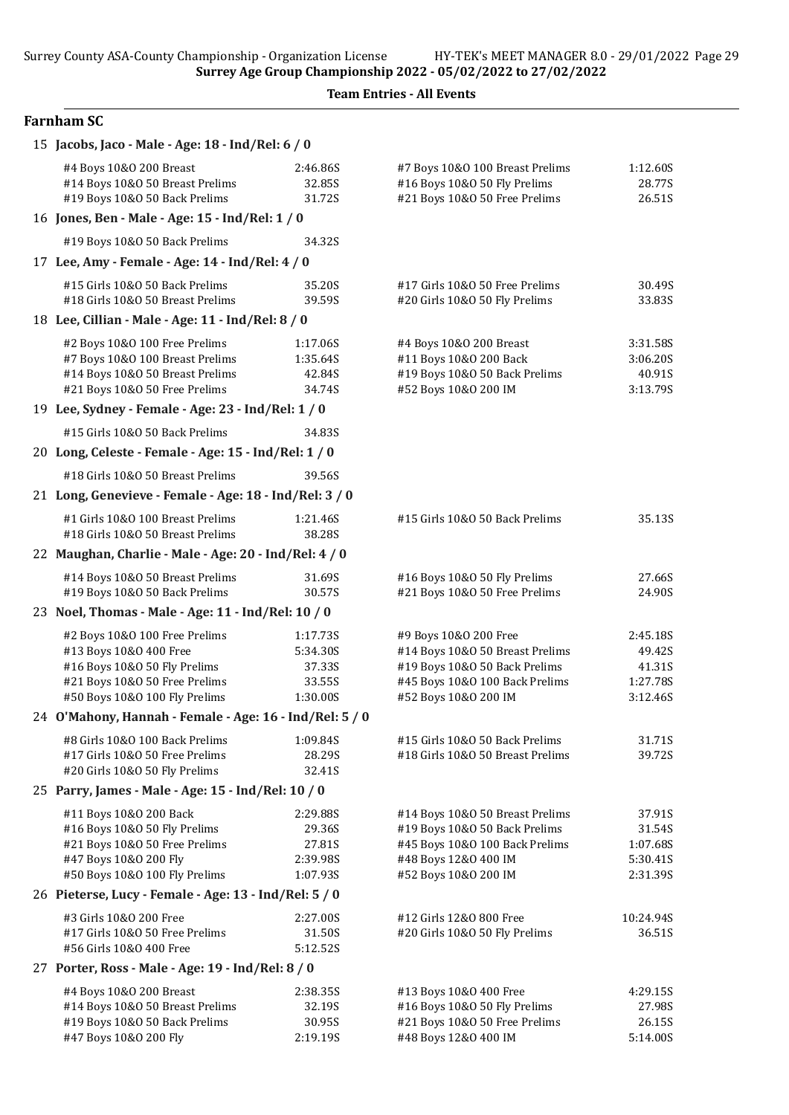Team Entries - All Events

## Farnham SC

| 15 Jacobs, Jaco - Male - Age: 18 - Ind/Rel: 6 / 0                                                                                    |                                                       |                                                                                                            |                                            |  |  |
|--------------------------------------------------------------------------------------------------------------------------------------|-------------------------------------------------------|------------------------------------------------------------------------------------------------------------|--------------------------------------------|--|--|
| #4 Boys 10&0 200 Breast<br>#14 Boys 10&0 50 Breast Prelims<br>#19 Boys 10&0 50 Back Prelims                                          | 2:46.86S<br>32.85S<br>31.72S                          | #7 Boys 10&0 100 Breast Prelims<br>#16 Boys 10&0 50 Fly Prelims<br>#21 Boys 10&0 50 Free Prelims           | 1:12.60S<br>28.77S<br>26.51S               |  |  |
| 16 Jones, Ben - Male - Age: 15 - Ind/Rel: 1 / 0                                                                                      |                                                       |                                                                                                            |                                            |  |  |
| #19 Boys 10&0 50 Back Prelims                                                                                                        | 34.32S                                                |                                                                                                            |                                            |  |  |
| 17 Lee, Amy - Female - Age: 14 - Ind/Rel: 4 / 0                                                                                      |                                                       |                                                                                                            |                                            |  |  |
| #15 Girls 10&0 50 Back Prelims                                                                                                       | 35.20S                                                | #17 Girls 10&0 50 Free Prelims                                                                             | 30.49S                                     |  |  |
| #18 Girls 10&0 50 Breast Prelims                                                                                                     | 39.59S                                                | #20 Girls 10&O 50 Fly Prelims                                                                              | 33.83S                                     |  |  |
| 18 Lee, Cillian - Male - Age: 11 - Ind/Rel: 8 / 0                                                                                    |                                                       |                                                                                                            |                                            |  |  |
| #2 Boys 10&0 100 Free Prelims<br>#7 Boys 10&0 100 Breast Prelims<br>#14 Boys 10&0 50 Breast Prelims<br>#21 Boys 10&0 50 Free Prelims | 1:17.06S<br>1:35.64S<br>42.84S<br>34.74S              | #4 Boys 10&0 200 Breast<br>#11 Boys 10&0 200 Back<br>#19 Boys 10&0 50 Back Prelims<br>#52 Boys 10&0 200 IM | 3:31.58S<br>3:06.20S<br>40.91S<br>3:13.79S |  |  |
| 19 Lee, Sydney - Female - Age: 23 - Ind/Rel: 1 / 0                                                                                   |                                                       |                                                                                                            |                                            |  |  |
| #15 Girls 10&0 50 Back Prelims                                                                                                       | 34.835                                                |                                                                                                            |                                            |  |  |
| 20 Long, Celeste - Female - Age: 15 - Ind/Rel: 1 / 0                                                                                 |                                                       |                                                                                                            |                                            |  |  |
| #18 Girls 10&0 50 Breast Prelims                                                                                                     | 39.56S                                                |                                                                                                            |                                            |  |  |
| 21 Long, Genevieve - Female - Age: 18 - Ind/Rel: 3 / 0                                                                               |                                                       |                                                                                                            |                                            |  |  |
| #1 Girls 10&0 100 Breast Prelims                                                                                                     | 1:21.46S                                              | #15 Girls 10&0 50 Back Prelims                                                                             | 35.13S                                     |  |  |
| #18 Girls 10&0 50 Breast Prelims                                                                                                     | 38.28S                                                |                                                                                                            |                                            |  |  |
|                                                                                                                                      | 22 Maughan, Charlie - Male - Age: 20 - Ind/Rel: 4 / 0 |                                                                                                            |                                            |  |  |
| #14 Boys 10&0 50 Breast Prelims<br>#19 Boys 10&0 50 Back Prelims                                                                     | 31.69S<br>30.57S                                      | #16 Boys 10&0 50 Fly Prelims<br>#21 Boys 10&0 50 Free Prelims                                              | 27.66S<br>24.90S                           |  |  |
| 23 Noel, Thomas - Male - Age: 11 - Ind/Rel: 10 / 0                                                                                   |                                                       |                                                                                                            |                                            |  |  |
| #2 Boys 10&0 100 Free Prelims                                                                                                        | 1:17.73S                                              | #9 Boys 10&0 200 Free                                                                                      | 2:45.18S                                   |  |  |
| #13 Boys 10&0 400 Free                                                                                                               | 5:34.30S                                              | #14 Boys 10&0 50 Breast Prelims                                                                            | 49.42S                                     |  |  |
| #16 Boys 10&0 50 Fly Prelims                                                                                                         | 37.33S                                                | #19 Boys 10&0 50 Back Prelims                                                                              | 41.31S                                     |  |  |
| #21 Boys 10&0 50 Free Prelims<br>#50 Boys 10&0 100 Fly Prelims                                                                       | 33.55S<br>1:30.00S                                    | #45 Boys 10&0 100 Back Prelims<br>#52 Boys 10&0 200 IM                                                     | 1:27.78S<br>3:12.46S                       |  |  |
| 24 O'Mahony, Hannah - Female - Age: 16 - Ind/Rel: 5 / 0                                                                              |                                                       |                                                                                                            |                                            |  |  |
|                                                                                                                                      |                                                       |                                                                                                            |                                            |  |  |
| #8 Girls 10&0 100 Back Prelims<br>#17 Girls 10&0 50 Free Prelims                                                                     | 1:09.84S<br>28.29S                                    | #15 Girls 10&0 50 Back Prelims<br>#18 Girls 10&0 50 Breast Prelims                                         | 31.71S<br>39.72S                           |  |  |
| #20 Girls 10&0 50 Fly Prelims                                                                                                        | 32.41S                                                |                                                                                                            |                                            |  |  |
| 25 Parry, James - Male - Age: 15 - Ind/Rel: 10 / 0                                                                                   |                                                       |                                                                                                            |                                            |  |  |
| #11 Boys 10&0 200 Back                                                                                                               | 2:29.88S                                              | #14 Boys 10&0 50 Breast Prelims                                                                            | 37.91S                                     |  |  |
| #16 Boys 10&0 50 Fly Prelims                                                                                                         | 29.36S                                                | #19 Boys 10&0 50 Back Prelims                                                                              | 31.54S                                     |  |  |
| #21 Boys 10&0 50 Free Prelims                                                                                                        | 27.81S                                                | #45 Boys 10&0 100 Back Prelims                                                                             | 1:07.68S                                   |  |  |
| #47 Boys 10&0 200 Fly                                                                                                                | 2:39.98S                                              | #48 Boys 12&0 400 IM                                                                                       | 5:30.41S                                   |  |  |
| #50 Boys 10&0 100 Fly Prelims<br>26 Pieterse, Lucy - Female - Age: 13 - Ind/Rel: 5 / 0                                               | 1:07.93S                                              | #52 Boys 10&0 200 IM                                                                                       | 2:31.39S                                   |  |  |
|                                                                                                                                      |                                                       |                                                                                                            |                                            |  |  |
| #3 Girls 10&0 200 Free<br>#17 Girls 10&0 50 Free Prelims                                                                             | 2:27.00S<br>31.50S                                    | #12 Girls 12&0 800 Free<br>#20 Girls 10&O 50 Fly Prelims                                                   | 10:24.94S<br>36.51S                        |  |  |
| #56 Girls 10&0 400 Free                                                                                                              | 5:12.52S                                              |                                                                                                            |                                            |  |  |
| 27 Porter, Ross - Male - Age: 19 - Ind/Rel: 8 / 0                                                                                    |                                                       |                                                                                                            |                                            |  |  |
| #4 Boys 10&0 200 Breast                                                                                                              | 2:38.35S                                              | #13 Boys 10&0 400 Free                                                                                     | 4:29.15S                                   |  |  |
| #14 Boys 10&0 50 Breast Prelims                                                                                                      | 32.19S                                                | #16 Boys 10&0 50 Fly Prelims                                                                               | 27.98S                                     |  |  |
| #19 Boys 10&0 50 Back Prelims                                                                                                        | 30.95S                                                | #21 Boys 10&0 50 Free Prelims                                                                              | 26.15S                                     |  |  |
| #47 Boys 10&0 200 Fly                                                                                                                | 2:19.19S                                              | #48 Boys 12&0 400 IM                                                                                       | 5:14.00S                                   |  |  |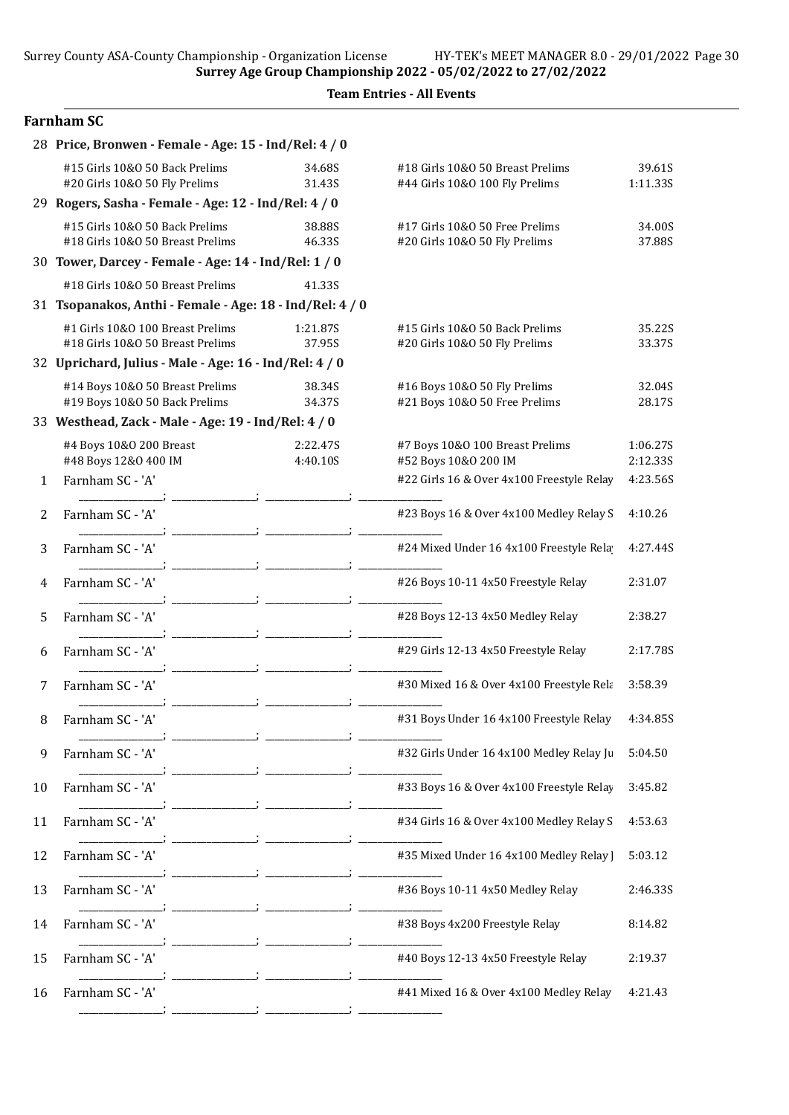| <b>Team Entries - All Events</b> |  |
|----------------------------------|--|
|----------------------------------|--|

### Farnham SC

|    | 28 Price, Bronwen - Female - Age: 15 - Ind/Rel: 4 / 0                |                      |                                                                    |                      |  |
|----|----------------------------------------------------------------------|----------------------|--------------------------------------------------------------------|----------------------|--|
|    | #15 Girls 10&0 50 Back Prelims<br>#20 Girls 10&0 50 Fly Prelims      | 34.68S<br>31.43S     | #18 Girls 10&0 50 Breast Prelims<br>#44 Girls 10&0 100 Fly Prelims | 39.61S<br>1:11.33S   |  |
|    | 29 Rogers, Sasha - Female - Age: 12 - Ind/Rel: 4 / 0                 |                      |                                                                    |                      |  |
|    | #15 Girls 10&0 50 Back Prelims<br>#18 Girls 10&0 50 Breast Prelims   | 38.88S<br>46.33S     | #17 Girls 10&0 50 Free Prelims<br>#20 Girls 10&O 50 Fly Prelims    | 34.00S<br>37.88S     |  |
|    | 30 Tower, Darcey - Female - Age: 14 - Ind/Rel: 1 / 0                 |                      |                                                                    |                      |  |
|    | #18 Girls 10&0 50 Breast Prelims                                     | 41.33S               |                                                                    |                      |  |
|    | 31 Tsopanakos, Anthi - Female - Age: 18 - Ind/Rel: 4 / 0             |                      |                                                                    |                      |  |
|    | #1 Girls 10&0 100 Breast Prelims<br>#18 Girls 10&0 50 Breast Prelims | 1:21.87S<br>37.95S   | #15 Girls 10&0 50 Back Prelims<br>#20 Girls 10&O 50 Fly Prelims    | 35.22S<br>33.37S     |  |
|    | 32 Uprichard, Julius - Male - Age: 16 - Ind/Rel: 4 / 0               |                      |                                                                    |                      |  |
|    | #14 Boys 10&0 50 Breast Prelims<br>#19 Boys 10&0 50 Back Prelims     | 38.34S<br>34.37S     | #16 Boys 10&0 50 Fly Prelims<br>#21 Boys 10&0 50 Free Prelims      | 32.04S<br>28.17S     |  |
|    | 33 Westhead, Zack - Male - Age: 19 - Ind/Rel: 4 / 0                  |                      |                                                                    |                      |  |
|    | #4 Boys 10&0 200 Breast<br>#48 Boys 12&0 400 IM                      | 2:22.47S<br>4:40.10S | #7 Boys 10&0 100 Breast Prelims<br>#52 Boys 10&0 200 IM            | 1:06.27S<br>2:12.335 |  |
| 1  | Farnham SC - 'A'                                                     |                      | #22 Girls 16 & Over 4x100 Freestyle Relay                          | 4:23.56S             |  |
| 2  | Farnham SC - 'A'                                                     |                      | #23 Boys 16 & Over 4x100 Medley Relay S                            | 4:10.26              |  |
| 3  | Farnham SC - 'A'                                                     |                      | #24 Mixed Under 16 4x100 Freestyle Rela                            | 4:27.44S             |  |
| 4  | Farnham SC - 'A'                                                     |                      | #26 Boys 10-11 4x50 Freestyle Relay                                | 2:31.07              |  |
| 5  | Farnham SC - 'A'                                                     |                      | #28 Boys 12-13 4x50 Medley Relay                                   | 2:38.27              |  |
| 6  | Farnham SC - 'A'                                                     |                      | #29 Girls 12-13 4x50 Freestyle Relay                               | 2:17.78S             |  |
| 7  | Farnham SC - 'A'                                                     |                      | #30 Mixed 16 & Over 4x100 Freestyle Rela                           | 3:58.39              |  |
| 8  | Farnham SC - 'A'                                                     |                      | #31 Boys Under 16 4x100 Freestyle Relay                            | 4:34.85S             |  |
| 9  | Farnham SC - 'A'                                                     |                      | #32 Girls Under 16 4x100 Medley Relay Ju                           | 5:04.50              |  |
| 10 | Farnham SC - 'A'                                                     |                      | #33 Boys 16 & Over 4x100 Freestyle Relay                           | 3:45.82              |  |
| 11 | Farnham SC - 'A'                                                     |                      | #34 Girls 16 & Over 4x100 Medley Relay S                           | 4:53.63              |  |
| 12 | Farnham SC - 'A'                                                     |                      | #35 Mixed Under 16 4x100 Medley Relay ]                            | 5:03.12              |  |
| 13 | Farnham SC - 'A'                                                     |                      | #36 Boys 10-11 4x50 Medley Relay                                   | 2:46.33S             |  |
| 14 | Farnham SC - 'A'                                                     |                      | #38 Boys 4x200 Freestyle Relay                                     | 8:14.82              |  |
| 15 | Farnham SC - 'A'                                                     |                      | #40 Boys 12-13 4x50 Freestyle Relay                                | 2:19.37              |  |
| 16 | Farnham SC - 'A'                                                     |                      | #41 Mixed 16 & Over 4x100 Medley Relay                             | 4:21.43              |  |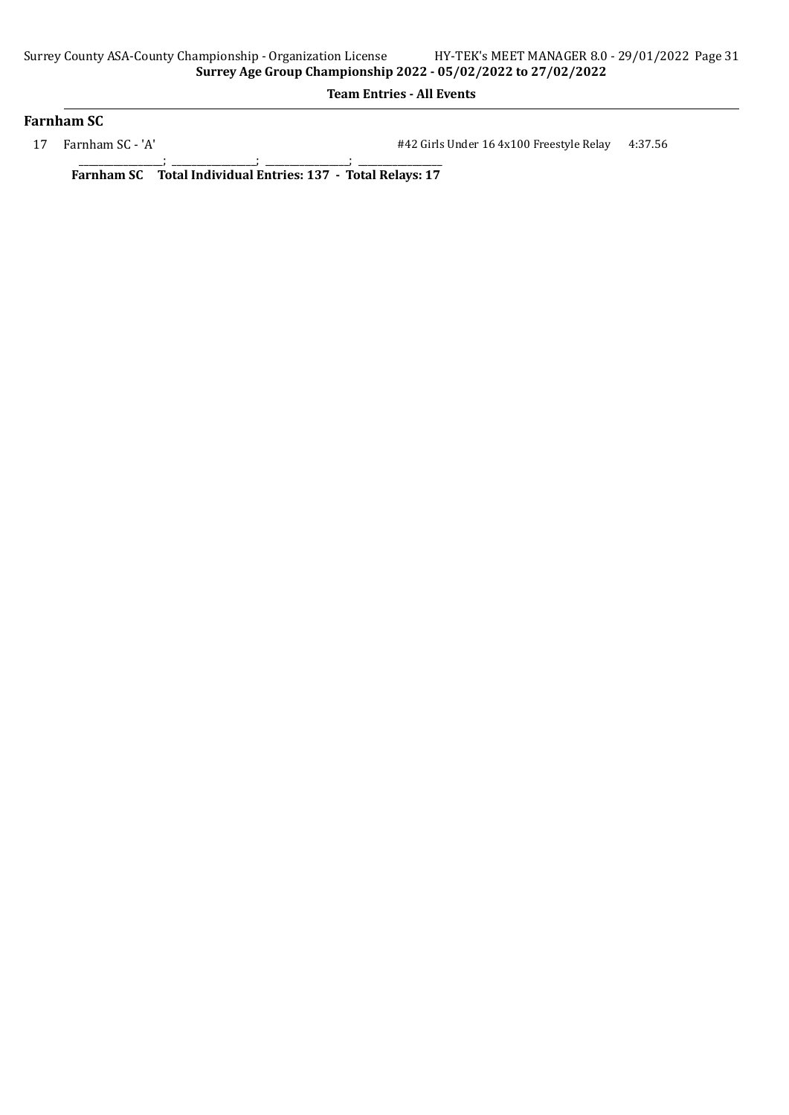### Farnham SC

17 Farnham SC - 'A'  $\#42$  Girls Under 16 4x100 Freestyle Relay 4:37.56

\_\_\_\_\_\_\_\_\_\_\_\_\_\_\_\_\_; \_\_\_\_\_\_\_\_\_\_\_\_\_\_\_\_\_; \_\_\_\_\_\_\_\_\_\_\_\_\_\_\_\_\_; \_\_\_\_\_\_\_\_\_\_\_\_\_\_\_\_\_ Farnham SC Total Individual Entries: 137 - Total Relays: 17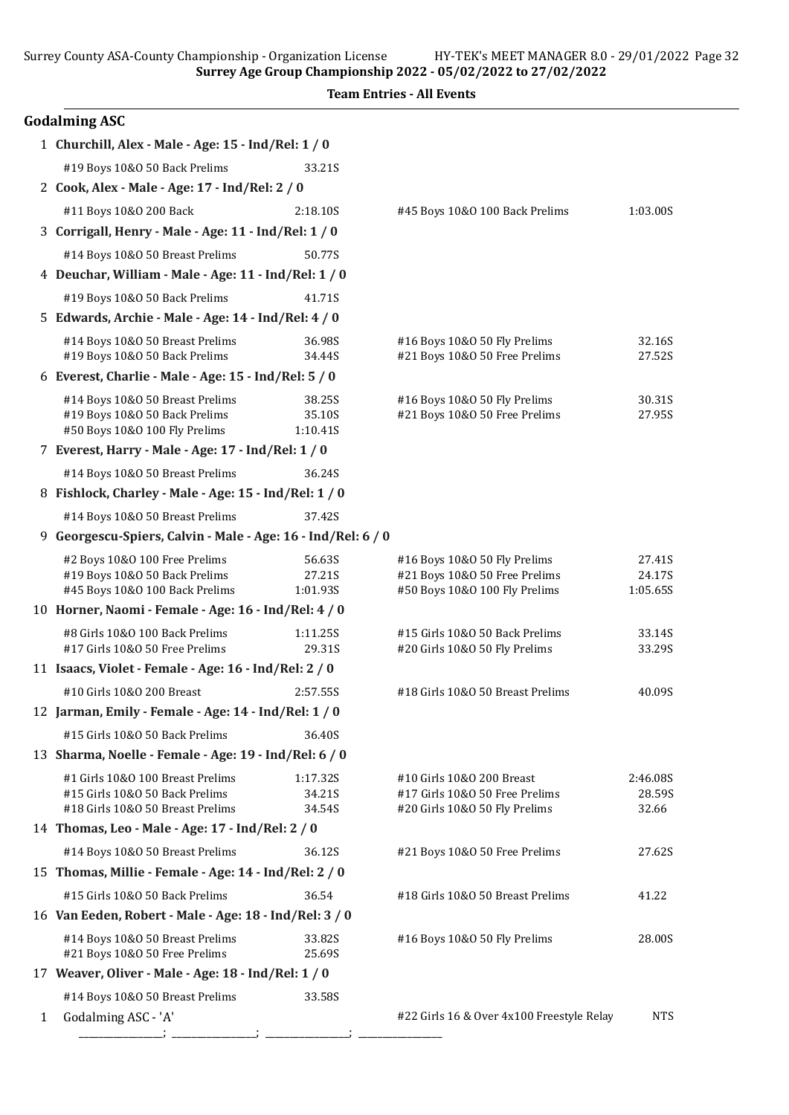Surrey County ASA-County Championship - Organization License HY-TEK's MEET MANAGER 8.0 - 29/01/2022 Page 32

Surrey Age Group Championship 2022 - 05/02/2022 to 27/02/2022

|   | <b>Team Entries - All Events</b>                                   |                    |                                                                 |                    |  |
|---|--------------------------------------------------------------------|--------------------|-----------------------------------------------------------------|--------------------|--|
|   | <b>Godalming ASC</b>                                               |                    |                                                                 |                    |  |
|   | 1 Churchill, Alex - Male - Age: 15 - Ind/Rel: 1 / 0                |                    |                                                                 |                    |  |
|   | #19 Boys 10&0 50 Back Prelims                                      | 33.21S             |                                                                 |                    |  |
|   | 2 Cook, Alex - Male - Age: 17 - Ind/Rel: 2 / 0                     |                    |                                                                 |                    |  |
|   | #11 Boys 10&0 200 Back                                             | 2:18.10S           | #45 Boys 10&0 100 Back Prelims                                  | 1:03.00S           |  |
|   | 3 Corrigall, Henry - Male - Age: 11 - Ind/Rel: 1 / 0               |                    |                                                                 |                    |  |
|   | #14 Boys 10&0 50 Breast Prelims                                    | 50.77S             |                                                                 |                    |  |
|   | 4 Deuchar, William - Male - Age: 11 - Ind/Rel: 1 / 0               |                    |                                                                 |                    |  |
|   | #19 Boys 10&0 50 Back Prelims                                      | 41.71S             |                                                                 |                    |  |
|   | 5 Edwards, Archie - Male - Age: 14 - Ind/Rel: 4 / 0                |                    |                                                                 |                    |  |
|   | #14 Boys 10&0 50 Breast Prelims<br>#19 Boys 10&0 50 Back Prelims   | 36.98S<br>34.44S   | #16 Boys 10&0 50 Fly Prelims<br>#21 Boys 10&0 50 Free Prelims   | 32.16S<br>27.52S   |  |
|   | 6 Everest, Charlie - Male - Age: 15 - Ind/Rel: 5 / 0               |                    |                                                                 |                    |  |
|   | #14 Boys 10&0 50 Breast Prelims                                    | 38.25S             | #16 Boys 10&0 50 Fly Prelims                                    | 30.31S             |  |
|   | #19 Boys 10&0 50 Back Prelims                                      | 35.10S             | #21 Boys 10&0 50 Free Prelims                                   | 27.95S             |  |
|   | #50 Boys 10&0 100 Fly Prelims                                      | 1:10.41S           |                                                                 |                    |  |
|   | 7 Everest, Harry - Male - Age: 17 - Ind/Rel: 1 / 0                 |                    |                                                                 |                    |  |
|   | #14 Boys 10&0 50 Breast Prelims                                    | 36.24S             |                                                                 |                    |  |
|   | 8 Fishlock, Charley - Male - Age: 15 - Ind/Rel: 1 / 0              |                    |                                                                 |                    |  |
|   | #14 Boys 10&0 50 Breast Prelims                                    | 37.42S             |                                                                 |                    |  |
|   | 9 Georgescu-Spiers, Calvin - Male - Age: 16 - Ind/Rel: 6 / 0       |                    |                                                                 |                    |  |
|   | #2 Boys 10&0 100 Free Prelims                                      | 56.63S             | #16 Boys 10&0 50 Fly Prelims                                    | 27.41S             |  |
|   | #19 Boys 10&0 50 Back Prelims<br>#45 Boys 10&0 100 Back Prelims    | 27.21S<br>1:01.93S | #21 Boys 10&0 50 Free Prelims<br>#50 Boys 10&0 100 Fly Prelims  | 24.17S<br>1:05.65S |  |
|   | 10 Horner, Naomi - Female - Age: 16 - Ind/Rel: 4 / 0               |                    |                                                                 |                    |  |
|   | #8 Girls 10&0 100 Back Prelims                                     | 1:11.25S           | #15 Girls 10&0 50 Back Prelims                                  | 33.14S             |  |
|   | #17 Girls 10&0 50 Free Prelims                                     | 29.31S             | #20 Girls 10&O 50 Fly Prelims                                   | 33.29S             |  |
|   | 11 Isaacs, Violet - Female - Age: 16 - Ind/Rel: 2 / 0              |                    |                                                                 |                    |  |
|   | #10 Girls 10&0 200 Breast                                          | 2:57.55S           | #18 Girls 10&0 50 Breast Prelims                                | 40.09S             |  |
|   | 12 Jarman, Emily - Female - Age: 14 - Ind/Rel: 1 / 0               |                    |                                                                 |                    |  |
|   | #15 Girls 10&0 50 Back Prelims                                     | 36.40S             |                                                                 |                    |  |
|   | 13 Sharma, Noelle - Female - Age: 19 - Ind/Rel: 6 / 0              |                    |                                                                 |                    |  |
|   | #1 Girls 10&0 100 Breast Prelims                                   | 1:17.32S           | #10 Girls 10&O 200 Breast                                       | 2:46.08S           |  |
|   | #15 Girls 10&0 50 Back Prelims<br>#18 Girls 10&0 50 Breast Prelims | 34.21S<br>34.54S   | #17 Girls 10&O 50 Free Prelims<br>#20 Girls 10&O 50 Fly Prelims | 28.59S<br>32.66    |  |
|   | 14 Thomas, Leo - Male - Age: 17 - Ind/Rel: 2 / 0                   |                    |                                                                 |                    |  |
|   | #14 Boys 10&0 50 Breast Prelims                                    | 36.12S             | #21 Boys 10&0 50 Free Prelims                                   | 27.62S             |  |
|   | 15 Thomas, Millie - Female - Age: 14 - Ind/Rel: 2 / 0              |                    |                                                                 |                    |  |
|   | #15 Girls 10&O 50 Back Prelims                                     | 36.54              | #18 Girls 10&0 50 Breast Prelims                                | 41.22              |  |
|   | 16 Van Eeden, Robert - Male - Age: 18 - Ind/Rel: 3 / 0             |                    |                                                                 |                    |  |
|   | #14 Boys 10&0 50 Breast Prelims                                    | 33.82S             | #16 Boys 10&0 50 Fly Prelims                                    | 28.00S             |  |
|   | #21 Boys 10&0 50 Free Prelims                                      | 25.69S             |                                                                 |                    |  |
|   | 17 Weaver, Oliver - Male - Age: 18 - Ind/Rel: 1 / 0                |                    |                                                                 |                    |  |
|   | #14 Boys 10&0 50 Breast Prelims                                    | 33.58S             |                                                                 |                    |  |
| 1 | Godalming ASC - 'A'                                                |                    | #22 Girls 16 & Over 4x100 Freestyle Relay                       | <b>NTS</b>         |  |

\_\_\_\_\_\_\_\_\_\_\_\_\_\_\_\_\_; \_\_\_\_\_\_\_\_\_\_\_\_\_\_\_\_\_; \_\_\_\_\_\_\_\_\_\_\_\_\_\_\_\_\_; \_\_\_\_\_\_\_\_\_\_\_\_\_\_\_\_\_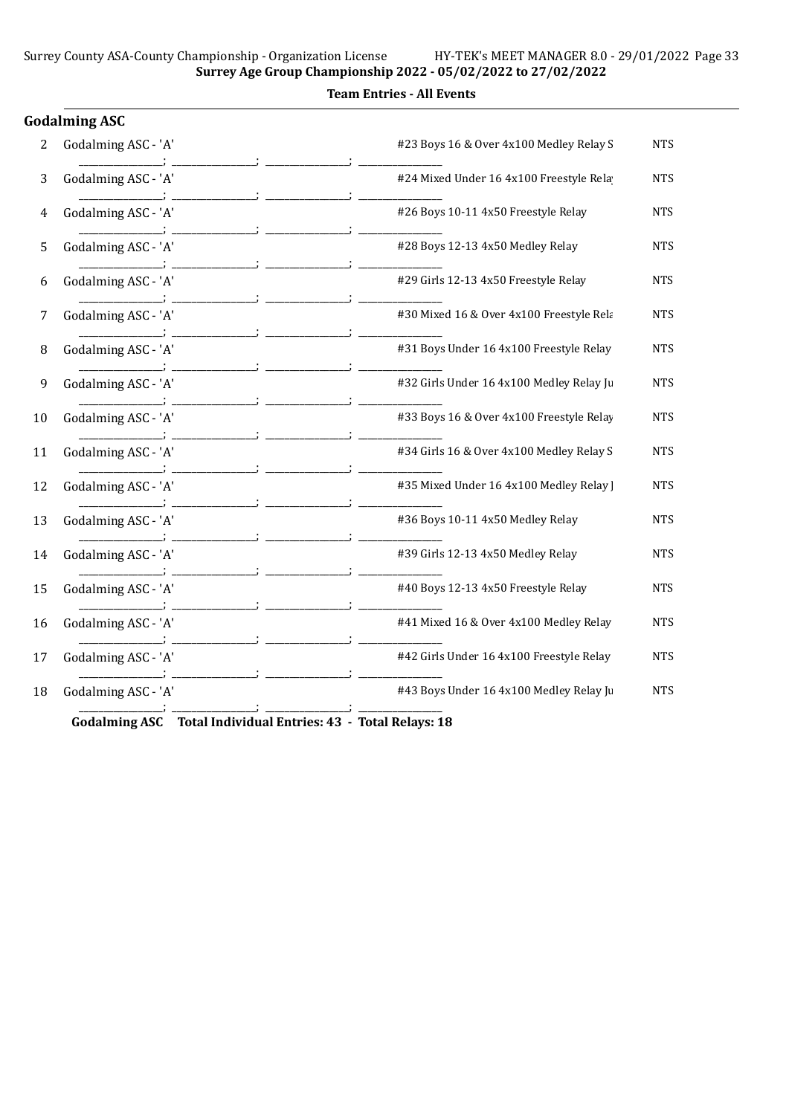|    | iodalming ASC       |                                          |            |
|----|---------------------|------------------------------------------|------------|
| 2  | Godalming ASC - 'A' | #23 Boys 16 & Over 4x100 Medley Relay S  | <b>NTS</b> |
| 3  | Godalming ASC - 'A' | #24 Mixed Under 16 4x100 Freestyle Rela  | <b>NTS</b> |
| 4  | Godalming ASC - 'A' | #26 Boys 10-11 4x50 Freestyle Relay      | <b>NTS</b> |
| 5  | Godalming ASC - 'A' | #28 Boys 12-13 4x50 Medley Relay         | <b>NTS</b> |
| 6  | Godalming ASC - 'A' | #29 Girls 12-13 4x50 Freestyle Relay     | <b>NTS</b> |
| 7  | Godalming ASC - 'A' | #30 Mixed 16 & Over 4x100 Freestyle Rela | <b>NTS</b> |
| 8  | Godalming ASC - 'A' | #31 Boys Under 16 4x100 Freestyle Relay  | <b>NTS</b> |
| 9  | Godalming ASC - 'A' | #32 Girls Under 16 4x100 Medley Relay Ju | <b>NTS</b> |
| 10 | Godalming ASC - 'A' | #33 Boys 16 & Over 4x100 Freestyle Relay | <b>NTS</b> |
| 11 | Godalming ASC - 'A' | #34 Girls 16 & Over 4x100 Medley Relay S | <b>NTS</b> |
| 12 | Godalming ASC - 'A' | #35 Mixed Under 16 4x100 Medley Relay ]  | <b>NTS</b> |
| 13 | Godalming ASC - 'A' | #36 Boys 10-11 4x50 Medley Relay         | <b>NTS</b> |
| 14 | Godalming ASC - 'A' | #39 Girls 12-13 4x50 Medley Relay        | <b>NTS</b> |
| 15 | Godalming ASC - 'A' | #40 Boys 12-13 4x50 Freestyle Relay      | <b>NTS</b> |
| 16 | Godalming ASC - 'A' | #41 Mixed 16 & Over 4x100 Medley Relay   | <b>NTS</b> |
| 17 | Godalming ASC - 'A' | #42 Girls Under 16 4x100 Freestyle Relay | <b>NTS</b> |
| 18 | Godalming ASC - 'A' | #43 Boys Under 16 4x100 Medley Relay Ju  | <b>NTS</b> |
|    |                     |                                          |            |

Godalming ASC Total Individual Entries: 43 - Total Relays: 18

### Godalming ASC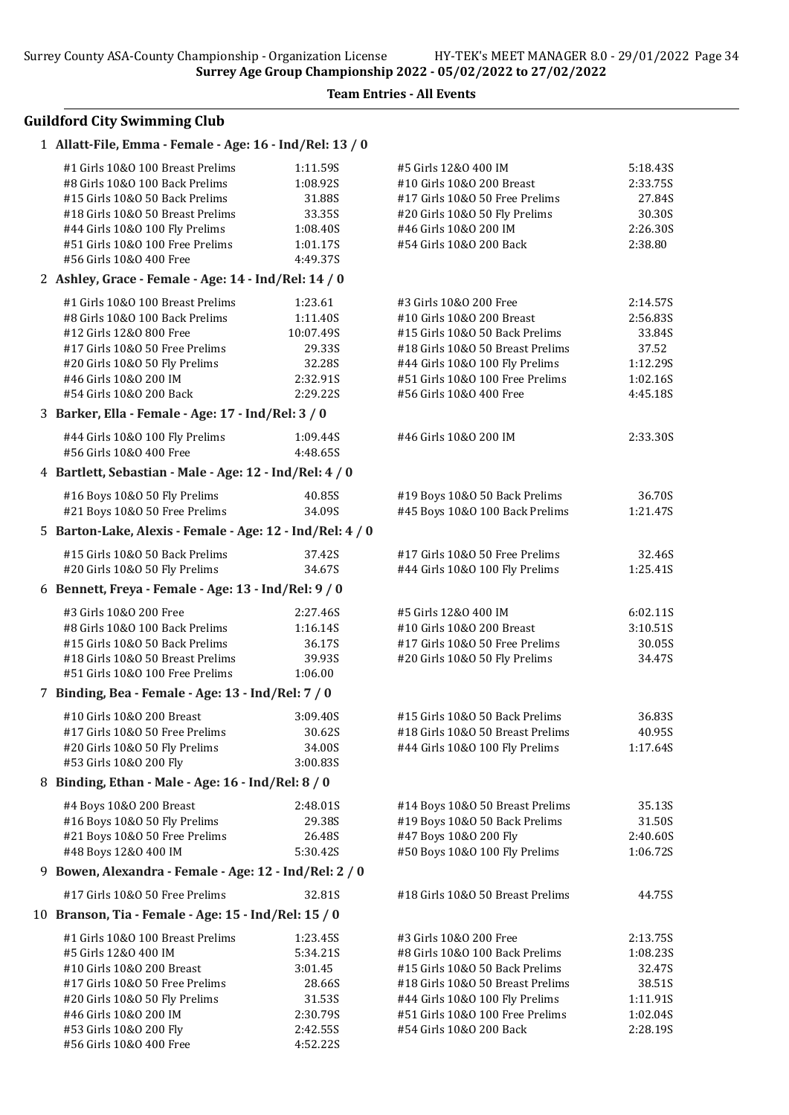#56 Girls 10&O 400 Free 4:52.22S

Team Entries - All Events

### Guildford City Swimming Club

## 1 Allatt-File, Emma - Female - Age: 16 - Ind/Rel: 13 / 0 #1 Girls 10&O 100 Breast Prelims 1:11.59S #5 Girls 12&O 400 IM 5:18.43S #8 Girls 10&O 100 Back Prelims 1:08.92S #10 Girls 10&O 200 Breast 2:33.75S #15 Girls 10&O 50 Back Prelims 31.88S #17 Girls 10&O 50 Free Prelims 27.84S #18 Girls 10&O 50 Breast Prelims 33.35S #20 Girls 10&O 50 Fly Prelims 30.30S #44 Girls 10&O 100 Fly Prelims 1:08.40S #46 Girls 10&O 200 IM 2:26.30S #51 Girls 10&O 100 Free Prelims 1:01.17S #54 Girls 10&O 200 Back 2:38.80 #56 Girls 10&O 400 Free 4:49.37S 2 Ashley, Grace - Female - Age: 14 - Ind/Rel: 14 / 0 #1 Girls 10&O 100 Breast Prelims 1:23.61 #3 Girls 10&O 200 Free 2:14.57S #8 Girls 10&O 100 Back Prelims 1:11.40S #10 Girls 10&O 200 Breast 2:56.83S #12 Girls 12&O 800 Free 10:07.49S #15 Girls 10&O 50 Back Prelims 33.84S #17 Girls 10&O 50 Free Prelims 29.33S #18 Girls 10&O 50 Breast Prelims 37.52 #20 Girls 10&O 50 Fly Prelims 32.28S #44 Girls 10&O 100 Fly Prelims 1:12.29S #46 Girls 10&O 200 IM 2:32.91S #51 Girls 10&O 100 Free Prelims 1:02.16S #54 Girls 10&O 200 Back 2:29.22S #56 Girls 10&O 400 Free 4:45.18S 3 Barker, Ella - Female - Age: 17 - Ind/Rel: 3 / 0 #44 Girls 10&O 100 Fly Prelims 1:09.44S #46 Girls 10&O 200 IM 2:33.30S #56 Girls 10&O 400 Free 4:48.65S 4 Bartlett, Sebastian - Male - Age: 12 - Ind/Rel: 4 / 0 #16 Boys 10&O 50 Fly Prelims 40.85S #19 Boys 10&O 50 Back Prelims 36.70S #21 Boys 10&O 50 Free Prelims 34.09S #45 Boys 10&O 100 Back Prelims 1:21.47S 5 Barton-Lake, Alexis - Female - Age: 12 - Ind/Rel: 4 / 0 #15 Girls 10&O 50 Back Prelims 37.42S #17 Girls 10&O 50 Free Prelims 32.46S #20 Girls 10&O 50 Fly Prelims 34.67S #44 Girls 10&O 100 Fly Prelims 1:25.41S 6 Bennett, Freya - Female - Age: 13 - Ind/Rel: 9 / 0 #3 Girls 10&O 200 Free 2:27.46S #5 Girls 12&O 400 IM 6:02.11S #8 Girls 10&O 100 Back Prelims 1:16.14S #10 Girls 10&O 200 Breast 3:10.51S #15 Girls 10&O 50 Back Prelims 36.17S #17 Girls 10&O 50 Free Prelims 30.05S #18 Girls 10&O 50 Breast Prelims 39.93S #20 Girls 10&O 50 Fly Prelims 34.47S #51 Girls 10&O 100 Free Prelims 1:06.00 7 Binding, Bea - Female - Age: 13 - Ind/Rel: 7 / 0 #10 Girls 10&O 200 Breast 3:09.40S #15 Girls 10&O 50 Back Prelims 36.83S #17 Girls 10&O 50 Free Prelims 30.62S #18 Girls 10&O 50 Breast Prelims 40.95S #20 Girls 10&O 50 Fly Prelims 34.00S #44 Girls 10&O 100 Fly Prelims 1:17.64S #53 Girls 10&O 200 Fly 3:00.83S 8 Binding, Ethan - Male - Age: 16 - Ind/Rel: 8 / 0 #4 Boys 10&O 200 Breast 2:48.01S #14 Boys 10&O 50 Breast Prelims 35.13S #16 Boys 10&O 50 Fly Prelims 29.38S #19 Boys 10&O 50 Back Prelims 31.50S #21 Boys 10&O 50 Free Prelims 26.48S #47 Boys 10&O 200 Fly 2:40.60S #48 Boys 12&O 400 IM 5:30.42S #50 Boys 10&O 100 Fly Prelims 1:06.72S 9 Bowen, Alexandra - Female - Age: 12 - Ind/Rel: 2 / 0 #17 Girls 10&O 50 Free Prelims 32.81S #18 Girls 10&O 50 Breast Prelims 44.75S 10 Branson, Tia - Female - Age: 15 - Ind/Rel: 15 / 0 #1 Girls 10&O 100 Breast Prelims 1:23.45S #3 Girls 10&O 200 Free 2:13.75S #5 Girls 12&O 400 IM 5:34.21S #8 Girls 10&O 100 Back Prelims 1:08.23S #10 Girls 10&O 200 Breast 3:01.45 #15 Girls 10&O 50 Back Prelims 32.47S #17 Girls 10&O 50 Free Prelims 28.66S #18 Girls 10&O 50 Breast Prelims 38.51S #20 Girls 10&O 50 Fly Prelims 31.53S #44 Girls 10&O 100 Fly Prelims 1:11.91S #46 Girls 10&O 200 IM 2:30.79S #51 Girls 10&O 100 Free Prelims 1:02.04S #53 Girls 10&O 200 Fly 2:42.55S #54 Girls 10&O 200 Back 2:28.19S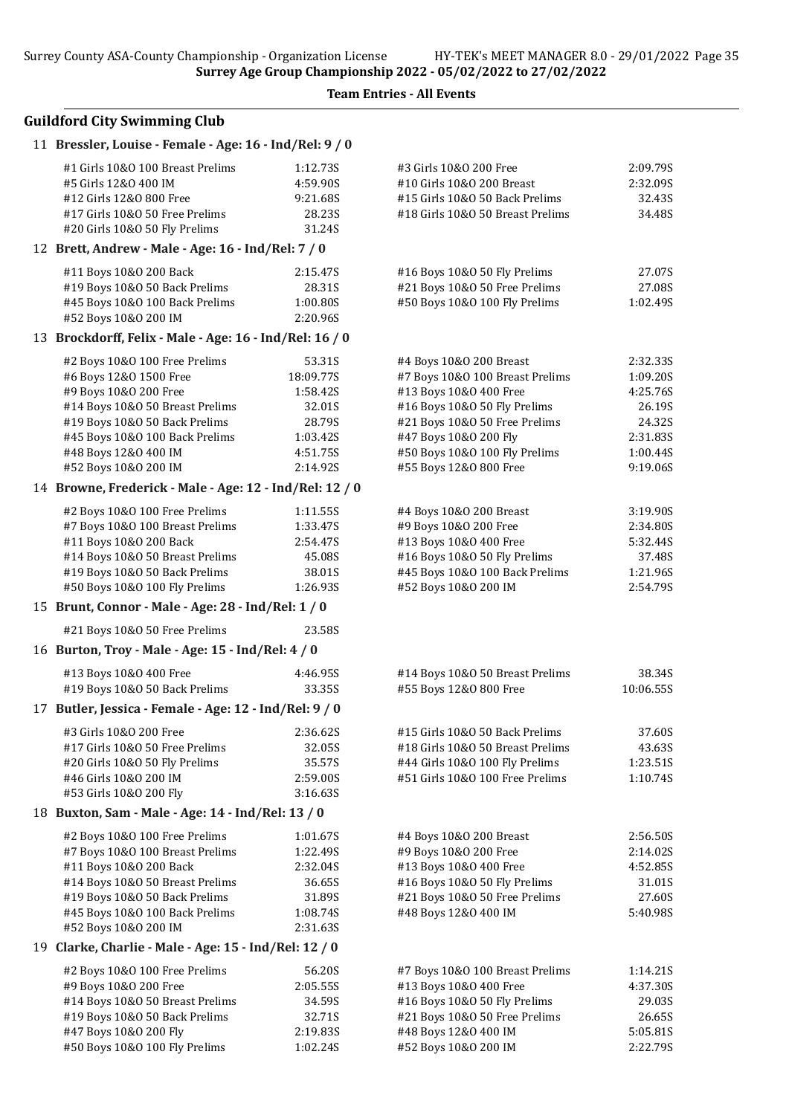Team Entries - All Events

### Guildford City Swimming Club

|  | 11 Bressler, Louise - Female - Age: 16 - Ind/Rel: 9 / 0         |                      |                                                                    |                    |
|--|-----------------------------------------------------------------|----------------------|--------------------------------------------------------------------|--------------------|
|  | #1 Girls 10&0 100 Breast Prelims                                | 1:12.73S             | #3 Girls 10&0 200 Free                                             | 2:09.79S           |
|  | #5 Girls 12&0 400 IM                                            | 4:59.90S             | #10 Girls 10&0 200 Breast                                          | 2:32.09S           |
|  | #12 Girls 12&0 800 Free                                         | 9:21.68S             | #15 Girls 10&0 50 Back Prelims                                     | 32.43S             |
|  | #17 Girls 10&0 50 Free Prelims                                  | 28.23S               | #18 Girls 10&0 50 Breast Prelims                                   | 34.48S             |
|  | #20 Girls 10&O 50 Fly Prelims                                   | 31.24S               |                                                                    |                    |
|  | 12 Brett, Andrew - Male - Age: 16 - Ind/Rel: 7 / 0              |                      |                                                                    |                    |
|  | #11 Boys 10&0 200 Back                                          | 2:15.47S             | #16 Boys 10&0 50 Fly Prelims                                       | 27.07S             |
|  | #19 Boys 10&0 50 Back Prelims                                   | 28.31S               | #21 Boys 10&0 50 Free Prelims                                      | 27.08S             |
|  | #45 Boys 10&0 100 Back Prelims<br>#52 Boys 10&0 200 IM          | 1:00.80S<br>2:20.96S | #50 Boys 10&0 100 Fly Prelims                                      | 1:02.49S           |
|  | 13 Brockdorff, Felix - Male - Age: 16 - Ind/Rel: 16 / 0         |                      |                                                                    |                    |
|  |                                                                 |                      |                                                                    |                    |
|  | #2 Boys 10&0 100 Free Prelims                                   | 53.31S               | #4 Boys 10&0 200 Breast                                            | 2:32.335           |
|  | #6 Boys 12&0 1500 Free                                          | 18:09.77S            | #7 Boys 10&0 100 Breast Prelims                                    | 1:09.20S           |
|  | #9 Boys 10&0 200 Free<br>#14 Boys 10&0 50 Breast Prelims        | 1:58.42S<br>32.01S   | #13 Boys 10&0 400 Free<br>#16 Boys 10&0 50 Fly Prelims             | 4:25.76S<br>26.19S |
|  | #19 Boys 10&0 50 Back Prelims                                   | 28.79S               | #21 Boys 10&0 50 Free Prelims                                      | 24.32S             |
|  | #45 Boys 10&0 100 Back Prelims                                  | 1:03.42S             | #47 Boys 10&0 200 Fly                                              | 2:31.83S           |
|  | #48 Boys 12&0 400 IM                                            | 4:51.75S             | #50 Boys 10&0 100 Fly Prelims                                      | 1:00.44S           |
|  | #52 Boys 10&0 200 IM                                            | 2:14.92S             | #55 Boys 12&0 800 Free                                             | 9:19.06S           |
|  | 14 Browne, Frederick - Male - Age: 12 - Ind/Rel: 12 / 0         |                      |                                                                    |                    |
|  | #2 Boys 10&0 100 Free Prelims                                   | 1:11.55S             | #4 Boys 10&0 200 Breast                                            | 3:19.90S           |
|  | #7 Boys 10&0 100 Breast Prelims                                 | 1:33.47S             | #9 Boys 10&0 200 Free                                              | 2:34.80S           |
|  | #11 Boys 10&0 200 Back                                          | 2:54.47S             | #13 Boys 10&0 400 Free                                             | 5:32.44S           |
|  | #14 Boys 10&0 50 Breast Prelims                                 | 45.08S               | #16 Boys 10&0 50 Fly Prelims                                       | 37.48S             |
|  | #19 Boys 10&0 50 Back Prelims                                   | 38.01S               | #45 Boys 10&0 100 Back Prelims                                     | 1:21.96S           |
|  | #50 Boys 10&0 100 Fly Prelims                                   | 1:26.93S             | #52 Boys 10&0 200 IM                                               | 2:54.79S           |
|  | 15 Brunt, Connor - Male - Age: 28 - Ind/Rel: 1 / 0              |                      |                                                                    |                    |
|  | #21 Boys 10&0 50 Free Prelims                                   | 23.58S               |                                                                    |                    |
|  | 16 Burton, Troy - Male - Age: 15 - Ind/Rel: 4 / 0               |                      |                                                                    |                    |
|  | #13 Boys 10&0 400 Free                                          | 4:46.95S             | #14 Boys 10&0 50 Breast Prelims                                    | 38.34S             |
|  | #19 Boys 10&0 50 Back Prelims                                   | 33.35S               | #55 Boys 12&0 800 Free                                             | 10:06.55S          |
|  | 17 Butler, Jessica - Female - Age: 12 - Ind/Rel: 9 / 0          |                      |                                                                    |                    |
|  |                                                                 |                      |                                                                    |                    |
|  | #3 Girls 10&O 200 Free                                          | 2:36.62S             | #15 Girls 10&0 50 Back Prelims                                     | 37.60S             |
|  | #17 Girls 10&O 50 Free Prelims<br>#20 Girls 10&O 50 Fly Prelims | 32.05S<br>35.57S     | #18 Girls 10&0 50 Breast Prelims<br>#44 Girls 10&0 100 Fly Prelims | 43.63S<br>1:23.51S |
|  | #46 Girls 10&0 200 IM                                           | 2:59.00S             | #51 Girls 10&0 100 Free Prelims                                    | 1:10.74S           |
|  | #53 Girls 10&0 200 Fly                                          | 3:16.63S             |                                                                    |                    |
|  | 18 Buxton, Sam - Male - Age: 14 - Ind/Rel: 13 / 0               |                      |                                                                    |                    |
|  | #2 Boys 10&0 100 Free Prelims                                   | 1:01.67S             | #4 Boys 10&0 200 Breast                                            | 2:56.50S           |
|  | #7 Boys 10&0 100 Breast Prelims                                 | 1:22.49S             | #9 Boys 10&0 200 Free                                              | 2:14.02S           |
|  | #11 Boys 10&0 200 Back                                          | 2:32.04S             | #13 Boys 10&0 400 Free                                             | 4:52.85S           |
|  | #14 Boys 10&0 50 Breast Prelims                                 | 36.65S               | #16 Boys 10&0 50 Fly Prelims                                       | 31.01S             |
|  | #19 Boys 10&0 50 Back Prelims                                   | 31.89S               | #21 Boys 10&0 50 Free Prelims                                      | 27.60S             |
|  | #45 Boys 10&0 100 Back Prelims                                  | 1:08.74S             | #48 Boys 12&0 400 IM                                               | 5:40.98S           |
|  | #52 Boys 10&0 200 IM                                            | 2:31.63S             |                                                                    |                    |
|  | 19 Clarke, Charlie - Male - Age: 15 - Ind/Rel: 12 / 0           |                      |                                                                    |                    |
|  | #2 Boys 10&0 100 Free Prelims                                   | 56.20S               | #7 Boys 10&0 100 Breast Prelims                                    | 1:14.21S           |
|  | #9 Boys 10&0 200 Free                                           | 2:05.55S             | #13 Boys 10&0 400 Free                                             | 4:37.30S           |
|  | #14 Boys 10&0 50 Breast Prelims                                 | 34.59S               | #16 Boys 10&0 50 Fly Prelims                                       | 29.03S             |
|  | #19 Boys 10&0 50 Back Prelims                                   | 32.71S               | #21 Boys 10&0 50 Free Prelims                                      | 26.65S             |
|  | #47 Boys 10&0 200 Fly                                           | 2:19.83S             | #48 Boys 12&0 400 IM                                               | 5:05.81S           |

#50 Boys 10&O 100 Fly Prelims 1:02.24S #52 Boys 10&O 200 IM 2:22.79S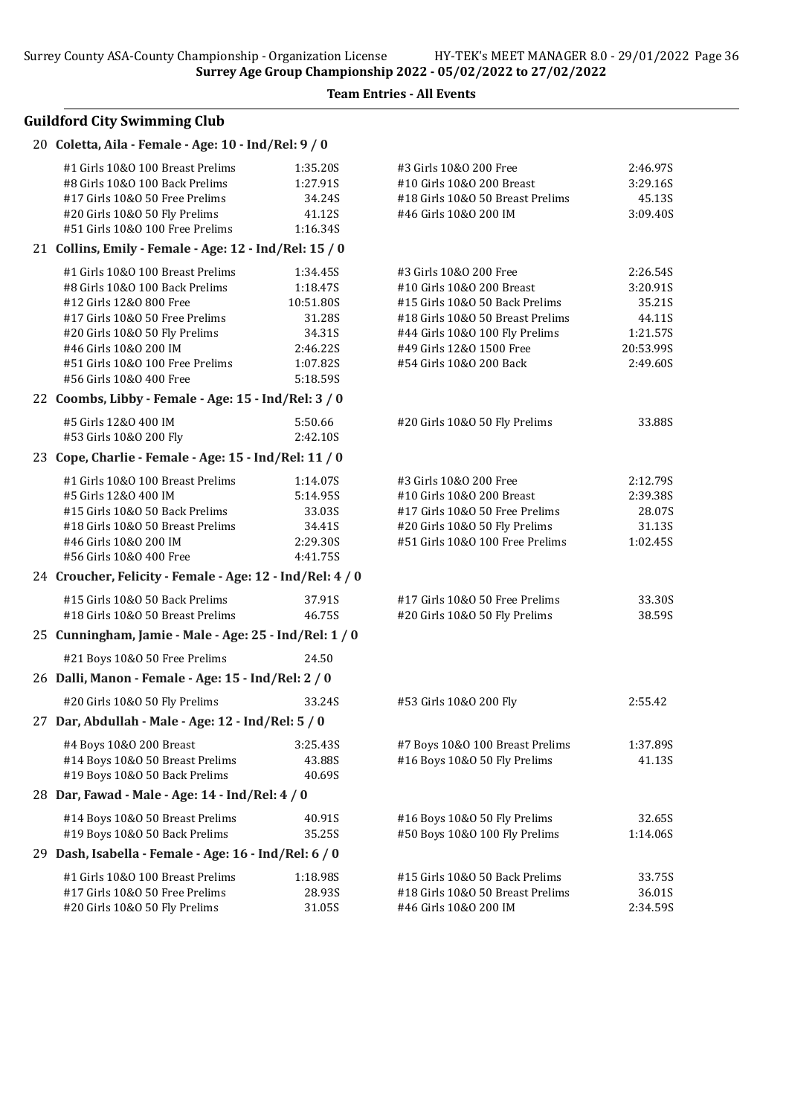### Team Entries - All Events

## Guildford City Swimming Club

| 20 Coletta, Aila - Female - Age: 10 - Ind/Rel: 9 / 0      |           |                                  |           |
|-----------------------------------------------------------|-----------|----------------------------------|-----------|
| #1 Girls 10&0 100 Breast Prelims                          | 1:35.20S  | #3 Girls 10&0 200 Free           | 2:46.97S  |
| #8 Girls 10&0 100 Back Prelims                            | 1:27.91S  | #10 Girls 10&0 200 Breast        | 3:29.16S  |
| #17 Girls 10&0 50 Free Prelims                            | 34.24S    | #18 Girls 10&0 50 Breast Prelims | 45.13S    |
| #20 Girls 10&O 50 Fly Prelims                             | 41.12S    | #46 Girls 10&0 200 IM            | 3:09.40S  |
| #51 Girls 10&0 100 Free Prelims                           | 1:16.34S  |                                  |           |
| 21 Collins, Emily - Female - Age: 12 - Ind/Rel: 15 / 0    |           |                                  |           |
| #1 Girls 10&0 100 Breast Prelims                          | 1:34.45S  | #3 Girls 10&0 200 Free           | 2:26.54S  |
| #8 Girls 10&0 100 Back Prelims                            | 1:18.47S  | #10 Girls 10&0 200 Breast        | 3:20.91S  |
| #12 Girls 12&0 800 Free                                   | 10:51.80S | #15 Girls 10&0 50 Back Prelims   | 35.21S    |
| #17 Girls 10&0 50 Free Prelims                            | 31.28S    | #18 Girls 10&0 50 Breast Prelims | 44.11S    |
| #20 Girls 10&0 50 Fly Prelims                             | 34.31S    | #44 Girls 10&0 100 Fly Prelims   | 1:21.57S  |
| #46 Girls 10&0 200 IM                                     | 2:46.22S  | #49 Girls 12&0 1500 Free         | 20:53.99S |
| #51 Girls 10&0 100 Free Prelims                           | 1:07.82S  | #54 Girls 10&0 200 Back          | 2:49.60S  |
| #56 Girls 10&0 400 Free                                   | 5:18.59S  |                                  |           |
| 22 Coombs, Libby - Female - Age: 15 - Ind/Rel: 3 / 0      |           |                                  |           |
| #5 Girls 12&0 400 IM                                      | 5:50.66   | #20 Girls 10&O 50 Fly Prelims    | 33.88S    |
| #53 Girls 10&0 200 Fly                                    | 2:42.10S  |                                  |           |
| 23 Cope, Charlie - Female - Age: 15 - Ind/Rel: 11 / 0     |           |                                  |           |
| #1 Girls 10&0 100 Breast Prelims                          | 1:14.07S  | #3 Girls 10&0 200 Free           | 2:12.79S  |
| #5 Girls 12&0 400 IM                                      | 5:14.95S  | #10 Girls 10&0 200 Breast        | 2:39.38S  |
| #15 Girls 10&0 50 Back Prelims                            | 33.03S    | #17 Girls 10&O 50 Free Prelims   | 28.07S    |
| #18 Girls 10&0 50 Breast Prelims                          | 34.41S    | #20 Girls 10&0 50 Fly Prelims    | 31.13S    |
| #46 Girls 10&0 200 IM                                     | 2:29.30S  | #51 Girls 10&0 100 Free Prelims  | 1:02.45S  |
| #56 Girls 10&0 400 Free                                   | 4:41.75S  |                                  |           |
| 24 Croucher, Felicity - Female - Age: 12 - Ind/Rel: 4 / 0 |           |                                  |           |
| #15 Girls 10&0 50 Back Prelims                            | 37.91S    | #17 Girls 10&0 50 Free Prelims   | 33.30S    |
| #18 Girls 10&0 50 Breast Prelims                          | 46.75S    | #20 Girls 10&O 50 Fly Prelims    | 38.59S    |
| 25 Cunningham, Jamie - Male - Age: 25 - Ind/Rel: 1 / 0    |           |                                  |           |
| #21 Boys 10&0 50 Free Prelims                             | 24.50     |                                  |           |
| 26 Dalli, Manon - Female - Age: 15 - Ind/Rel: 2 / 0       |           |                                  |           |
| #20 Girls 10&O 50 Fly Prelims                             | 33.24S    | #53 Girls 10&0 200 Fly           | 2:55.42   |
| 27 Dar, Abdullah - Male - Age: 12 - Ind/Rel: 5 / 0        |           |                                  |           |
| #4 Boys 10&0 200 Breast                                   | 3:25.43S  | #7 Boys 10&0 100 Breast Prelims  | 1:37.89S  |
| #14 Boys 10&0 50 Breast Prelims                           | 43.88S    | #16 Boys 10&0 50 Fly Prelims     | 41.13S    |
| #19 Boys 10&0 50 Back Prelims                             | 40.69S    |                                  |           |
| 28 Dar, Fawad - Male - Age: 14 - Ind/Rel: 4 / 0           |           |                                  |           |
| #14 Boys 10&0 50 Breast Prelims                           | 40.91S    | #16 Boys 10&0 50 Fly Prelims     | 32.65S    |
| #19 Boys 10&0 50 Back Prelims                             | 35.25S    | #50 Boys 10&0 100 Fly Prelims    | 1:14.06S  |
| 29 Dash, Isabella - Female - Age: 16 - Ind/Rel: 6 / 0     |           |                                  |           |
| #1 Girls 10&0 100 Breast Prelims                          | 1:18.98S  | #15 Girls 10&0 50 Back Prelims   | 33.75S    |
| #17 Girls 10&0 50 Free Prelims                            | 28.93S    | #18 Girls 10&0 50 Breast Prelims | 36.01S    |
| #20 Girls 10&O 50 Fly Prelims                             | 31.05S    | #46 Girls 10&0 200 IM            | 2:34.59S  |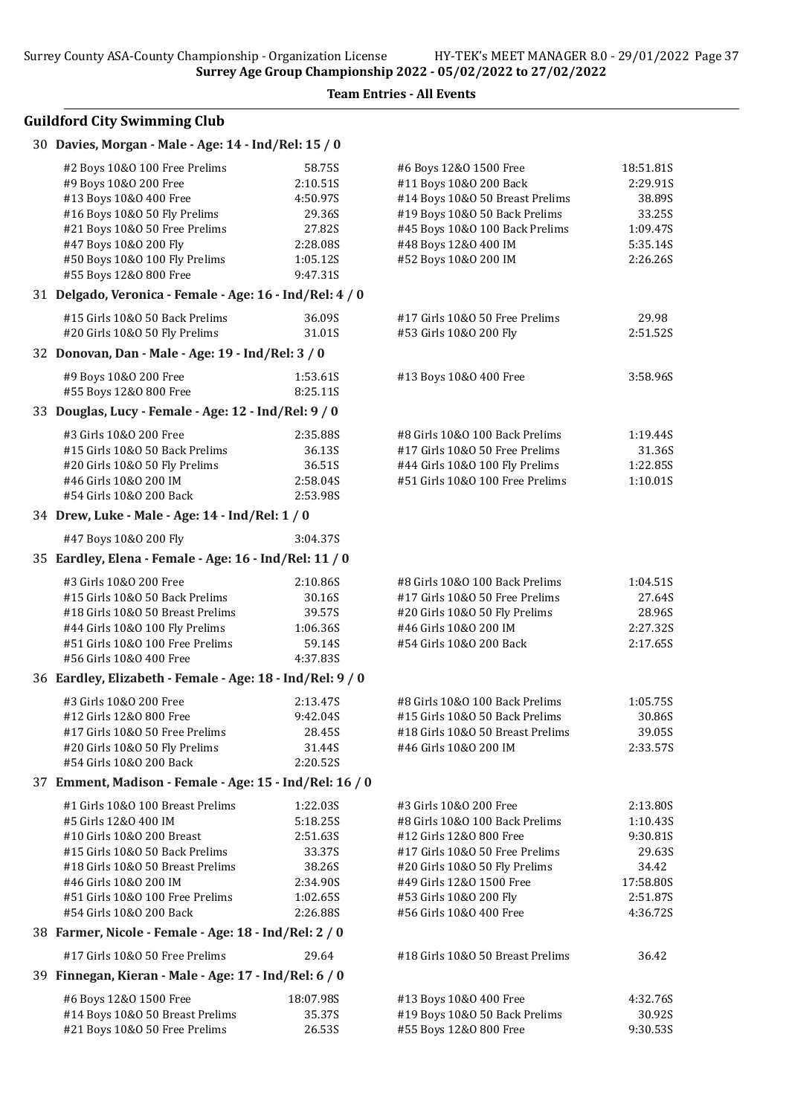# Guildford City Swimming Club

#### 30 Davies, Morgan - Male - Age: 14 - Ind/Rel: 15 / 0

| #2 Boys 10&0 100 Free Prelims                                      | 58.75S             | #6 Boys 12&0 1500 Free                                          | 18:51.81S          |
|--------------------------------------------------------------------|--------------------|-----------------------------------------------------------------|--------------------|
| #9 Boys 10&0 200 Free                                              | 2:10.51S           | #11 Boys 10&0 200 Back                                          | 2:29.91S           |
| #13 Boys 10&0 400 Free                                             | 4:50.97S           | #14 Boys 10&0 50 Breast Prelims                                 | 38.89S             |
| #16 Boys 10&0 50 Fly Prelims                                       | 29.36S             | #19 Boys 10&0 50 Back Prelims                                   | 33.25S             |
| #21 Boys 10&0 50 Free Prelims                                      | 27.82S             | #45 Boys 10&0 100 Back Prelims                                  | 1:09.47S           |
| #47 Boys 10&0 200 Fly                                              | 2:28.085           | #48 Boys 12&0 400 IM                                            | 5:35.14S           |
| #50 Boys 10&0 100 Fly Prelims                                      | 1:05.12S           | #52 Boys 10&0 200 IM                                            | 2:26.26S           |
| #55 Boys 12&0 800 Free                                             | 9:47.31S           |                                                                 |                    |
| 31 Delgado, Veronica - Female - Age: 16 - Ind/Rel: 4 / 0           |                    |                                                                 |                    |
| #15 Girls 10&0 50 Back Prelims                                     | 36.09S             | #17 Girls 10&0 50 Free Prelims                                  | 29.98              |
| #20 Girls 10&O 50 Fly Prelims                                      | 31.01S             | #53 Girls 10&0 200 Fly                                          | 2:51.52S           |
| 32 Donovan, Dan - Male - Age: 19 - Ind/Rel: 3 / 0                  |                    |                                                                 |                    |
| #9 Boys 10&0 200 Free                                              | 1:53.61S           | #13 Boys 10&0 400 Free                                          | 3:58.96S           |
| #55 Boys 12&0 800 Free                                             | 8:25.11S           |                                                                 |                    |
| 33 Douglas, Lucy - Female - Age: 12 - Ind/Rel: 9 / 0               |                    |                                                                 |                    |
| #3 Girls 10&0 200 Free                                             | 2:35.88S           | #8 Girls 10&0 100 Back Prelims                                  | 1:19.44S           |
| #15 Girls 10&0 50 Back Prelims                                     | 36.13S             | #17 Girls 10&0 50 Free Prelims                                  | 31.36S             |
| #20 Girls 10&0 50 Fly Prelims                                      | 36.51S             | #44 Girls 10&0 100 Fly Prelims                                  | 1:22.85S           |
| #46 Girls 10&0 200 IM                                              | 2:58.04S           | #51 Girls 10&0 100 Free Prelims                                 | 1:10.01S           |
| #54 Girls 10&0 200 Back                                            | 2:53.98S           |                                                                 |                    |
| 34 Drew, Luke - Male - Age: 14 - Ind/Rel: 1 / 0                    |                    |                                                                 |                    |
| #47 Boys 10&0 200 Fly                                              | 3:04.37S           |                                                                 |                    |
| 35 Eardley, Elena - Female - Age: 16 - Ind/Rel: 11 / 0             |                    |                                                                 |                    |
|                                                                    |                    |                                                                 |                    |
| #3 Girls 10&0 200 Free                                             | 2:10.86S           | #8 Girls 10&0 100 Back Prelims                                  | 1:04.51S           |
| #15 Girls 10&0 50 Back Prelims                                     | 30.16S             | #17 Girls 10&0 50 Free Prelims                                  | 27.64S             |
| #18 Girls 10&0 50 Breast Prelims                                   | 39.57S             | #20 Girls 10&O 50 Fly Prelims<br>#46 Girls 10&0 200 IM          | 28.96S<br>2:27.32S |
| #44 Girls 10&0 100 Fly Prelims<br>#51 Girls 10&0 100 Free Prelims  | 1:06.36S<br>59.14S | #54 Girls 10&0 200 Back                                         | 2:17.65S           |
| #56 Girls 10&0 400 Free                                            | 4:37.83S           |                                                                 |                    |
| 36 Eardley, Elizabeth - Female - Age: 18 - Ind/Rel: 9 / 0          |                    |                                                                 |                    |
|                                                                    |                    |                                                                 |                    |
| #3 Girls 10&0 200 Free                                             | 2:13.47S           | #8 Girls 10&0 100 Back Prelims                                  | 1:05.75S           |
| #12 Girls 12&0 800 Free                                            | 9:42.04S<br>28.45S | #15 Girls 10&0 50 Back Prelims                                  | 30.86S             |
| #17 Girls 10&0 50 Free Prelims                                     | 31.44S             | #18 Girls 10&0 50 Breast Prelims<br>#46 Girls 10&0 200 IM       | 39.05S<br>2:33.57S |
| #20 Girls 10&O 50 Fly Prelims<br>#54 Girls 10&0 200 Back           | 2:20.52S           |                                                                 |                    |
| 37 Emment, Madison - Female - Age: 15 - Ind/Rel: 16 / 0            |                    |                                                                 |                    |
|                                                                    |                    |                                                                 |                    |
| #1 Girls 10&0 100 Breast Prelims                                   | 1:22.03S           | #3 Girls 10&0 200 Free                                          | 2:13.80S           |
| #5 Girls 12&0 400 IM                                               | 5:18.25S           | #8 Girls 10&0 100 Back Prelims                                  | 1:10.43S           |
| #10 Girls 10&0 200 Breast                                          | 2:51.63S           | #12 Girls 12&0 800 Free                                         | 9:30.81S           |
| #15 Girls 10&0 50 Back Prelims<br>#18 Girls 10&0 50 Breast Prelims | 33.37S<br>38.26S   | #17 Girls 10&0 50 Free Prelims<br>#20 Girls 10&O 50 Fly Prelims | 29.63S<br>34.42    |
| #46 Girls 10&0 200 IM                                              | 2:34.90S           | #49 Girls 12&0 1500 Free                                        | 17:58.80S          |
| #51 Girls 10&0 100 Free Prelims                                    | 1:02.65S           | #53 Girls 10&0 200 Fly                                          | 2:51.87S           |
| #54 Girls 10&0 200 Back                                            | 2:26.88S           | #56 Girls 10&0 400 Free                                         | 4:36.72S           |
| 38 Farmer, Nicole - Female - Age: 18 - Ind/Rel: 2 / 0              |                    |                                                                 |                    |
| #17 Girls 10&0 50 Free Prelims                                     | 29.64              | #18 Girls 10&0 50 Breast Prelims                                | 36.42              |
| 39 Finnegan, Kieran - Male - Age: 17 - Ind/Rel: 6 / 0              |                    |                                                                 |                    |
|                                                                    |                    |                                                                 |                    |
| #6 Boys 12&0 1500 Free                                             | 18:07.98S          | #13 Boys 10&0 400 Free                                          | 4:32.76S           |
| #14 Boys 10&0 50 Breast Prelims                                    | 35.37S             | #19 Boys 10&0 50 Back Prelims                                   | 30.92S             |
| #21 Boys 10&0 50 Free Prelims                                      | 26.53S             | #55 Boys 12&0 800 Free                                          | 9:30.53S           |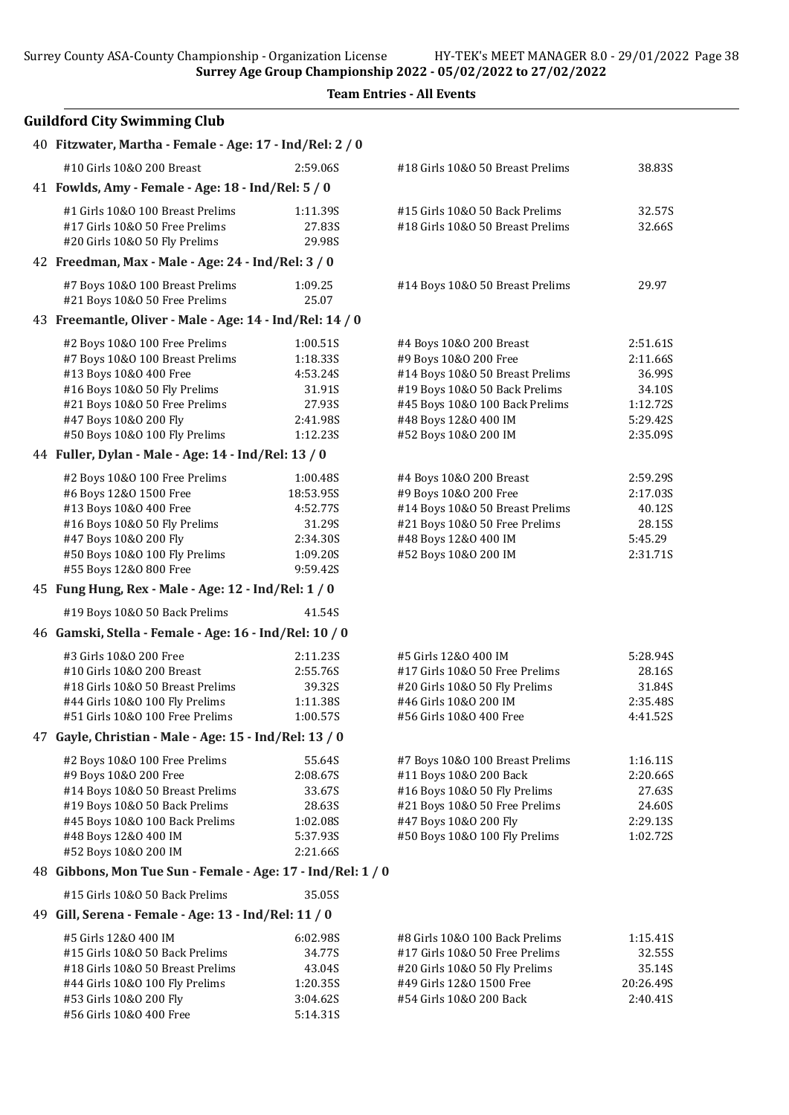|  | <b>Team Entries - All Events</b> |  |  |
|--|----------------------------------|--|--|
|--|----------------------------------|--|--|

| <b>Guildford City Swimming Club</b>                              |                    |                                                        |                      |
|------------------------------------------------------------------|--------------------|--------------------------------------------------------|----------------------|
| 40 Fitzwater, Martha - Female - Age: 17 - Ind/Rel: 2 / 0         |                    |                                                        |                      |
| #10 Girls 10&0 200 Breast                                        | 2:59.06S           | #18 Girls 10&0 50 Breast Prelims                       | 38.83S               |
| 41 Fowlds, Amy - Female - Age: 18 - Ind/Rel: 5 / 0               |                    |                                                        |                      |
| #1 Girls 10&0 100 Breast Prelims                                 | 1:11.39S           | #15 Girls 10&0 50 Back Prelims                         | 32.57S               |
| #17 Girls 10&0 50 Free Prelims                                   | 27.83S             | #18 Girls 10&0 50 Breast Prelims                       | 32.66S               |
| #20 Girls 10&O 50 Fly Prelims                                    | 29.98S             |                                                        |                      |
| 42 Freedman, Max - Male - Age: 24 - Ind/Rel: 3 / 0               |                    |                                                        |                      |
| #7 Boys 10&0 100 Breast Prelims<br>#21 Boys 10&0 50 Free Prelims | 1:09.25<br>25.07   | #14 Boys 10&0 50 Breast Prelims                        | 29.97                |
| 43 Freemantle, Oliver - Male - Age: 14 - Ind/Rel: 14 / 0         |                    |                                                        |                      |
| #2 Boys 10&0 100 Free Prelims                                    | 1:00.51S           | #4 Boys 10&0 200 Breast                                | 2:51.615             |
| #7 Boys 10&0 100 Breast Prelims                                  | 1:18.33S           | #9 Boys 10&0 200 Free                                  | 2:11.66S             |
| #13 Boys 10&0 400 Free                                           | 4:53.24S           | #14 Boys 10&0 50 Breast Prelims                        | 36.99S               |
| #16 Boys 10&0 50 Fly Prelims                                     | 31.91S             | #19 Boys 10&0 50 Back Prelims                          | 34.10S               |
| #21 Boys 10&0 50 Free Prelims                                    | 27.93S<br>2:41.98S | #45 Boys 10&0 100 Back Prelims                         | 1:12.72S<br>5:29.42S |
| #47 Boys 10&0 200 Fly<br>#50 Boys 10&0 100 Fly Prelims           | 1:12.235           | #48 Boys 12&0 400 IM<br>#52 Boys 10&0 200 IM           | 2:35.09S             |
| 44 Fuller, Dylan - Male - Age: 14 - Ind/Rel: 13 / 0              |                    |                                                        |                      |
| #2 Boys 10&0 100 Free Prelims                                    | 1:00.48S           | #4 Boys 10&0 200 Breast                                | 2:59.295             |
| #6 Boys 12&0 1500 Free                                           | 18:53.95S          | #9 Boys 10&0 200 Free                                  | 2:17.03S             |
| #13 Boys 10&0 400 Free                                           | 4:52.77S           | #14 Boys 10&0 50 Breast Prelims                        | 40.12S               |
| #16 Boys 10&0 50 Fly Prelims                                     | 31.29S             | #21 Boys 10&0 50 Free Prelims                          | 28.15S               |
| #47 Boys 10&0 200 Fly                                            | 2:34.30S           | #48 Boys 12&0 400 IM                                   | 5:45.29              |
| #50 Boys 10&0 100 Fly Prelims                                    | 1:09.20S           | #52 Boys 10&0 200 IM                                   | 2:31.71S             |
| #55 Boys 12&0 800 Free                                           | 9:59.42S           |                                                        |                      |
| 45 Fung Hung, Rex - Male - Age: 12 - Ind/Rel: 1 / 0              |                    |                                                        |                      |
| #19 Boys 10&0 50 Back Prelims                                    | 41.54S             |                                                        |                      |
| 46 Gamski, Stella - Female - Age: 16 - Ind/Rel: 10 / 0           |                    |                                                        |                      |
| #3 Girls 10&0 200 Free                                           | 2:11.235           | #5 Girls 12&0 400 IM                                   | 5:28.94S             |
| #10 Girls 10&0 200 Breast                                        | 2:55.76S           | #17 Girls 10&O 50 Free Prelims                         | 28.16S               |
| #18 Girls 10&0 50 Breast Prelims                                 | 39.32S             | #20 Girls 10&O 50 Fly Prelims                          | 31.84S               |
| #44 Girls 10&0 100 Fly Prelims                                   | 1:11.38S           | #46 Girls 10&0 200 IM                                  | 2:35.48S             |
| #51 Girls 10&0 100 Free Prelims                                  | 1:00.57S           | #56 Girls 10&0 400 Free                                | 4:41.52S             |
| 47 Gayle, Christian - Male - Age: 15 - Ind/Rel: 13 / 0           |                    |                                                        |                      |
| #2 Boys 10&0 100 Free Prelims                                    | 55.64S             | #7 Boys 10&0 100 Breast Prelims                        | 1:16.11S             |
| #9 Boys 10&0 200 Free<br>#14 Boys 10&0 50 Breast Prelims         | 2:08.67S<br>33.67S | #11 Boys 10&0 200 Back<br>#16 Boys 10&0 50 Fly Prelims | 2:20.66S<br>27.63S   |
| #19 Boys 10&0 50 Back Prelims                                    | 28.63S             | #21 Boys 10&0 50 Free Prelims                          | 24.60S               |
| #45 Boys 10&0 100 Back Prelims                                   | 1:02.08S           | #47 Boys 10&0 200 Fly                                  | 2:29.13S             |
| #48 Boys 12&0 400 IM                                             | 5:37.93S           | #50 Boys 10&0 100 Fly Prelims                          | 1:02.72S             |
| #52 Boys 10&0 200 IM                                             | 2:21.66S           |                                                        |                      |
| 48 Gibbons, Mon Tue Sun - Female - Age: 17 - Ind/Rel: 1 / 0      |                    |                                                        |                      |
| #15 Girls 10&0 50 Back Prelims                                   | 35.05S             |                                                        |                      |
| 49 Gill, Serena - Female - Age: 13 - Ind/Rel: 11 / 0             |                    |                                                        |                      |
| #5 Girls 12&0 400 IM                                             | 6:02.98S           | #8 Girls 10&0 100 Back Prelims                         | 1:15.41S             |
| #15 Girls 10&0 50 Back Prelims                                   | 34.77S             | #17 Girls 10&0 50 Free Prelims                         | 32.55S               |
| #18 Girls 10&0 50 Breast Prelims                                 | 43.04S             | #20 Girls 10&O 50 Fly Prelims                          | 35.14S               |
| #44 Girls 10&0 100 Fly Prelims                                   | 1:20.35S           | #49 Girls 12&0 1500 Free                               | 20:26.49S            |
| #53 Girls 10&0 200 Fly                                           | 3:04.62S           | #54 Girls 10&0 200 Back                                | 2:40.41S             |
| #56 Girls 10&0 400 Free                                          | 5:14.31S           |                                                        |                      |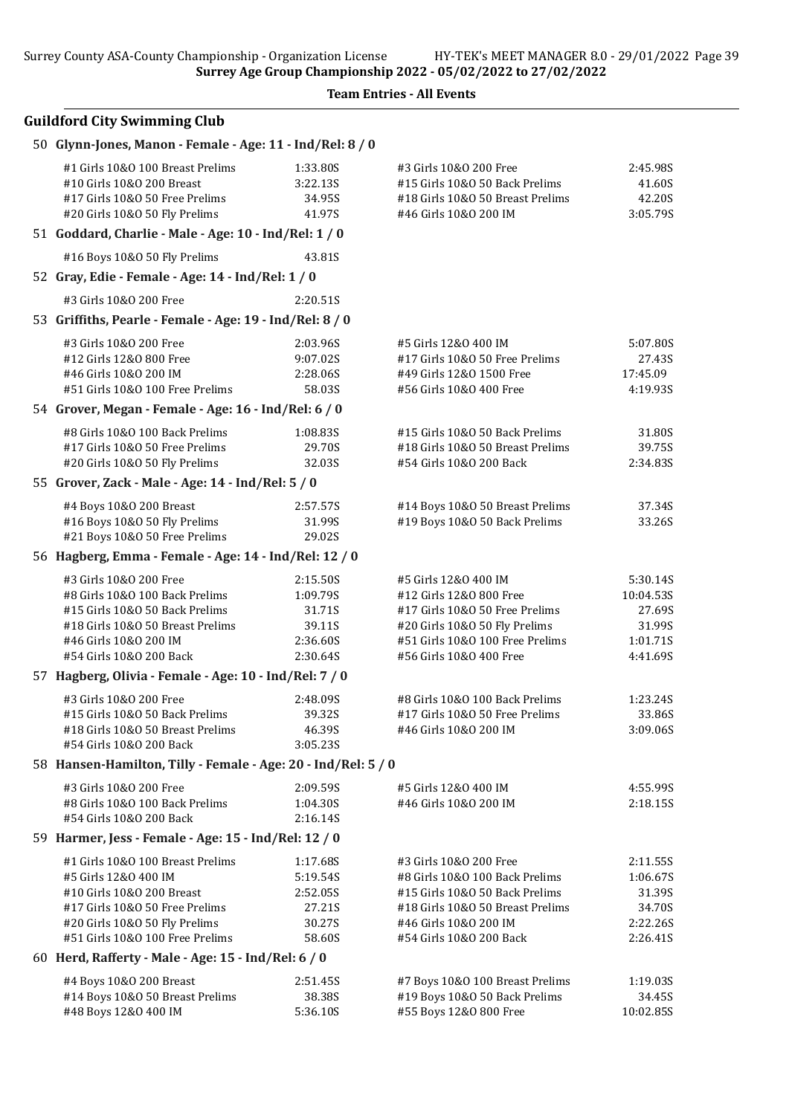Team Entries - All Events

| 50 Glynn-Jones, Manon - Female - Age: 11 - Ind/Rel: 8 / 0                                                                        |                                          |                                                                                                                       |                                          |
|----------------------------------------------------------------------------------------------------------------------------------|------------------------------------------|-----------------------------------------------------------------------------------------------------------------------|------------------------------------------|
| #1 Girls 10&0 100 Breast Prelims<br>#10 Girls 10&0 200 Breast<br>#17 Girls 10&0 50 Free Prelims<br>#20 Girls 10&0 50 Fly Prelims | 1:33.80S<br>3:22.13S<br>34.95S<br>41.97S | #3 Girls 10&0 200 Free<br>#15 Girls 10&0 50 Back Prelims<br>#18 Girls 10&0 50 Breast Prelims<br>#46 Girls 10&0 200 IM | 2:45.98S<br>41.60S<br>42.20S<br>3:05.79S |
| 51 Goddard, Charlie - Male - Age: 10 - Ind/Rel: 1 / 0                                                                            |                                          |                                                                                                                       |                                          |
| #16 Boys 10&0 50 Fly Prelims                                                                                                     | 43.81S                                   |                                                                                                                       |                                          |
| 52 Gray, Edie - Female - Age: 14 - Ind/Rel: 1 / 0                                                                                |                                          |                                                                                                                       |                                          |
| #3 Girls 10&0 200 Free                                                                                                           | 2:20.51S                                 |                                                                                                                       |                                          |
| 53 Griffiths, Pearle - Female - Age: 19 - Ind/Rel: 8 / 0                                                                         |                                          |                                                                                                                       |                                          |
| #3 Girls 10&0 200 Free                                                                                                           | 2:03.96S                                 | #5 Girls 12&0 400 IM                                                                                                  | 5:07.80S                                 |
| #12 Girls 12&0 800 Free                                                                                                          | 9:07.02S                                 | #17 Girls 10&0 50 Free Prelims                                                                                        | 27.43S                                   |
| #46 Girls 10&0 200 IM                                                                                                            | 2:28.06S                                 | #49 Girls 12&0 1500 Free                                                                                              | 17:45.09                                 |
| #51 Girls 10&0 100 Free Prelims                                                                                                  | 58.03S                                   | #56 Girls 10&0 400 Free                                                                                               | 4:19.93S                                 |
| 54 Grover, Megan - Female - Age: 16 - Ind/Rel: 6 / 0                                                                             |                                          |                                                                                                                       |                                          |
| #8 Girls 10&0 100 Back Prelims                                                                                                   | 1:08.83S                                 | #15 Girls 10&0 50 Back Prelims                                                                                        | 31.80S                                   |
| #17 Girls 10&0 50 Free Prelims                                                                                                   | 29.70S                                   | #18 Girls 10&0 50 Breast Prelims                                                                                      | 39.75S                                   |
| #20 Girls 10&O 50 Fly Prelims                                                                                                    | 32.03S                                   | #54 Girls 10&0 200 Back                                                                                               | 2:34.835                                 |
| 55 Grover, Zack - Male - Age: 14 - Ind/Rel: 5 / 0                                                                                |                                          |                                                                                                                       |                                          |
| #4 Boys 10&0 200 Breast                                                                                                          | 2:57.57S                                 | #14 Boys 10&0 50 Breast Prelims                                                                                       | 37.34S                                   |
| #16 Boys 10&0 50 Fly Prelims                                                                                                     | 31.99S                                   | #19 Boys 10&0 50 Back Prelims                                                                                         | 33.26S                                   |
| #21 Boys 10&0 50 Free Prelims                                                                                                    | 29.02S                                   |                                                                                                                       |                                          |
| 56 Hagberg, Emma - Female - Age: 14 - Ind/Rel: 12 / 0                                                                            |                                          |                                                                                                                       |                                          |
| #3 Girls 10&0 200 Free                                                                                                           | 2:15.50S                                 | #5 Girls 12&0 400 IM                                                                                                  | 5:30.14S                                 |
| #8 Girls 10&0 100 Back Prelims                                                                                                   | 1:09.79S                                 | #12 Girls 12&0 800 Free                                                                                               | 10:04.53S                                |
| #15 Girls 10&0 50 Back Prelims                                                                                                   | 31.71S                                   | #17 Girls 10&0 50 Free Prelims                                                                                        | 27.69S                                   |
| #18 Girls 10&0 50 Breast Prelims                                                                                                 | 39.11S                                   | #20 Girls 10&O 50 Fly Prelims                                                                                         | 31.99S                                   |
| #46 Girls 10&0 200 IM                                                                                                            | 2:36.60S                                 | #51 Girls 10&0 100 Free Prelims                                                                                       | 1:01.71S                                 |
| #54 Girls 10&0 200 Back                                                                                                          | 2:30.64S                                 | #56 Girls 10&O 400 Free                                                                                               | 4:41.69S                                 |
| 57 Hagberg, Olivia - Female - Age: 10 - Ind/Rel: 7 / 0                                                                           |                                          |                                                                                                                       |                                          |
| #3 Girls 10&0 200 Free                                                                                                           | 2:48.09S                                 | #8 Girls 10&0 100 Back Prelims                                                                                        | 1:23.24S                                 |
| #15 Girls 10&0 50 Back Prelims                                                                                                   | 39.32S                                   | #17 Girls 10&0 50 Free Prelims                                                                                        | 33.86S                                   |
| #18 Girls 10&0 50 Breast Prelims                                                                                                 | 46.39S                                   | #46 Girls 10&0 200 IM                                                                                                 | 3:09.06S                                 |
| #54 Girls 10&0 200 Back                                                                                                          | 3:05.23S                                 |                                                                                                                       |                                          |
| 58 Hansen-Hamilton, Tilly - Female - Age: 20 - Ind/Rel: 5 / 0                                                                    |                                          |                                                                                                                       |                                          |
| #3 Girls 10&0 200 Free                                                                                                           | 2:09.59S                                 | #5 Girls 12&0 400 IM                                                                                                  | 4:55.99S                                 |
| #8 Girls 10&0 100 Back Prelims                                                                                                   | 1:04.30S                                 | #46 Girls 10&0 200 IM                                                                                                 | 2:18.15S                                 |
| #54 Girls 10&0 200 Back<br>59 Harmer, Jess - Female - Age: 15 - Ind/Rel: 12 / 0                                                  | 2:16.14S                                 |                                                                                                                       |                                          |
|                                                                                                                                  |                                          |                                                                                                                       |                                          |
| #1 Girls 10&0 100 Breast Prelims                                                                                                 | 1:17.68S                                 | #3 Girls 10&0 200 Free                                                                                                | 2:11.55S                                 |
| #5 Girls 12&0 400 IM                                                                                                             | 5:19.54S                                 | #8 Girls 10&0 100 Back Prelims                                                                                        | 1:06.67S                                 |
| #10 Girls 10&0 200 Breast<br>#17 Girls 10&0 50 Free Prelims                                                                      | 2:52.05S<br>27.21S                       | #15 Girls 10&0 50 Back Prelims<br>#18 Girls 10&0 50 Breast Prelims                                                    | 31.39S<br>34.70S                         |
| #20 Girls 10&O 50 Fly Prelims                                                                                                    | 30.27S                                   | #46 Girls 10&0 200 IM                                                                                                 | 2:22.26S                                 |
| #51 Girls 10&0 100 Free Prelims                                                                                                  | 58.60S                                   | #54 Girls 10&0 200 Back                                                                                               | 2:26.41S                                 |
| 60 Herd, Rafferty - Male - Age: 15 - Ind/Rel: 6 / 0                                                                              |                                          |                                                                                                                       |                                          |
| #4 Boys 10&0 200 Breast                                                                                                          | 2:51.45S                                 | #7 Boys 10&0 100 Breast Prelims                                                                                       | 1:19.03S                                 |
| #14 Boys 10&0 50 Breast Prelims                                                                                                  | 38.38S                                   | #19 Boys 10&0 50 Back Prelims                                                                                         | 34.45S                                   |
| #48 Boys 12&0 400 IM                                                                                                             | 5:36.10S                                 | #55 Boys 12&0 800 Free                                                                                                | 10:02.85S                                |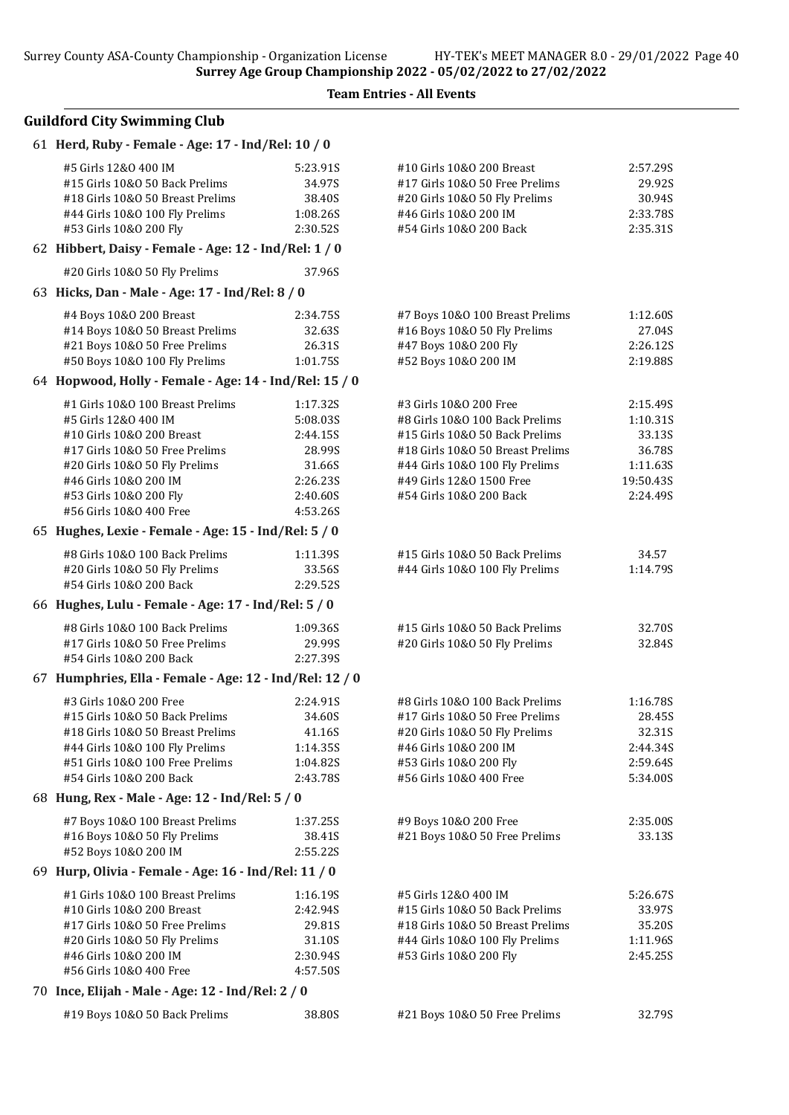Team Entries - All Events

| 61 Herd, Ruby - Female - Age: 17 - Ind/Rel: 10 / 0                                                                                                     |                                                      |                                                                                                                                                  |                                                      |
|--------------------------------------------------------------------------------------------------------------------------------------------------------|------------------------------------------------------|--------------------------------------------------------------------------------------------------------------------------------------------------|------------------------------------------------------|
| #5 Girls 12&0 400 IM<br>#15 Girls 10&0 50 Back Prelims<br>#18 Girls 10&0 50 Breast Prelims<br>#44 Girls 10&0 100 Fly Prelims<br>#53 Girls 10&0 200 Fly | 5:23.91S<br>34.97S<br>38.40S<br>1:08.26S<br>2:30.52S | #10 Girls 10&0 200 Breast<br>#17 Girls 10&0 50 Free Prelims<br>#20 Girls 10&O 50 Fly Prelims<br>#46 Girls 10&0 200 IM<br>#54 Girls 10&0 200 Back | 2:57.29S<br>29.92S<br>30.94S<br>2:33.78S<br>2:35.31S |
| 62 Hibbert, Daisy - Female - Age: 12 - Ind/Rel: 1 / 0                                                                                                  |                                                      |                                                                                                                                                  |                                                      |
| #20 Girls 10&0 50 Fly Prelims                                                                                                                          | 37.96S                                               |                                                                                                                                                  |                                                      |
| 63 Hicks, Dan - Male - Age: 17 - Ind/Rel: 8 / 0                                                                                                        |                                                      |                                                                                                                                                  |                                                      |
| #4 Boys 10&0 200 Breast                                                                                                                                | 2:34.755                                             | #7 Boys 10&0 100 Breast Prelims                                                                                                                  | 1:12.60S                                             |
| #14 Boys 10&0 50 Breast Prelims                                                                                                                        | 32.63S                                               | #16 Boys 10&0 50 Fly Prelims                                                                                                                     | 27.04S                                               |
| #21 Boys 10&0 50 Free Prelims                                                                                                                          | 26.31S                                               | #47 Boys 10&0 200 Fly                                                                                                                            | 2:26.125                                             |
| #50 Boys 10&0 100 Fly Prelims                                                                                                                          | 1:01.75S                                             | #52 Boys 10&0 200 IM                                                                                                                             | 2:19.88S                                             |
| 64 Hopwood, Holly - Female - Age: 14 - Ind/Rel: 15 / 0                                                                                                 |                                                      |                                                                                                                                                  |                                                      |
| #1 Girls 10&0 100 Breast Prelims                                                                                                                       | 1:17.32S                                             | #3 Girls 10&0 200 Free                                                                                                                           | 2:15.49S                                             |
| #5 Girls 12&0 400 IM                                                                                                                                   | 5:08.03S                                             | #8 Girls 10&0 100 Back Prelims                                                                                                                   | 1:10.31S                                             |
| #10 Girls 10&0 200 Breast                                                                                                                              | 2:44.155                                             | #15 Girls 10&0 50 Back Prelims                                                                                                                   | 33.13S                                               |
| #17 Girls 10&0 50 Free Prelims                                                                                                                         | 28.99S                                               | #18 Girls 10&0 50 Breast Prelims                                                                                                                 | 36.78S                                               |
| #20 Girls 10&0 50 Fly Prelims<br>#46 Girls 10&0 200 IM                                                                                                 | 31.66S                                               | #44 Girls 10&0 100 Fly Prelims<br>#49 Girls 12&0 1500 Free                                                                                       | 1:11.63S                                             |
| #53 Girls 10&0 200 Fly                                                                                                                                 | 2:26.23S<br>2:40.60S                                 | #54 Girls 10&0 200 Back                                                                                                                          | 19:50.43S<br>2:24.49S                                |
| #56 Girls 10&0 400 Free                                                                                                                                | 4:53.26S                                             |                                                                                                                                                  |                                                      |
| 65 Hughes, Lexie - Female - Age: 15 - Ind/Rel: 5 / 0                                                                                                   |                                                      |                                                                                                                                                  |                                                      |
| #8 Girls 10&0 100 Back Prelims                                                                                                                         | 1:11.39S                                             | #15 Girls 10&0 50 Back Prelims                                                                                                                   | 34.57                                                |
| #20 Girls 10&0 50 Fly Prelims                                                                                                                          | 33.56S                                               | #44 Girls 10&0 100 Fly Prelims                                                                                                                   | 1:14.79S                                             |
| #54 Girls 10&0 200 Back                                                                                                                                | 2:29.52S                                             |                                                                                                                                                  |                                                      |
| 66 Hughes, Lulu - Female - Age: 17 - Ind/Rel: 5 / 0                                                                                                    |                                                      |                                                                                                                                                  |                                                      |
| #8 Girls 10&0 100 Back Prelims                                                                                                                         | 1:09.36S                                             | #15 Girls 10&0 50 Back Prelims                                                                                                                   | 32.70S                                               |
| #17 Girls 10&0 50 Free Prelims                                                                                                                         | 29.99S                                               | #20 Girls 10&O 50 Fly Prelims                                                                                                                    | 32.84S                                               |
| #54 Girls 10&0 200 Back                                                                                                                                | 2:27.39S                                             |                                                                                                                                                  |                                                      |
| 67 Humphries, Ella - Female - Age: 12 - Ind/Rel: 12 / 0                                                                                                |                                                      |                                                                                                                                                  |                                                      |
| #3 Girls 10&0 200 Free                                                                                                                                 | 2:24.91S                                             | #8 Girls 10&0 100 Back Prelims                                                                                                                   | 1:16.78S                                             |
| #15 Girls 10&0 50 Back Prelims                                                                                                                         | 34.60S                                               | #17 Girls 10&0 50 Free Prelims                                                                                                                   | 28.45S                                               |
| #18 Girls 10&0 50 Breast Prelims                                                                                                                       | 41.16S                                               | #20 Girls 10&0 50 Fly Prelims                                                                                                                    | 32.31S                                               |
| #44 Girls 10&0 100 Fly Prelims<br>#51 Girls 10&0 100 Free Prelims                                                                                      | 1:14.35S<br>1:04.82S                                 | #46 Girls 10&0 200 IM                                                                                                                            | 2:44.34S                                             |
| #54 Girls 10&0 200 Back                                                                                                                                | 2:43.78S                                             | #53 Girls 10&0 200 Fly<br>#56 Girls 10&0 400 Free                                                                                                | 2:59.64S<br>5:34.00S                                 |
| 68 Hung, Rex - Male - Age: 12 - Ind/Rel: 5 / 0                                                                                                         |                                                      |                                                                                                                                                  |                                                      |
| #7 Boys 10&0 100 Breast Prelims                                                                                                                        | 1:37.25S                                             | #9 Boys 10&O 200 Free                                                                                                                            | 2:35.00S                                             |
| #16 Boys 10&0 50 Fly Prelims                                                                                                                           | 38.41S                                               | #21 Boys 10&0 50 Free Prelims                                                                                                                    | 33.13S                                               |
| #52 Boys 10&0 200 IM                                                                                                                                   | 2:55.22S                                             |                                                                                                                                                  |                                                      |
| 69 Hurp, Olivia - Female - Age: 16 - Ind/Rel: 11 / 0                                                                                                   |                                                      |                                                                                                                                                  |                                                      |
| #1 Girls 10&0 100 Breast Prelims                                                                                                                       | 1:16.19S                                             | #5 Girls 12&0 400 IM                                                                                                                             | 5:26.67S                                             |
| #10 Girls 10&0 200 Breast                                                                                                                              | 2:42.94S                                             | #15 Girls 10&0 50 Back Prelims                                                                                                                   | 33.97S                                               |
| #17 Girls 10&O 50 Free Prelims                                                                                                                         | 29.81S                                               | #18 Girls 10&0 50 Breast Prelims                                                                                                                 | 35.20S                                               |
| #20 Girls 10&O 50 Fly Prelims                                                                                                                          | 31.10S                                               | #44 Girls 10&0 100 Fly Prelims                                                                                                                   | 1:11.96S                                             |
| #46 Girls 10&0 200 IM                                                                                                                                  | 2:30.94S                                             | #53 Girls 10&0 200 Fly                                                                                                                           | 2:45.25S                                             |
| #56 Girls 10&0 400 Free                                                                                                                                | 4:57.50S                                             |                                                                                                                                                  |                                                      |
| 70 Ince, Elijah - Male - Age: 12 - Ind/Rel: 2 / 0                                                                                                      |                                                      |                                                                                                                                                  |                                                      |
| #19 Boys 10&0 50 Back Prelims                                                                                                                          | 38.80S                                               | #21 Boys 10&0 50 Free Prelims                                                                                                                    | 32.79S                                               |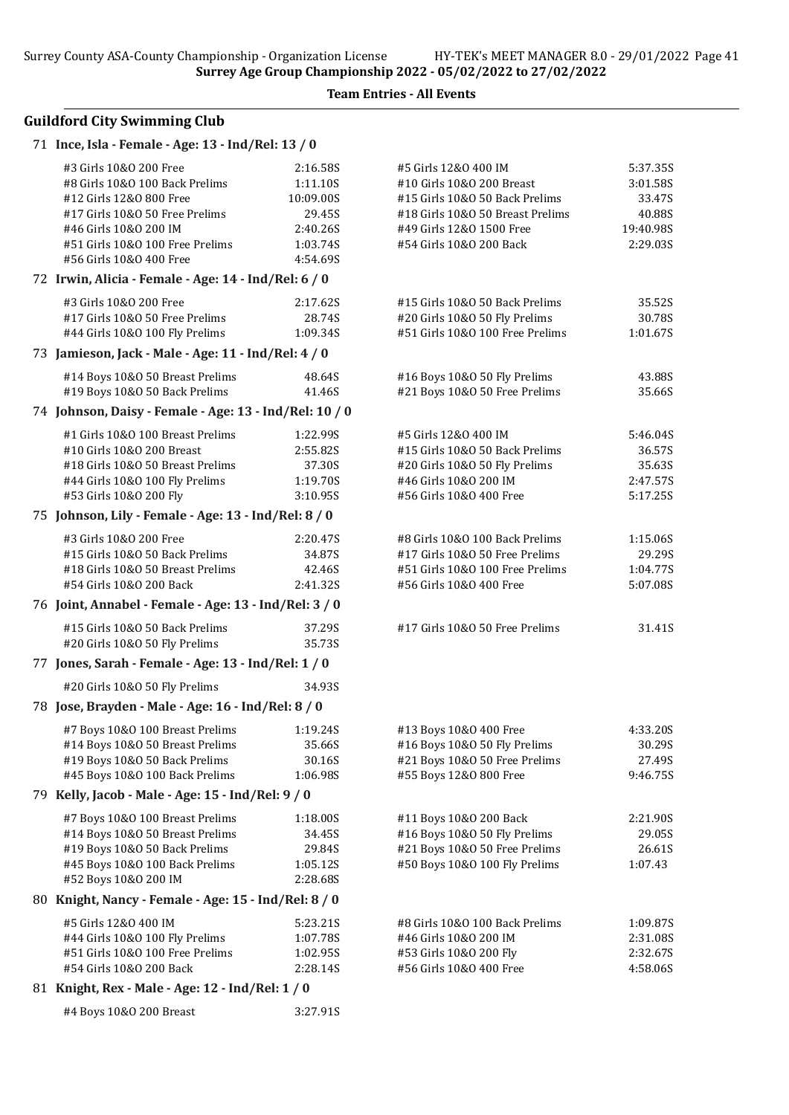#4 Boys 10&O 200 Breast 3:27.91S

Team Entries - All Events

| 71 Ince, Isla - Female - Age: 13 - Ind/Rel: 13 / 0                                                                                                                                                           |                                                                                 |                                                                                                                                                                                |                                                                   |
|--------------------------------------------------------------------------------------------------------------------------------------------------------------------------------------------------------------|---------------------------------------------------------------------------------|--------------------------------------------------------------------------------------------------------------------------------------------------------------------------------|-------------------------------------------------------------------|
| #3 Girls 10&0 200 Free<br>#8 Girls 10&0 100 Back Prelims<br>#12 Girls 12&0 800 Free<br>#17 Girls 10&0 50 Free Prelims<br>#46 Girls 10&0 200 IM<br>#51 Girls 10&0 100 Free Prelims<br>#56 Girls 10&0 400 Free | 2:16.58S<br>1:11.10S<br>10:09.00S<br>29.45S<br>2:40.26S<br>1:03.74S<br>4:54.69S | #5 Girls 12&0 400 IM<br>#10 Girls 10&0 200 Breast<br>#15 Girls 10&0 50 Back Prelims<br>#18 Girls 10&0 50 Breast Prelims<br>#49 Girls 12&0 1500 Free<br>#54 Girls 10&0 200 Back | 5:37.35S<br>3:01.58S<br>33.47S<br>40.88S<br>19:40.98S<br>2:29.03S |
| 72 Irwin, Alicia - Female - Age: 14 - Ind/Rel: 6 / 0                                                                                                                                                         |                                                                                 |                                                                                                                                                                                |                                                                   |
| #3 Girls 10&0 200 Free<br>#17 Girls 10&0 50 Free Prelims<br>#44 Girls 10&0 100 Fly Prelims<br>73 Jamieson, Jack - Male - Age: 11 - Ind/Rel: 4 / 0                                                            | 2:17.62S<br>28.74S<br>1:09.34S                                                  | #15 Girls 10&0 50 Back Prelims<br>#20 Girls 10&O 50 Fly Prelims<br>#51 Girls 10&0 100 Free Prelims                                                                             | 35.52S<br>30.78S<br>1:01.67S                                      |
| #14 Boys 10&0 50 Breast Prelims                                                                                                                                                                              | 48.64S                                                                          | #16 Boys 10&0 50 Fly Prelims                                                                                                                                                   | 43.88S                                                            |
| #19 Boys 10&0 50 Back Prelims                                                                                                                                                                                | 41.46S                                                                          | #21 Boys 10&0 50 Free Prelims                                                                                                                                                  | 35.66S                                                            |
| 74 Johnson, Daisy - Female - Age: 13 - Ind/Rel: 10 / 0                                                                                                                                                       |                                                                                 |                                                                                                                                                                                |                                                                   |
| #1 Girls 10&0 100 Breast Prelims<br>#10 Girls 10&0 200 Breast<br>#18 Girls 10&0 50 Breast Prelims<br>#44 Girls 10&0 100 Fly Prelims<br>#53 Girls 10&0 200 Fly                                                | 1:22.99S<br>2:55.82S<br>37.30S<br>1:19.70S<br>3:10.95S                          | #5 Girls 12&0 400 IM<br>#15 Girls 10&0 50 Back Prelims<br>#20 Girls 10&O 50 Fly Prelims<br>#46 Girls 10&0 200 IM<br>#56 Girls 10&O 400 Free                                    | 5:46.04S<br>36.57S<br>35.63S<br>2:47.57S<br>5:17.25S              |
| 75 Johnson, Lily - Female - Age: 13 - Ind/Rel: 8 / 0                                                                                                                                                         |                                                                                 |                                                                                                                                                                                |                                                                   |
| #3 Girls 10&0 200 Free<br>#15 Girls 10&0 50 Back Prelims<br>#18 Girls 10&0 50 Breast Prelims<br>#54 Girls 10&0 200 Back                                                                                      | 2:20.47S<br>34.87S<br>42.46S<br>2:41.32S                                        | #8 Girls 10&0 100 Back Prelims<br>#17 Girls 10&0 50 Free Prelims<br>#51 Girls 10&0 100 Free Prelims<br>#56 Girls 10&O 400 Free                                                 | 1:15.06S<br>29.29S<br>1:04.77S<br>5:07.08S                        |
| 76 Joint, Annabel - Female - Age: 13 - Ind/Rel: 3 / 0                                                                                                                                                        |                                                                                 |                                                                                                                                                                                |                                                                   |
| #15 Girls 10&0 50 Back Prelims<br>#20 Girls 10&O 50 Fly Prelims                                                                                                                                              | 37.29S<br>35.73S                                                                | #17 Girls 10&0 50 Free Prelims                                                                                                                                                 | 31.41S                                                            |
| 77 Jones, Sarah - Female - Age: 13 - Ind/Rel: 1 / 0                                                                                                                                                          |                                                                                 |                                                                                                                                                                                |                                                                   |
| #20 Girls 10&0 50 Fly Prelims                                                                                                                                                                                | 34.93S                                                                          |                                                                                                                                                                                |                                                                   |
| 78 Jose, Brayden - Male - Age: 16 - Ind/Rel: 8 / 0                                                                                                                                                           |                                                                                 |                                                                                                                                                                                |                                                                   |
| #7 Boys 10&0 100 Breast Prelims<br>#14 Boys 10&0 50 Breast Prelims<br>#19 Boys 10&0 50 Back Prelims<br>#45 Boys 10&0 100 Back Prelims                                                                        | 1:19.24S<br>35.66S<br>30.16S<br>1:06.98S                                        | #13 Boys 10&0 400 Free<br>#16 Boys 10&0 50 Fly Prelims<br>#21 Boys 10&0 50 Free Prelims<br>#55 Boys 12&0 800 Free                                                              | 4:33.20S<br>30.29S<br>27.49S<br>9:46.75S                          |
| 79 Kelly, Jacob - Male - Age: 15 - Ind/Rel: 9 / 0                                                                                                                                                            |                                                                                 |                                                                                                                                                                                |                                                                   |
| #7 Boys 10&0 100 Breast Prelims<br>#14 Boys 10&0 50 Breast Prelims<br>#19 Boys 10&0 50 Back Prelims<br>#45 Boys 10&0 100 Back Prelims<br>#52 Boys 10&0 200 IM                                                | 1:18.00S<br>34.45S<br>29.84S<br>1:05.12S<br>2:28.68S                            | #11 Boys 10&0 200 Back<br>#16 Boys 10&0 50 Fly Prelims<br>#21 Boys 10&0 50 Free Prelims<br>#50 Boys 10&0 100 Fly Prelims                                                       | 2:21.90S<br>29.05S<br>26.61S<br>1:07.43                           |
| 80 Knight, Nancy - Female - Age: 15 - Ind/Rel: 8 / 0                                                                                                                                                         |                                                                                 |                                                                                                                                                                                |                                                                   |
| #5 Girls 12&0 400 IM<br>#44 Girls 10&0 100 Fly Prelims<br>#51 Girls 10&0 100 Free Prelims<br>#54 Girls 10&0 200 Back<br>81 Knight, Rex - Male - Age: 12 - Ind/Rel: 1 / 0                                     | 5:23.21S<br>1:07.78S<br>1:02.95S<br>2:28.14S                                    | #8 Girls 10&0 100 Back Prelims<br>#46 Girls 10&0 200 IM<br>#53 Girls 10&0 200 Fly<br>#56 Girls 10&O 400 Free                                                                   | 1:09.87S<br>2:31.08S<br>2:32.67S<br>4:58.06S                      |
|                                                                                                                                                                                                              |                                                                                 |                                                                                                                                                                                |                                                                   |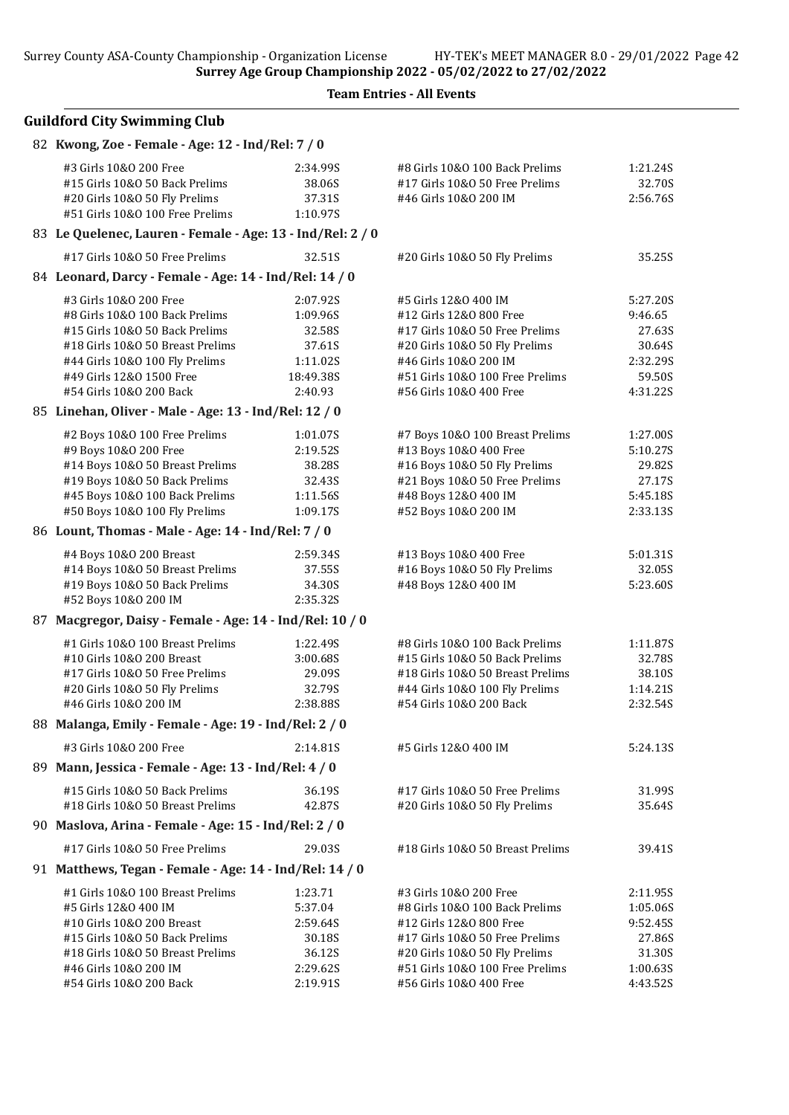Surrey County ASA-County Championship - Organization License HY-TEK's MEET MANAGER 8.0 - 29/01/2022 Page 42

Surrey Age Group Championship 2022 - 05/02/2022 to 27/02/2022

#### Team Entries - All Events

# Guildford City Swimming Club 82 Kwong, Zoe - Female - Age: 12 - Ind/Rel: 7 / 0 #3 Girls 10&O 200 Free 2:34.99S #8 Girls 10&O 100 Back Prelims 1:21.24S #15 Girls 10&O 50 Back Prelims 38.06S #17 Girls 10&O 50 Free Prelims 32.70S #20 Girls 10&O 50 Fly Prelims 37.31S #46 Girls 10&O 200 IM 2:56.76S #51 Girls 10&0 100 Free Prelims 83 Le Quelenec, Lauren - Female - Age: 13 - Ind/Rel: 2 / 0 #17 Girls 10&O 50 Free Prelims 32.51S #20 Girls 10&O 50 Fly Prelims 35.25S  $94$  Leonard, Darcy - Female - Age: 14 - Ind  $\Delta$ Del: 14 / 0

|    | 84    Leonard,  Darcy • remale • Age:  14 • mu/ Rei:  14 /  0 |           |                                  |          |
|----|---------------------------------------------------------------|-----------|----------------------------------|----------|
|    | #3 Girls 10&0 200 Free                                        | 2:07.92S  | #5 Girls 12&0 400 IM             | 5:27.20S |
|    | #8 Girls 10&0 100 Back Prelims                                | 1:09.96S  | #12 Girls 12&0 800 Free          | 9:46.65  |
|    | #15 Girls 10&0 50 Back Prelims                                | 32.58S    | #17 Girls 10&0 50 Free Prelims   | 27.63S   |
|    | #18 Girls 10&0 50 Breast Prelims                              | 37.61S    | #20 Girls 10&O 50 Fly Prelims    | 30.64S   |
|    | #44 Girls 10&0 100 Fly Prelims                                | 1:11.02S  | #46 Girls 10&0 200 IM            | 2:32.29S |
|    | #49 Girls 12&0 1500 Free                                      | 18:49.38S | #51 Girls 10&0 100 Free Prelims  | 59.50S   |
|    | #54 Girls 10&0 200 Back                                       | 2:40.93   | #56 Girls 10&0 400 Free          | 4:31.22S |
|    | 85 Linehan, Oliver - Male - Age: 13 - Ind/Rel: 12 / 0         |           |                                  |          |
|    | #2 Boys 10&0 100 Free Prelims                                 | 1:01.07S  | #7 Boys 10&0 100 Breast Prelims  | 1:27.00S |
|    | #9 Boys 10&0 200 Free                                         | 2:19.52S  | #13 Boys 10&0 400 Free           | 5:10.27S |
|    | #14 Boys 10&0 50 Breast Prelims                               | 38.28S    | #16 Boys 10&0 50 Fly Prelims     | 29.82S   |
|    | #19 Boys 10&0 50 Back Prelims                                 | 32.43S    | #21 Boys 10&0 50 Free Prelims    | 27.17S   |
|    | #45 Boys 10&0 100 Back Prelims                                | 1:11.56S  | #48 Boys 12&0 400 IM             | 5:45.18S |
|    | #50 Boys 10&0 100 Fly Prelims                                 | 1:09.17S  | #52 Boys 10&0 200 IM             | 2:33.13S |
|    | 86 Lount, Thomas - Male - Age: 14 - Ind/Rel: 7 / 0            |           |                                  |          |
|    | #4 Boys 10&0 200 Breast                                       | 2:59.34S  | #13 Boys 10&0 400 Free           | 5:01.31S |
|    | #14 Boys 10&0 50 Breast Prelims                               | 37.55S    | #16 Boys 10&0 50 Fly Prelims     | 32.05S   |
|    | #19 Boys 10&0 50 Back Prelims                                 | 34.30S    | #48 Boys 12&0 400 IM             | 5:23.60S |
|    | #52 Boys 10&0 200 IM                                          | 2:35.32S  |                                  |          |
| 87 | Macgregor, Daisy - Female - Age: 14 - Ind/Rel: 10 / 0         |           |                                  |          |
|    | #1 Girls 10&0 100 Breast Prelims                              | 1:22.49S  | #8 Girls 10&0 100 Back Prelims   | 1:11.87S |
|    | #10 Girls 10&0 200 Breast                                     | 3:00.68S  | #15 Girls 10&0 50 Back Prelims   | 32.78S   |
|    | #17 Girls 10&0 50 Free Prelims                                | 29.09S    | #18 Girls 10&0 50 Breast Prelims | 38.10S   |
|    | #20 Girls 10&0 50 Fly Prelims                                 | 32.79S    | #44 Girls 10&0 100 Fly Prelims   | 1:14.21S |
|    | #46 Girls 10&0 200 IM                                         | 2:38.88S  | #54 Girls 10&0 200 Back          | 2:32.54S |
|    | 88 Malanga, Emily - Female - Age: 19 - Ind/Rel: 2 / 0         |           |                                  |          |
|    | #3 Girls 10&0 200 Free                                        | 2:14.81S  | #5 Girls 12&0 400 IM             | 5:24.13S |
|    | 89 Mann, Jessica - Female - Age: 13 - Ind/Rel: 4 / 0          |           |                                  |          |
|    | #15 Girls 10&0 50 Back Prelims                                | 36.19S    | #17 Girls 10&O 50 Free Prelims   | 31.99S   |
|    | #18 Girls 10&0 50 Breast Prelims                              | 42.87S    | #20 Girls 10&0 50 Fly Prelims    | 35.64S   |

### 90 Maslova, Arina - Female - Age: 15 - Ind/Rel: 2 / 0

#17 Girls 10&O 50 Free Prelims 29.03S #18 Girls 10&O 50 Breast Prelims 39.41S

#### 91 Matthews, Tegan - Female - Age: 14 - Ind/Rel: 14 / 0

| #1 Girls 10&0 100 Breast Prelims | 1:23.71  | #3 Girls 10&0 200 Free          | 2:11.95S |
|----------------------------------|----------|---------------------------------|----------|
| #5 Girls 12&0 400 IM             | 5:37.04  | #8 Girls 10&0 100 Back Prelims  | 1:05.06S |
| #10 Girls 10&0 200 Breast        | 2:59.645 | #12 Girls 12&0 800 Free         | 9:52.455 |
| #15 Girls 10&0 50 Back Prelims   | 30.18S   | #17 Girls 10&0 50 Free Prelims  | 27.86S   |
| #18 Girls 10&0 50 Breast Prelims | 36.12S   | #20 Girls 10&0 50 Fly Prelims   | 31.30S   |
| #46 Girls 10&0 200 IM            | 2:29.62S | #51 Girls 10&0 100 Free Prelims | 1:00.635 |
| #54 Girls 10&0 200 Back          | 2:19.915 | #56 Girls 10&0 400 Free         | 4:43.525 |
|                                  |          |                                 |          |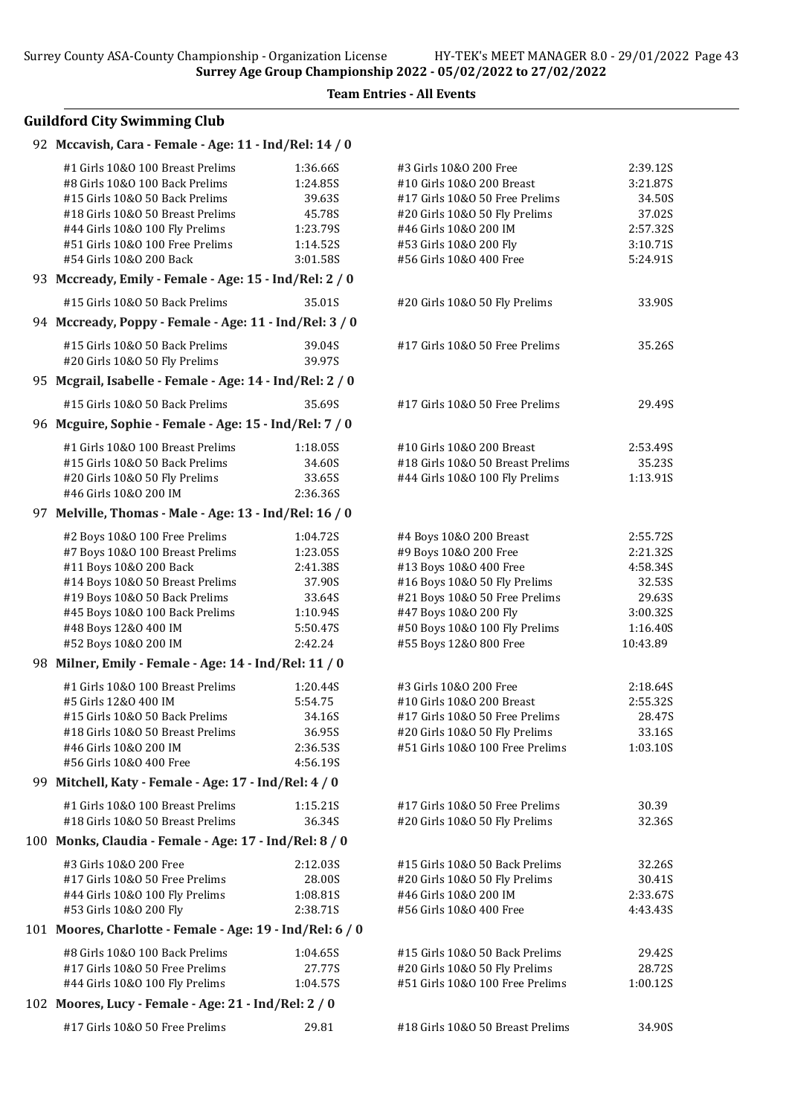# Guildford City Swimming Club

#### 92 Mccavish, Cara - Female - Age: 11 - Ind/Rel: 14 / 0

| #1 Girls 10&0 100 Breast Prelims                                   | 1:36.66S            | #3 Girls 10&0 200 Free                                        | 2:39.12S             |
|--------------------------------------------------------------------|---------------------|---------------------------------------------------------------|----------------------|
| #8 Girls 10&0 100 Back Prelims                                     | 1:24.85S            | #10 Girls 10&0 200 Breast                                     | 3:21.87S             |
| #15 Girls 10&0 50 Back Prelims                                     | 39.63S              | #17 Girls 10&O 50 Free Prelims                                | 34.50S               |
| #18 Girls 10&0 50 Breast Prelims                                   | 45.78S              | #20 Girls 10&0 50 Fly Prelims                                 | 37.02S               |
| #44 Girls 10&0 100 Fly Prelims                                     | 1:23.79S            | #46 Girls 10&0 200 IM                                         | 2:57.32S             |
| #51 Girls 10&0 100 Free Prelims                                    | 1:14.52S            | #53 Girls 10&0 200 Fly                                        | 3:10.71S             |
| #54 Girls 10&0 200 Back                                            | 3:01.58S            | #56 Girls 10&O 400 Free                                       | 5:24.91S             |
| 93 Mccready, Emily - Female - Age: 15 - Ind/Rel: 2 / 0             |                     |                                                               |                      |
| #15 Girls 10&0 50 Back Prelims                                     | 35.01S              | #20 Girls 10&O 50 Fly Prelims                                 | 33.90S               |
| 94 Mccready, Poppy - Female - Age: 11 - Ind/Rel: 3 / 0             |                     |                                                               |                      |
| #15 Girls 10&0 50 Back Prelims                                     | 39.04S              | #17 Girls 10&O 50 Free Prelims                                | 35.26S               |
| #20 Girls 10&O 50 Fly Prelims                                      | 39.97S              |                                                               |                      |
| 95 Mcgrail, Isabelle - Female - Age: 14 - Ind/Rel: 2 / 0           |                     |                                                               |                      |
| #15 Girls 10&0 50 Back Prelims                                     | 35.69S              | #17 Girls 10&O 50 Free Prelims                                | 29.49S               |
| 96 Mcguire, Sophie - Female - Age: 15 - Ind/Rel: 7 / 0             |                     |                                                               |                      |
|                                                                    |                     |                                                               |                      |
| #1 Girls 10&0 100 Breast Prelims<br>#15 Girls 10&0 50 Back Prelims | 1:18.05S<br>34.60S  | #10 Girls 10&0 200 Breast<br>#18 Girls 10&0 50 Breast Prelims | 2:53.49S<br>35.23S   |
| #20 Girls 10&O 50 Fly Prelims                                      | 33.65S              | #44 Girls 10&0 100 Fly Prelims                                | 1:13.91S             |
| #46 Girls 10&0 200 IM                                              | 2:36.36S            |                                                               |                      |
| 97 Melville, Thomas - Male - Age: 13 - Ind/Rel: 16 / 0             |                     |                                                               |                      |
|                                                                    |                     |                                                               |                      |
| #2 Boys 10&0 100 Free Prelims                                      | 1:04.72S            | #4 Boys 10&0 200 Breast                                       | 2:55.72S             |
| #7 Boys 10&0 100 Breast Prelims                                    | 1:23.05S            | #9 Boys 10&0 200 Free                                         | 2:21.32S             |
| #11 Boys 10&0 200 Back                                             | 2:41.38S            | #13 Boys 10&0 400 Free                                        | 4:58.34S             |
| #14 Boys 10&0 50 Breast Prelims                                    | 37.90S              | #16 Boys 10&0 50 Fly Prelims                                  | 32.53S               |
| #19 Boys 10&0 50 Back Prelims                                      | 33.64S              | #21 Boys 10&0 50 Free Prelims                                 | 29.63S               |
| #45 Boys 10&0 100 Back Prelims                                     | 1:10.94S            | #47 Boys 10&0 200 Fly                                         | 3:00.32S             |
| #48 Boys 12&0 400 IM<br>#52 Boys 10&0 200 IM                       | 5:50.47S<br>2:42.24 | #50 Boys 10&0 100 Fly Prelims<br>#55 Boys 12&0 800 Free       | 1:16.40S<br>10:43.89 |
| 98 Milner, Emily - Female - Age: 14 - Ind/Rel: 11 / 0              |                     |                                                               |                      |
|                                                                    |                     |                                                               |                      |
| #1 Girls 10&0 100 Breast Prelims                                   | 1:20.44S            | #3 Girls 10&0 200 Free                                        | 2:18.64S             |
| #5 Girls 12&0 400 IM                                               | 5:54.75             | #10 Girls 10&0 200 Breast                                     | 2:55.32S             |
| #15 Girls 10&0 50 Back Prelims                                     | 34.16S              | #17 Girls 10&O 50 Free Prelims                                | 28.47S               |
| #18 Girls 10&0 50 Breast Prelims                                   | 36.95S              | #20 Girls 10&O 50 Fly Prelims                                 | 33.16S               |
| #46 Girls 10&0 200 IM                                              | 2:36.53S            | #51 Girls 10&0 100 Free Prelims                               | 1:03.10S             |
| #56 Girls 10&0 400 Free                                            | 4:56.19S            |                                                               |                      |
| 99 Mitchell, Katy - Female - Age: 17 - Ind/Rel: 4 / 0              |                     |                                                               |                      |
| #1 Girls 10&0 100 Breast Prelims                                   | 1:15.21S            | #17 Girls 10&0 50 Free Prelims                                | 30.39                |
| #18 Girls 10&0 50 Breast Prelims                                   | 36.34S              | #20 Girls 10&O 50 Fly Prelims                                 | 32.36S               |
| 100 Monks, Claudia - Female - Age: 17 - Ind/Rel: 8 / 0             |                     |                                                               |                      |
| #3 Girls 10&0 200 Free                                             | 2:12.03S            | #15 Girls 10&0 50 Back Prelims                                | 32.26S               |
| #17 Girls 10&0 50 Free Prelims                                     | 28.00S              | #20 Girls 10&O 50 Fly Prelims                                 | 30.41S               |
| #44 Girls 10&0 100 Fly Prelims                                     | 1:08.81S            | #46 Girls 10&0 200 IM                                         | 2:33.67S             |
| #53 Girls 10&0 200 Fly                                             | 2:38.71S            | #56 Girls 10&0 400 Free                                       | 4:43.43S             |
| 101 Moores, Charlotte - Female - Age: 19 - Ind/Rel: 6 / 0          |                     |                                                               |                      |
| #8 Girls 10&0 100 Back Prelims                                     | 1:04.65S            | #15 Girls 10&0 50 Back Prelims                                | 29.42S               |
| #17 Girls 10&0 50 Free Prelims                                     | 27.77S              | #20 Girls 10&O 50 Fly Prelims                                 | 28.72S               |
| #44 Girls 10&0 100 Fly Prelims                                     | 1:04.57S            | #51 Girls 10&0 100 Free Prelims                               | 1:00.12S             |
| 102 Moores, Lucy - Female - Age: 21 - Ind/Rel: 2 / 0               |                     |                                                               |                      |
| #17 Girls 10&0 50 Free Prelims                                     | 29.81               | #18 Girls 10&0 50 Breast Prelims                              | 34.90S               |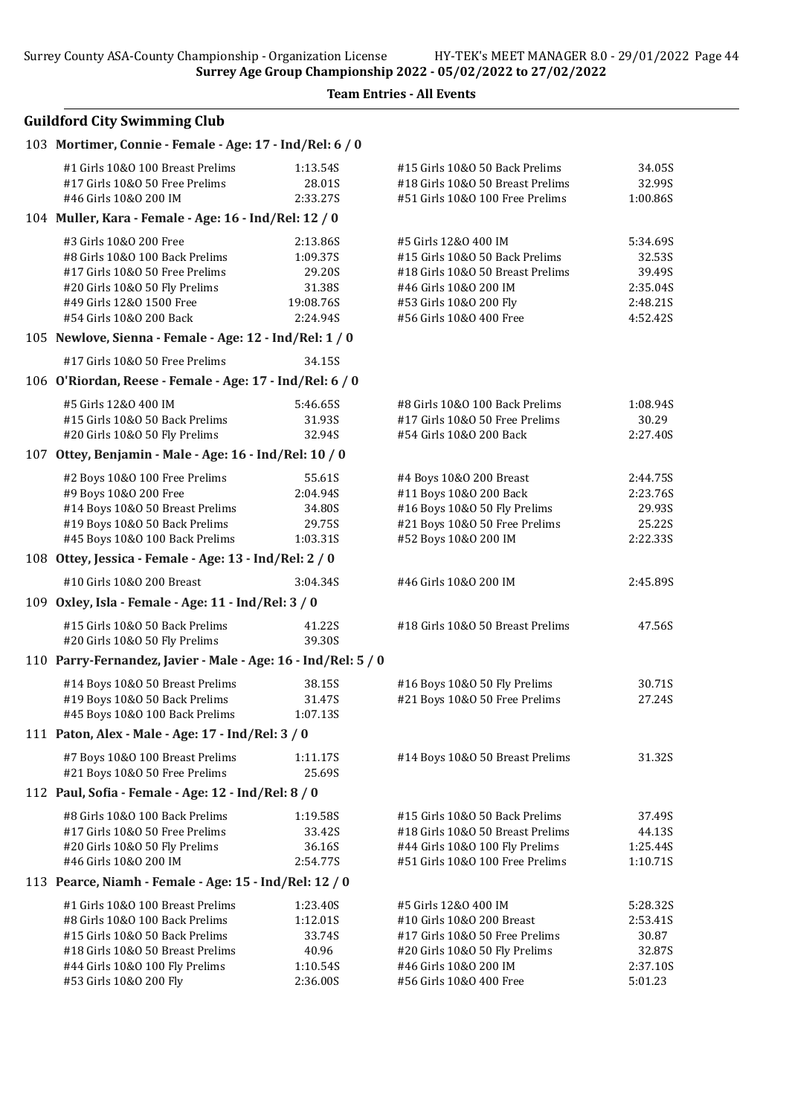Team Entries - All Events

| 103 Mortimer, Connie - Female - Age: 17 - Ind/Rel: 6 / 0      |           |                                  |          |
|---------------------------------------------------------------|-----------|----------------------------------|----------|
| #1 Girls 10&0 100 Breast Prelims                              | 1:13.54S  | #15 Girls 10&0 50 Back Prelims   | 34.05S   |
| #17 Girls 10&0 50 Free Prelims                                | 28.01S    | #18 Girls 10&0 50 Breast Prelims | 32.99S   |
| #46 Girls 10&0 200 IM                                         | 2:33.27S  | #51 Girls 10&0 100 Free Prelims  | 1:00.86S |
| 104 Muller, Kara - Female - Age: 16 - Ind/Rel: 12 / 0         |           |                                  |          |
| #3 Girls 10&0 200 Free                                        | 2:13.86S  | #5 Girls 12&0 400 IM             | 5:34.69S |
| #8 Girls 10&0 100 Back Prelims                                | 1:09.37S  | #15 Girls 10&0 50 Back Prelims   | 32.53S   |
| #17 Girls 10&0 50 Free Prelims                                | 29.20S    | #18 Girls 10&0 50 Breast Prelims | 39.49S   |
| #20 Girls 10&0 50 Fly Prelims                                 | 31.38S    | #46 Girls 10&0 200 IM            | 2:35.04S |
| #49 Girls 12&0 1500 Free                                      | 19:08.76S | #53 Girls 10&0 200 Fly           | 2:48.21S |
| #54 Girls 10&0 200 Back                                       | 2:24.94S  | #56 Girls 10&O 400 Free          | 4:52.42S |
| 105 Newlove, Sienna - Female - Age: 12 - Ind/Rel: 1 / 0       |           |                                  |          |
| #17 Girls 10&0 50 Free Prelims                                | 34.15S    |                                  |          |
| 106 O'Riordan, Reese - Female - Age: 17 - Ind/Rel: 6 / 0      |           |                                  |          |
| #5 Girls 12&0 400 IM                                          | 5:46.65S  | #8 Girls 10&0 100 Back Prelims   | 1:08.94S |
| #15 Girls 10&0 50 Back Prelims                                | 31.93S    | #17 Girls 10&0 50 Free Prelims   | 30.29    |
| #20 Girls 10&0 50 Fly Prelims                                 | 32.94S    | #54 Girls 10&0 200 Back          | 2:27.40S |
| 107 Ottey, Benjamin - Male - Age: 16 - Ind/Rel: 10 / 0        |           |                                  |          |
| #2 Boys 10&0 100 Free Prelims                                 | 55.61S    | #4 Boys 10&0 200 Breast          | 2:44.75S |
| #9 Boys 10&0 200 Free                                         | 2:04.94S  | #11 Boys 10&0 200 Back           | 2:23.76S |
| #14 Boys 10&0 50 Breast Prelims                               | 34.80S    | #16 Boys 10&0 50 Fly Prelims     | 29.93S   |
| #19 Boys 10&0 50 Back Prelims                                 | 29.75S    | #21 Boys 10&0 50 Free Prelims    | 25.22S   |
| #45 Boys 10&0 100 Back Prelims                                | 1:03.31S  | #52 Boys 10&0 200 IM             | 2:22.335 |
| 108 Ottey, Jessica - Female - Age: 13 - Ind/Rel: 2 / 0        |           |                                  |          |
| #10 Girls 10&0 200 Breast                                     | 3:04.34S  | #46 Girls 10&0 200 IM            | 2:45.89S |
| 109 Oxley, Isla - Female - Age: 11 - Ind/Rel: 3 / 0           |           |                                  |          |
| #15 Girls 10&0 50 Back Prelims                                | 41.22S    | #18 Girls 10&0 50 Breast Prelims | 47.56S   |
| #20 Girls 10&0 50 Fly Prelims                                 | 39.30S    |                                  |          |
| 110 Parry-Fernandez, Javier - Male - Age: 16 - Ind/Rel: 5 / 0 |           |                                  |          |
| #14 Boys 10&0 50 Breast Prelims                               | 38.15S    | #16 Boys 10&0 50 Fly Prelims     | 30.71S   |
| #19 Boys 10&O 50 Back Prelims                                 | 31.47S    | #21 Boys 10&0 50 Free Prelims    | 27.24S   |
| #45 Boys 10&0 100 Back Prelims                                | 1:07.13S  |                                  |          |
| 111 Paton, Alex - Male - Age: 17 - Ind/Rel: 3 / 0             |           |                                  |          |
| #7 Boys 10&0 100 Breast Prelims                               | 1:11.17S  | #14 Boys 10&0 50 Breast Prelims  | 31.32S   |
| #21 Boys 10&0 50 Free Prelims                                 | 25.69S    |                                  |          |
| 112 Paul, Sofia - Female - Age: 12 - Ind/Rel: 8 / 0           |           |                                  |          |
| #8 Girls 10&0 100 Back Prelims                                | 1:19.58S  | #15 Girls 10&0 50 Back Prelims   | 37.49S   |
| #17 Girls 10&0 50 Free Prelims                                | 33.42S    | #18 Girls 10&0 50 Breast Prelims | 44.13S   |
| #20 Girls 10&0 50 Fly Prelims                                 | 36.16S    | #44 Girls 10&0 100 Fly Prelims   | 1:25.44S |
| #46 Girls 10&0 200 IM                                         | 2:54.77S  | #51 Girls 10&0 100 Free Prelims  | 1:10.71S |
| 113 Pearce, Niamh - Female - Age: 15 - Ind/Rel: 12 / 0        |           |                                  |          |
| #1 Girls 10&0 100 Breast Prelims                              | 1:23.40S  | #5 Girls 12&0 400 IM             | 5:28.32S |
| #8 Girls 10&0 100 Back Prelims                                | 1:12.01S  | #10 Girls 10&0 200 Breast        | 2:53.41S |
| #15 Girls 10&0 50 Back Prelims                                | 33.74S    | #17 Girls 10&0 50 Free Prelims   | 30.87    |
| #18 Girls 10&0 50 Breast Prelims                              | 40.96     | #20 Girls 10&O 50 Fly Prelims    | 32.87S   |
| #44 Girls 10&0 100 Fly Prelims                                | 1:10.54S  | #46 Girls 10&0 200 IM            | 2:37.10S |
| #53 Girls 10&0 200 Fly                                        | 2:36.00S  | #56 Girls 10&0 400 Free          | 5:01.23  |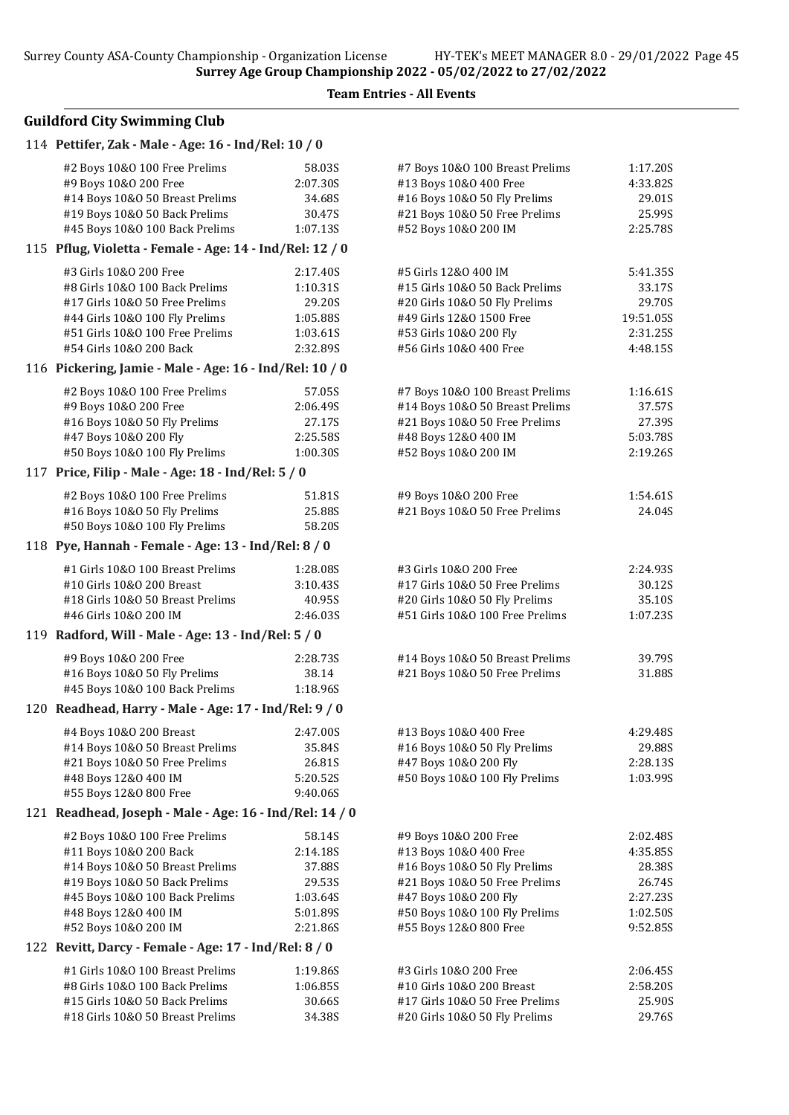Team Entries - All Events

| 114 Pettifer, Zak - Male - Age: 16 - Ind/Rel: 10 / 0     |          |                                 |           |
|----------------------------------------------------------|----------|---------------------------------|-----------|
| #2 Boys 10&0 100 Free Prelims                            | 58.03S   | #7 Boys 10&0 100 Breast Prelims | 1:17.20S  |
| #9 Boys 10&0 200 Free                                    | 2:07.30S | #13 Boys 10&0 400 Free          | 4:33.82S  |
| #14 Boys 10&0 50 Breast Prelims                          | 34.68S   | #16 Boys 10&0 50 Fly Prelims    | 29.01S    |
| #19 Boys 10&0 50 Back Prelims                            | 30.47S   | #21 Boys 10&0 50 Free Prelims   | 25.99S    |
| #45 Boys 10&0 100 Back Prelims                           | 1:07.13S | #52 Boys 10&0 200 IM            | 2:25.78S  |
| 115 Pflug, Violetta - Female - Age: 14 - Ind/Rel: 12 / 0 |          |                                 |           |
| #3 Girls 10&0 200 Free                                   | 2:17.40S | #5 Girls 12&0 400 IM            | 5:41.35S  |
| #8 Girls 10&0 100 Back Prelims                           | 1:10.31S | #15 Girls 10&0 50 Back Prelims  | 33.17S    |
| #17 Girls 10&0 50 Free Prelims                           | 29.20S   | #20 Girls 10&O 50 Fly Prelims   | 29.70S    |
| #44 Girls 10&0 100 Fly Prelims                           | 1:05.88S | #49 Girls 12&0 1500 Free        | 19:51.05S |
| #51 Girls 10&0 100 Free Prelims                          | 1:03.61S | #53 Girls 10&0 200 Fly          | 2:31.25S  |
| #54 Girls 10&0 200 Back                                  | 2:32.89S | #56 Girls 10&O 400 Free         | 4:48.15S  |
| 116 Pickering, Jamie - Male - Age: 16 - Ind/Rel: 10 / 0  |          |                                 |           |
| #2 Boys 10&0 100 Free Prelims                            | 57.05S   | #7 Boys 10&0 100 Breast Prelims | 1:16.61S  |
| #9 Boys 10&0 200 Free                                    | 2:06.49S | #14 Boys 10&0 50 Breast Prelims | 37.57S    |
| #16 Boys 10&0 50 Fly Prelims                             | 27.17S   | #21 Boys 10&0 50 Free Prelims   | 27.39S    |
| #47 Boys 10&0 200 Fly                                    | 2:25.58S | #48 Boys 12&0 400 IM            | 5:03.78S  |
| #50 Boys 10&0 100 Fly Prelims                            | 1:00.30S | #52 Boys 10&0 200 IM            | 2:19.26S  |
| 117 Price, Filip - Male - Age: 18 - Ind/Rel: 5 / 0       |          |                                 |           |
| #2 Boys 10&0 100 Free Prelims                            | 51.81S   | #9 Boys 10&0 200 Free           | 1:54.61S  |
| #16 Boys 10&0 50 Fly Prelims                             | 25.88S   | #21 Boys 10&0 50 Free Prelims   | 24.04S    |
| #50 Boys 10&0 100 Fly Prelims                            | 58.20S   |                                 |           |
| 118 Pye, Hannah - Female - Age: 13 - Ind/Rel: 8 / 0      |          |                                 |           |
| #1 Girls 10&0 100 Breast Prelims                         | 1:28.08S | #3 Girls 10&0 200 Free          | 2:24.93S  |
| #10 Girls 10&0 200 Breast                                | 3:10.43S | #17 Girls 10&0 50 Free Prelims  | 30.12S    |
| #18 Girls 10&0 50 Breast Prelims                         | 40.95S   | #20 Girls 10&O 50 Fly Prelims   | 35.10S    |
| #46 Girls 10&0 200 IM                                    | 2:46.03S | #51 Girls 10&0 100 Free Prelims | 1:07.23S  |
| 119 Radford, Will - Male - Age: 13 - Ind/Rel: 5 / 0      |          |                                 |           |
| #9 Boys 10&0 200 Free                                    | 2:28.735 | #14 Boys 10&0 50 Breast Prelims | 39.79S    |
| #16 Boys 10&0 50 Fly Prelims                             | 38.14    | #21 Boys 10&0 50 Free Prelims   | 31.88S    |
| #45 Boys 10&0 100 Back Prelims                           | 1:18.96S |                                 |           |
| 120 Readhead, Harry - Male - Age: 17 - Ind/Rel: 9 / 0    |          |                                 |           |
| #4 Boys 10&0 200 Breast                                  | 2:47.00S | #13 Boys 10&0 400 Free          | 4:29.48S  |
| #14 Boys 10&0 50 Breast Prelims                          | 35.84S   | #16 Boys 10&0 50 Fly Prelims    | 29.88S    |
| #21 Boys 10&0 50 Free Prelims                            | 26.81S   | #47 Boys 10&0 200 Fly           | 2:28.13S  |
| #48 Boys 12&0 400 IM                                     | 5:20.52S | #50 Boys 10&0 100 Fly Prelims   | 1:03.99S  |
| #55 Boys 12&0 800 Free                                   | 9:40.06S |                                 |           |
| 121 Readhead, Joseph - Male - Age: 16 - Ind/Rel: 14 / 0  |          |                                 |           |
| #2 Boys 10&0 100 Free Prelims                            | 58.14S   | #9 Boys 10&0 200 Free           | 2:02.48S  |
| #11 Boys 10&0 200 Back                                   | 2:14.18S | #13 Boys 10&0 400 Free          | 4:35.85S  |
| #14 Boys 10&0 50 Breast Prelims                          | 37.88S   | #16 Boys 10&0 50 Fly Prelims    | 28.38S    |
| #19 Boys 10&0 50 Back Prelims                            | 29.53S   | #21 Boys 10&0 50 Free Prelims   | 26.74S    |
| #45 Boys 10&0 100 Back Prelims                           | 1:03.64S | #47 Boys 10&0 200 Fly           | 2:27.23S  |
| #48 Boys 12&0 400 IM                                     | 5:01.89S | #50 Boys 10&0 100 Fly Prelims   | 1:02.50S  |
| #52 Boys 10&0 200 IM                                     | 2:21.86S | #55 Boys 12&0 800 Free          | 9:52.85S  |
| 122 Revitt, Darcy - Female - Age: 17 - Ind/Rel: 8 / 0    |          |                                 |           |
| #1 Girls 10&0 100 Breast Prelims                         | 1:19.86S | #3 Girls 10&0 200 Free          | 2:06.45S  |
| #8 Girls 10&0 100 Back Prelims                           | 1:06.85S | #10 Girls 10&0 200 Breast       | 2:58.20S  |
| #15 Girls 10&0 50 Back Prelims                           | 30.66S   | #17 Girls 10&0 50 Free Prelims  | 25.90S    |
| #18 Girls 10&0 50 Breast Prelims                         | 34.38S   | #20 Girls 10&O 50 Fly Prelims   | 29.76S    |
|                                                          |          |                                 |           |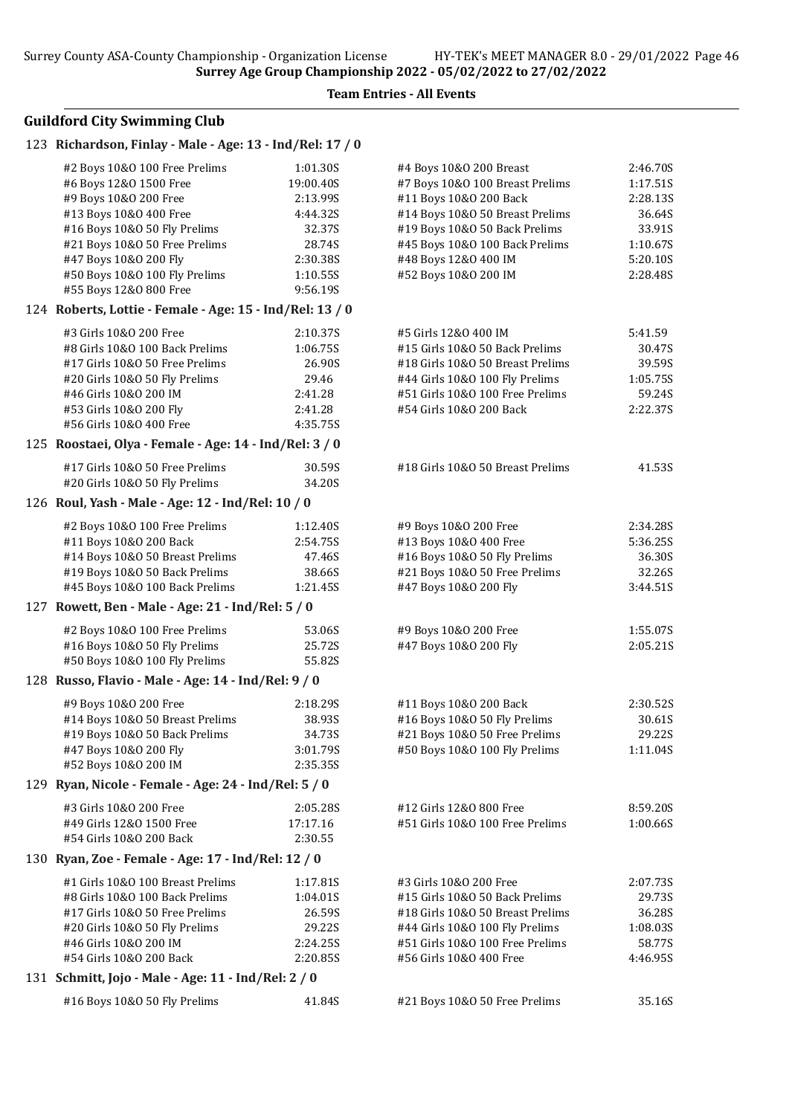# Guildford City Swimming Club

#### 123 Richardson, Finlay - Male - Age: 13 - Ind/Rel: 17 / 0

| #2 Boys 10&0 100 Free Prelims                            | 1:01.30S  | #4 Boys 10&0 200 Breast          | 2:46.70S |
|----------------------------------------------------------|-----------|----------------------------------|----------|
| #6 Boys 12&0 1500 Free                                   | 19:00.40S | #7 Boys 10&0 100 Breast Prelims  | 1:17.51S |
| #9 Boys 10&0 200 Free                                    | 2:13.99S  | #11 Boys 10&0 200 Back           | 2:28.13S |
| #13 Boys 10&0 400 Free                                   | 4:44.32S  | #14 Boys 10&0 50 Breast Prelims  | 36.64S   |
| #16 Boys 10&0 50 Fly Prelims                             | 32.37S    | #19 Boys 10&0 50 Back Prelims    | 33.91S   |
| #21 Boys 10&0 50 Free Prelims                            | 28.74S    | #45 Boys 10&0 100 Back Prelims   | 1:10.67S |
| #47 Boys 10&0 200 Fly                                    | 2:30.38S  | #48 Boys 12&0 400 IM             | 5:20.10S |
| #50 Boys 10&0 100 Fly Prelims                            | 1:10.55S  | #52 Boys 10&0 200 IM             | 2:28.48S |
| #55 Boys 12&0 800 Free                                   | 9:56.19S  |                                  |          |
|                                                          |           |                                  |          |
| 124 Roberts, Lottie - Female - Age: 15 - Ind/Rel: 13 / 0 |           |                                  |          |
| #3 Girls 10&0 200 Free                                   | 2:10.37S  | #5 Girls 12&0 400 IM             | 5:41.59  |
| #8 Girls 10&0 100 Back Prelims                           | 1:06.75S  | #15 Girls 10&0 50 Back Prelims   | 30.47S   |
| #17 Girls 10&0 50 Free Prelims                           | 26.90S    | #18 Girls 10&0 50 Breast Prelims | 39.59S   |
| #20 Girls 10&O 50 Fly Prelims                            | 29.46     | #44 Girls 10&0 100 Fly Prelims   | 1:05.75S |
| #46 Girls 10&0 200 IM                                    | 2:41.28   | #51 Girls 10&0 100 Free Prelims  | 59.24S   |
| #53 Girls 10&0 200 Fly                                   | 2:41.28   | #54 Girls 10&0 200 Back          | 2:22.37S |
| #56 Girls 10&0 400 Free                                  | 4:35.75S  |                                  |          |
| 125 Roostaei, Olya - Female - Age: 14 - Ind/Rel: 3 / 0   |           |                                  |          |
|                                                          |           |                                  |          |
| #17 Girls 10&0 50 Free Prelims                           | 30.59S    | #18 Girls 10&0 50 Breast Prelims | 41.53S   |
| #20 Girls 10&0 50 Fly Prelims                            | 34.20S    |                                  |          |
| 126 Roul, Yash - Male - Age: 12 - Ind/Rel: 10 / 0        |           |                                  |          |
| #2 Boys 10&0 100 Free Prelims                            | 1:12.40S  | #9 Boys 10&0 200 Free            | 2:34.285 |
| #11 Boys 10&0 200 Back                                   | 2:54.75S  | #13 Boys 10&0 400 Free           | 5:36.25S |
| #14 Boys 10&0 50 Breast Prelims                          | 47.46S    | #16 Boys 10&0 50 Fly Prelims     | 36.30S   |
| #19 Boys 10&0 50 Back Prelims                            | 38.66S    | #21 Boys 10&0 50 Free Prelims    | 32.26S   |
| #45 Boys 10&0 100 Back Prelims                           | 1:21.45S  | #47 Boys 10&0 200 Fly            | 3:44.51S |
| 127 Rowett, Ben - Male - Age: 21 - Ind/Rel: 5 / 0        |           |                                  |          |
|                                                          |           |                                  |          |
| #2 Boys 10&0 100 Free Prelims                            | 53.06S    | #9 Boys 10&0 200 Free            | 1:55.07S |
| #16 Boys 10&0 50 Fly Prelims                             | 25.72S    | #47 Boys 10&0 200 Fly            | 2:05.21S |
| #50 Boys 10&0 100 Fly Prelims                            | 55.82S    |                                  |          |
| 128 Russo, Flavio - Male - Age: 14 - Ind/Rel: 9 / 0      |           |                                  |          |
| #9 Boys 10&0 200 Free                                    | 2:18.295  | #11 Boys 10&0 200 Back           | 2:30.52S |
| #14 Boys 10&0 50 Breast Prelims                          | 38.93S    | #16 Boys 10&0 50 Fly Prelims     | 30.61S   |
| #19 Boys 10&0 50 Back Prelims                            | 34.73S    | #21 Boys 10&0 50 Free Prelims    | 29.22S   |
| #47 Boys 10&0 200 Fly                                    | 3:01.79S  | #50 Boys 10&0 100 Fly Prelims    | 1:11.04S |
| #52 Boys 10&0 200 IM                                     | 2:35.35S  |                                  |          |
| 129 Ryan, Nicole - Female - Age: 24 - Ind/Rel: 5 / 0     |           |                                  |          |
|                                                          |           |                                  |          |
| #3 Girls 10&0 200 Free                                   | 2:05.28S  | #12 Girls 12&0 800 Free          | 8:59.20S |
| #49 Girls 12&0 1500 Free                                 | 17:17.16  | #51 Girls 10&0 100 Free Prelims  | 1:00.66S |
| #54 Girls 10&0 200 Back                                  | 2:30.55   |                                  |          |
| 130 Ryan, Zoe - Female - Age: 17 - Ind/Rel: 12 / 0       |           |                                  |          |
| #1 Girls 10&0 100 Breast Prelims                         | 1:17.81S  | #3 Girls 10&0 200 Free           | 2:07.73S |
| #8 Girls 10&0 100 Back Prelims                           | 1:04.01S  | #15 Girls 10&0 50 Back Prelims   | 29.73S   |
| #17 Girls 10&0 50 Free Prelims                           | 26.59S    | #18 Girls 10&0 50 Breast Prelims | 36.28S   |
| #20 Girls 10&O 50 Fly Prelims                            | 29.22S    | #44 Girls 10&0 100 Fly Prelims   | 1:08.03S |
| #46 Girls 10&0 200 IM                                    | 2:24.25S  | #51 Girls 10&0 100 Free Prelims  | 58.77S   |
| #54 Girls 10&0 200 Back                                  | 2:20.85S  | #56 Girls 10&0 400 Free          | 4:46.95S |
| 131 Schmitt, Jojo - Male - Age: 11 - Ind/Rel: 2 / 0      |           |                                  |          |
|                                                          |           |                                  |          |
| #16 Boys 10&0 50 Fly Prelims                             | 41.84S    | #21 Boys 10&0 50 Free Prelims    | 35.16S   |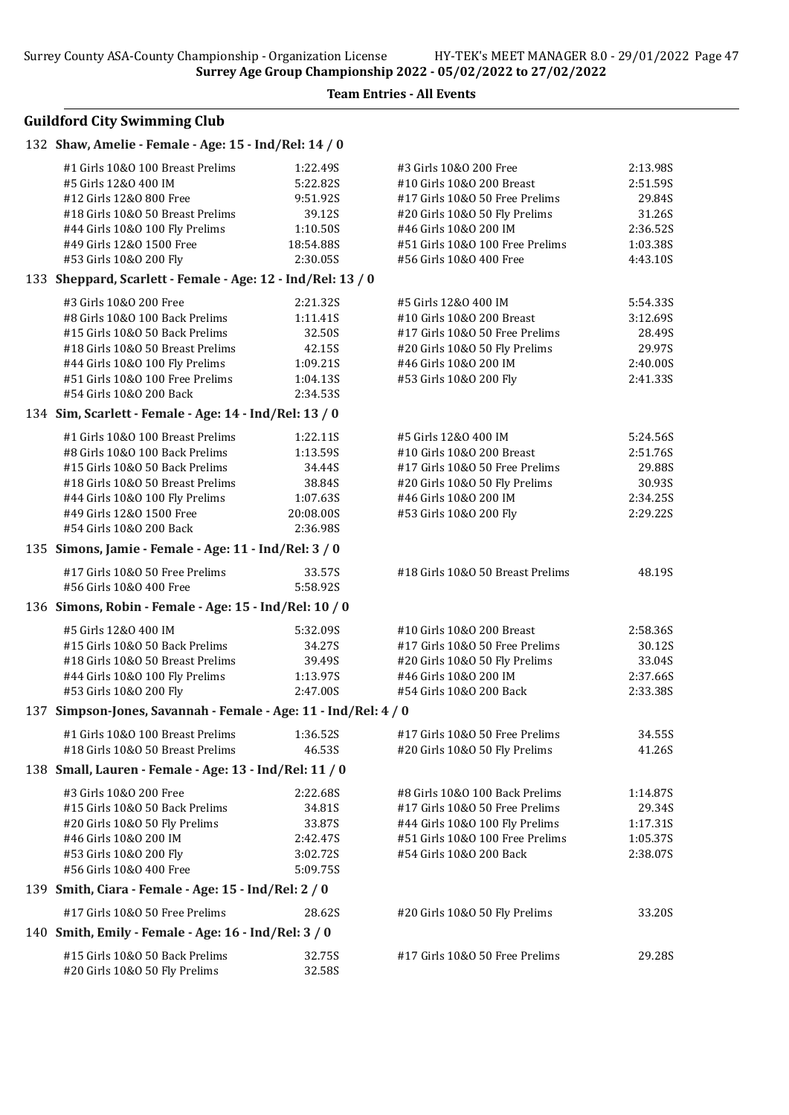# Guildford City Swimming Club

### 132 Shaw, Amelie - Female - Age: 15 - Ind/Rel: 14 / 0

| #1 Girls 10&0 100 Breast Prelims                                | 1:22.49S  | #3 Girls 10&0 200 Free           | 2:13.98S |
|-----------------------------------------------------------------|-----------|----------------------------------|----------|
| #5 Girls 12&0 400 IM                                            | 5:22.82S  | #10 Girls 10&0 200 Breast        | 2:51.59S |
| #12 Girls 12&0 800 Free                                         | 9:51.92S  | #17 Girls 10&O 50 Free Prelims   | 29.84S   |
| #18 Girls 10&0 50 Breast Prelims                                | 39.12S    | #20 Girls 10&O 50 Fly Prelims    | 31.26S   |
| #44 Girls 10&0 100 Fly Prelims                                  | 1:10.50S  | #46 Girls 10&0 200 IM            | 2:36.52S |
| #49 Girls 12&0 1500 Free                                        | 18:54.88S | #51 Girls 10&0 100 Free Prelims  | 1:03.38S |
| #53 Girls 10&0 200 Fly                                          | 2:30.05S  | #56 Girls 10&0 400 Free          | 4:43.10S |
| 133 Sheppard, Scarlett - Female - Age: 12 - Ind/Rel: 13 / 0     |           |                                  |          |
| #3 Girls 10&0 200 Free                                          | 2:21.32S  | #5 Girls 12&0 400 IM             | 5:54.33S |
| #8 Girls 10&0 100 Back Prelims                                  | 1:11.41S  | #10 Girls 10&0 200 Breast        | 3:12.69S |
| #15 Girls 10&0 50 Back Prelims                                  | 32.50S    | #17 Girls 10&0 50 Free Prelims   | 28.49S   |
| #18 Girls 10&0 50 Breast Prelims                                | 42.15S    | #20 Girls 10&O 50 Fly Prelims    | 29.97S   |
| #44 Girls 10&0 100 Fly Prelims                                  | 1:09.21S  | #46 Girls 10&0 200 IM            | 2:40.00S |
| #51 Girls 10&0 100 Free Prelims                                 | 1:04.13S  | #53 Girls 10&0 200 Fly           | 2:41.33S |
| #54 Girls 10&0 200 Back                                         | 2:34.53S  |                                  |          |
| 134 Sim, Scarlett - Female - Age: 14 - Ind/Rel: 13 / 0          |           |                                  |          |
| #1 Girls 10&0 100 Breast Prelims                                | 1:22.11S  | #5 Girls 12&0 400 IM             | 5:24.56S |
| #8 Girls 10&0 100 Back Prelims                                  | 1:13.59S  | #10 Girls 10&0 200 Breast        | 2:51.76S |
| #15 Girls 10&0 50 Back Prelims                                  | 34.44S    | #17 Girls 10&0 50 Free Prelims   | 29.88S   |
| #18 Girls 10&0 50 Breast Prelims                                | 38.84S    | #20 Girls 10&O 50 Fly Prelims    | 30.93S   |
| #44 Girls 10&0 100 Fly Prelims                                  | 1:07.63S  | #46 Girls 10&0 200 IM            | 2:34.25S |
| #49 Girls 12&0 1500 Free<br>#54 Girls 10&0 200 Back             | 20:08.00S | #53 Girls 10&0 200 Fly           | 2:29.22S |
|                                                                 | 2:36.98S  |                                  |          |
| 135 Simons, Jamie - Female - Age: 11 - Ind/Rel: 3 / 0           |           |                                  |          |
| #17 Girls 10&0 50 Free Prelims                                  | 33.57S    | #18 Girls 10&0 50 Breast Prelims | 48.19S   |
| #56 Girls 10&0 400 Free                                         | 5:58.92S  |                                  |          |
| 136 Simons, Robin - Female - Age: 15 - Ind/Rel: 10 / 0          |           |                                  |          |
| #5 Girls 12&0 400 IM                                            | 5:32.09S  | #10 Girls 10&0 200 Breast        | 2:58.36S |
| #15 Girls 10&0 50 Back Prelims                                  | 34.27S    | #17 Girls 10&0 50 Free Prelims   | 30.12S   |
| #18 Girls 10&0 50 Breast Prelims                                | 39.49S    | #20 Girls 10&O 50 Fly Prelims    | 33.04S   |
| #44 Girls 10&0 100 Fly Prelims                                  | 1:13.97S  | #46 Girls 10&0 200 IM            | 2:37.66S |
| #53 Girls 10&0 200 Fly                                          | 2:47.00S  | #54 Girls 10&0 200 Back          | 2:33.38S |
| 137 Simpson-Jones, Savannah - Female - Age: 11 - Ind/Rel: 4 / 0 |           |                                  |          |
| #1 Girls 10&0 100 Breast Prelims                                | 1:36.52S  | #17 Girls 10&0 50 Free Prelims   | 34.55S   |
| #18 Girls 10&0 50 Breast Prelims                                | 46.53S    | #20 Girls 10&O 50 Fly Prelims    | 41.26S   |
| 138 Small, Lauren - Female - Age: 13 - Ind/Rel: 11 / 0          |           |                                  |          |
| #3 Girls 10&0 200 Free                                          | 2:22.68S  | #8 Girls 10&0 100 Back Prelims   | 1:14.87S |
| #15 Girls 10&0 50 Back Prelims                                  | 34.81S    | #17 Girls 10&0 50 Free Prelims   | 29.34S   |
| #20 Girls 10&O 50 Fly Prelims                                   | 33.87S    | #44 Girls 10&0 100 Fly Prelims   | 1:17.31S |
| #46 Girls 10&0 200 IM                                           | 2:42.47S  | #51 Girls 10&0 100 Free Prelims  | 1:05.37S |
| #53 Girls 10&0 200 Fly                                          | 3:02.72S  | #54 Girls 10&0 200 Back          | 2:38.07S |
| #56 Girls 10&0 400 Free                                         | 5:09.75S  |                                  |          |
| 139 Smith, Ciara - Female - Age: 15 - Ind/Rel: 2 / 0            |           |                                  |          |
| #17 Girls 10&O 50 Free Prelims                                  | 28.62S    | #20 Girls 10&O 50 Fly Prelims    | 33.20S   |
| 140 Smith, Emily - Female - Age: 16 - Ind/Rel: 3 / 0            |           |                                  |          |
| #15 Girls 10&0 50 Back Prelims                                  | 32.75S    | #17 Girls 10&0 50 Free Prelims   | 29.28S   |
| #20 Girls 10&O 50 Fly Prelims                                   | 32.58S    |                                  |          |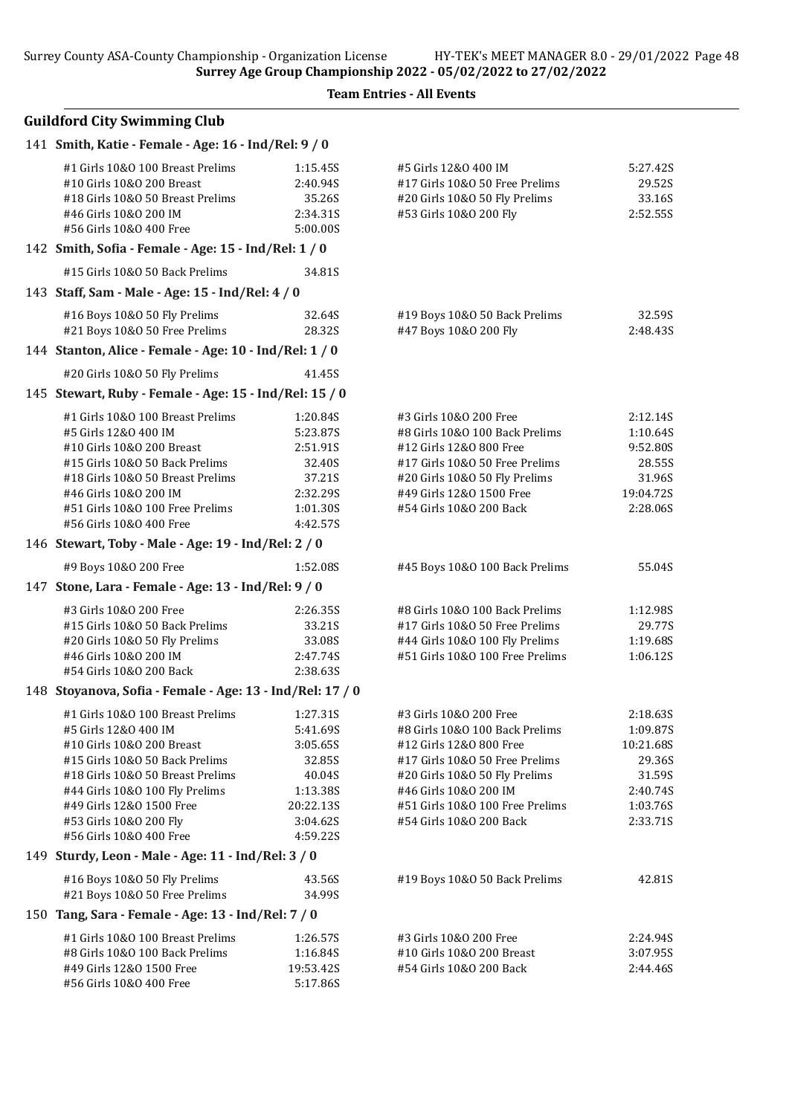Team Entries - All Events

| 141 Smith, Katie - Female - Age: 16 - Ind/Rel: 9 / 0                                                                                                  |                                                        |                                                                                                                   |                                          |
|-------------------------------------------------------------------------------------------------------------------------------------------------------|--------------------------------------------------------|-------------------------------------------------------------------------------------------------------------------|------------------------------------------|
| #1 Girls 10&0 100 Breast Prelims<br>#10 Girls 10&0 200 Breast<br>#18 Girls 10&0 50 Breast Prelims<br>#46 Girls 10&0 200 IM<br>#56 Girls 10&0 400 Free | 1:15.45S<br>2:40.94S<br>35.26S<br>2:34.31S<br>5:00.00S | #5 Girls 12&0 400 IM<br>#17 Girls 10&O 50 Free Prelims<br>#20 Girls 10&O 50 Fly Prelims<br>#53 Girls 10&0 200 Fly | 5:27.42S<br>29.52S<br>33.16S<br>2:52.55S |
| 142 Smith, Sofia - Female - Age: 15 - Ind/Rel: 1 / 0                                                                                                  |                                                        |                                                                                                                   |                                          |
| #15 Girls 10&0 50 Back Prelims                                                                                                                        | 34.81S                                                 |                                                                                                                   |                                          |
| 143 Staff, Sam - Male - Age: 15 - Ind/Rel: 4 / 0                                                                                                      |                                                        |                                                                                                                   |                                          |
| #16 Boys 10&0 50 Fly Prelims<br>#21 Boys 10&0 50 Free Prelims                                                                                         | 32.64S<br>28.32S                                       | #19 Boys 10&0 50 Back Prelims<br>#47 Boys 10&0 200 Fly                                                            | 32.59S<br>2:48.435                       |
| 144 Stanton, Alice - Female - Age: 10 - Ind/Rel: 1 / 0                                                                                                |                                                        |                                                                                                                   |                                          |
| #20 Girls 10&O 50 Fly Prelims                                                                                                                         | 41.45S                                                 |                                                                                                                   |                                          |
| 145 Stewart, Ruby - Female - Age: 15 - Ind/Rel: 15 / 0                                                                                                |                                                        |                                                                                                                   |                                          |
| #1 Girls 10&0 100 Breast Prelims                                                                                                                      | 1:20.84S                                               | #3 Girls 10&0 200 Free                                                                                            | 2:12.14S                                 |
| #5 Girls 12&0 400 IM                                                                                                                                  | 5:23.87S                                               | #8 Girls 10&0 100 Back Prelims                                                                                    | 1:10.64S                                 |
| #10 Girls 10&0 200 Breast                                                                                                                             | 2:51.91S                                               | #12 Girls 12&0 800 Free                                                                                           | 9:52.80S                                 |
| #15 Girls 10&0 50 Back Prelims                                                                                                                        | 32.40S                                                 | #17 Girls 10&O 50 Free Prelims                                                                                    | 28.55S                                   |
| #18 Girls 10&0 50 Breast Prelims                                                                                                                      | 37.21S                                                 | #20 Girls 10&O 50 Fly Prelims                                                                                     | 31.96S                                   |
| #46 Girls 10&0 200 IM                                                                                                                                 | 2:32.29S                                               | #49 Girls 12&0 1500 Free                                                                                          | 19:04.72S                                |
| #51 Girls 10&0 100 Free Prelims                                                                                                                       | 1:01.30S                                               | #54 Girls 10&0 200 Back                                                                                           | 2:28.06S                                 |
| #56 Girls 10&0 400 Free                                                                                                                               | 4:42.57S                                               |                                                                                                                   |                                          |
| 146 Stewart, Toby - Male - Age: 19 - Ind/Rel: 2 / 0                                                                                                   |                                                        |                                                                                                                   |                                          |
| #9 Boys 10&0 200 Free                                                                                                                                 | 1:52.08S                                               | #45 Boys 10&0 100 Back Prelims                                                                                    | 55.04S                                   |
| 147 Stone, Lara - Female - Age: 13 - Ind/Rel: 9 / 0                                                                                                   |                                                        |                                                                                                                   |                                          |
| #3 Girls 10&0 200 Free                                                                                                                                | 2:26.35S                                               | #8 Girls 10&0 100 Back Prelims                                                                                    | 1:12.98S                                 |
| #15 Girls 10&0 50 Back Prelims                                                                                                                        | 33.21S                                                 | #17 Girls 10&O 50 Free Prelims                                                                                    | 29.77S                                   |
| #20 Girls 10&O 50 Fly Prelims                                                                                                                         | 33.08S                                                 | #44 Girls 10&0 100 Fly Prelims                                                                                    | 1:19.68S                                 |
| #46 Girls 10&0 200 IM                                                                                                                                 | 2:47.74S                                               | #51 Girls 10&0 100 Free Prelims                                                                                   | 1:06.12S                                 |
| #54 Girls 10&0 200 Back                                                                                                                               | 2:38.63S                                               |                                                                                                                   |                                          |
| 148 Stoyanova, Sofia - Female - Age: 13 - Ind/Rel: 17 / 0                                                                                             |                                                        |                                                                                                                   |                                          |
| #1 Girls 10&0 100 Breast Prelims                                                                                                                      | 1:27.31S                                               | #3 Girls 10&0 200 Free                                                                                            | 2:18.63S                                 |
| #5 Girls 12&0 400 IM                                                                                                                                  | 5:41.69S                                               | #8 Girls 10&0 100 Back Prelims                                                                                    | 1:09.87S                                 |
| #10 Girls 10&0 200 Breast                                                                                                                             | 3:05.65S                                               | #12 Girls 12&0 800 Free                                                                                           | 10:21.68S                                |
| #15 Girls 10&0 50 Back Prelims                                                                                                                        | 32.85S                                                 | #17 Girls 10&0 50 Free Prelims                                                                                    | 29.36S                                   |
| #18 Girls 10&0 50 Breast Prelims                                                                                                                      | 40.04S                                                 | #20 Girls 10&O 50 Fly Prelims                                                                                     | 31.59S                                   |
| #44 Girls 10&0 100 Fly Prelims                                                                                                                        | 1:13.38S                                               | #46 Girls 10&0 200 IM                                                                                             | 2:40.74S                                 |
| #49 Girls 12&0 1500 Free                                                                                                                              | 20:22.13S                                              | #51 Girls 10&0 100 Free Prelims                                                                                   | 1:03.76S                                 |
| #53 Girls 10&0 200 Fly                                                                                                                                | 3:04.62S                                               | #54 Girls 10&0 200 Back                                                                                           | 2:33.71S                                 |
| #56 Girls 10&0 400 Free                                                                                                                               | 4:59.22S                                               |                                                                                                                   |                                          |
| 149 Sturdy, Leon - Male - Age: 11 - Ind/Rel: 3 / 0                                                                                                    |                                                        |                                                                                                                   |                                          |
| #16 Boys 10&0 50 Fly Prelims                                                                                                                          | 43.56S                                                 | #19 Boys 10&0 50 Back Prelims                                                                                     | 42.81S                                   |
| #21 Boys 10&0 50 Free Prelims                                                                                                                         | 34.99S                                                 |                                                                                                                   |                                          |
| 150 Tang, Sara - Female - Age: 13 - Ind/Rel: 7 / 0                                                                                                    |                                                        |                                                                                                                   |                                          |
| #1 Girls 10&0 100 Breast Prelims                                                                                                                      | 1:26.57S                                               | #3 Girls 10&0 200 Free                                                                                            | 2:24.94S                                 |
| #8 Girls 10&0 100 Back Prelims                                                                                                                        | 1:16.84S                                               | #10 Girls 10&0 200 Breast                                                                                         | 3:07.95S                                 |
| #49 Girls 12&0 1500 Free                                                                                                                              | 19:53.42S                                              | #54 Girls 10&0 200 Back                                                                                           | 2:44.46S                                 |
| #56 Girls 10&0 400 Free                                                                                                                               | 5:17.86S                                               |                                                                                                                   |                                          |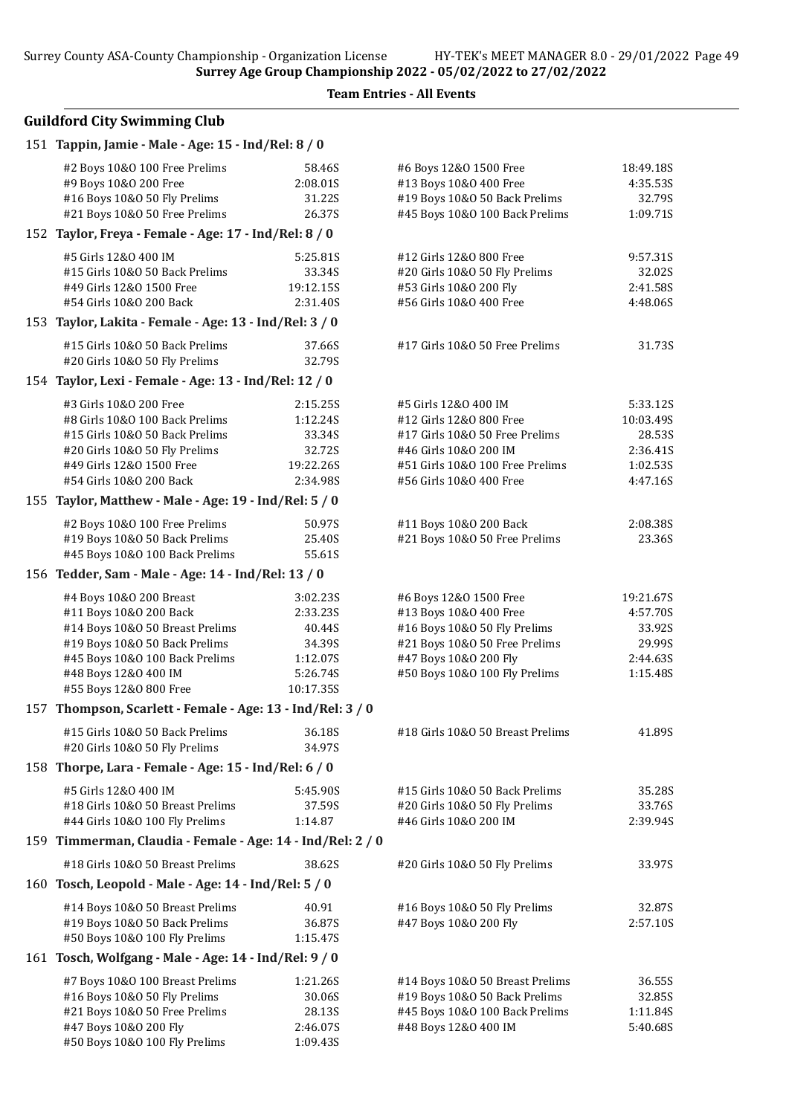Team Entries - All Events

| 151 Tappin, Jamie - Male - Age: 15 - Ind/Rel: 8 / 0                                    |                              |                                                                                   |                                 |
|----------------------------------------------------------------------------------------|------------------------------|-----------------------------------------------------------------------------------|---------------------------------|
| #2 Boys 10&0 100 Free Prelims<br>#9 Boys 10&0 200 Free<br>#16 Boys 10&0 50 Fly Prelims | 58.46S<br>2:08.015<br>31.22S | #6 Boys 12&0 1500 Free<br>#13 Boys 10&0 400 Free<br>#19 Boys 10&0 50 Back Prelims | 18:49.18S<br>4:35.53S<br>32.79S |
| #21 Boys 10&0 50 Free Prelims                                                          | 26.37S                       | #45 Boys 10&0 100 Back Prelims                                                    | 1:09.71S                        |
| 152 Taylor, Freya - Female - Age: 17 - Ind/Rel: 8 / 0                                  |                              |                                                                                   |                                 |
| #5 Girls 12&0 400 IM                                                                   |                              |                                                                                   |                                 |
| #15 Girls 10&0 50 Back Prelims                                                         | 5:25.81S<br>33.34S           | #12 Girls 12&0 800 Free<br>#20 Girls 10&O 50 Fly Prelims                          | 9:57.31S<br>32.02S              |
| #49 Girls 12&0 1500 Free                                                               | 19:12.15S                    | #53 Girls 10&0 200 Fly                                                            | 2:41.58S                        |
| #54 Girls 10&0 200 Back                                                                | 2:31.40S                     | #56 Girls 10&O 400 Free                                                           | 4:48.06S                        |
| 153 Taylor, Lakita - Female - Age: 13 - Ind/Rel: 3 / 0                                 |                              |                                                                                   |                                 |
| #15 Girls 10&0 50 Back Prelims                                                         | 37.66S                       | #17 Girls 10&0 50 Free Prelims                                                    | 31.73S                          |
| #20 Girls 10&O 50 Fly Prelims                                                          | 32.79S                       |                                                                                   |                                 |
| 154 Taylor, Lexi - Female - Age: 13 - Ind/Rel: 12 / 0                                  |                              |                                                                                   |                                 |
| #3 Girls 10&0 200 Free                                                                 | 2:15.25S                     | #5 Girls 12&0 400 IM                                                              | 5:33.12S                        |
| #8 Girls 10&0 100 Back Prelims                                                         | 1:12.24S                     | #12 Girls 12&0 800 Free                                                           | 10:03.49S                       |
| #15 Girls 10&0 50 Back Prelims                                                         | 33.34S                       | #17 Girls 10&0 50 Free Prelims                                                    | 28.53S                          |
| #20 Girls 10&O 50 Fly Prelims                                                          | 32.72S                       | #46 Girls 10&0 200 IM                                                             | 2:36.41S                        |
| #49 Girls 12&0 1500 Free                                                               | 19:22.26S                    | #51 Girls 10&0 100 Free Prelims                                                   | 1:02.535                        |
| #54 Girls 10&0 200 Back                                                                | 2:34.98S                     | #56 Girls 10&0 400 Free                                                           | 4:47.16S                        |
| 155 Taylor, Matthew - Male - Age: 19 - Ind/Rel: 5 / 0                                  |                              |                                                                                   |                                 |
| #2 Boys 10&0 100 Free Prelims                                                          | 50.97S                       | #11 Boys 10&0 200 Back                                                            | 2:08.385                        |
| #19 Boys 10&0 50 Back Prelims                                                          | 25.40S                       | #21 Boys 10&0 50 Free Prelims                                                     | 23.36S                          |
| #45 Boys 10&0 100 Back Prelims                                                         | 55.61S                       |                                                                                   |                                 |
| 156 Tedder, Sam - Male - Age: 14 - Ind/Rel: 13 / 0                                     |                              |                                                                                   |                                 |
| #4 Boys 10&0 200 Breast                                                                | 3:02.23S                     | #6 Boys 12&0 1500 Free                                                            | 19:21.67S                       |
| #11 Boys 10&0 200 Back                                                                 | 2:33.235                     | #13 Boys 10&0 400 Free                                                            | 4:57.70S                        |
| #14 Boys 10&0 50 Breast Prelims                                                        | 40.44S                       | #16 Boys 10&0 50 Fly Prelims                                                      | 33.92S                          |
| #19 Boys 10&0 50 Back Prelims                                                          | 34.39S                       | #21 Boys 10&0 50 Free Prelims                                                     | 29.99S                          |
| #45 Boys 10&0 100 Back Prelims                                                         | 1:12.07S                     | #47 Boys 10&0 200 Fly                                                             | 2:44.635                        |
| #48 Boys 12&0 400 IM                                                                   | 5:26.74S                     | #50 Boys 10&0 100 Fly Prelims                                                     | 1:15.48S                        |
| #55 Boys 12&0 800 Free                                                                 | 10:17.35S                    |                                                                                   |                                 |
| 157 Thompson, Scarlett - Female - Age: 13 - Ind/Rel: 3 / 0                             |                              |                                                                                   |                                 |
| #15 Girls 10&0 50 Back Prelims<br>#20 Girls 10&O 50 Fly Prelims                        | 34.97S                       | 36.18S #18 Girls 10&0 50 Breast Prelims                                           | 41.89S                          |
| 158 Thorpe, Lara - Female - Age: 15 - Ind/Rel: 6 / 0                                   |                              |                                                                                   |                                 |
| #5 Girls 12&0 400 IM                                                                   | 5:45.90S                     | #15 Girls 10&0 50 Back Prelims                                                    | 35.28S                          |
| #18 Girls 10&0 50 Breast Prelims                                                       | 37.59S                       | #20 Girls 10&O 50 Fly Prelims                                                     | 33.76S                          |
| #44 Girls 10&0 100 Fly Prelims                                                         | 1:14.87                      | #46 Girls 10&0 200 IM                                                             | 2:39.94S                        |
| 159 Timmerman, Claudia - Female - Age: 14 - Ind/Rel: 2 / 0                             |                              |                                                                                   |                                 |
| #18 Girls 10&0 50 Breast Prelims                                                       | 38.62S                       | #20 Girls 10&O 50 Fly Prelims                                                     | 33.97S                          |
| 160 Tosch, Leopold - Male - Age: 14 - Ind/Rel: 5 / 0                                   |                              |                                                                                   |                                 |
| #14 Boys 10&0 50 Breast Prelims                                                        | 40.91                        | #16 Boys 10&0 50 Fly Prelims                                                      | 32.87S                          |
| #19 Boys 10&0 50 Back Prelims                                                          | 36.87S                       | #47 Boys 10&0 200 Fly                                                             | 2:57.10S                        |
| #50 Boys 10&0 100 Fly Prelims                                                          | 1:15.47S                     |                                                                                   |                                 |
| 161 Tosch, Wolfgang - Male - Age: 14 - Ind/Rel: 9 / 0                                  |                              |                                                                                   |                                 |
| #7 Boys 10&0 100 Breast Prelims                                                        | 1:21.26S                     | #14 Boys 10&0 50 Breast Prelims                                                   | 36.55S                          |
| #16 Boys 10&0 50 Fly Prelims                                                           | 30.06S                       | #19 Boys 10&0 50 Back Prelims                                                     | 32.85S                          |
| #21 Boys 10&0 50 Free Prelims                                                          | 28.13S                       | #45 Boys 10&0 100 Back Prelims                                                    | 1:11.84S                        |
| #47 Boys 10&0 200 Fly                                                                  | 2:46.07S                     | #48 Boys 12&0 400 IM                                                              | 5:40.68S                        |
| #50 Boys 10&0 100 Fly Prelims                                                          | 1:09.43S                     |                                                                                   |                                 |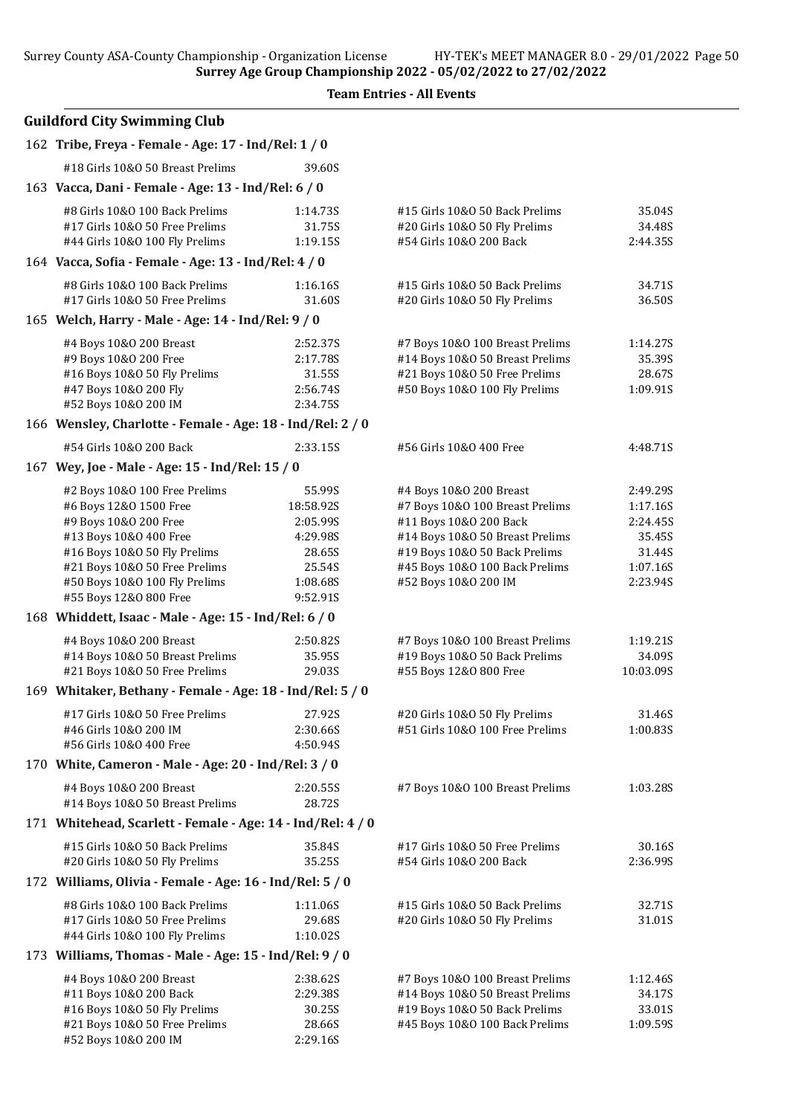Surrey Age Group Championship 2022 - 05/02/2022 to 27/02/2022

| <b>Guildford City Swimming Club</b>                                                                                                                                                                                                    |                                                                                         |                                                                                                                                                                                                                    |                                                                              |
|----------------------------------------------------------------------------------------------------------------------------------------------------------------------------------------------------------------------------------------|-----------------------------------------------------------------------------------------|--------------------------------------------------------------------------------------------------------------------------------------------------------------------------------------------------------------------|------------------------------------------------------------------------------|
| 162 Tribe, Freya - Female - Age: 17 - Ind/Rel: 1 / 0                                                                                                                                                                                   |                                                                                         |                                                                                                                                                                                                                    |                                                                              |
| #18 Girls 10&0 50 Breast Prelims                                                                                                                                                                                                       | 39.60S                                                                                  |                                                                                                                                                                                                                    |                                                                              |
| 163 Vacca, Dani - Female - Age: 13 - Ind/Rel: 6 / 0                                                                                                                                                                                    |                                                                                         |                                                                                                                                                                                                                    |                                                                              |
| #8 Girls 10&0 100 Back Prelims<br>#17 Girls 10&0 50 Free Prelims<br>#44 Girls 10&0 100 Fly Prelims                                                                                                                                     | 1:14.735<br>31.75S<br>1:19.15S                                                          | #15 Girls 10&0 50 Back Prelims<br>#20 Girls 10&O 50 Fly Prelims<br>#54 Girls 10&0 200 Back                                                                                                                         | 35.04S<br>34.48S<br>2:44.35S                                                 |
| 164 Vacca, Sofia - Female - Age: 13 - Ind/Rel: 4 / 0                                                                                                                                                                                   |                                                                                         |                                                                                                                                                                                                                    |                                                                              |
| #8 Girls 10&0 100 Back Prelims<br>#17 Girls 10&0 50 Free Prelims                                                                                                                                                                       | 1:16.16S<br>31.60S                                                                      | #15 Girls 10&0 50 Back Prelims<br>#20 Girls 10&O 50 Fly Prelims                                                                                                                                                    | 34.71S<br>36.50S                                                             |
| 165 Welch, Harry - Male - Age: 14 - Ind/Rel: 9 / 0                                                                                                                                                                                     |                                                                                         |                                                                                                                                                                                                                    |                                                                              |
| #4 Boys 10&0 200 Breast<br>#9 Boys 10&0 200 Free<br>#16 Boys 10&0 50 Fly Prelims<br>#47 Boys 10&0 200 Fly<br>#52 Boys 10&0 200 IM                                                                                                      | 2:52.37S<br>2:17.78S<br>31.55S<br>2:56.74S<br>2:34.75S                                  | #7 Boys 10&0 100 Breast Prelims<br>#14 Boys 10&0 50 Breast Prelims<br>#21 Boys 10&0 50 Free Prelims<br>#50 Boys 10&0 100 Fly Prelims                                                                               | 1:14.27S<br>35.39S<br>28.67S<br>1:09.91S                                     |
| 166 Wensley, Charlotte - Female - Age: 18 - Ind/Rel: 2 / 0                                                                                                                                                                             |                                                                                         |                                                                                                                                                                                                                    |                                                                              |
| #54 Girls 10&0 200 Back                                                                                                                                                                                                                | 2:33.15S                                                                                | #56 Girls 10&0 400 Free                                                                                                                                                                                            | 4:48.71S                                                                     |
| 167 Wey, Joe - Male - Age: 15 - Ind/Rel: 15 / 0                                                                                                                                                                                        |                                                                                         |                                                                                                                                                                                                                    |                                                                              |
| #2 Boys 10&0 100 Free Prelims<br>#6 Boys 12&0 1500 Free<br>#9 Boys 10&0 200 Free<br>#13 Boys 10&0 400 Free<br>#16 Boys 10&0 50 Fly Prelims<br>#21 Boys 10&0 50 Free Prelims<br>#50 Boys 10&0 100 Fly Prelims<br>#55 Boys 12&0 800 Free | 55.99S<br>18:58.92S<br>2:05.99S<br>4:29.98S<br>28.65S<br>25.54S<br>1:08.685<br>9:52.91S | #4 Boys 10&0 200 Breast<br>#7 Boys 10&0 100 Breast Prelims<br>#11 Boys 10&0 200 Back<br>#14 Boys 10&0 50 Breast Prelims<br>#19 Boys 10&0 50 Back Prelims<br>#45 Boys 10&0 100 Back Prelims<br>#52 Boys 10&0 200 IM | 2:49.29S<br>1:17.16S<br>2:24.45S<br>35.45S<br>31.44S<br>1:07.16S<br>2:23.94S |
| 168 Whiddett, Isaac - Male - Age: 15 - Ind/Rel: 6 / 0                                                                                                                                                                                  |                                                                                         |                                                                                                                                                                                                                    |                                                                              |
| #4 Boys 10&0 200 Breast<br>#14 Boys 10&0 50 Breast Prelims<br>#21 Boys 10&0 50 Free Prelims                                                                                                                                            | 2:50.82S<br>35.95S<br>29.03S                                                            | #7 Boys 10&0 100 Breast Prelims<br>#19 Boys 10&0 50 Back Prelims<br>#55 Boys 12&0 800 Free                                                                                                                         | 1:19.21S<br>34.09S<br>10:03.09S                                              |
| 169 Whitaker, Bethany - Female - Age: 18 - Ind/Rel: 5 / 0                                                                                                                                                                              |                                                                                         |                                                                                                                                                                                                                    |                                                                              |
| #17 Girls 10&0 50 Free Prelims<br>#46 Girls 10&0 200 IM<br>#56 Girls 10&0 400 Free                                                                                                                                                     | 27.92S<br>2:30.66S<br>4:50.94S                                                          | #20 Girls 10&O 50 Fly Prelims<br>#51 Girls 10&0 100 Free Prelims                                                                                                                                                   | 31.46S<br>1:00.83S                                                           |
| 170 White, Cameron - Male - Age: 20 - Ind/Rel: 3 / 0                                                                                                                                                                                   |                                                                                         |                                                                                                                                                                                                                    |                                                                              |
| #4 Boys 10&0 200 Breast<br>#14 Boys 10&0 50 Breast Prelims                                                                                                                                                                             | 2:20.555<br>28.72S                                                                      | #7 Boys 10&0 100 Breast Prelims                                                                                                                                                                                    | 1:03.28S                                                                     |
| 171 Whitehead, Scarlett - Female - Age: 14 - Ind/Rel: 4 / 0                                                                                                                                                                            |                                                                                         |                                                                                                                                                                                                                    |                                                                              |
| #15 Girls 10&0 50 Back Prelims<br>#20 Girls 10&0 50 Fly Prelims                                                                                                                                                                        | 35.84S<br>35.25S                                                                        | #17 Girls 10&0 50 Free Prelims<br>#54 Girls 10&0 200 Back                                                                                                                                                          | 30.16S<br>2:36.99S                                                           |
| 172 Williams, Olivia - Female - Age: 16 - Ind/Rel: 5 / 0                                                                                                                                                                               |                                                                                         |                                                                                                                                                                                                                    |                                                                              |
| #8 Girls 10&0 100 Back Prelims<br>#17 Girls 10&0 50 Free Prelims<br>#44 Girls 10&0 100 Fly Prelims                                                                                                                                     | 1:11.06S<br>29.68S<br>1:10.02S                                                          | #15 Girls 10&0 50 Back Prelims<br>#20 Girls 10&O 50 Fly Prelims                                                                                                                                                    | 32.71S<br>31.01S                                                             |
| 173 Williams, Thomas - Male - Age: 15 - Ind/Rel: 9 / 0                                                                                                                                                                                 |                                                                                         |                                                                                                                                                                                                                    |                                                                              |
| #4 Boys 10&0 200 Breast<br>#11 Boys 10&0 200 Back<br>#16 Boys 10&0 50 Fly Prelims<br>#21 Boys 10&0 50 Free Prelims<br>#52 Boys 10&0 200 IM                                                                                             | 2:38.625<br>2:29.38S<br>30.25S<br>28.66S<br>2:29.16S                                    | #7 Boys 10&0 100 Breast Prelims<br>#14 Boys 10&0 50 Breast Prelims<br>#19 Boys 10&0 50 Back Prelims<br>#45 Boys 10&0 100 Back Prelims                                                                              | 1:12.46S<br>34.17S<br>33.01S<br>1:09.59S                                     |

Team Entries - All Events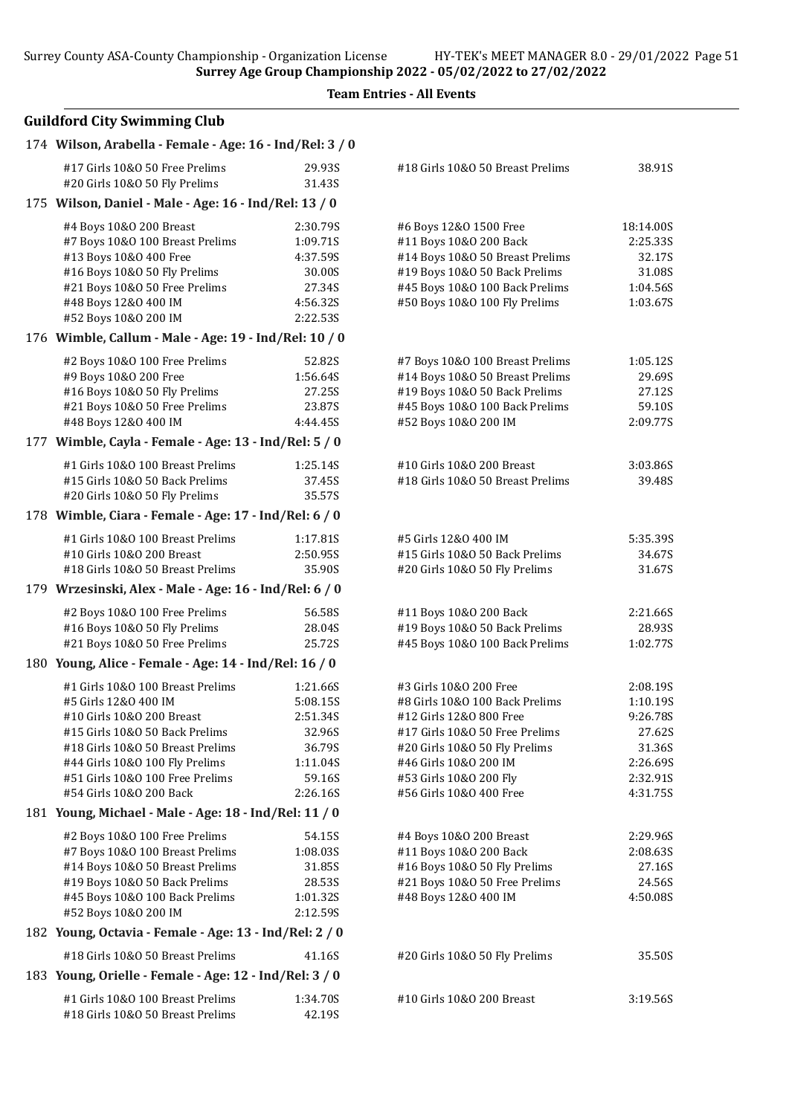Team Entries - All Events

| 174 Wilson, Arabella - Female - Age: 16 - Ind/Rel: 3 / 0             |                      |                                  |           |
|----------------------------------------------------------------------|----------------------|----------------------------------|-----------|
| #17 Girls 10&0 50 Free Prelims<br>#20 Girls 10&O 50 Fly Prelims      | 29.93S<br>31.43S     | #18 Girls 10&0 50 Breast Prelims | 38.91S    |
| 175 Wilson, Daniel - Male - Age: 16 - Ind/Rel: 13 / 0                |                      |                                  |           |
| #4 Boys 10&0 200 Breast                                              | 2:30.79S             | #6 Boys 12&0 1500 Free           | 18:14.00S |
| #7 Boys 10&0 100 Breast Prelims                                      | 1:09.71S             | #11 Boys 10&0 200 Back           | 2:25.33S  |
| #13 Boys 10&0 400 Free                                               | 4:37.59S             | #14 Boys 10&0 50 Breast Prelims  | 32.17S    |
| #16 Boys 10&0 50 Fly Prelims                                         | 30.00S               | #19 Boys 10&0 50 Back Prelims    | 31.08S    |
| #21 Boys 10&0 50 Free Prelims                                        | 27.34S               | #45 Boys 10&0 100 Back Prelims   | 1:04.56S  |
| #48 Boys 12&0 400 IM                                                 | 4:56.32S             | #50 Boys 10&0 100 Fly Prelims    | 1:03.67S  |
| #52 Boys 10&0 200 IM                                                 | 2:22.53S             |                                  |           |
| 176 Wimble, Callum - Male - Age: 19 - Ind/Rel: 10 / 0                |                      |                                  |           |
| #2 Boys 10&0 100 Free Prelims                                        | 52.82S               | #7 Boys 10&0 100 Breast Prelims  | 1:05.12S  |
| #9 Boys 10&0 200 Free                                                | 1:56.64S             | #14 Boys 10&0 50 Breast Prelims  | 29.69S    |
| #16 Boys 10&0 50 Fly Prelims                                         | 27.25S               | #19 Boys 10&0 50 Back Prelims    | 27.12S    |
| #21 Boys 10&0 50 Free Prelims                                        | 23.87S               | #45 Boys 10&0 100 Back Prelims   | 59.10S    |
| #48 Boys 12&0 400 IM                                                 | 4:44.45S             | #52 Boys 10&0 200 IM             | 2:09.77S  |
| 177 Wimble, Cayla - Female - Age: 13 - Ind/Rel: 5 / 0                |                      |                                  |           |
| #1 Girls 10&0 100 Breast Prelims                                     | 1:25.14S             | #10 Girls 10&0 200 Breast        | 3:03.86S  |
| #15 Girls 10&0 50 Back Prelims                                       | 37.45S               | #18 Girls 10&0 50 Breast Prelims | 39.48S    |
| #20 Girls 10&0 50 Fly Prelims                                        | 35.57S               |                                  |           |
| 178 Wimble, Ciara - Female - Age: 17 - Ind/Rel: 6 / 0                |                      |                                  |           |
| #1 Girls 10&0 100 Breast Prelims                                     | 1:17.81S             | #5 Girls 12&0 400 IM             | 5:35.39S  |
| #10 Girls 10&0 200 Breast                                            | 2:50.95S             | #15 Girls 10&0 50 Back Prelims   | 34.67S    |
| #18 Girls 10&0 50 Breast Prelims                                     | 35.90S               | #20 Girls 10&O 50 Fly Prelims    | 31.67S    |
| 179 Wrzesinski, Alex - Male - Age: 16 - Ind/Rel: 6 / 0               |                      |                                  |           |
| #2 Boys 10&0 100 Free Prelims                                        | 56.58S               | #11 Boys 10&0 200 Back           | 2:21.66S  |
| #16 Boys 10&0 50 Fly Prelims                                         | 28.04S               | #19 Boys 10&0 50 Back Prelims    | 28.93S    |
| #21 Boys 10&0 50 Free Prelims                                        | 25.72S               | #45 Boys 10&0 100 Back Prelims   | 1:02.77S  |
| 180 Young, Alice - Female - Age: 14 - Ind/Rel: 16 / 0                |                      |                                  |           |
| #1 Girls 10&0 100 Breast Prelims                                     | 1:21.66S             | #3 Girls 10&0 200 Free           | 2:08.195  |
| #5 Girls 12&0 400 IM                                                 | 5:08.15S             | #8 Girls 10&0 100 Back Prelims   | 1:10.19S  |
| #10 Girls 10&0 200 Breast                                            | 2:51.34S             | #12 Girls 12&0 800 Free          | 9:26.78S  |
| #15 Girls 10&0 50 Back Prelims                                       | 32.96S               | #17 Girls 10&0 50 Free Prelims   | 27.62S    |
| #18 Girls 10&0 50 Breast Prelims                                     | 36.79S               | #20 Girls 10&O 50 Fly Prelims    | 31.36S    |
| #44 Girls 10&0 100 Fly Prelims                                       | 1:11.04S             | #46 Girls 10&0 200 IM            | 2:26.69S  |
| #51 Girls 10&0 100 Free Prelims                                      | 59.16S               | #53 Girls 10&0 200 Fly           | 2:32.91S  |
| #54 Girls 10&0 200 Back                                              | 2:26.16S             | #56 Girls 10&O 400 Free          | 4:31.75S  |
| 181 Young, Michael - Male - Age: 18 - Ind/Rel: 11 / 0                |                      |                                  |           |
| #2 Boys 10&0 100 Free Prelims                                        | 54.15S               | #4 Boys 10&0 200 Breast          | 2:29.96S  |
| #7 Boys 10&0 100 Breast Prelims                                      | 1:08.03S             | #11 Boys 10&0 200 Back           | 2:08.63S  |
| #14 Boys 10&0 50 Breast Prelims                                      | 31.85S               | #16 Boys 10&0 50 Fly Prelims     | 27.16S    |
| #19 Boys 10&0 50 Back Prelims                                        | 28.53S               | #21 Boys 10&0 50 Free Prelims    | 24.56S    |
| #45 Boys 10&0 100 Back Prelims<br>#52 Boys 10&0 200 IM               | 1:01.32S<br>2:12.59S | #48 Boys 12&0 400 IM             | 4:50.08S  |
| 182 Young, Octavia - Female - Age: 13 - Ind/Rel: 2 / 0               |                      |                                  |           |
| #18 Girls 10&0 50 Breast Prelims                                     | 41.16S               | #20 Girls 10&O 50 Fly Prelims    | 35.50S    |
| 183 Young, Orielle - Female - Age: 12 - Ind/Rel: 3 / 0               |                      |                                  |           |
|                                                                      |                      |                                  |           |
| #1 Girls 10&0 100 Breast Prelims<br>#18 Girls 10&0 50 Breast Prelims | 1:34.70S<br>42.19S   | #10 Girls 10&0 200 Breast        | 3:19.56S  |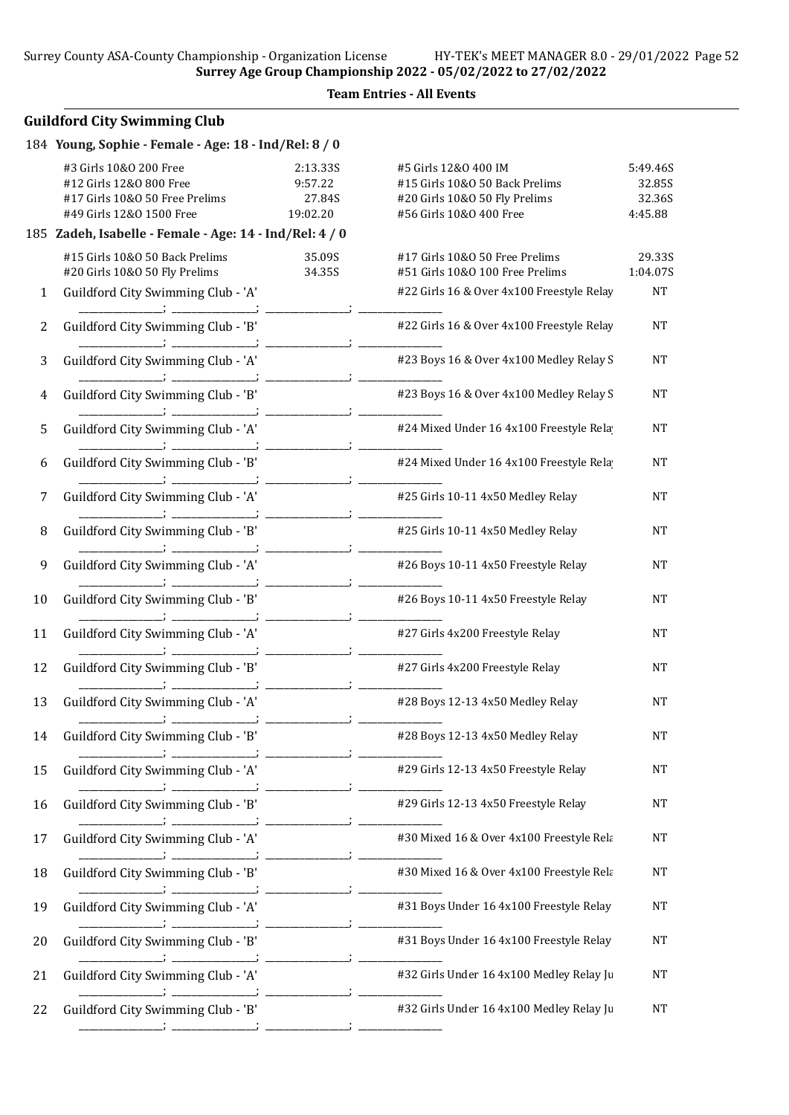#### Team Entries - All Events

|                | 184 Young, Sophie - Female - Age: 18 - Ind/Rel: 8 / 0                                                           |                                           |                                                                                                                    |                                         |
|----------------|-----------------------------------------------------------------------------------------------------------------|-------------------------------------------|--------------------------------------------------------------------------------------------------------------------|-----------------------------------------|
|                | #3 Girls 10&0 200 Free<br>#12 Girls 12&0 800 Free<br>#17 Girls 10&0 50 Free Prelims<br>#49 Girls 12&0 1500 Free | 2:13.33S<br>9:57.22<br>27.84S<br>19:02.20 | #5 Girls 12&0 400 IM<br>#15 Girls 10&0 50 Back Prelims<br>#20 Girls 10&O 50 Fly Prelims<br>#56 Girls 10&0 400 Free | 5:49.46S<br>32.85S<br>32.36S<br>4:45.88 |
|                | 185 Zadeh, Isabelle - Female - Age: 14 - Ind/Rel: 4 / 0                                                         |                                           |                                                                                                                    |                                         |
|                | #15 Girls 10&0 50 Back Prelims<br>#20 Girls 10&O 50 Fly Prelims                                                 | 35.09S<br>34.35S                          | #17 Girls 10&0 50 Free Prelims<br>#51 Girls 10&0 100 Free Prelims                                                  | 29.33S<br>1:04.07S                      |
| $\mathbf{1}$   | Guildford City Swimming Club - 'A'                                                                              |                                           | #22 Girls 16 & Over 4x100 Freestyle Relay                                                                          | NT                                      |
| $\overline{2}$ | Guildford City Swimming Club - 'B'                                                                              |                                           | #22 Girls 16 & Over 4x100 Freestyle Relay                                                                          | <b>NT</b>                               |
| 3              | Guildford City Swimming Club - 'A'                                                                              |                                           | #23 Boys 16 & Over 4x100 Medley Relay S                                                                            | <b>NT</b>                               |
| $\overline{4}$ | Guildford City Swimming Club - 'B'                                                                              |                                           | #23 Boys 16 & Over 4x100 Medley Relay S                                                                            | <b>NT</b>                               |
| 5              | Guildford City Swimming Club - 'A'                                                                              |                                           | #24 Mixed Under 16 4x100 Freestyle Rela                                                                            | <b>NT</b>                               |
| 6              | Guildford City Swimming Club - 'B'                                                                              |                                           | #24 Mixed Under 16 4x100 Freestyle Rela                                                                            | <b>NT</b>                               |
| 7              | Guildford City Swimming Club - 'A'                                                                              |                                           | #25 Girls 10-11 4x50 Medley Relay                                                                                  | <b>NT</b>                               |
| 8              | Guildford City Swimming Club - 'B'                                                                              |                                           | #25 Girls 10-11 4x50 Medley Relay                                                                                  | <b>NT</b>                               |
| 9              | Guildford City Swimming Club - 'A'                                                                              |                                           | #26 Boys 10-11 4x50 Freestyle Relay                                                                                | <b>NT</b>                               |
| 10             | Guildford City Swimming Club - 'B'                                                                              |                                           | #26 Boys 10-11 4x50 Freestyle Relay                                                                                | <b>NT</b>                               |
| 11             | Guildford City Swimming Club - 'A'                                                                              |                                           | #27 Girls 4x200 Freestyle Relay                                                                                    | <b>NT</b>                               |
| 12             | Guildford City Swimming Club - 'B'                                                                              |                                           | #27 Girls 4x200 Freestyle Relay                                                                                    | <b>NT</b>                               |
| 13             | Guildford City Swimming Club - 'A'                                                                              |                                           | #28 Boys 12-13 4x50 Medley Relay                                                                                   | <b>NT</b>                               |
| 14             | Guildford City Swimming Club - 'B'                                                                              |                                           | #28 Boys 12-13 4x50 Medley Relay                                                                                   | NT                                      |
| 15             | Guildford City Swimming Club - 'A'                                                                              |                                           | #29 Girls 12-13 4x50 Freestyle Relay                                                                               | NT                                      |
| 16             | Guildford City Swimming Club - 'B'                                                                              |                                           | #29 Girls 12-13 4x50 Freestyle Relay                                                                               | <b>NT</b>                               |
| 17             | Guildford City Swimming Club - 'A'                                                                              |                                           | #30 Mixed 16 & Over 4x100 Freestyle Rela                                                                           | NT                                      |
| 18             | Guildford City Swimming Club - 'B'                                                                              |                                           | #30 Mixed 16 & Over 4x100 Freestyle Rela                                                                           | <b>NT</b>                               |
| 19             | Guildford City Swimming Club - 'A'                                                                              |                                           | #31 Boys Under 16 4x100 Freestyle Relay                                                                            | <b>NT</b>                               |
| 20             | Guildford City Swimming Club - 'B'                                                                              |                                           | #31 Boys Under 16 4x100 Freestyle Relay                                                                            | NT                                      |
| 21             | Guildford City Swimming Club - 'A'                                                                              |                                           | #32 Girls Under 16 4x100 Medley Relay Ju                                                                           | NT                                      |
| 22             | Guildford City Swimming Club - 'B'                                                                              |                                           | #32 Girls Under 16 4x100 Medley Relay Ju                                                                           | NT                                      |
|                |                                                                                                                 |                                           |                                                                                                                    |                                         |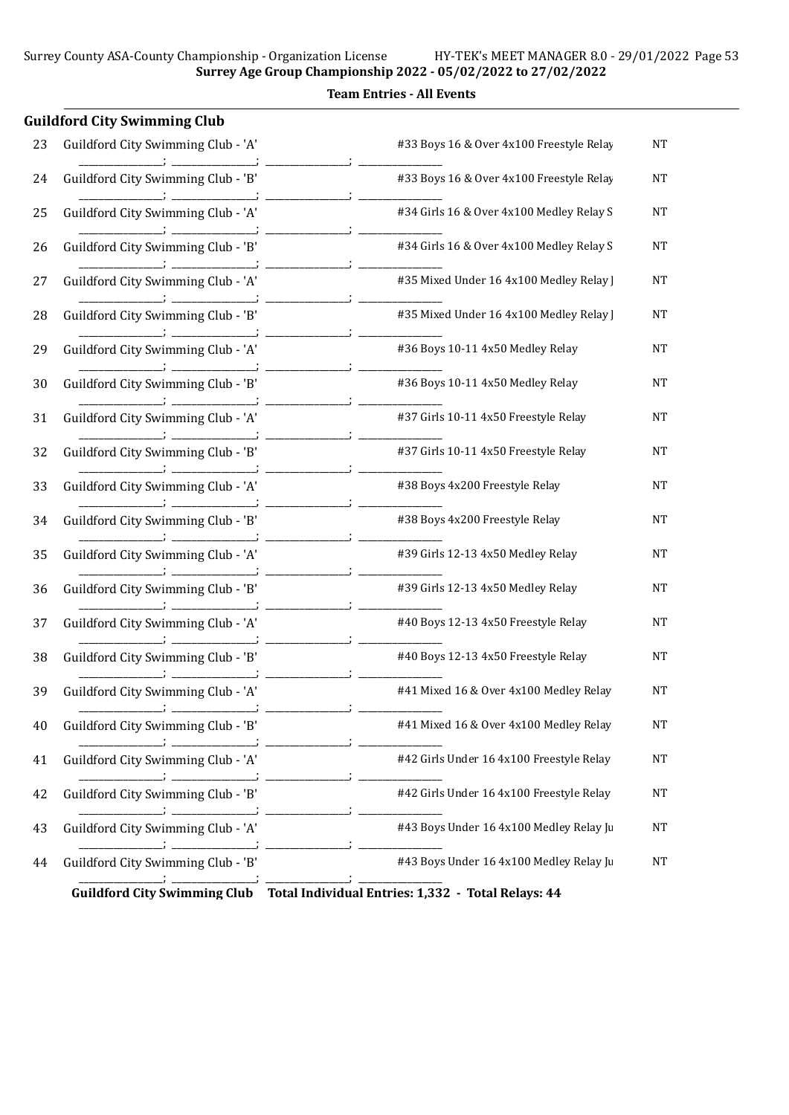Team Entries - All Events

|    | <b>Guildford City Swimming Club</b> |                                                                      |           |
|----|-------------------------------------|----------------------------------------------------------------------|-----------|
| 23 | Guildford City Swimming Club - 'A'  | #33 Boys 16 & Over 4x100 Freestyle Relay                             | <b>NT</b> |
| 24 | Guildford City Swimming Club - 'B'  | #33 Boys 16 & Over 4x100 Freestyle Relay                             | <b>NT</b> |
| 25 | Guildford City Swimming Club - 'A'  | #34 Girls 16 & Over 4x100 Medley Relay S                             | <b>NT</b> |
| 26 | Guildford City Swimming Club - 'B'  | #34 Girls 16 & Over 4x100 Medley Relay S                             | NΤ        |
| 27 | Guildford City Swimming Club - 'A'  | #35 Mixed Under 16 4x100 Medley Relay ]                              | NΤ        |
| 28 | Guildford City Swimming Club - 'B'  | #35 Mixed Under 16 4x100 Medley Relay ]                              | <b>NT</b> |
| 29 | Guildford City Swimming Club - 'A'  | #36 Boys 10-11 4x50 Medley Relay                                     | <b>NT</b> |
| 30 | Guildford City Swimming Club - 'B'  | #36 Boys 10-11 4x50 Medley Relay                                     | NT        |
| 31 | Guildford City Swimming Club - 'A'  | #37 Girls 10-11 4x50 Freestyle Relay                                 | NT        |
| 32 | Guildford City Swimming Club - 'B'  | #37 Girls 10-11 4x50 Freestyle Relay                                 | NT        |
| 33 | Guildford City Swimming Club - 'A'  | #38 Boys 4x200 Freestyle Relay                                       | <b>NT</b> |
| 34 | Guildford City Swimming Club - 'B'  | #38 Boys 4x200 Freestyle Relay                                       | NT        |
| 35 | Guildford City Swimming Club - 'A'  | #39 Girls 12-13 4x50 Medley Relay                                    | <b>NT</b> |
| 36 | Guildford City Swimming Club - 'B'  | #39 Girls 12-13 4x50 Medley Relay                                    | <b>NT</b> |
| 37 | Guildford City Swimming Club - 'A'  | #40 Boys 12-13 4x50 Freestyle Relay                                  | NΤ        |
| 38 | Guildford City Swimming Club - 'B'  | #40 Boys 12-13 4x50 Freestyle Relay                                  | NT        |
| 39 | Guildford City Swimming Club - 'A'  | #41 Mixed 16 & Over 4x100 Medley Relay                               | NT        |
| 40 | Guildford City Swimming Club - 'B'  | #41 Mixed 16 & Over 4x100 Medley Relay                               | <b>NT</b> |
| 41 | Guildford City Swimming Club - 'A'  | <b>Contract Contract</b><br>#42 Girls Under 16 4x100 Freestyle Relay | NT        |
| 42 | Guildford City Swimming Club - 'B'  | #42 Girls Under 16 4x100 Freestyle Relay                             | <b>NT</b> |
| 43 | Guildford City Swimming Club - 'A'  | #43 Boys Under 16 4x100 Medley Relay Ju                              | NT        |
| 44 | Guildford City Swimming Club - 'B'  | #43 Boys Under 16 4x100 Medley Relay Ju                              | <b>NT</b> |
|    |                                     |                                                                      |           |

Guildford City Swimming Club Total Individual Entries: 1,332 - Total Relays: 44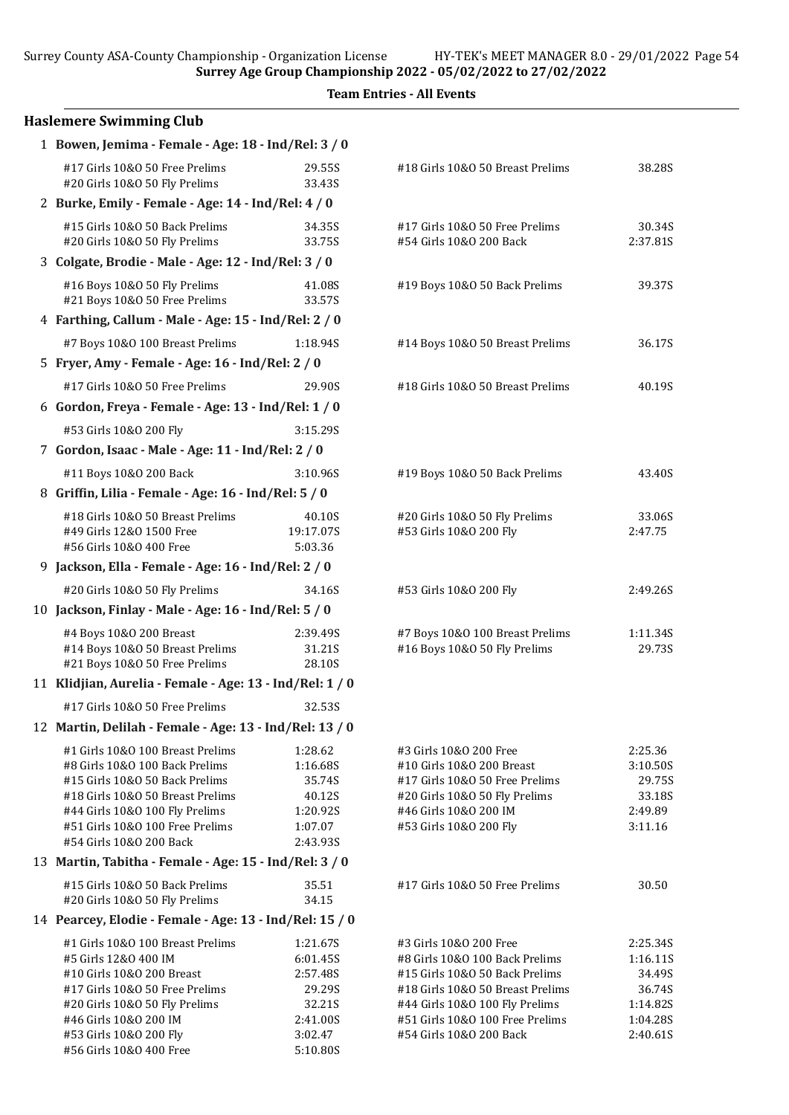Surrey County ASA-County Championship - Organization License HY-TEK's MEET MANAGER 8.0 - 29/01/2022 Page 54

Surrey Age Group Championship 2022 - 05/02/2022 to 27/02/2022

|                                                                  |                    | <b>Team Entries - All Events</b>                                  |                      |
|------------------------------------------------------------------|--------------------|-------------------------------------------------------------------|----------------------|
| <b>Haslemere Swimming Club</b>                                   |                    |                                                                   |                      |
| 1 Bowen, Jemima - Female - Age: 18 - Ind/Rel: 3 / 0              |                    |                                                                   |                      |
| #17 Girls 10&0 50 Free Prelims<br>#20 Girls 10&O 50 Fly Prelims  | 29.55S<br>33.43S   | #18 Girls 10&0 50 Breast Prelims                                  | 38.28S               |
| 2 Burke, Emily - Female - Age: 14 - Ind/Rel: 4 / 0               |                    |                                                                   |                      |
| #15 Girls 10&0 50 Back Prelims<br>#20 Girls 10&O 50 Fly Prelims  | 34.35S<br>33.75S   | #17 Girls 10&O 50 Free Prelims<br>#54 Girls 10&0 200 Back         | 30.34S<br>2:37.81S   |
| 3 Colgate, Brodie - Male - Age: 12 - Ind/Rel: 3 / 0              |                    |                                                                   |                      |
| #16 Boys 10&0 50 Fly Prelims<br>#21 Boys 10&0 50 Free Prelims    | 41.08S<br>33.57S   | #19 Boys 10&0 50 Back Prelims                                     | 39.37S               |
| 4 Farthing, Callum - Male - Age: 15 - Ind/Rel: 2 / 0             |                    |                                                                   |                      |
| #7 Boys 10&0 100 Breast Prelims                                  | 1:18.94S           | #14 Boys 10&0 50 Breast Prelims                                   | 36.17S               |
| 5 Fryer, Amy - Female - Age: 16 - Ind/Rel: 2 / 0                 |                    |                                                                   |                      |
| #17 Girls 10&0 50 Free Prelims                                   | 29.90S             | #18 Girls 10&0 50 Breast Prelims                                  | 40.19S               |
| 6 Gordon, Freya - Female - Age: 13 - Ind/Rel: 1 / 0              |                    |                                                                   |                      |
| #53 Girls 10&0 200 Fly                                           | 3:15.29S           |                                                                   |                      |
| 7 Gordon, Isaac - Male - Age: 11 - Ind/Rel: 2 / 0                |                    |                                                                   |                      |
| #11 Boys 10&0 200 Back                                           | 3:10.96S           | #19 Boys 10&0 50 Back Prelims                                     | 43.40S               |
| 8 Griffin, Lilia - Female - Age: 16 - Ind/Rel: 5 / 0             |                    |                                                                   |                      |
| #18 Girls 10&0 50 Breast Prelims                                 | 40.10S             | #20 Girls 10&O 50 Fly Prelims                                     | 33.06S               |
| #49 Girls 12&0 1500 Free                                         | 19:17.07S          | #53 Girls 10&0 200 Fly                                            | 2:47.75              |
| #56 Girls 10&0 400 Free                                          | 5:03.36            |                                                                   |                      |
| 9 Jackson, Ella - Female - Age: 16 - Ind/Rel: 2 / 0              |                    |                                                                   |                      |
| #20 Girls 10&O 50 Fly Prelims                                    | 34.16S             | #53 Girls 10&0 200 Fly                                            | 2:49.26S             |
| 10 Jackson, Finlay - Male - Age: 16 - Ind/Rel: 5 / 0             |                    |                                                                   |                      |
| #4 Boys 10&0 200 Breast                                          | 2:39.49S           | #7 Boys 10&0 100 Breast Prelims                                   | 1:11.34S             |
| #14 Boys 10&0 50 Breast Prelims                                  | 31.21S             | #16 Boys 10&0 50 Fly Prelims                                      | 29.73S               |
| #21 Boys 10&0 50 Free Prelims                                    | 28.10S             |                                                                   |                      |
| 11 Klidjian, Aurelia - Female - Age: 13 - Ind/Rel: 1 / 0         |                    |                                                                   |                      |
| #17 Girls 10&O 50 Free Prelims                                   | 32.53S             |                                                                   |                      |
| 12 Martin, Delilah - Female - Age: 13 - Ind/Rel: 13 / 0          |                    |                                                                   |                      |
| #1 Girls 10&0 100 Breast Prelims                                 | 1:28.62            | #3 Girls 10&0 200 Free                                            | 2:25.36              |
| #8 Girls 10&0 100 Back Prelims<br>#15 Girls 10&0 50 Back Prelims | 1:16.68S<br>35.74S | #10 Girls 10&0 200 Breast<br>#17 Girls 10&O 50 Free Prelims       | 3:10.50S<br>29.75S   |
| #18 Girls 10&0 50 Breast Prelims                                 | 40.12S             | #20 Girls 10&O 50 Fly Prelims                                     | 33.18S               |
| #44 Girls 10&0 100 Fly Prelims                                   | 1:20.92S           | #46 Girls 10&0 200 IM                                             | 2:49.89              |
| #51 Girls 10&0 100 Free Prelims                                  | 1:07.07            | #53 Girls 10&0 200 Fly                                            | 3:11.16              |
| #54 Girls 10&0 200 Back                                          | 2:43.93S           |                                                                   |                      |
| 13 Martin, Tabitha - Female - Age: 15 - Ind/Rel: 3 / 0           |                    |                                                                   |                      |
| #15 Girls 10&0 50 Back Prelims<br>#20 Girls 10&O 50 Fly Prelims  | 35.51<br>34.15     | #17 Girls 10&O 50 Free Prelims                                    | 30.50                |
| 14 Pearcey, Elodie - Female - Age: 13 - Ind/Rel: 15 / 0          |                    |                                                                   |                      |
| #1 Girls 10&0 100 Breast Prelims                                 | 1:21.67S           | #3 Girls 10&0 200 Free                                            | 2:25.34S             |
| #5 Girls 12&0 400 IM                                             | 6:01.45S           | #8 Girls 10&0 100 Back Prelims                                    | 1:16.11S             |
| #10 Girls 10&0 200 Breast                                        | 2:57.48S           | #15 Girls 10&0 50 Back Prelims                                    | 34.49S               |
| #17 Girls 10&0 50 Free Prelims                                   | 29.29S             | #18 Girls 10&0 50 Breast Prelims                                  | 36.74S               |
| #20 Girls 10&0 50 Fly Prelims<br>#46 Girls 10&0 200 IM           | 32.21S<br>2:41.00S | #44 Girls 10&0 100 Fly Prelims<br>#51 Girls 10&0 100 Free Prelims | 1:14.82S<br>1:04.28S |
| #53 Girls 10&0 200 Fly                                           | 3:02.47            | #54 Girls 10&0 200 Back                                           | 2:40.61S             |
| #56 Girls 10&0 400 Free                                          | 5:10.80S           |                                                                   |                      |

| #18 Girls 10&0 50 Breast Prelims                                 | 38.28S             |
|------------------------------------------------------------------|--------------------|
|                                                                  |                    |
| #17 Girls 10&0 50 Free Prelims                                   | 30.34S             |
| #54 Girls 10&0 200 Back                                          | 2:37.815           |
| #19 Boys 10&0 50 Back Prelims                                    | 39.37S             |
| #14 Boys 10&0 50 Breast Prelims                                  | 36.17S             |
| #18 Girls 10&0 50 Breast Prelims                                 | 40.19S             |
|                                                                  |                    |
| #19 Boys 10&0 50 Back Prelims                                    | 43.40S             |
| #20 Girls 10&O 50 Fly Prelims                                    | 33.06S             |
| #53 Girls 10&0 200 Fly                                           | 2:47.75            |
| #53 Girls 10&0 200 Fly                                           | 2:49.26S           |
| #7 Boys 10&0 100 Breast Prelims                                  | 1:11.34S           |
| #16 Boys 10&0 50 Fly Prelims                                     | 29.73S             |
|                                                                  |                    |
| #3 Girls 10&0 200 Free                                           | 2:25.36            |
| #10 Girls 10&0 200 Breast                                        | 3:10.50S           |
| #17 Girls 10&O 50 Free Prelims<br>#20 Girls 10&O 50 Fly Prelims  | 29.75S<br>33.18S   |
| #46 Girls 10&0 200 IM                                            | 2:49.89            |
| #53 Girls 10&0 200 Fly                                           | 3:11.16            |
| #17 Girls 10&0 50 Free Prelims                                   | 30.50              |
|                                                                  |                    |
| #3 Girls 10&0 200 Free                                           | 2:25.34S           |
| #8 Girls 10&0 100 Back Prelims<br>#15 Girls 10&0 50 Back Prelims | 1:16.11S<br>34.49S |
| #18 Girls 10&0 50 Breast Prelims                                 | 36.74S             |
| #44 Girls 10&0 100 Fly Prelims                                   | 1:14.82S           |
| #51 Girls 10&0 100 Free Prelims                                  | 1:04.28S           |
| #54 Girls 10&0 200 Back                                          | 2:40.61S           |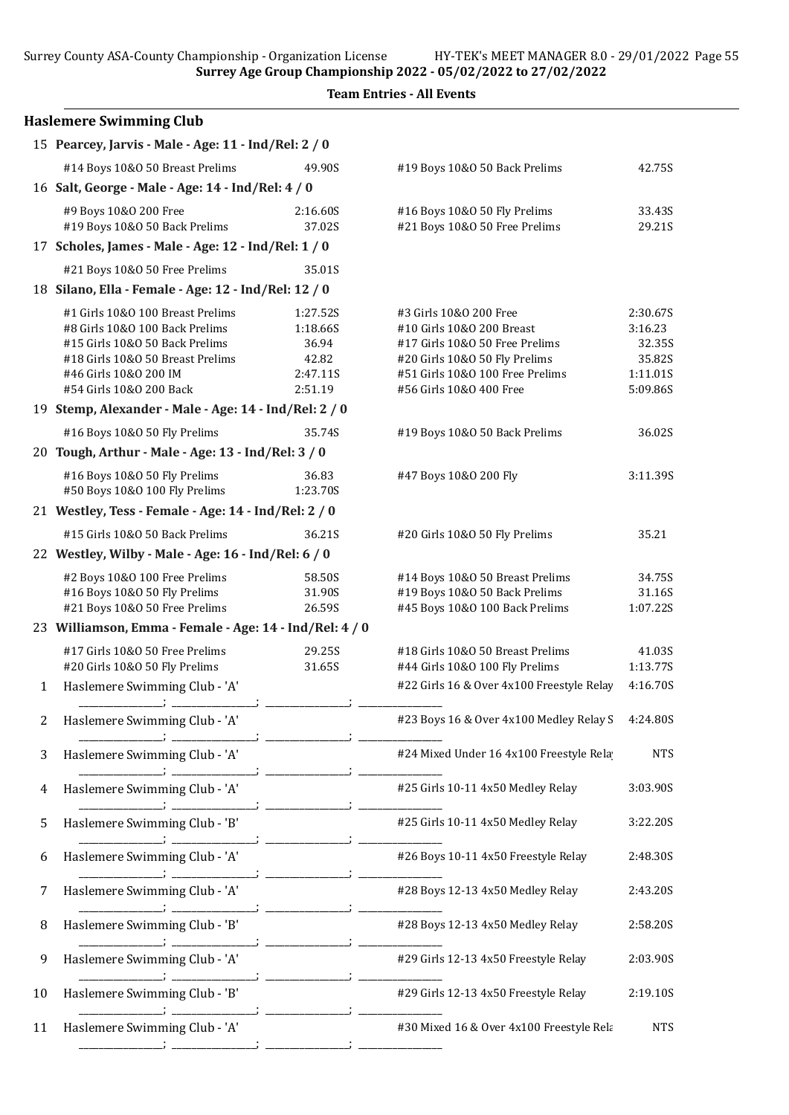Surrey County ASA-County Championship - Organization License HY-TEK's MEET MANAGER 8.0 - 29/01/2022 Page 55

Surrey Age Group Championship 2022 - 05/02/2022 to 27/02/2022

|  | <b>Team Entries - All Events</b> |  |  |
|--|----------------------------------|--|--|
|--|----------------------------------|--|--|

|                | <b>Haslemere Swimming Club</b>                                                                                                                                                               |                                                               |                                                                                                                                                                                      |                                                                 |
|----------------|----------------------------------------------------------------------------------------------------------------------------------------------------------------------------------------------|---------------------------------------------------------------|--------------------------------------------------------------------------------------------------------------------------------------------------------------------------------------|-----------------------------------------------------------------|
|                | 15 Pearcey, Jarvis - Male - Age: 11 - Ind/Rel: 2 / 0                                                                                                                                         |                                                               |                                                                                                                                                                                      |                                                                 |
|                | #14 Boys 10&0 50 Breast Prelims                                                                                                                                                              | 49.90S                                                        | #19 Boys 10&0 50 Back Prelims                                                                                                                                                        | 42.75S                                                          |
|                | 16 Salt, George - Male - Age: 14 - Ind/Rel: 4 / 0                                                                                                                                            |                                                               |                                                                                                                                                                                      |                                                                 |
|                | #9 Boys 10&0 200 Free<br>#19 Boys 10&0 50 Back Prelims                                                                                                                                       | 2:16.60S<br>37.02S                                            | #16 Boys 10&0 50 Fly Prelims<br>#21 Boys 10&0 50 Free Prelims                                                                                                                        | 33.43S<br>29.21S                                                |
|                | 17 Scholes, James - Male - Age: 12 - Ind/Rel: 1 / 0                                                                                                                                          |                                                               |                                                                                                                                                                                      |                                                                 |
|                | #21 Boys 10&0 50 Free Prelims                                                                                                                                                                | 35.01S                                                        |                                                                                                                                                                                      |                                                                 |
|                | 18 Silano, Ella - Female - Age: 12 - Ind/Rel: 12 / 0                                                                                                                                         |                                                               |                                                                                                                                                                                      |                                                                 |
|                | #1 Girls 10&0 100 Breast Prelims<br>#8 Girls 10&0 100 Back Prelims<br>#15 Girls 10&0 50 Back Prelims<br>#18 Girls 10&0 50 Breast Prelims<br>#46 Girls 10&0 200 IM<br>#54 Girls 10&0 200 Back | 1:27.52S<br>1:18.66S<br>36.94<br>42.82<br>2:47.11S<br>2:51.19 | #3 Girls 10&0 200 Free<br>#10 Girls 10&0 200 Breast<br>#17 Girls 10&O 50 Free Prelims<br>#20 Girls 10&O 50 Fly Prelims<br>#51 Girls 10&0 100 Free Prelims<br>#56 Girls 10&O 400 Free | 2:30.67S<br>3:16.23<br>32.35S<br>35.82S<br>1:11.015<br>5:09.86S |
|                | 19 Stemp, Alexander - Male - Age: 14 - Ind/Rel: 2 / 0                                                                                                                                        |                                                               |                                                                                                                                                                                      |                                                                 |
|                | #16 Boys 10&0 50 Fly Prelims                                                                                                                                                                 | 35.74S                                                        | #19 Boys 10&0 50 Back Prelims                                                                                                                                                        | 36.02S                                                          |
|                | 20 Tough, Arthur - Male - Age: 13 - Ind/Rel: 3 / 0                                                                                                                                           |                                                               |                                                                                                                                                                                      |                                                                 |
|                | #16 Boys 10&0 50 Fly Prelims<br>#50 Boys 10&0 100 Fly Prelims                                                                                                                                | 36.83<br>1:23.70S                                             | #47 Boys 10&0 200 Fly                                                                                                                                                                | 3:11.39S                                                        |
|                | 21 Westley, Tess - Female - Age: 14 - Ind/Rel: 2 / 0                                                                                                                                         |                                                               |                                                                                                                                                                                      |                                                                 |
|                | #15 Girls 10&0 50 Back Prelims                                                                                                                                                               | 36.21S                                                        | #20 Girls 10&O 50 Fly Prelims                                                                                                                                                        | 35.21                                                           |
|                | 22 Westley, Wilby - Male - Age: 16 - Ind/Rel: 6 / 0                                                                                                                                          |                                                               |                                                                                                                                                                                      |                                                                 |
|                | #2 Boys 10&0 100 Free Prelims<br>#16 Boys 10&0 50 Fly Prelims<br>#21 Boys 10&0 50 Free Prelims                                                                                               | 58.50S<br>31.90S<br>26.59S                                    | #14 Boys 10&0 50 Breast Prelims<br>#19 Boys 10&0 50 Back Prelims<br>#45 Boys 10&0 100 Back Prelims                                                                                   | 34.75S<br>31.16S<br>1:07.22S                                    |
|                | 23 Williamson, Emma - Female - Age: 14 - Ind/Rel: 4 / 0                                                                                                                                      |                                                               |                                                                                                                                                                                      |                                                                 |
|                | #17 Girls 10&0 50 Free Prelims<br>#20 Girls 10&O 50 Fly Prelims                                                                                                                              | 29.25S<br>31.65S                                              | #18 Girls 10&0 50 Breast Prelims<br>#44 Girls 10&0 100 Fly Prelims                                                                                                                   | 41.03S<br>1:13.77S                                              |
| $\mathbf{1}$   | Haslemere Swimming Club - 'A'                                                                                                                                                                |                                                               | #22 Girls 16 & Over 4x100 Freestyle Relay                                                                                                                                            | 4:16.70S                                                        |
| $\overline{2}$ | Haslemere Swimming Club - 'A'                                                                                                                                                                |                                                               | #23 Boys 16 & Over 4x100 Medley Relay S                                                                                                                                              | 4:24.80S                                                        |
| 3              | Haslemere Swimming Club - 'A'                                                                                                                                                                |                                                               | #24 Mixed Under 16 4x100 Freestyle Rela                                                                                                                                              | <b>NTS</b>                                                      |
| 4              | Haslemere Swimming Club - 'A'                                                                                                                                                                |                                                               | #25 Girls 10-11 4x50 Medley Relay                                                                                                                                                    | 3:03.90S                                                        |
| 5              | Haslemere Swimming Club - 'B'                                                                                                                                                                |                                                               | #25 Girls 10-11 4x50 Medley Relay                                                                                                                                                    | 3:22.20S                                                        |
| 6              | Haslemere Swimming Club - 'A'                                                                                                                                                                |                                                               | #26 Boys 10-11 4x50 Freestyle Relay                                                                                                                                                  | 2:48.30S                                                        |
| 7              | Haslemere Swimming Club - 'A'                                                                                                                                                                |                                                               | #28 Boys 12-13 4x50 Medley Relay                                                                                                                                                     | 2:43.20S                                                        |
| 8              | Haslemere Swimming Club - 'B'                                                                                                                                                                |                                                               | #28 Boys 12-13 4x50 Medley Relay                                                                                                                                                     | 2:58.20S                                                        |
| 9              | Haslemere Swimming Club - 'A'                                                                                                                                                                |                                                               | #29 Girls 12-13 4x50 Freestyle Relay                                                                                                                                                 | 2:03.90S                                                        |
| 10             | Haslemere Swimming Club - 'B'                                                                                                                                                                |                                                               | #29 Girls 12-13 4x50 Freestyle Relay                                                                                                                                                 | 2:19.10S                                                        |
| 11             | Haslemere Swimming Club - 'A'                                                                                                                                                                |                                                               | #30 Mixed 16 & Over 4x100 Freestyle Rela                                                                                                                                             | <b>NTS</b>                                                      |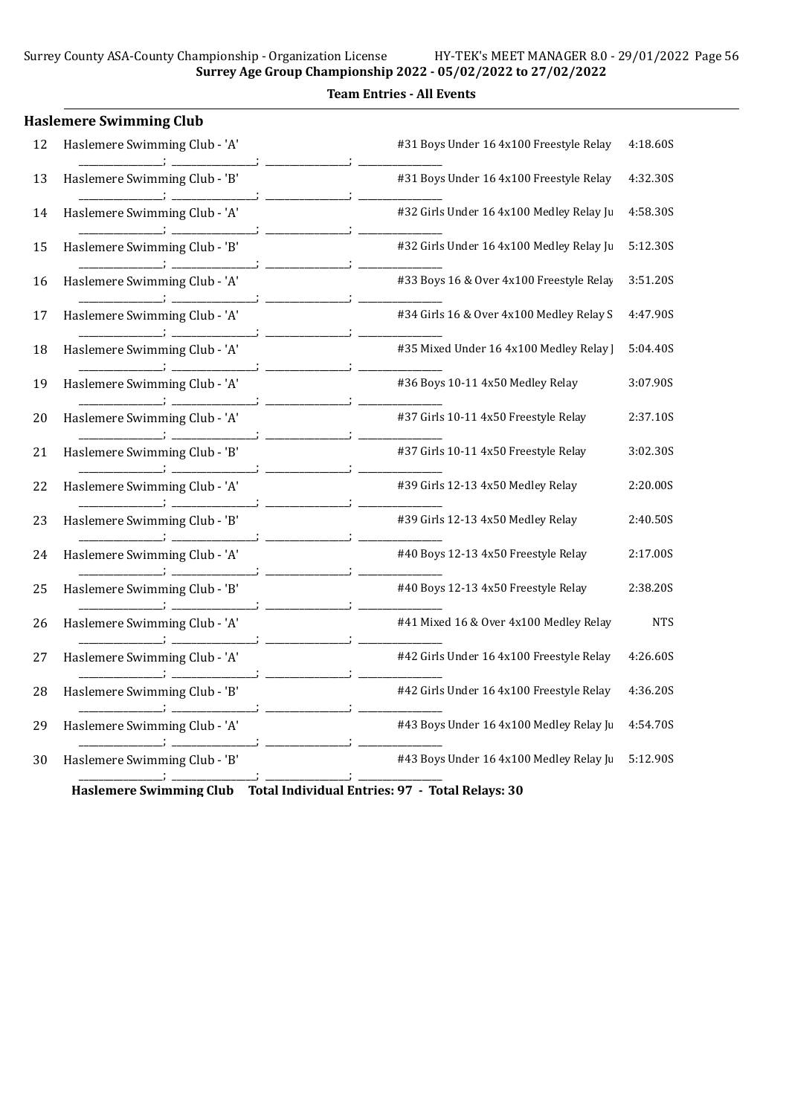|    | <b>Haslemere Swimming Club</b> |                                          |            |
|----|--------------------------------|------------------------------------------|------------|
| 12 | Haslemere Swimming Club - 'A'  | #31 Boys Under 16 4x100 Freestyle Relay  | 4:18.60S   |
| 13 | Haslemere Swimming Club - 'B'  | #31 Boys Under 16 4x100 Freestyle Relay  | 4:32.30S   |
| 14 | Haslemere Swimming Club - 'A'  | #32 Girls Under 16 4x100 Medley Relay Ju | 4:58.30S   |
| 15 | Haslemere Swimming Club - 'B'  | #32 Girls Under 16 4x100 Medley Relay Ju | 5:12.30S   |
| 16 | Haslemere Swimming Club - 'A'  | #33 Boys 16 & Over 4x100 Freestyle Relay | 3:51.20S   |
| 17 | Haslemere Swimming Club - 'A'  | #34 Girls 16 & Over 4x100 Medley Relay S | 4:47.90S   |
| 18 | Haslemere Swimming Club - 'A'  | #35 Mixed Under 16 4x100 Medley Relay    | 5:04.40S   |
| 19 | Haslemere Swimming Club - 'A'  | #36 Boys 10-11 4x50 Medley Relay         | 3:07.90S   |
| 20 | Haslemere Swimming Club - 'A'  | #37 Girls 10-11 4x50 Freestyle Relay     | 2:37.10S   |
| 21 | Haslemere Swimming Club - 'B'  | #37 Girls 10-11 4x50 Freestyle Relay     | 3:02.30S   |
| 22 | Haslemere Swimming Club - 'A'  | #39 Girls 12-13 4x50 Medley Relay        | 2:20.00S   |
| 23 | Haslemere Swimming Club - 'B'  | #39 Girls 12-13 4x50 Medley Relay        | 2:40.50S   |
| 24 | Haslemere Swimming Club - 'A'  | #40 Boys 12-13 4x50 Freestyle Relay      | 2:17.00S   |
| 25 | Haslemere Swimming Club - 'B'  | #40 Boys 12-13 4x50 Freestyle Relay      | 2:38.20S   |
| 26 | Haslemere Swimming Club - 'A'  | #41 Mixed 16 & Over 4x100 Medley Relay   | <b>NTS</b> |
| 27 | Haslemere Swimming Club - 'A'  | #42 Girls Under 16 4x100 Freestyle Relay | 4:26.60S   |
| 28 | Haslemere Swimming Club - 'B'  | #42 Girls Under 16 4x100 Freestyle Relay | 4:36.20S   |
| 29 | Haslemere Swimming Club - 'A'  | #43 Boys Under 16 4x100 Medley Relay Ju  | 4:54.70S   |
| 30 | Haslemere Swimming Club - 'B'  | #43 Boys Under 16 4x100 Medley Relay Ju  | 5:12.90S   |
|    |                                |                                          |            |

Haslemere Swimming Club Total Individual Entries: 97 - Total Relays: 30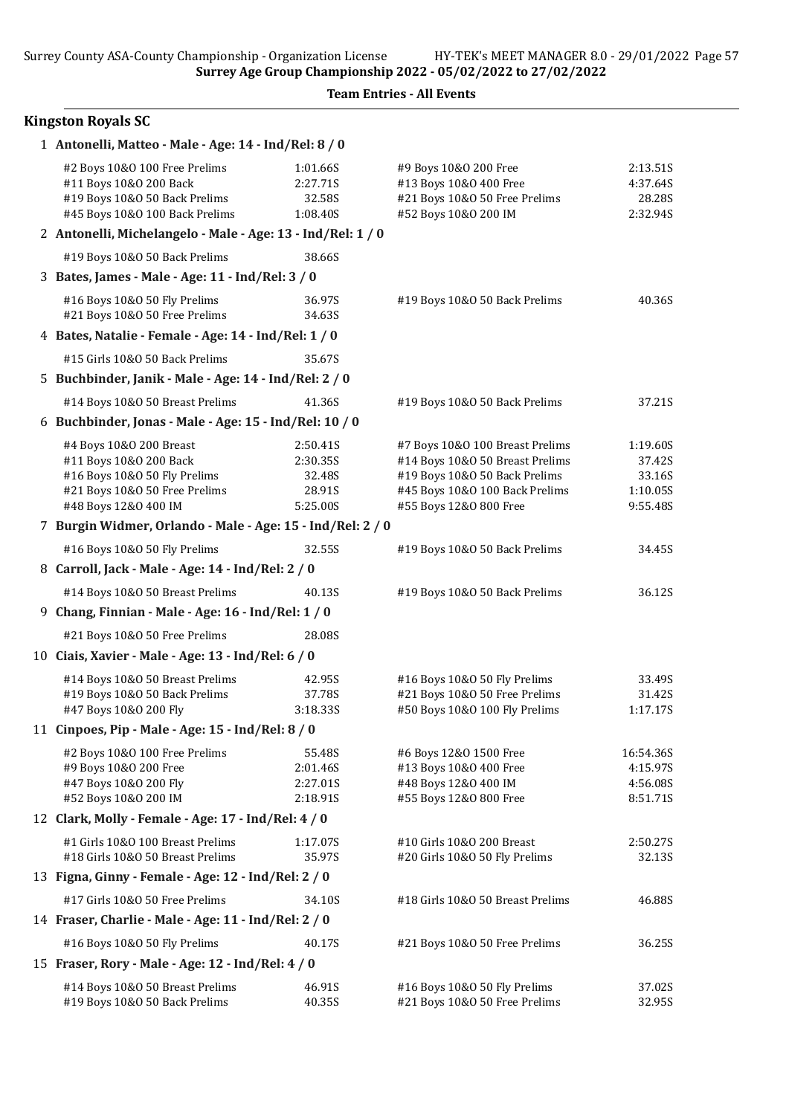#### Team Entries - All Events

### Kingston Royals SC

| 1 Antonelli, Matteo - Male - Age: 14 - Ind/Rel: 8 / 0                                         |                  |                                  |           |
|-----------------------------------------------------------------------------------------------|------------------|----------------------------------|-----------|
| #2 Boys 10&0 100 Free Prelims                                                                 | 1:01.66S         | #9 Boys 10&O 200 Free            | 2:13.51S  |
| #11 Boys 10&0 200 Back                                                                        | 2:27.71S         | #13 Boys 10&0 400 Free           | 4:37.64S  |
| #19 Boys 10&0 50 Back Prelims                                                                 | 32.58S           | #21 Boys 10&0 50 Free Prelims    | 28.285    |
| #45 Boys 10&0 100 Back Prelims<br>2 Antonelli, Michelangelo - Male - Age: 13 - Ind/Rel: 1 / 0 | 1:08.40S         | #52 Boys 10&0 200 IM             | 2:32.94S  |
|                                                                                               |                  |                                  |           |
| #19 Boys 10&0 50 Back Prelims                                                                 | 38.66S           |                                  |           |
| 3 Bates, James - Male - Age: 11 - Ind/Rel: 3 / 0                                              |                  |                                  |           |
| #16 Boys 10&0 50 Fly Prelims<br>#21 Boys 10&0 50 Free Prelims                                 | 36.97S<br>34.63S | #19 Boys 10&0 50 Back Prelims    | 40.36S    |
| 4 Bates, Natalie - Female - Age: 14 - Ind/Rel: 1 / 0                                          |                  |                                  |           |
| #15 Girls 10&0 50 Back Prelims                                                                | 35.67S           |                                  |           |
| 5 Buchbinder, Janik - Male - Age: 14 - Ind/Rel: 2 / 0                                         |                  |                                  |           |
| #14 Boys 10&0 50 Breast Prelims                                                               | 41.36S           | #19 Boys 10&0 50 Back Prelims    | 37.21S    |
| 6 Buchbinder, Jonas - Male - Age: 15 - Ind/Rel: 10 / 0                                        |                  |                                  |           |
| #4 Boys 10&0 200 Breast                                                                       | 2:50.41S         | #7 Boys 10&0 100 Breast Prelims  | 1:19.60S  |
| #11 Boys 10&0 200 Back                                                                        | 2:30.35S         | #14 Boys 10&0 50 Breast Prelims  | 37.42S    |
| #16 Boys 10&0 50 Fly Prelims                                                                  | 32.48S           | #19 Boys 10&0 50 Back Prelims    | 33.16S    |
| #21 Boys 10&0 50 Free Prelims                                                                 | 28.91S           | #45 Boys 10&0 100 Back Prelims   | 1:10.05S  |
| #48 Boys 12&0 400 IM                                                                          | 5:25.00S         | #55 Boys 12&0 800 Free           | 9:55.48S  |
| 7 Burgin Widmer, Orlando - Male - Age: 15 - Ind/Rel: 2 / 0                                    |                  |                                  |           |
| #16 Boys 10&0 50 Fly Prelims                                                                  | 32.55S           | #19 Boys 10&0 50 Back Prelims    | 34.45S    |
| 8 Carroll, Jack - Male - Age: 14 - Ind/Rel: 2 / 0                                             |                  |                                  |           |
| #14 Boys 10&0 50 Breast Prelims                                                               | 40.13S           | #19 Boys 10&0 50 Back Prelims    | 36.12S    |
| 9 Chang, Finnian - Male - Age: 16 - Ind/Rel: 1 / 0                                            |                  |                                  |           |
| #21 Boys 10&0 50 Free Prelims                                                                 | 28.08S           |                                  |           |
| 10 Ciais, Xavier - Male - Age: 13 - Ind/Rel: 6 / 0                                            |                  |                                  |           |
| #14 Boys 10&0 50 Breast Prelims                                                               | 42.95S           | #16 Boys 10&0 50 Fly Prelims     | 33.49S    |
| #19 Boys 10&0 50 Back Prelims                                                                 | 37.78S           | #21 Boys 10&0 50 Free Prelims    | 31.42S    |
| #47 Boys 10&0 200 Fly                                                                         | 3:18.33S         | #50 Boys 10&0 100 Fly Prelims    | 1:17.17S  |
| 11 Cinpoes, Pip - Male - Age: 15 - Ind/Rel: 8 / 0                                             |                  |                                  |           |
| #2 Boys 10&0 100 Free Prelims                                                                 | 55.48S           | #6 Boys 12&0 1500 Free           | 16:54.36S |
| #9 Boys 10&0 200 Free                                                                         | 2:01.46S         | #13 Boys 10&0 400 Free           | 4:15.97S  |
| #47 Boys 10&0 200 Fly                                                                         | 2:27.01S         | #48 Boys 12&0 400 IM             | 4:56.08S  |
| #52 Boys 10&0 200 IM                                                                          | 2:18.91S         | #55 Boys 12&0 800 Free           | 8:51.71S  |
| 12 Clark, Molly - Female - Age: 17 - Ind/Rel: 4 / 0                                           |                  |                                  |           |
| #1 Girls 10&0 100 Breast Prelims                                                              | 1:17.07S         | #10 Girls 10&0 200 Breast        | 2:50.27S  |
| #18 Girls 10&0 50 Breast Prelims                                                              | 35.97S           | #20 Girls 10&O 50 Fly Prelims    | 32.13S    |
| 13 Figna, Ginny - Female - Age: 12 - Ind/Rel: 2 / 0                                           |                  |                                  |           |
| #17 Girls 10&0 50 Free Prelims                                                                | 34.10S           | #18 Girls 10&0 50 Breast Prelims | 46.88S    |
| 14 Fraser, Charlie - Male - Age: 11 - Ind/Rel: 2 / 0                                          |                  |                                  |           |
| #16 Boys 10&0 50 Fly Prelims                                                                  | 40.17S           | #21 Boys 10&0 50 Free Prelims    | 36.25S    |
| 15 Fraser, Rory - Male - Age: 12 - Ind/Rel: 4 / 0                                             |                  |                                  |           |
| #14 Boys 10&0 50 Breast Prelims                                                               | 46.91S           | #16 Boys 10&0 50 Fly Prelims     | 37.02S    |
| #19 Boys 10&0 50 Back Prelims                                                                 | 40.35S           | #21 Boys 10&0 50 Free Prelims    | 32.95S    |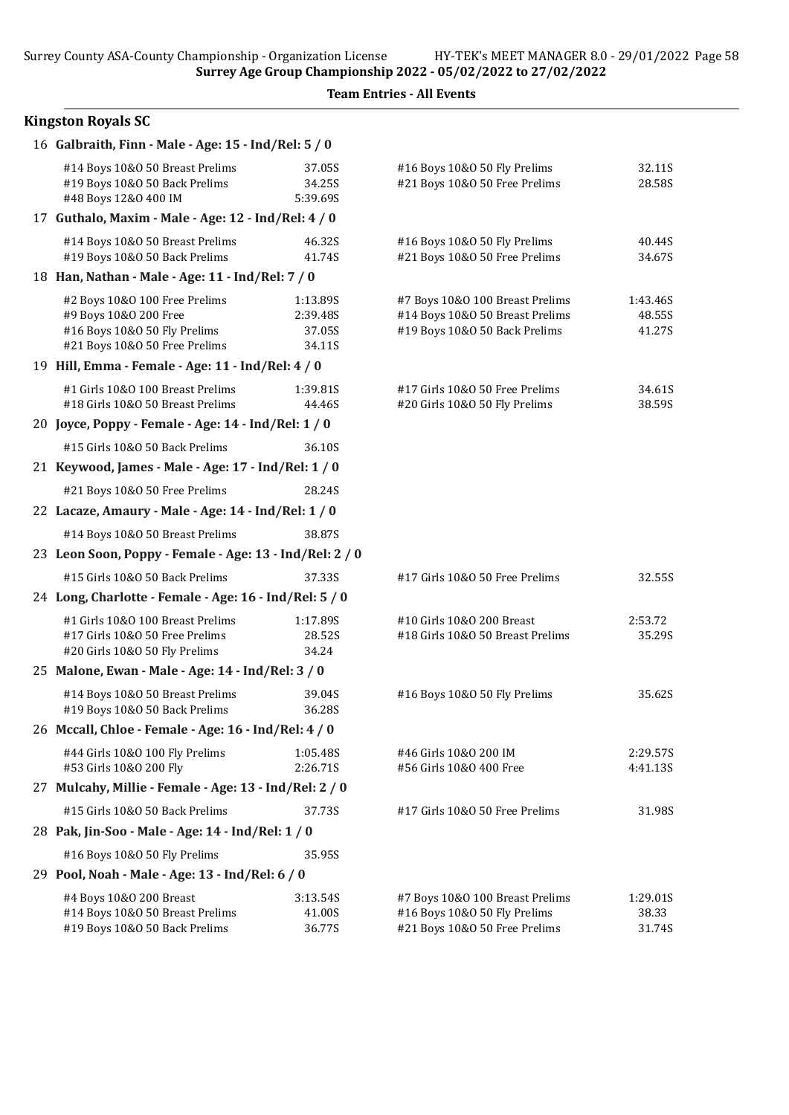#### Kingston Royals SC

| 16 Galbraith, Finn - Male - Age: 15 - Ind/Rel: 5 / 0                                                                    |                                          |                                                                                                     |                              |
|-------------------------------------------------------------------------------------------------------------------------|------------------------------------------|-----------------------------------------------------------------------------------------------------|------------------------------|
| #14 Boys 10&0 50 Breast Prelims<br>#19 Boys 10&0 50 Back Prelims<br>#48 Boys 12&0 400 IM                                | 37.05S<br>34.25S<br>5:39.69S             | #16 Boys 10&0 50 Fly Prelims<br>#21 Boys 10&0 50 Free Prelims                                       | 32.11S<br>28.58S             |
| 17 Guthalo, Maxim - Male - Age: 12 - Ind/Rel: 4 / 0                                                                     |                                          |                                                                                                     |                              |
| #14 Boys 10&0 50 Breast Prelims<br>#19 Boys 10&0 50 Back Prelims                                                        | 46.32S<br>41.74S                         | #16 Boys 10&0 50 Fly Prelims<br>#21 Boys 10&0 50 Free Prelims                                       | 40.44S<br>34.67S             |
| 18 Han, Nathan - Male - Age: 11 - Ind/Rel: 7 / 0                                                                        |                                          |                                                                                                     |                              |
| #2 Boys 10&0 100 Free Prelims<br>#9 Boys 10&0 200 Free<br>#16 Boys 10&0 50 Fly Prelims<br>#21 Boys 10&0 50 Free Prelims | 1:13.89S<br>2:39.48S<br>37.05S<br>34.11S | #7 Boys 10&0 100 Breast Prelims<br>#14 Boys 10&0 50 Breast Prelims<br>#19 Boys 10&0 50 Back Prelims | 1:43.46S<br>48.55S<br>41.27S |
| 19 Hill, Emma - Female - Age: 11 - Ind/Rel: 4 / 0                                                                       |                                          |                                                                                                     |                              |
| #1 Girls 10&0 100 Breast Prelims<br>#18 Girls 10&0 50 Breast Prelims                                                    | 1:39.81S<br>44.46S                       | #17 Girls 10&0 50 Free Prelims<br>#20 Girls 10&O 50 Fly Prelims                                     | 34.61S<br>38.59S             |
| 20 Joyce, Poppy - Female - Age: 14 - Ind/Rel: 1 / 0                                                                     |                                          |                                                                                                     |                              |
| #15 Girls 10&0 50 Back Prelims                                                                                          | 36.10S                                   |                                                                                                     |                              |
| 21 Keywood, James - Male - Age: 17 - Ind/Rel: 1 / 0                                                                     |                                          |                                                                                                     |                              |
| #21 Boys 10&0 50 Free Prelims                                                                                           | 28.24S                                   |                                                                                                     |                              |
| 22 Lacaze, Amaury - Male - Age: 14 - Ind/Rel: 1 / 0                                                                     |                                          |                                                                                                     |                              |
| #14 Boys 10&0 50 Breast Prelims                                                                                         | 38.87S                                   |                                                                                                     |                              |
| 23 Leon Soon, Poppy - Female - Age: 13 - Ind/Rel: 2 / 0                                                                 |                                          |                                                                                                     |                              |
| #15 Girls 10&0 50 Back Prelims                                                                                          | 37.33S                                   | #17 Girls 10&0 50 Free Prelims                                                                      | 32.55S                       |
| 24 Long, Charlotte - Female - Age: 16 - Ind/Rel: 5 / 0                                                                  |                                          |                                                                                                     |                              |
| #1 Girls 10&0 100 Breast Prelims<br>#17 Girls 10&0 50 Free Prelims<br>#20 Girls 10&O 50 Fly Prelims                     | 1:17.89S<br>28.52S<br>34.24              | #10 Girls 10&O 200 Breast<br>#18 Girls 10&0 50 Breast Prelims                                       | 2:53.72<br>35.29S            |
| 25 Malone, Ewan - Male - Age: 14 - Ind/Rel: 3 / 0                                                                       |                                          |                                                                                                     |                              |
| #14 Boys 10&0 50 Breast Prelims<br>#19 Boys 10&0 50 Back Prelims                                                        | 39.04S<br>36.28S                         | #16 Boys 10&0 50 Fly Prelims                                                                        | 35.62S                       |
| 26 Mccall, Chloe - Female - Age: 16 - Ind/Rel: 4 / 0                                                                    |                                          |                                                                                                     |                              |
| #44 Girls 10&0 100 Fly Prelims<br>#53 Girls 10&0 200 Fly                                                                | 1:05.48S<br>2:26.71S                     | #46 Girls 10&0 200 IM<br>#56 Girls 10&0 400 Free                                                    | 2:29.57S<br>4:41.13S         |
| 27 Mulcahy, Millie - Female - Age: 13 - Ind/Rel: 2 / 0                                                                  |                                          |                                                                                                     |                              |
| #15 Girls 10&0 50 Back Prelims                                                                                          | 37.73S                                   | #17 Girls 10&0 50 Free Prelims                                                                      | 31.98S                       |
| 28 Pak, Jin-Soo - Male - Age: 14 - Ind/Rel: 1 / 0                                                                       |                                          |                                                                                                     |                              |
| #16 Boys 10&0 50 Fly Prelims                                                                                            | 35.95S                                   |                                                                                                     |                              |
| 29 Pool, Noah - Male - Age: 13 - Ind/Rel: 6 / 0                                                                         |                                          |                                                                                                     |                              |
| #4 Boys 10&0 200 Breast<br>#14 Boys 10&0 50 Breast Prelims<br>#19 Boys 10&0 50 Back Prelims                             | 3:13.54S<br>41.00S<br>36.77S             | #7 Boys 10&0 100 Breast Prelims<br>#16 Boys 10&0 50 Fly Prelims<br>#21 Boys 10&0 50 Free Prelims    | 1:29.01S<br>38.33<br>31.74S  |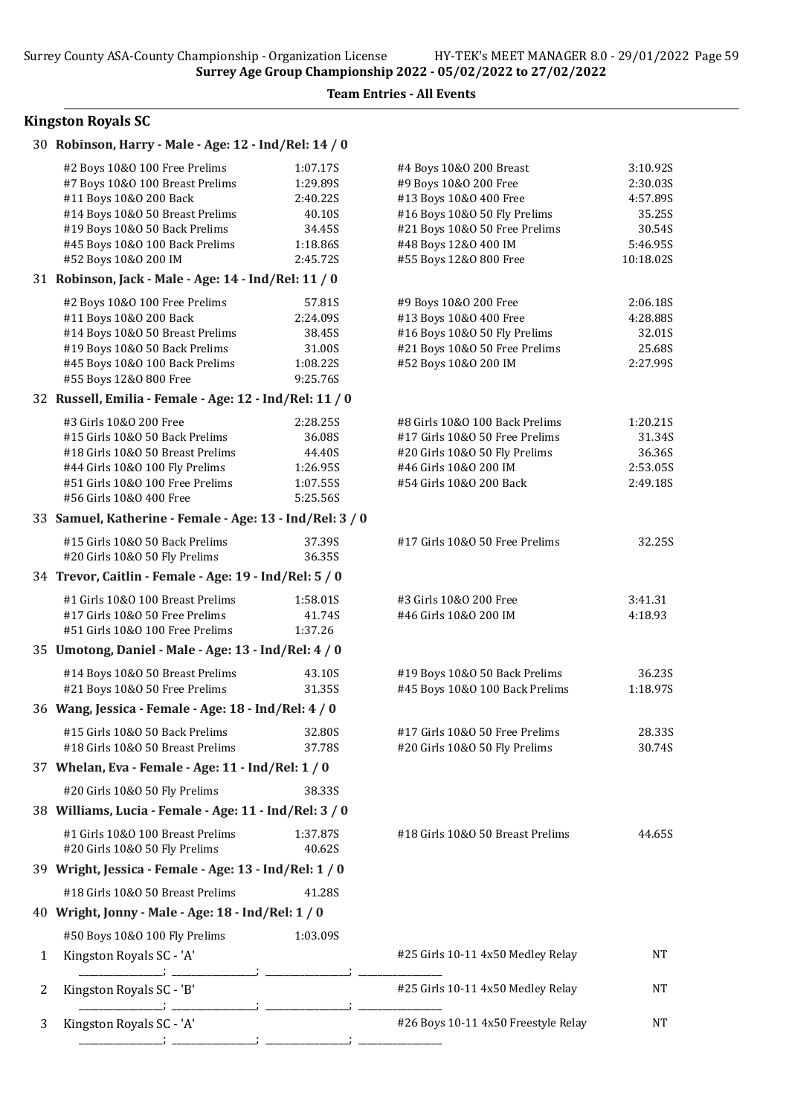### Kingston Royals SC

|   | 30 Robinson, Harry - Male - Age: 12 - Ind/Rel: 14 / 0                                                                                                                                            |                                                                  |                                                                                                                                                                     |                                                                  |
|---|--------------------------------------------------------------------------------------------------------------------------------------------------------------------------------------------------|------------------------------------------------------------------|---------------------------------------------------------------------------------------------------------------------------------------------------------------------|------------------------------------------------------------------|
|   | #2 Boys 10&0 100 Free Prelims<br>#7 Boys 10&0 100 Breast Prelims<br>#11 Boys 10&0 200 Back<br>#14 Boys 10&0 50 Breast Prelims<br>#19 Boys 10&0 50 Back Prelims<br>#45 Boys 10&0 100 Back Prelims | 1:07.17S<br>1:29.89S<br>2:40.22S<br>40.10S<br>34.45S<br>1:18.86S | #4 Boys 10&0 200 Breast<br>#9 Boys 10&0 200 Free<br>#13 Boys 10&0 400 Free<br>#16 Boys 10&0 50 Fly Prelims<br>#21 Boys 10&0 50 Free Prelims<br>#48 Boys 12&0 400 IM | 3:10.92S<br>2:30.035<br>4:57.89S<br>35.25S<br>30.54S<br>5:46.95S |
|   | #52 Boys 10&0 200 IM                                                                                                                                                                             | 2:45.72S                                                         | #55 Boys 12&0 800 Free                                                                                                                                              | 10:18.02S                                                        |
|   | 31 Robinson, Jack - Male - Age: 14 - Ind/Rel: 11 / 0                                                                                                                                             |                                                                  |                                                                                                                                                                     |                                                                  |
|   | #2 Boys 10&0 100 Free Prelims<br>#11 Boys 10&0 200 Back<br>#14 Boys 10&0 50 Breast Prelims<br>#19 Boys 10&0 50 Back Prelims<br>#45 Boys 10&0 100 Back Prelims<br>#55 Boys 12&0 800 Free          | 57.81S<br>2:24.09S<br>38.45S<br>31.00S<br>1:08.225<br>9:25.76S   | #9 Boys 10&O 200 Free<br>#13 Boys 10&0 400 Free<br>#16 Boys 10&0 50 Fly Prelims<br>#21 Boys 10&0 50 Free Prelims<br>#52 Boys 10&0 200 IM                            | 2:06.18S<br>4:28.88S<br>32.01S<br>25.68S<br>2:27.99S             |
|   | 32 Russell, Emilia - Female - Age: 12 - Ind/Rel: 11 / 0                                                                                                                                          |                                                                  |                                                                                                                                                                     |                                                                  |
|   | #3 Girls 10&0 200 Free<br>#15 Girls 10&0 50 Back Prelims<br>#18 Girls 10&0 50 Breast Prelims<br>#44 Girls 10&0 100 Fly Prelims<br>#51 Girls 10&0 100 Free Prelims<br>#56 Girls 10&0 400 Free     | 2:28.25S<br>36.08S<br>44.40S<br>1:26.95S<br>1:07.55S<br>5:25.56S | #8 Girls 10&0 100 Back Prelims<br>#17 Girls 10&0 50 Free Prelims<br>#20 Girls 10&O 50 Fly Prelims<br>#46 Girls 10&0 200 IM<br>#54 Girls 10&0 200 Back               | 1:20.21S<br>31.34S<br>36.36S<br>2:53.05S<br>2:49.18S             |
|   | 33 Samuel, Katherine - Female - Age: 13 - Ind/Rel: 3 / 0                                                                                                                                         |                                                                  |                                                                                                                                                                     |                                                                  |
|   | #15 Girls 10&0 50 Back Prelims<br>#20 Girls 10&O 50 Fly Prelims                                                                                                                                  | 37.39S<br>36.35S                                                 | #17 Girls 10&O 50 Free Prelims                                                                                                                                      | 32.25S                                                           |
|   | 34 Trevor, Caitlin - Female - Age: 19 - Ind/Rel: 5 / 0                                                                                                                                           |                                                                  |                                                                                                                                                                     |                                                                  |
|   | #1 Girls 10&0 100 Breast Prelims<br>#17 Girls 10&0 50 Free Prelims<br>#51 Girls 10&0 100 Free Prelims                                                                                            | 1:58.01S<br>41.74S<br>1:37.26                                    | #3 Girls 10&0 200 Free<br>#46 Girls 10&0 200 IM                                                                                                                     | 3:41.31<br>4:18.93                                               |
|   | 35 Umotong, Daniel - Male - Age: 13 - Ind/Rel: 4 / 0                                                                                                                                             |                                                                  |                                                                                                                                                                     |                                                                  |
|   | #14 Boys 10&0 50 Breast Prelims<br>#21 Boys 10&0 50 Free Prelims                                                                                                                                 | 43.10S<br>31.35S                                                 | #19 Boys 10&0 50 Back Prelims<br>#45 Boys 10&0 100 Back Prelims                                                                                                     | 36.23S<br>1:18.97S                                               |
|   | 36 Wang, Jessica - Female - Age: 18 - Ind/Rel: 4 / 0                                                                                                                                             |                                                                  |                                                                                                                                                                     |                                                                  |
|   | #15 Girls 10&0 50 Back Prelims<br>#18 Girls 10&0 50 Breast Prelims                                                                                                                               | 32.80S<br>37.78S                                                 | #17 Girls 10&O 50 Free Prelims<br>#20 Girls 10&O 50 Fly Prelims                                                                                                     | 28.33S<br>30.74S                                                 |
|   | 37 Whelan, Eva - Female - Age: 11 - Ind/Rel: 1 / 0                                                                                                                                               |                                                                  |                                                                                                                                                                     |                                                                  |
|   | #20 Girls 10&O 50 Fly Prelims                                                                                                                                                                    | 38.33S                                                           |                                                                                                                                                                     |                                                                  |
|   | 38 Williams, Lucia - Female - Age: 11 - Ind/Rel: 3 / 0                                                                                                                                           |                                                                  |                                                                                                                                                                     |                                                                  |
|   | #1 Girls 10&0 100 Breast Prelims<br>#20 Girls 10&O 50 Fly Prelims                                                                                                                                | 1:37.87S<br>40.62S                                               | #18 Girls 10&0 50 Breast Prelims                                                                                                                                    | 44.65S                                                           |
|   | 39 Wright, Jessica - Female - Age: 13 - Ind/Rel: 1 / 0                                                                                                                                           |                                                                  |                                                                                                                                                                     |                                                                  |
|   | #18 Girls 10&0 50 Breast Prelims                                                                                                                                                                 | 41.28S                                                           |                                                                                                                                                                     |                                                                  |
|   | 40 Wright, Jonny - Male - Age: 18 - Ind/Rel: 1 / 0                                                                                                                                               |                                                                  |                                                                                                                                                                     |                                                                  |
|   | #50 Boys 10&0 100 Fly Prelims                                                                                                                                                                    | 1:03.09S                                                         |                                                                                                                                                                     |                                                                  |
| 1 | Kingston Royals SC - 'A'                                                                                                                                                                         |                                                                  | #25 Girls 10-11 4x50 Medley Relay                                                                                                                                   | NT                                                               |
| 2 | Kingston Royals SC - 'B'                                                                                                                                                                         |                                                                  | #25 Girls 10-11 4x50 Medley Relay                                                                                                                                   | NT                                                               |
| 3 | Kingston Royals SC - 'A'                                                                                                                                                                         |                                                                  | #26 Boys 10-11 4x50 Freestyle Relay                                                                                                                                 | NT                                                               |
|   |                                                                                                                                                                                                  |                                                                  |                                                                                                                                                                     |                                                                  |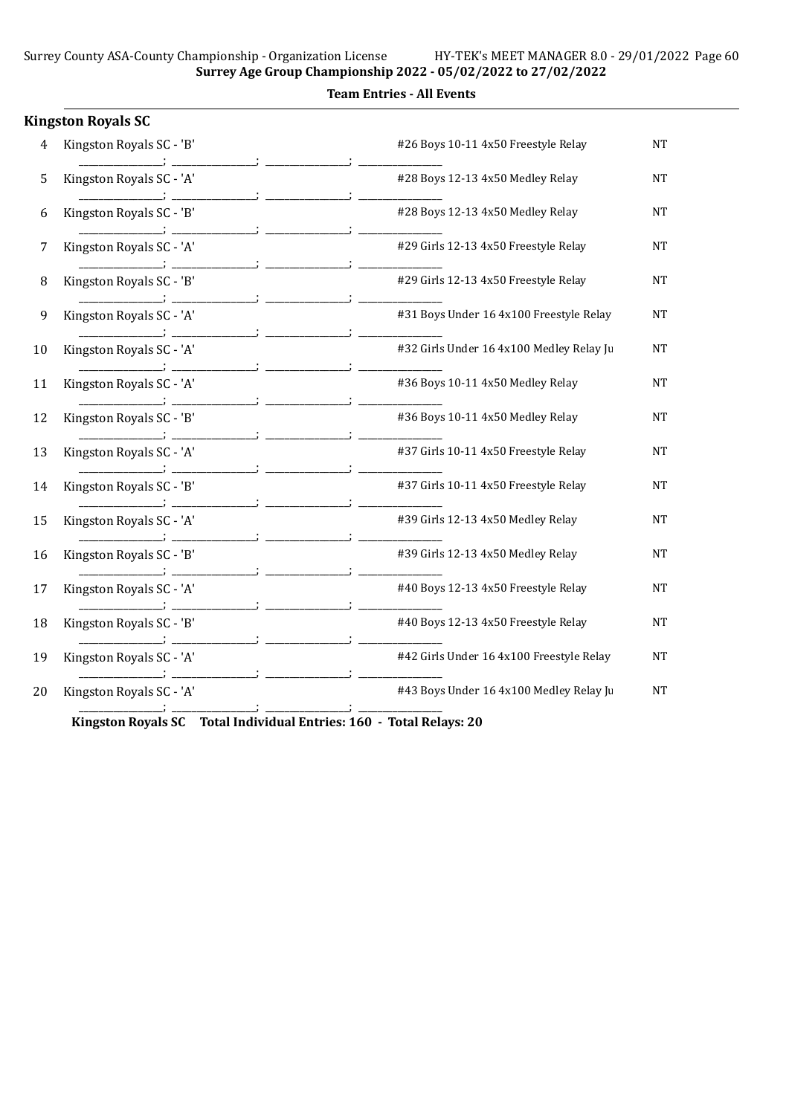#### Team Entries - All Events

|    | <b>Kingston Royals SC</b> |                                          |           |
|----|---------------------------|------------------------------------------|-----------|
| 4  | Kingston Royals SC - 'B'  | #26 Boys 10-11 4x50 Freestyle Relay      | NT        |
| 5  | Kingston Royals SC - 'A'  | #28 Boys 12-13 4x50 Medley Relay         | <b>NT</b> |
| 6  | Kingston Royals SC - 'B'  | #28 Boys 12-13 4x50 Medley Relay         | NT        |
| 7  | Kingston Royals SC - 'A'  | #29 Girls 12-13 4x50 Freestyle Relay     | NT        |
| 8  | Kingston Royals SC - 'B'  | #29 Girls 12-13 4x50 Freestyle Relay     | <b>NT</b> |
| 9  | Kingston Royals SC - 'A'  | #31 Boys Under 16 4x100 Freestyle Relay  | NT        |
| 10 | Kingston Royals SC - 'A'  | #32 Girls Under 16 4x100 Medley Relay Ju | $\rm{NT}$ |
| 11 | Kingston Royals SC - 'A'  | #36 Boys 10-11 4x50 Medley Relay         | <b>NT</b> |
| 12 | Kingston Royals SC - 'B'  | #36 Boys 10-11 4x50 Medley Relay         | NT        |
| 13 | Kingston Royals SC - 'A'  | #37 Girls 10-11 4x50 Freestyle Relay     | <b>NT</b> |
| 14 | Kingston Royals SC - 'B'  | #37 Girls 10-11 4x50 Freestyle Relay     | <b>NT</b> |
| 15 | Kingston Royals SC - 'A'  | #39 Girls 12-13 4x50 Medley Relay        | NT        |
| 16 | Kingston Royals SC - 'B'  | #39 Girls 12-13 4x50 Medley Relay        | NT        |
| 17 | Kingston Royals SC - 'A'  | #40 Boys 12-13 4x50 Freestyle Relay      | NT        |
| 18 | Kingston Royals SC - 'B'  | #40 Boys 12-13 4x50 Freestyle Relay      | NT        |
| 19 | Kingston Royals SC - 'A'  | #42 Girls Under 16 4x100 Freestyle Relay | NT        |
| 20 | Kingston Royals SC - 'A'  | #43 Boys Under 16 4x100 Medley Relay Ju  | <b>NT</b> |
|    |                           |                                          |           |

Kingston Royals SC Total Individual Entries: 160 - Total Relays: 20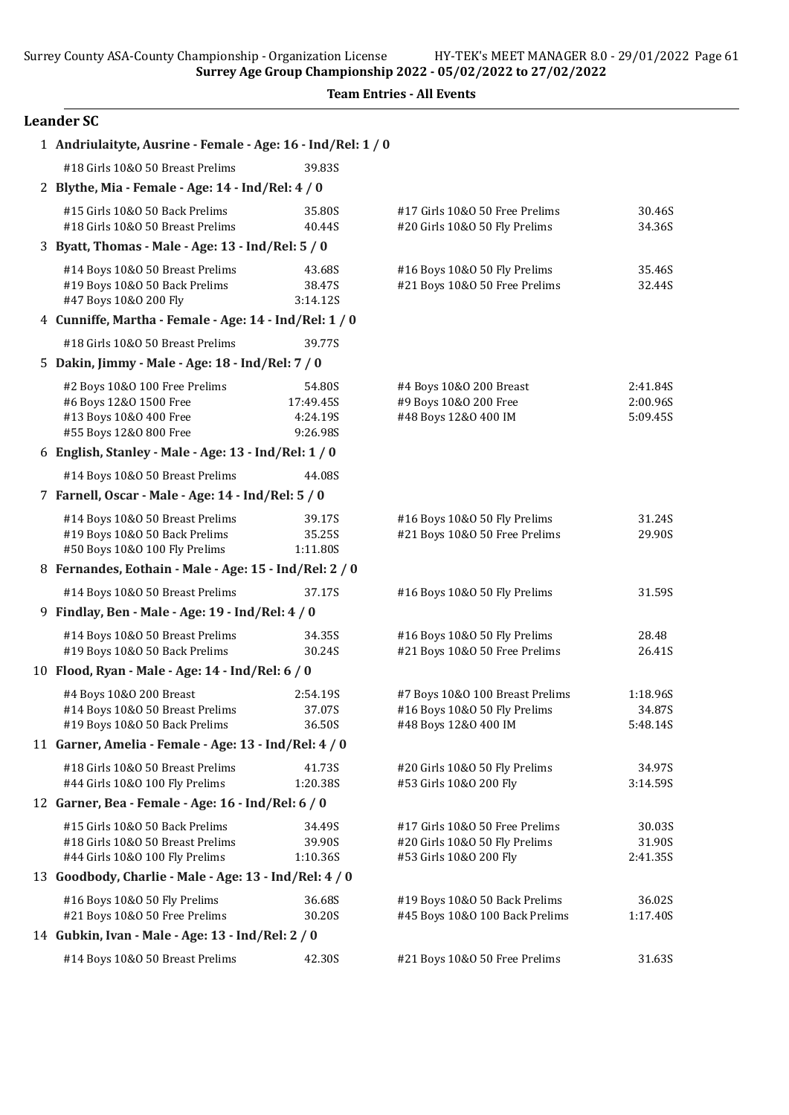|  | <b>Team Entries - All Events</b> |  |  |
|--|----------------------------------|--|--|
|--|----------------------------------|--|--|

# Leander SC

| 1 Andriulaityte, Ausrine - Female - Age: 16 - Ind/Rel: 1 / 0                              |                              |                                                                 |                      |
|-------------------------------------------------------------------------------------------|------------------------------|-----------------------------------------------------------------|----------------------|
| #18 Girls 10&0 50 Breast Prelims                                                          | 39.83S                       |                                                                 |                      |
| 2 Blythe, Mia - Female - Age: 14 - Ind/Rel: 4 / 0                                         |                              |                                                                 |                      |
| #15 Girls 10&0 50 Back Prelims<br>#18 Girls 10&0 50 Breast Prelims                        | 35.80S<br>40.44S             | #17 Girls 10&0 50 Free Prelims<br>#20 Girls 10&O 50 Fly Prelims | 30.46S<br>34.36S     |
| 3 Byatt, Thomas - Male - Age: 13 - Ind/Rel: 5 / 0                                         |                              |                                                                 |                      |
| #14 Boys 10&0 50 Breast Prelims<br>#19 Boys 10&0 50 Back Prelims<br>#47 Boys 10&0 200 Fly | 43.68S<br>38.47S<br>3:14.12S | #16 Boys 10&0 50 Fly Prelims<br>#21 Boys 10&0 50 Free Prelims   | 35.46S<br>32.44S     |
| 4 Cunniffe, Martha - Female - Age: 14 - Ind/Rel: 1 / 0                                    |                              |                                                                 |                      |
| #18 Girls 10&0 50 Breast Prelims                                                          | 39.77S                       |                                                                 |                      |
| 5 Dakin, Jimmy - Male - Age: 18 - Ind/Rel: 7 / 0                                          |                              |                                                                 |                      |
|                                                                                           |                              |                                                                 |                      |
| #2 Boys 10&0 100 Free Prelims<br>#6 Boys 12&0 1500 Free                                   | 54.80S<br>17:49.45S          | #4 Boys 10&0 200 Breast<br>#9 Boys 10&0 200 Free                | 2:41.84S<br>2:00.96S |
| #13 Boys 10&0 400 Free                                                                    | 4:24.19S                     | #48 Boys 12&0 400 IM                                            | 5:09.45S             |
| #55 Boys 12&0 800 Free                                                                    | 9:26.98S                     |                                                                 |                      |
| 6 English, Stanley - Male - Age: 13 - Ind/Rel: 1 / 0                                      |                              |                                                                 |                      |
| #14 Boys 10&0 50 Breast Prelims                                                           | 44.08S                       |                                                                 |                      |
| 7 Farnell, Oscar - Male - Age: 14 - Ind/Rel: 5 / 0                                        |                              |                                                                 |                      |
| #14 Boys 10&0 50 Breast Prelims                                                           | 39.17S                       | #16 Boys 10&0 50 Fly Prelims                                    | 31.24S               |
| #19 Boys 10&0 50 Back Prelims                                                             | 35.25S                       | #21 Boys 10&0 50 Free Prelims                                   | 29.90S               |
| #50 Boys 10&0 100 Fly Prelims                                                             | 1:11.80S                     |                                                                 |                      |
| 8 Fernandes, Eothain - Male - Age: 15 - Ind/Rel: 2 / 0                                    |                              |                                                                 |                      |
| #14 Boys 10&0 50 Breast Prelims                                                           | 37.17S                       | #16 Boys 10&0 50 Fly Prelims                                    | 31.59S               |
| 9 Findlay, Ben - Male - Age: 19 - Ind/Rel: 4 / 0                                          |                              |                                                                 |                      |
| #14 Boys 10&0 50 Breast Prelims                                                           | 34.35S                       | #16 Boys 10&0 50 Fly Prelims                                    | 28.48                |
| #19 Boys 10&0 50 Back Prelims                                                             | 30.24S                       | #21 Boys 10&0 50 Free Prelims                                   | 26.41S               |
| 10 Flood, Ryan - Male - Age: 14 - Ind/Rel: 6 / 0                                          |                              |                                                                 |                      |
| #4 Boys 10&0 200 Breast                                                                   | 2:54.19S                     | #7 Boys 10&0 100 Breast Prelims                                 | 1:18.96S             |
| #14 Boys 10&0 50 Breast Prelims                                                           | 37.07S                       | #16 Boys 10&0 50 Fly Prelims                                    | 34.87S               |
| #19 Boys 10&0 50 Back Prelims                                                             | 36.50S                       | #48 Boys 12&0 400 IM                                            | 5:48.14S             |
| 11 Garner, Amelia - Female - Age: 13 - Ind/Rel: 4 / 0                                     |                              |                                                                 |                      |
| #18 Girls 10&0 50 Breast Prelims                                                          | 41.73S<br>1:20.38S           | #20 Girls 10&O 50 Fly Prelims                                   | 34.97S               |
| #44 Girls 10&0 100 Fly Prelims<br>12 Garner, Bea - Female - Age: 16 - Ind/Rel: 6 / 0      |                              | #53 Girls 10&0 200 Fly                                          | 3:14.59S             |
|                                                                                           |                              |                                                                 |                      |
| #15 Girls 10&0 50 Back Prelims<br>#18 Girls 10&0 50 Breast Prelims                        | 34.49S<br>39.90S             | #17 Girls 10&0 50 Free Prelims<br>#20 Girls 10&O 50 Fly Prelims | 30.03S<br>31.90S     |
| #44 Girls 10&0 100 Fly Prelims                                                            | 1:10.36S                     | #53 Girls 10&0 200 Fly                                          | 2:41.35S             |
| 13 Goodbody, Charlie - Male - Age: 13 - Ind/Rel: 4 / 0                                    |                              |                                                                 |                      |
| #16 Boys 10&0 50 Fly Prelims                                                              | 36.68S                       | #19 Boys 10&0 50 Back Prelims                                   | 36.02S               |
| #21 Boys 10&0 50 Free Prelims                                                             | 30.20S                       | #45 Boys 10&0 100 Back Prelims                                  | 1:17.40S             |
| 14 Gubkin, Ivan - Male - Age: 13 - Ind/Rel: 2 / 0                                         |                              |                                                                 |                      |
| #14 Boys 10&0 50 Breast Prelims                                                           | 42.30S                       | #21 Boys 10&0 50 Free Prelims                                   | 31.63S               |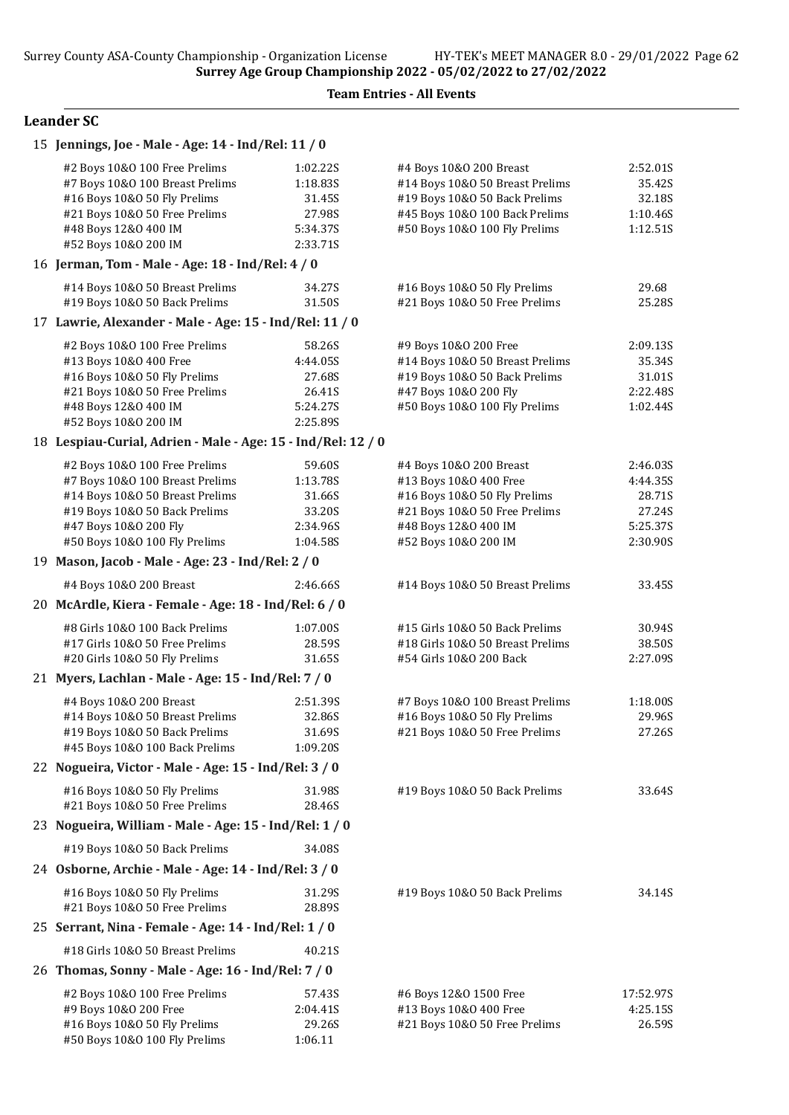# Leander SC

| 15 Jennings, Joe - Male - Age: 14 - Ind/Rel: 11 / 0                                                                                                                               |                                                                  |                                                                                                                                                                |                                                      |
|-----------------------------------------------------------------------------------------------------------------------------------------------------------------------------------|------------------------------------------------------------------|----------------------------------------------------------------------------------------------------------------------------------------------------------------|------------------------------------------------------|
| #2 Boys 10&0 100 Free Prelims<br>#7 Boys 10&0 100 Breast Prelims<br>#16 Boys 10&0 50 Fly Prelims<br>#21 Boys 10&0 50 Free Prelims<br>#48 Boys 12&0 400 IM<br>#52 Boys 10&0 200 IM | 1:02.22S<br>1:18.83S<br>31.45S<br>27.98S<br>5:34.37S<br>2:33.71S | #4 Boys 10&0 200 Breast<br>#14 Boys 10&0 50 Breast Prelims<br>#19 Boys 10&0 50 Back Prelims<br>#45 Boys 10&0 100 Back Prelims<br>#50 Boys 10&0 100 Fly Prelims | 2:52.01S<br>35.42S<br>32.18S<br>1:10.46S<br>1:12.51S |
| 16 Jerman, Tom - Male - Age: 18 - Ind/Rel: 4 / 0                                                                                                                                  |                                                                  |                                                                                                                                                                |                                                      |
| #14 Boys 10&0 50 Breast Prelims                                                                                                                                                   | 34.27S                                                           | #16 Boys 10&0 50 Fly Prelims                                                                                                                                   | 29.68                                                |
| #19 Boys 10&0 50 Back Prelims                                                                                                                                                     | 31.50S                                                           | #21 Boys 10&0 50 Free Prelims                                                                                                                                  | 25.28S                                               |
| 17 Lawrie, Alexander - Male - Age: 15 - Ind/Rel: 11 / 0                                                                                                                           |                                                                  |                                                                                                                                                                |                                                      |
| #2 Boys 10&0 100 Free Prelims                                                                                                                                                     | 58.26S                                                           | #9 Boys 10&0 200 Free                                                                                                                                          | 2:09.135                                             |
| #13 Boys 10&0 400 Free                                                                                                                                                            | 4:44.05S                                                         | #14 Boys 10&0 50 Breast Prelims                                                                                                                                | 35.34S                                               |
| #16 Boys 10&0 50 Fly Prelims                                                                                                                                                      | 27.68S                                                           | #19 Boys 10&0 50 Back Prelims                                                                                                                                  | 31.01S                                               |
| #21 Boys 10&0 50 Free Prelims                                                                                                                                                     | 26.41S                                                           | #47 Boys 10&0 200 Fly                                                                                                                                          | 2:22.48S                                             |
| #48 Boys 12&0 400 IM                                                                                                                                                              | 5:24.27S                                                         | #50 Boys 10&0 100 Fly Prelims                                                                                                                                  | 1:02.44S                                             |
| #52 Boys 10&0 200 IM                                                                                                                                                              | 2:25.89S                                                         |                                                                                                                                                                |                                                      |
| 18 Lespiau-Curial, Adrien - Male - Age: 15 - Ind/Rel: 12 / 0                                                                                                                      |                                                                  |                                                                                                                                                                |                                                      |
| #2 Boys 10&0 100 Free Prelims                                                                                                                                                     | 59.60S                                                           | #4 Boys 10&0 200 Breast                                                                                                                                        | 2:46.03S                                             |
| #7 Boys 10&0 100 Breast Prelims                                                                                                                                                   | 1:13.78S                                                         | #13 Boys 10&0 400 Free                                                                                                                                         | 4:44.35S                                             |
| #14 Boys 10&0 50 Breast Prelims                                                                                                                                                   | 31.66S                                                           | #16 Boys 10&0 50 Fly Prelims                                                                                                                                   | 28.71S                                               |
| #19 Boys 10&0 50 Back Prelims                                                                                                                                                     | 33.20S                                                           | #21 Boys 10&0 50 Free Prelims                                                                                                                                  | 27.24S                                               |
| #47 Boys 10&0 200 Fly                                                                                                                                                             | 2:34.96S                                                         | #48 Boys 12&0 400 IM                                                                                                                                           | 5:25.37S                                             |
| #50 Boys 10&0 100 Fly Prelims                                                                                                                                                     | 1:04.58S                                                         | #52 Boys 10&0 200 IM                                                                                                                                           | 2:30.90S                                             |
| 19 Mason, Jacob - Male - Age: 23 - Ind/Rel: 2 / 0                                                                                                                                 |                                                                  |                                                                                                                                                                |                                                      |
| #4 Boys 10&0 200 Breast                                                                                                                                                           | 2:46.66S                                                         | #14 Boys 10&0 50 Breast Prelims                                                                                                                                | 33.45S                                               |
| 20 McArdle, Kiera - Female - Age: 18 - Ind/Rel: 6 / 0                                                                                                                             |                                                                  |                                                                                                                                                                |                                                      |
| #8 Girls 10&0 100 Back Prelims                                                                                                                                                    | 1:07.00S                                                         | #15 Girls 10&0 50 Back Prelims                                                                                                                                 | 30.94S                                               |
| #17 Girls 10&0 50 Free Prelims                                                                                                                                                    | 28.59S                                                           | #18 Girls 10&0 50 Breast Prelims                                                                                                                               | 38.50S                                               |
| #20 Girls 10&O 50 Fly Prelims                                                                                                                                                     | 31.65S                                                           | #54 Girls 10&0 200 Back                                                                                                                                        | 2:27.09S                                             |
| 21 Myers, Lachlan - Male - Age: 15 - Ind/Rel: 7 / 0                                                                                                                               |                                                                  |                                                                                                                                                                |                                                      |
| #4 Boys 10&0 200 Breast                                                                                                                                                           | 2:51.39S                                                         | #7 Boys 10&0 100 Breast Prelims                                                                                                                                | 1:18.00S                                             |
| #14 Boys 10&0 50 Breast Prelims                                                                                                                                                   | 32.86S                                                           | #16 Boys 10&0 50 Fly Prelims                                                                                                                                   | 29.96S                                               |
| #19 Boys 10&0 50 Back Prelims                                                                                                                                                     | 31.69S                                                           | #21 Boys 10&0 50 Free Prelims                                                                                                                                  | 27.26S                                               |
| #45 Boys 10&0 100 Back Prelims                                                                                                                                                    | 1:09.20S                                                         |                                                                                                                                                                |                                                      |
| 22 Nogueira, Victor - Male - Age: 15 - Ind/Rel: 3 / 0                                                                                                                             |                                                                  |                                                                                                                                                                |                                                      |
| #16 Boys 10&0 50 Fly Prelims                                                                                                                                                      | 31.98S                                                           | #19 Boys 10&0 50 Back Prelims                                                                                                                                  | 33.64S                                               |
| #21 Boys 10&0 50 Free Prelims                                                                                                                                                     | 28.46S                                                           |                                                                                                                                                                |                                                      |
| 23 Nogueira, William - Male - Age: 15 - Ind/Rel: 1 / 0                                                                                                                            |                                                                  |                                                                                                                                                                |                                                      |
| #19 Boys 10&0 50 Back Prelims                                                                                                                                                     | 34.08S                                                           |                                                                                                                                                                |                                                      |
| 24 Osborne, Archie - Male - Age: 14 - Ind/Rel: 3 / 0                                                                                                                              |                                                                  |                                                                                                                                                                |                                                      |
| #16 Boys 10&0 50 Fly Prelims<br>#21 Boys 10&0 50 Free Prelims                                                                                                                     | 31.29S<br>28.89S                                                 | #19 Boys 10&0 50 Back Prelims                                                                                                                                  | 34.14S                                               |
| 25 Serrant, Nina - Female - Age: 14 - Ind/Rel: 1 / 0                                                                                                                              |                                                                  |                                                                                                                                                                |                                                      |
| #18 Girls 10&0 50 Breast Prelims                                                                                                                                                  | 40.21S                                                           |                                                                                                                                                                |                                                      |
| 26 Thomas, Sonny - Male - Age: 16 - Ind/Rel: 7 / 0                                                                                                                                |                                                                  |                                                                                                                                                                |                                                      |
| #2 Boys 10&0 100 Free Prelims                                                                                                                                                     | 57.43S                                                           | #6 Boys 12&0 1500 Free                                                                                                                                         | 17:52.97S                                            |
| #9 Boys 10&0 200 Free                                                                                                                                                             | 2:04.41S                                                         | #13 Boys 10&0 400 Free                                                                                                                                         | 4:25.15S                                             |
| #16 Boys 10&0 50 Fly Prelims                                                                                                                                                      | 29.26S                                                           | #21 Boys 10&0 50 Free Prelims                                                                                                                                  | 26.59S                                               |
| #50 Boys 10&0 100 Fly Prelims                                                                                                                                                     | 1:06.11                                                          |                                                                                                                                                                |                                                      |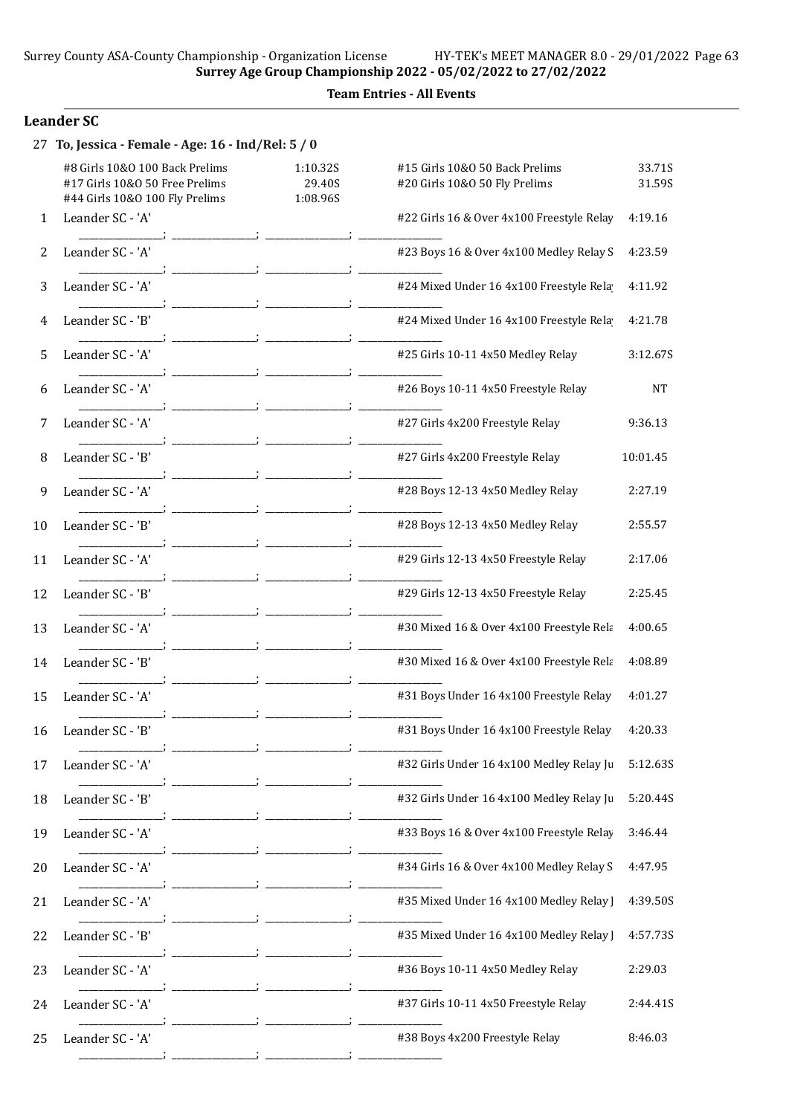Surrey County ASA-County Championship - Organization License HY-TEK's MEET MANAGER 8.0 - 29/01/2022 Page 63 Surrey Age Group Championship 2022 - 05/02/2022 to 27/02/2022

### Team Entries - All Events

### Leander SC

| 27 | To, Jessica - Female - Age: 16 - Ind/Rel: 5 / 0                                                    |                                |                                                                 |                  |
|----|----------------------------------------------------------------------------------------------------|--------------------------------|-----------------------------------------------------------------|------------------|
|    | #8 Girls 10&0 100 Back Prelims<br>#17 Girls 10&O 50 Free Prelims<br>#44 Girls 10&0 100 Fly Prelims | 1:10.32S<br>29.40S<br>1:08.96S | #15 Girls 10&0 50 Back Prelims<br>#20 Girls 10&O 50 Fly Prelims | 33.71S<br>31.59S |
| 1  | Leander SC - 'A'                                                                                   |                                | #22 Girls 16 & Over 4x100 Freestyle Relay                       | 4:19.16          |
| 2  | Leander SC - 'A'                                                                                   |                                | #23 Boys 16 & Over 4x100 Medley Relay S                         | 4:23.59          |
| 3  | Leander SC - 'A'                                                                                   |                                | #24 Mixed Under 16 4x100 Freestyle Rela                         | 4:11.92          |
| 4  | Leander SC - 'B'                                                                                   |                                | #24 Mixed Under 16 4x100 Freestyle Rela                         | 4:21.78          |
| 5  | Leander SC - 'A'                                                                                   |                                | #25 Girls 10-11 4x50 Medley Relay                               | 3:12.67S         |
| 6  | Leander SC - 'A'                                                                                   |                                | #26 Boys 10-11 4x50 Freestyle Relay                             | <b>NT</b>        |
| 7  | Leander SC - 'A'                                                                                   |                                | #27 Girls 4x200 Freestyle Relay                                 | 9:36.13          |
| 8  | Leander SC - 'B'                                                                                   |                                | #27 Girls 4x200 Freestyle Relay                                 | 10:01.45         |
| 9  | Leander SC - 'A'                                                                                   |                                | #28 Boys 12-13 4x50 Medley Relay                                | 2:27.19          |
| 10 | Leander SC - 'B'                                                                                   |                                | #28 Boys 12-13 4x50 Medley Relay                                | 2:55.57          |
| 11 | Leander SC - 'A'                                                                                   |                                | #29 Girls 12-13 4x50 Freestyle Relay                            | 2:17.06          |
| 12 | Leander SC - 'B'                                                                                   |                                | #29 Girls 12-13 4x50 Freestyle Relay                            | 2:25.45          |
| 13 | Leander SC - 'A'                                                                                   |                                | #30 Mixed 16 & Over 4x100 Freestyle Rela                        | 4:00.65          |
| 14 | Leander SC - 'B'                                                                                   |                                | #30 Mixed 16 & Over 4x100 Freestyle Rela                        | 4:08.89          |
| 15 | Leander SC - 'A'                                                                                   |                                | #31 Boys Under 16 4x100 Freestyle Relay                         | 4:01.27          |
| 16 | Leander SC - B                                                                                     |                                | #31 Boys Under 16 4x100 Freestyle Relay                         | 4:20.33          |
| 17 | Leander SC - 'A'                                                                                   |                                | #32 Girls Under 16 4x100 Medley Relay Ju                        | 5:12.63S         |
| 18 | Leander SC - 'B'                                                                                   |                                | #32 Girls Under 16 4x100 Medley Relay Ju                        | 5:20.44S         |
| 19 | Leander SC - 'A'                                                                                   |                                | #33 Boys 16 & Over 4x100 Freestyle Relay                        | 3:46.44          |
| 20 | Leander SC - 'A'                                                                                   |                                | #34 Girls 16 & Over 4x100 Medley Relay S                        | 4:47.95          |
| 21 | Leander SC - 'A'                                                                                   |                                | #35 Mixed Under 16 4x100 Medley Relay                           | 4:39.50S         |
| 22 | Leander SC - 'B'                                                                                   |                                | #35 Mixed Under 16 4x100 Medley Relay ]                         | 4:57.73S         |
| 23 | Leander SC - 'A'                                                                                   |                                | #36 Boys 10-11 4x50 Medley Relay                                | 2:29.03          |
| 24 | Leander SC - 'A'                                                                                   |                                | #37 Girls 10-11 4x50 Freestyle Relay                            | 2:44.41S         |
| 25 | Leander SC - 'A'                                                                                   |                                | #38 Boys 4x200 Freestyle Relay                                  | 8:46.03          |

\_\_\_\_\_\_\_\_\_\_\_\_\_\_\_\_\_; \_\_\_\_\_\_\_\_\_\_\_\_\_\_\_\_\_; \_\_\_\_\_\_\_\_\_\_\_\_\_\_\_\_\_; \_\_\_\_\_\_\_\_\_\_\_\_\_\_\_\_\_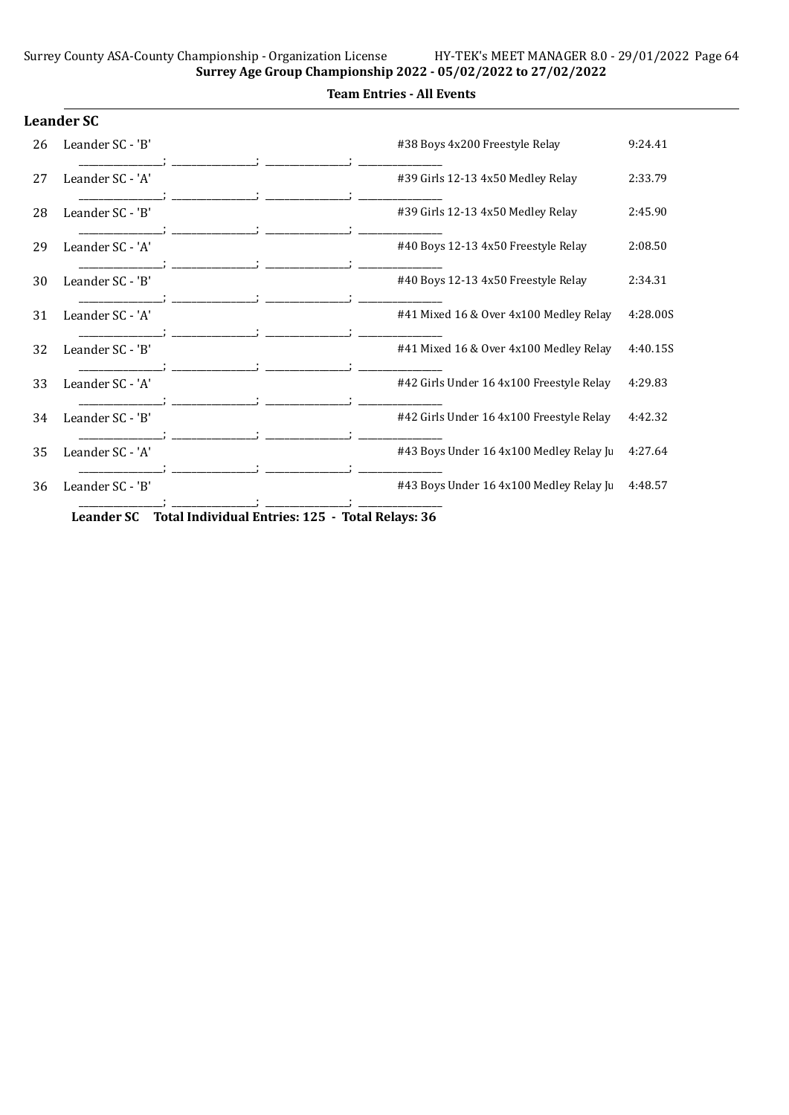#### Team Entries - All Events

|    | <b>Leander SC</b> |                                          |          |
|----|-------------------|------------------------------------------|----------|
| 26 | Leander SC - 'B'  | #38 Boys 4x200 Freestyle Relay           | 9:24.41  |
| 27 | Leander SC - 'A'  | #39 Girls 12-13 4x50 Medley Relay        | 2:33.79  |
| 28 | Leander SC - 'B'  | #39 Girls 12-13 4x50 Medley Relay        | 2:45.90  |
| 29 | Leander SC - 'A'  | #40 Boys 12-13 4x50 Freestyle Relay      | 2:08.50  |
| 30 | Leander SC - 'B'  | #40 Boys 12-13 4x50 Freestyle Relay      | 2:34.31  |
| 31 | Leander SC - 'A'  | #41 Mixed 16 & Over 4x100 Medley Relay   | 4:28.00S |
| 32 | Leander SC - 'B'  | #41 Mixed 16 & Over 4x100 Medley Relay   | 4:40.15S |
| 33 | Leander SC - 'A'  | #42 Girls Under 16 4x100 Freestyle Relay | 4:29.83  |
| 34 | Leander SC - 'B'  | #42 Girls Under 16 4x100 Freestyle Relay | 4:42.32  |
| 35 | Leander SC - 'A'  | #43 Boys Under 16 4x100 Medley Relay Ju  | 4:27.64  |
| 36 | Leander SC - 'B'  | #43 Boys Under 16 4x100 Medley Relay Ju  | 4:48.57  |
|    |                   | $\mathbf{r}$<br>$\sim$                   |          |

Leander SC Total Individual Entries: 125 - Total Relays: 36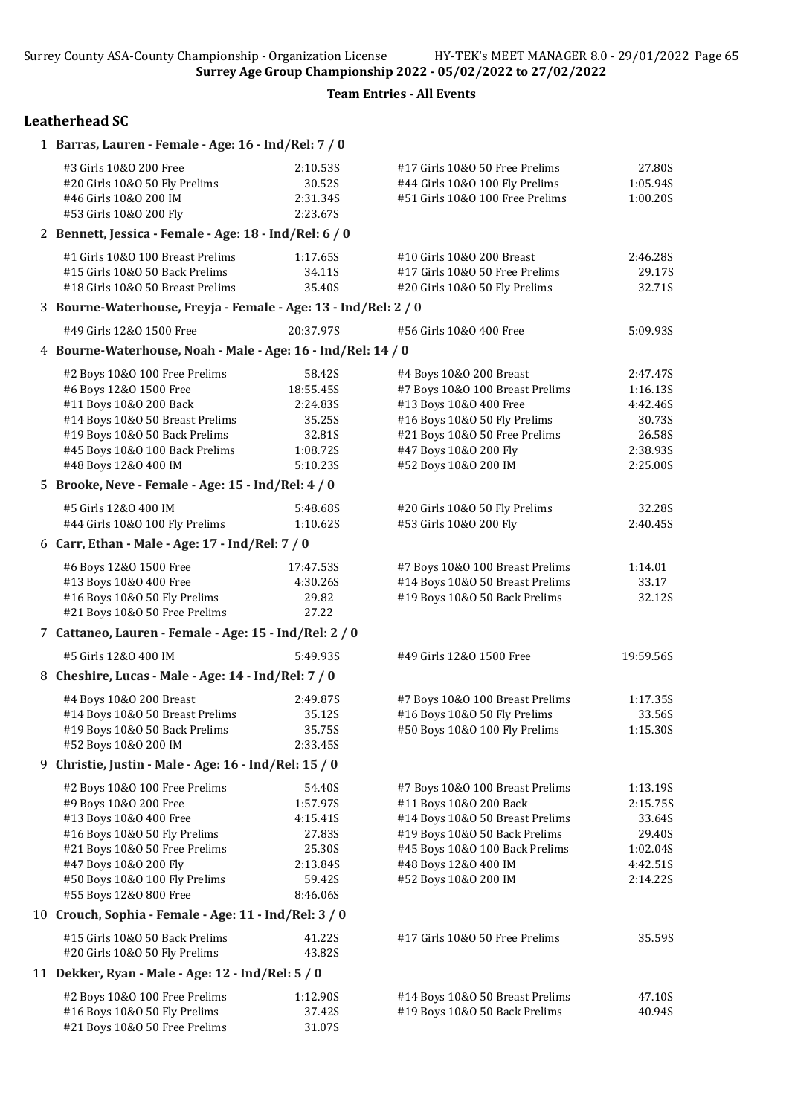#### Team Entries - All Events

| 1 Barras, Lauren - Female - Age: 16 - Ind/Rel: 7 / 0            |           |                                 |           |  |  |  |
|-----------------------------------------------------------------|-----------|---------------------------------|-----------|--|--|--|
| #3 Girls 10&0 200 Free                                          | 2:10.53S  | #17 Girls 10&0 50 Free Prelims  | 27.80S    |  |  |  |
| #20 Girls 10&O 50 Fly Prelims                                   | 30.52S    | #44 Girls 10&0 100 Fly Prelims  | 1:05.94S  |  |  |  |
| #46 Girls 10&0 200 IM                                           | 2:31.34S  | #51 Girls 10&0 100 Free Prelims | 1:00.20S  |  |  |  |
| #53 Girls 10&0 200 Fly                                          | 2:23.67S  |                                 |           |  |  |  |
| 2 Bennett, Jessica - Female - Age: 18 - Ind/Rel: 6 / 0          |           |                                 |           |  |  |  |
| #1 Girls 10&0 100 Breast Prelims                                | 1:17.65S  | #10 Girls 10&0 200 Breast       | 2:46.28S  |  |  |  |
| #15 Girls 10&0 50 Back Prelims                                  | 34.11S    | #17 Girls 10&0 50 Free Prelims  | 29.17S    |  |  |  |
| #18 Girls 10&0 50 Breast Prelims                                | 35.40S    | #20 Girls 10&O 50 Fly Prelims   | 32.71S    |  |  |  |
| 3 Bourne-Waterhouse, Freyja - Female - Age: 13 - Ind/Rel: 2 / 0 |           |                                 |           |  |  |  |
| #49 Girls 12&0 1500 Free                                        | 20:37.97S | #56 Girls 10&0 400 Free         | 5:09.93S  |  |  |  |
| 4 Bourne-Waterhouse, Noah - Male - Age: 16 - Ind/Rel: 14 / 0    |           |                                 |           |  |  |  |
| #2 Boys 10&0 100 Free Prelims                                   | 58.42S    | #4 Boys 10&0 200 Breast         | 2:47.47S  |  |  |  |
| #6 Boys 12&0 1500 Free                                          | 18:55.45S | #7 Boys 10&0 100 Breast Prelims | 1:16.13S  |  |  |  |
| #11 Boys 10&0 200 Back                                          | 2:24.835  | #13 Boys 10&0 400 Free          | 4:42.46S  |  |  |  |
| #14 Boys 10&0 50 Breast Prelims                                 | 35.25S    | #16 Boys 10&0 50 Fly Prelims    | 30.73S    |  |  |  |
| #19 Boys 10&0 50 Back Prelims                                   | 32.81S    | #21 Boys 10&0 50 Free Prelims   | 26.58S    |  |  |  |
| #45 Boys 10&0 100 Back Prelims                                  | 1:08.72S  | #47 Boys 10&0 200 Fly           | 2:38.935  |  |  |  |
| #48 Boys 12&0 400 IM                                            | 5:10.23S  | #52 Boys 10&0 200 IM            | 2:25.00S  |  |  |  |
| 5 Brooke, Neve - Female - Age: 15 - Ind/Rel: 4 / 0              |           |                                 |           |  |  |  |
| #5 Girls 12&0 400 IM                                            | 5:48.68S  | #20 Girls 10&O 50 Fly Prelims   | 32.28S    |  |  |  |
| #44 Girls 10&0 100 Fly Prelims                                  | 1:10.62S  | #53 Girls 10&0 200 Fly          | 2:40.45S  |  |  |  |
| 6 Carr, Ethan - Male - Age: 17 - Ind/Rel: 7 / 0                 |           |                                 |           |  |  |  |
| #6 Boys 12&0 1500 Free                                          | 17:47.53S | #7 Boys 10&0 100 Breast Prelims | 1:14.01   |  |  |  |
| #13 Boys 10&0 400 Free                                          | 4:30.26S  | #14 Boys 10&0 50 Breast Prelims | 33.17     |  |  |  |
| #16 Boys 10&0 50 Fly Prelims                                    | 29.82     | #19 Boys 10&0 50 Back Prelims   | 32.12S    |  |  |  |
| #21 Boys 10&0 50 Free Prelims                                   | 27.22     |                                 |           |  |  |  |
| 7 Cattaneo, Lauren - Female - Age: 15 - Ind/Rel: 2 / 0          |           |                                 |           |  |  |  |
| #5 Girls 12&0 400 IM                                            | 5:49.93S  | #49 Girls 12&0 1500 Free        | 19:59.56S |  |  |  |
| 8 Cheshire, Lucas - Male - Age: 14 - Ind/Rel: 7 / 0             |           |                                 |           |  |  |  |
| #4 Boys 10&0 200 Breast                                         | 2:49.87S  | #7 Boys 10&0 100 Breast Prelims | 1:17.35S  |  |  |  |
| #14 Boys 10&0 50 Breast Prelims                                 | 35.12S    | #16 Boys 10&0 50 Fly Prelims    | 33.56S    |  |  |  |
| #19 Boys 10&0 50 Back Prelims                                   | 35.75S    | #50 Boys 10&0 100 Fly Prelims   | 1:15.30S  |  |  |  |
| #52 Boys 10&0 200 IM                                            | 2:33.45S  |                                 |           |  |  |  |
| 9 Christie, Justin - Male - Age: 16 - Ind/Rel: 15 / 0           |           |                                 |           |  |  |  |
| #2 Boys 10&0 100 Free Prelims                                   | 54.40S    | #7 Boys 10&0 100 Breast Prelims | 1:13.195  |  |  |  |
| #9 Boys 10&0 200 Free                                           | 1:57.97S  | #11 Boys 10&0 200 Back          | 2:15.75S  |  |  |  |
| #13 Boys 10&0 400 Free                                          | 4:15.41S  | #14 Boys 10&0 50 Breast Prelims | 33.64S    |  |  |  |
| #16 Boys 10&0 50 Fly Prelims                                    | 27.83S    | #19 Boys 10&0 50 Back Prelims   | 29.40S    |  |  |  |
| #21 Boys 10&0 50 Free Prelims                                   | 25.30S    | #45 Boys 10&0 100 Back Prelims  | 1:02.04S  |  |  |  |
| #47 Boys 10&0 200 Fly                                           | 2:13.84S  | #48 Boys 12&0 400 IM            | 4:42.51S  |  |  |  |
| #50 Boys 10&0 100 Fly Prelims                                   | 59.42S    | #52 Boys 10&0 200 IM            | 2:14.22S  |  |  |  |
| #55 Boys 12&0 800 Free                                          | 8:46.06S  |                                 |           |  |  |  |
| 10 Crouch, Sophia - Female - Age: 11 - Ind/Rel: 3 / 0           |           |                                 |           |  |  |  |
| #15 Girls 10&0 50 Back Prelims                                  | 41.22S    | #17 Girls 10&0 50 Free Prelims  | 35.59S    |  |  |  |
| #20 Girls 10&O 50 Fly Prelims                                   | 43.82S    |                                 |           |  |  |  |
| 11 Dekker, Ryan - Male - Age: 12 - Ind/Rel: 5 / 0               |           |                                 |           |  |  |  |
| #2 Boys 10&0 100 Free Prelims                                   | 1:12.90S  | #14 Boys 10&0 50 Breast Prelims | 47.10S    |  |  |  |
| #16 Boys 10&0 50 Fly Prelims                                    | 37.42S    | #19 Boys 10&0 50 Back Prelims   | 40.94S    |  |  |  |
| #21 Boys 10&0 50 Free Prelims                                   | 31.07S    |                                 |           |  |  |  |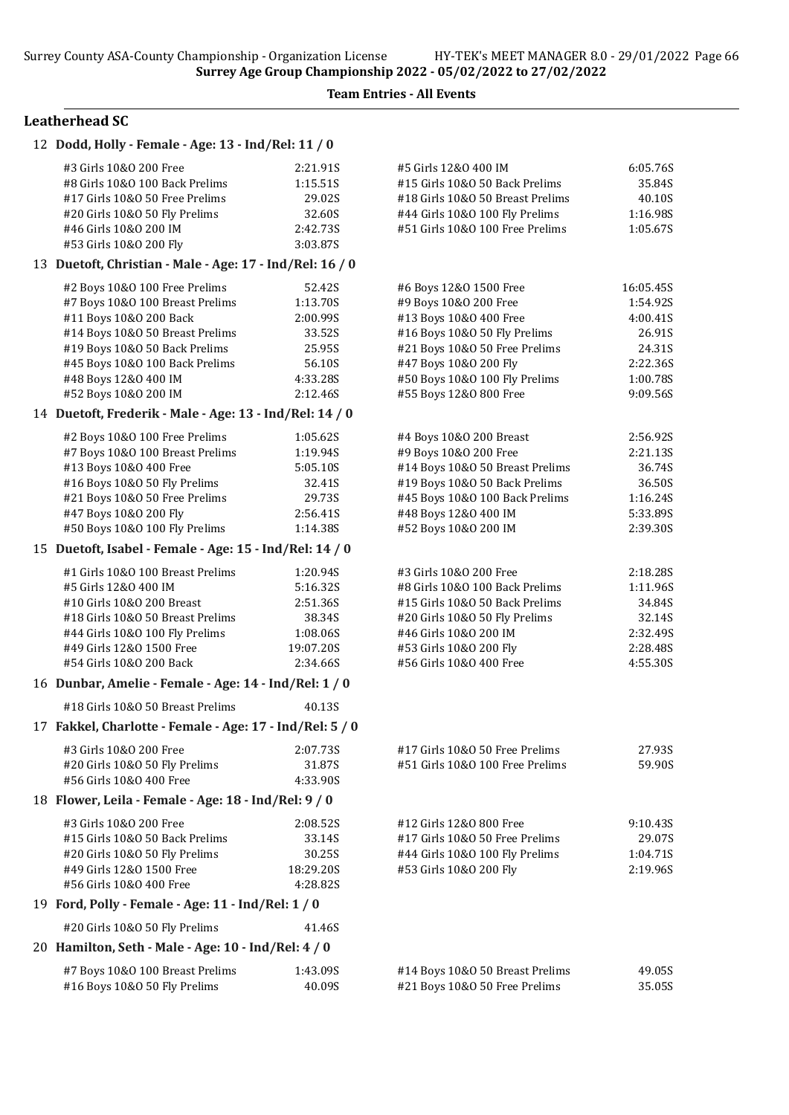| 12 Dodd, Holly - Female - Age: 13 - Ind/Rel: 11 / 0                                                                                                                                                                                              |                                                                                      |                                                                                                                                                                                                                                |                                                                                           |
|--------------------------------------------------------------------------------------------------------------------------------------------------------------------------------------------------------------------------------------------------|--------------------------------------------------------------------------------------|--------------------------------------------------------------------------------------------------------------------------------------------------------------------------------------------------------------------------------|-------------------------------------------------------------------------------------------|
| #3 Girls 10&0 200 Free<br>#8 Girls 10&0 100 Back Prelims<br>#17 Girls 10&0 50 Free Prelims<br>#20 Girls 10&0 50 Fly Prelims<br>#46 Girls 10&0 200 IM<br>#53 Girls 10&0 200 Fly                                                                   | 2:21.91S<br>1:15.51S<br>29.02S<br>32.60S<br>2:42.73S<br>3:03.87S                     | #5 Girls 12&0 400 IM<br>#15 Girls 10&0 50 Back Prelims<br>#18 Girls 10&0 50 Breast Prelims<br>#44 Girls 10&0 100 Fly Prelims<br>#51 Girls 10&0 100 Free Prelims                                                                | 6:05.76S<br>35.84S<br>40.10S<br>1:16.98S<br>1:05.67S                                      |
| 13 Duetoft, Christian - Male - Age: 17 - Ind/Rel: 16 / 0                                                                                                                                                                                         |                                                                                      |                                                                                                                                                                                                                                |                                                                                           |
| #2 Boys 10&0 100 Free Prelims<br>#7 Boys 10&0 100 Breast Prelims<br>#11 Boys 10&0 200 Back<br>#14 Boys 10&0 50 Breast Prelims<br>#19 Boys 10&0 50 Back Prelims<br>#45 Boys 10&0 100 Back Prelims<br>#48 Boys 12&0 400 IM<br>#52 Boys 10&0 200 IM | 52.42S<br>1:13.70S<br>2:00.99S<br>33.52S<br>25.95S<br>56.10S<br>4:33.28S<br>2:12.46S | #6 Boys 12&0 1500 Free<br>#9 Boys 10&0 200 Free<br>#13 Boys 10&0 400 Free<br>#16 Boys 10&0 50 Fly Prelims<br>#21 Boys 10&0 50 Free Prelims<br>#47 Boys 10&0 200 Fly<br>#50 Boys 10&0 100 Fly Prelims<br>#55 Boys 12&0 800 Free | 16:05.45S<br>1:54.92S<br>4:00.41S<br>26.91S<br>24.31S<br>2:22.36S<br>1:00.78S<br>9:09.56S |
| 14 Duetoft, Frederik - Male - Age: 13 - Ind/Rel: 14 / 0                                                                                                                                                                                          |                                                                                      |                                                                                                                                                                                                                                |                                                                                           |
| #2 Boys 10&0 100 Free Prelims<br>#7 Boys 10&0 100 Breast Prelims<br>#13 Boys 10&0 400 Free<br>#16 Boys 10&0 50 Fly Prelims<br>#21 Boys 10&0 50 Free Prelims<br>#47 Boys 10&0 200 Fly<br>#50 Boys 10&0 100 Fly Prelims                            | 1:05.62S<br>1:19.94S<br>5:05.10S<br>32.41S<br>29.73S<br>2:56.41S<br>1:14.38S         | #4 Boys 10&0 200 Breast<br>#9 Boys 10&0 200 Free<br>#14 Boys 10&0 50 Breast Prelims<br>#19 Boys 10&0 50 Back Prelims<br>#45 Boys 10&0 100 Back Prelims<br>#48 Boys 12&0 400 IM<br>#52 Boys 10&0 200 IM                         | 2:56.92S<br>2:21.13S<br>36.74S<br>36.50S<br>1:16.24S<br>5:33.89S<br>2:39.30S              |
| 15 Duetoft, Isabel - Female - Age: 15 - Ind/Rel: 14 / 0                                                                                                                                                                                          |                                                                                      |                                                                                                                                                                                                                                |                                                                                           |
| #1 Girls 10&0 100 Breast Prelims<br>#5 Girls 12&0 400 IM<br>#10 Girls 10&0 200 Breast<br>#18 Girls 10&0 50 Breast Prelims<br>#44 Girls 10&0 100 Fly Prelims<br>#49 Girls 12&0 1500 Free<br>#54 Girls 10&0 200 Back                               | 1:20.94S<br>5:16.32S<br>2:51.36S<br>38.34S<br>1:08.06S<br>19:07.20S<br>2:34.66S      | #3 Girls 10&0 200 Free<br>#8 Girls 10&0 100 Back Prelims<br>#15 Girls 10&0 50 Back Prelims<br>#20 Girls 10&O 50 Fly Prelims<br>#46 Girls 10&0 200 IM<br>#53 Girls 10&0 200 Fly<br>#56 Girls 10&O 400 Free                      | 2:18.28S<br>1:11.96S<br>34.84S<br>32.14S<br>2:32.49S<br>2:28.485<br>4:55.30S              |
| 16 Dunbar, Amelie - Female - Age: 14 - Ind/Rel: 1 / 0                                                                                                                                                                                            |                                                                                      |                                                                                                                                                                                                                                |                                                                                           |
| #18 Girls 10&0 50 Breast Prelims                                                                                                                                                                                                                 | 40.13S                                                                               |                                                                                                                                                                                                                                |                                                                                           |
| 17 Fakkel, Charlotte - Female - Age: 17 - Ind/Rel: 5 / 0                                                                                                                                                                                         |                                                                                      |                                                                                                                                                                                                                                |                                                                                           |
| #3 Girls 10&0 200 Free<br>#20 Girls 10&0 50 Fly Prelims<br>#56 Girls 10&0 400 Free                                                                                                                                                               | 2:07.73S<br>31.87S<br>4:33.90S                                                       | #17 Girls 10&0 50 Free Prelims<br>#51 Girls 10&0 100 Free Prelims                                                                                                                                                              | 27.93S<br>59.90S                                                                          |
| 18 Flower, Leila - Female - Age: 18 - Ind/Rel: 9 / 0                                                                                                                                                                                             |                                                                                      |                                                                                                                                                                                                                                |                                                                                           |
| #3 Girls 10&0 200 Free<br>#15 Girls 10&0 50 Back Prelims<br>#20 Girls 10&0 50 Fly Prelims<br>#49 Girls 12&0 1500 Free<br>#56 Girls 10&0 400 Free                                                                                                 | 2:08.52S<br>33.14S<br>30.25S<br>18:29.20S<br>4:28.82S                                | #12 Girls 12&0 800 Free<br>#17 Girls 10&O 50 Free Prelims<br>#44 Girls 10&0 100 Fly Prelims<br>#53 Girls 10&0 200 Fly                                                                                                          | 9:10.43S<br>29.07S<br>1:04.71S<br>2:19.96S                                                |
| 19 Ford, Polly - Female - Age: 11 - Ind/Rel: 1 / 0                                                                                                                                                                                               |                                                                                      |                                                                                                                                                                                                                                |                                                                                           |
| #20 Girls 10&0 50 Fly Prelims                                                                                                                                                                                                                    | 41.46S                                                                               |                                                                                                                                                                                                                                |                                                                                           |
| 20 Hamilton, Seth - Male - Age: 10 - Ind/Rel: 4 / 0                                                                                                                                                                                              |                                                                                      |                                                                                                                                                                                                                                |                                                                                           |
| #7 Boys 10&0 100 Breast Prelims<br>#16 Boys 10&0 50 Fly Prelims                                                                                                                                                                                  | 1:43.09S<br>40.09S                                                                   | #14 Boys 10&0 50 Breast Prelims<br>#21 Boys 10&0 50 Free Prelims                                                                                                                                                               | 49.05S<br>35.05S                                                                          |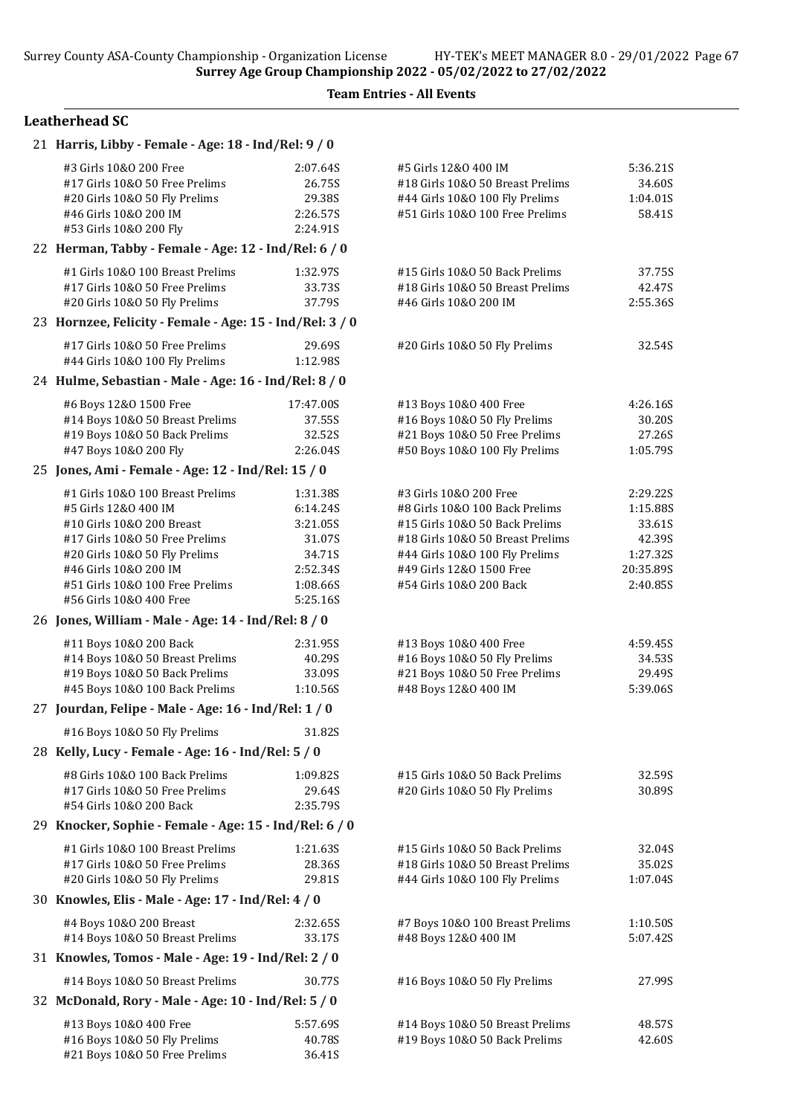| 21 Harris, Libby - Female - Age: 18 - Ind/Rel: 9 / 0                                                                                                                                                                                            |                                                                                          |                                                                                                                                                                                                                         |                                                                               |
|-------------------------------------------------------------------------------------------------------------------------------------------------------------------------------------------------------------------------------------------------|------------------------------------------------------------------------------------------|-------------------------------------------------------------------------------------------------------------------------------------------------------------------------------------------------------------------------|-------------------------------------------------------------------------------|
| #3 Girls 10&0 200 Free<br>#17 Girls 10&0 50 Free Prelims<br>#20 Girls 10&O 50 Fly Prelims<br>#46 Girls 10&0 200 IM<br>#53 Girls 10&0 200 Fly                                                                                                    | 2:07.64S<br>26.75S<br>29.38S<br>2:26.57S<br>2:24.91S                                     | #5 Girls 12&0 400 IM<br>#18 Girls 10&0 50 Breast Prelims<br>#44 Girls 10&0 100 Fly Prelims<br>#51 Girls 10&0 100 Free Prelims                                                                                           | 5:36.21S<br>34.60S<br>1:04.01S<br>58.41S                                      |
| 22 Herman, Tabby - Female - Age: 12 - Ind/Rel: 6 / 0                                                                                                                                                                                            |                                                                                          |                                                                                                                                                                                                                         |                                                                               |
| #1 Girls 10&0 100 Breast Prelims<br>#17 Girls 10&0 50 Free Prelims<br>#20 Girls 10&0 50 Fly Prelims                                                                                                                                             | 1:32.97S<br>33.73S<br>37.79S                                                             | #15 Girls 10&0 50 Back Prelims<br>#18 Girls 10&0 50 Breast Prelims<br>#46 Girls 10&0 200 IM                                                                                                                             | 37.75S<br>42.47S<br>2:55.36S                                                  |
| 23 Hornzee, Felicity - Female - Age: 15 - Ind/Rel: 3 / 0                                                                                                                                                                                        |                                                                                          |                                                                                                                                                                                                                         |                                                                               |
| #17 Girls 10&0 50 Free Prelims<br>#44 Girls 10&0 100 Fly Prelims                                                                                                                                                                                | 29.69S<br>1:12.98S                                                                       | #20 Girls 10&O 50 Fly Prelims                                                                                                                                                                                           | 32.54S                                                                        |
| 24 Hulme, Sebastian - Male - Age: 16 - Ind/Rel: 8 / 0                                                                                                                                                                                           |                                                                                          |                                                                                                                                                                                                                         |                                                                               |
| #6 Boys 12&0 1500 Free<br>#14 Boys 10&0 50 Breast Prelims<br>#19 Boys 10&0 50 Back Prelims<br>#47 Boys 10&0 200 Fly                                                                                                                             | 17:47.00S<br>37.55S<br>32.52S<br>2:26.04S                                                | #13 Boys 10&0 400 Free<br>#16 Boys 10&0 50 Fly Prelims<br>#21 Boys 10&0 50 Free Prelims<br>#50 Boys 10&0 100 Fly Prelims                                                                                                | 4:26.16S<br>30.20S<br>27.26S<br>1:05.79S                                      |
| 25 Jones, Ami - Female - Age: 12 - Ind/Rel: 15 / 0                                                                                                                                                                                              |                                                                                          |                                                                                                                                                                                                                         |                                                                               |
| #1 Girls 10&0 100 Breast Prelims<br>#5 Girls 12&0 400 IM<br>#10 Girls 10&0 200 Breast<br>#17 Girls 10&0 50 Free Prelims<br>#20 Girls 10&0 50 Fly Prelims<br>#46 Girls 10&0 200 IM<br>#51 Girls 10&0 100 Free Prelims<br>#56 Girls 10&0 400 Free | 1:31.38S<br>6:14.24S<br>3:21.05S<br>31.07S<br>34.71S<br>2:52.34S<br>1:08.66S<br>5:25.16S | #3 Girls 10&0 200 Free<br>#8 Girls 10&0 100 Back Prelims<br>#15 Girls 10&0 50 Back Prelims<br>#18 Girls 10&0 50 Breast Prelims<br>#44 Girls 10&0 100 Fly Prelims<br>#49 Girls 12&0 1500 Free<br>#54 Girls 10&0 200 Back | 2:29.22S<br>1:15.88S<br>33.61S<br>42.39S<br>1:27.32S<br>20:35.89S<br>2:40.85S |
| 26 Jones, William - Male - Age: 14 - Ind/Rel: 8 / 0                                                                                                                                                                                             |                                                                                          |                                                                                                                                                                                                                         |                                                                               |
| #11 Boys 10&0 200 Back<br>#14 Boys 10&0 50 Breast Prelims<br>#19 Boys 10&0 50 Back Prelims<br>#45 Boys 10&0 100 Back Prelims                                                                                                                    | 2:31.95S<br>40.29S<br>33.09S<br>1:10.56S                                                 | #13 Boys 10&0 400 Free<br>#16 Boys 10&0 50 Fly Prelims<br>#21 Boys 10&0 50 Free Prelims<br>#48 Boys 12&0 400 IM                                                                                                         | 4:59.45S<br>34.53S<br>29.49S<br>5:39.06S                                      |
| 27 Jourdan, Felipe - Male - Age: 16 - Ind/Rel: 1 / 0                                                                                                                                                                                            |                                                                                          |                                                                                                                                                                                                                         |                                                                               |
| #16 Boys 10&0 50 Fly Prelims                                                                                                                                                                                                                    | 31.82S                                                                                   |                                                                                                                                                                                                                         |                                                                               |
| 28 Kelly, Lucy - Female - Age: 16 - Ind/Rel: 5 / 0                                                                                                                                                                                              |                                                                                          |                                                                                                                                                                                                                         |                                                                               |
| #8 Girls 10&0 100 Back Prelims<br>#17 Girls 10&0 50 Free Prelims<br>#54 Girls 10&0 200 Back                                                                                                                                                     | 1:09.82S<br>29.64S<br>2:35.79S                                                           | #15 Girls 10&0 50 Back Prelims<br>#20 Girls 10&O 50 Fly Prelims                                                                                                                                                         | 32.59S<br>30.89S                                                              |
| 29 Knocker, Sophie - Female - Age: 15 - Ind/Rel: 6 / 0                                                                                                                                                                                          |                                                                                          |                                                                                                                                                                                                                         |                                                                               |
| #1 Girls 10&0 100 Breast Prelims<br>#17 Girls 10&0 50 Free Prelims<br>#20 Girls 10&0 50 Fly Prelims                                                                                                                                             | 1:21.63S<br>28.36S<br>29.81S                                                             | #15 Girls 10&0 50 Back Prelims<br>#18 Girls 10&0 50 Breast Prelims<br>#44 Girls 10&0 100 Fly Prelims                                                                                                                    | 32.04S<br>35.02S<br>1:07.04S                                                  |
| 30 Knowles, Elis - Male - Age: 17 - Ind/Rel: 4 / 0                                                                                                                                                                                              |                                                                                          |                                                                                                                                                                                                                         |                                                                               |
| #4 Boys 10&0 200 Breast<br>#14 Boys 10&0 50 Breast Prelims                                                                                                                                                                                      | 2:32.65S<br>33.17S                                                                       | #7 Boys 10&0 100 Breast Prelims<br>#48 Boys 12&0 400 IM                                                                                                                                                                 | 1:10.50S<br>5:07.42S                                                          |
| 31 Knowles, Tomos - Male - Age: 19 - Ind/Rel: 2 / 0                                                                                                                                                                                             |                                                                                          |                                                                                                                                                                                                                         |                                                                               |
| #14 Boys 10&0 50 Breast Prelims                                                                                                                                                                                                                 | 30.77S                                                                                   | #16 Boys 10&0 50 Fly Prelims                                                                                                                                                                                            | 27.99S                                                                        |
| 32 McDonald, Rory - Male - Age: 10 - Ind/Rel: 5 / 0                                                                                                                                                                                             |                                                                                          |                                                                                                                                                                                                                         |                                                                               |
| #13 Boys 10&0 400 Free<br>#16 Boys 10&0 50 Fly Prelims<br>#21 Boys 10&0 50 Free Prelims                                                                                                                                                         | 5:57.69S<br>40.78S<br>36.41S                                                             | #14 Boys 10&0 50 Breast Prelims<br>#19 Boys 10&0 50 Back Prelims                                                                                                                                                        | 48.57S<br>42.60S                                                              |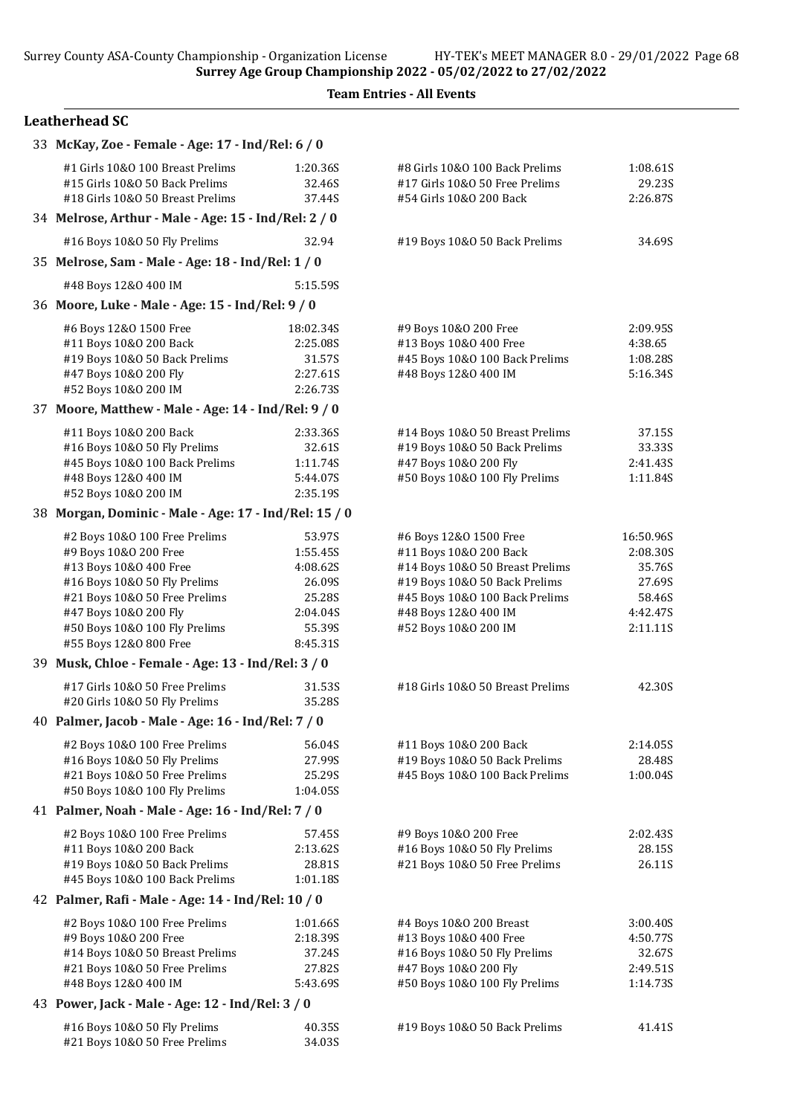| 33 McKay, Zoe - Female - Age: 17 - Ind/Rel: 6 / 0                                                      |                              |                                                                                             |                                |
|--------------------------------------------------------------------------------------------------------|------------------------------|---------------------------------------------------------------------------------------------|--------------------------------|
| #1 Girls 10&0 100 Breast Prelims<br>#15 Girls 10&0 50 Back Prelims<br>#18 Girls 10&0 50 Breast Prelims | 1:20.36S<br>32.46S<br>37.44S | #8 Girls 10&0 100 Back Prelims<br>#17 Girls 10&0 50 Free Prelims<br>#54 Girls 10&0 200 Back | 1:08.61S<br>29.23S<br>2:26.87S |
| 34 Melrose, Arthur - Male - Age: 15 - Ind/Rel: 2 / 0                                                   |                              |                                                                                             |                                |
| #16 Boys 10&0 50 Fly Prelims                                                                           | 32.94                        | #19 Boys 10&0 50 Back Prelims                                                               | 34.69S                         |
| 35 Melrose, Sam - Male - Age: 18 - Ind/Rel: 1 / 0                                                      |                              |                                                                                             |                                |
| #48 Boys 12&0 400 IM                                                                                   | 5:15.59S                     |                                                                                             |                                |
| 36 Moore, Luke - Male - Age: 15 - Ind/Rel: 9 / 0                                                       |                              |                                                                                             |                                |
| #6 Boys 12&0 1500 Free                                                                                 | 18:02.34S                    | #9 Boys 10&0 200 Free                                                                       | 2:09.95S                       |
| #11 Boys 10&0 200 Back                                                                                 | 2:25.08S                     | #13 Boys 10&0 400 Free                                                                      | 4:38.65                        |
| #19 Boys 10&0 50 Back Prelims                                                                          | 31.57S                       | #45 Boys 10&0 100 Back Prelims                                                              | 1:08.28S                       |
| #47 Boys 10&0 200 Fly                                                                                  | 2:27.61S                     | #48 Boys 12&0 400 IM                                                                        | 5:16.34S                       |
| #52 Boys 10&0 200 IM                                                                                   | 2:26.73S                     |                                                                                             |                                |
| 37 Moore, Matthew - Male - Age: 14 - Ind/Rel: 9 / 0                                                    |                              |                                                                                             |                                |
| #11 Boys 10&0 200 Back                                                                                 | 2:33.36S                     | #14 Boys 10&0 50 Breast Prelims                                                             | 37.15S                         |
| #16 Boys 10&0 50 Fly Prelims                                                                           | 32.61S                       | #19 Boys 10&0 50 Back Prelims                                                               | 33.33S                         |
| #45 Boys 10&0 100 Back Prelims<br>#48 Boys 12&0 400 IM                                                 | 1:11.74S                     | #47 Boys 10&0 200 Fly<br>#50 Boys 10&0 100 Fly Prelims                                      | 2:41.43S                       |
| #52 Boys 10&0 200 IM                                                                                   | 5:44.07S<br>2:35.19S         |                                                                                             | 1:11.84S                       |
| 38 Morgan, Dominic - Male - Age: 17 - Ind/Rel: 15 / 0                                                  |                              |                                                                                             |                                |
| #2 Boys 10&0 100 Free Prelims                                                                          | 53.97S                       | #6 Boys 12&0 1500 Free                                                                      | 16:50.96S                      |
| #9 Boys 10&0 200 Free                                                                                  | 1:55.45S                     | #11 Boys 10&0 200 Back                                                                      | 2:08.30S                       |
| #13 Boys 10&0 400 Free                                                                                 | 4:08.62S                     | #14 Boys 10&0 50 Breast Prelims                                                             | 35.76S                         |
| #16 Boys 10&0 50 Fly Prelims                                                                           | 26.09S                       | #19 Boys 10&0 50 Back Prelims                                                               | 27.69S                         |
| #21 Boys 10&0 50 Free Prelims                                                                          | 25.28S                       | #45 Boys 10&0 100 Back Prelims                                                              | 58.46S                         |
| #47 Boys 10&0 200 Fly                                                                                  | 2:04.04S                     | #48 Boys 12&0 400 IM                                                                        | 4:42.47S                       |
| #50 Boys 10&0 100 Fly Prelims                                                                          | 55.39S                       | #52 Boys 10&0 200 IM                                                                        | 2:11.11S                       |
| #55 Boys 12&0 800 Free                                                                                 | 8:45.31S                     |                                                                                             |                                |
| 39 Musk, Chloe - Female - Age: 13 - Ind/Rel: 3 / 0                                                     |                              |                                                                                             |                                |
| #17 Girls 10&0 50 Free Prelims                                                                         | 31.53S                       | #18 Girls 10&0 50 Breast Prelims                                                            | 42.30S                         |
| #20 Girls 10&0 50 Fly Prelims                                                                          | 35.28S                       |                                                                                             |                                |
| 40 Palmer, Jacob - Male - Age: 16 - Ind/Rel: 7 / 0                                                     |                              |                                                                                             |                                |
| #2 Boys 10&0 100 Free Prelims                                                                          | 56.04S                       | #11 Boys 10&0 200 Back                                                                      | 2:14.05S                       |
| #16 Boys 10&0 50 Fly Prelims                                                                           | 27.99S                       | #19 Boys 10&0 50 Back Prelims                                                               | 28.48S                         |
| #21 Boys 10&0 50 Free Prelims<br>#50 Boys 10&0 100 Fly Prelims                                         | 25.29S<br>1:04.05S           | #45 Boys 10&0 100 Back Prelims                                                              | 1:00.04S                       |
| 41 Palmer, Noah - Male - Age: 16 - Ind/Rel: 7 / 0                                                      |                              |                                                                                             |                                |
| #2 Boys 10&0 100 Free Prelims                                                                          | 57.45S                       | #9 Boys 10&0 200 Free                                                                       | 2:02.435                       |
| #11 Boys 10&0 200 Back                                                                                 | 2:13.62S                     | #16 Boys 10&0 50 Fly Prelims                                                                | 28.15S                         |
| #19 Boys 10&0 50 Back Prelims                                                                          | 28.81S                       | #21 Boys 10&0 50 Free Prelims                                                               | 26.11S                         |
| #45 Boys 10&0 100 Back Prelims                                                                         | 1:01.18S                     |                                                                                             |                                |
| 42 Palmer, Rafi - Male - Age: 14 - Ind/Rel: 10 / 0                                                     |                              |                                                                                             |                                |
| #2 Boys 10&0 100 Free Prelims                                                                          | 1:01.66S                     | #4 Boys 10&0 200 Breast                                                                     | 3:00.40S                       |
| #9 Boys 10&0 200 Free                                                                                  | 2:18.39S                     | #13 Boys 10&0 400 Free                                                                      | 4:50.77S                       |
| #14 Boys 10&0 50 Breast Prelims                                                                        | 37.24S                       | #16 Boys 10&0 50 Fly Prelims                                                                | 32.67S                         |
| #21 Boys 10&0 50 Free Prelims                                                                          | 27.82S                       | #47 Boys 10&0 200 Fly                                                                       | 2:49.51S                       |
| #48 Boys 12&0 400 IM                                                                                   | 5:43.69S                     | #50 Boys 10&0 100 Fly Prelims                                                               | 1:14.73S                       |
| 43 Power, Jack - Male - Age: 12 - Ind/Rel: 3 / 0                                                       |                              |                                                                                             |                                |
| #16 Boys 10&0 50 Fly Prelims                                                                           | 40.35S                       | #19 Boys 10&0 50 Back Prelims                                                               | 41.41S                         |
| #21 Boys 10&0 50 Free Prelims                                                                          | 34.03S                       |                                                                                             |                                |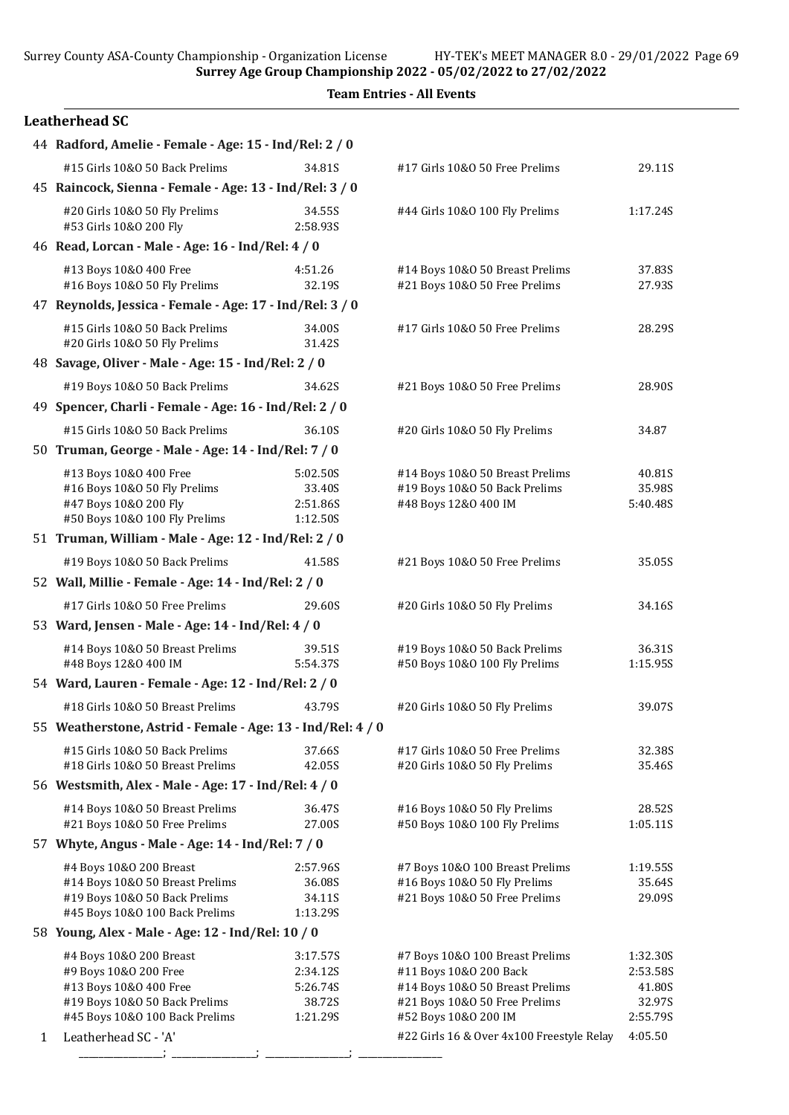Surrey County ASA-County Championship - Organization License HY-TEK's MEET MANAGER 8.0 - 29/01/2022 Page 69

Surrey Age Group Championship 2022 - 05/02/2022 to 27/02/2022

Team Entries - All Events

|   | 44 Radford, Amelie - Female - Age: 15 - Ind/Rel: 2 / 0                                                                                        |                                                        |                                                                                                                                                       |                                                      |
|---|-----------------------------------------------------------------------------------------------------------------------------------------------|--------------------------------------------------------|-------------------------------------------------------------------------------------------------------------------------------------------------------|------------------------------------------------------|
|   | #15 Girls 10&0 50 Back Prelims                                                                                                                | 34.81S                                                 | #17 Girls 10&0 50 Free Prelims                                                                                                                        | 29.11S                                               |
|   | 45 Raincock, Sienna - Female - Age: 13 - Ind/Rel: 3 / 0                                                                                       |                                                        |                                                                                                                                                       |                                                      |
|   | #20 Girls 10&0 50 Fly Prelims<br>#53 Girls 10&0 200 Fly                                                                                       | 34.55S<br>2:58.93S                                     | #44 Girls 10&0 100 Fly Prelims                                                                                                                        | 1:17.24S                                             |
|   | 46 Read, Lorcan - Male - Age: 16 - Ind/Rel: 4 / 0                                                                                             |                                                        |                                                                                                                                                       |                                                      |
|   | #13 Boys 10&0 400 Free<br>#16 Boys 10&0 50 Fly Prelims                                                                                        | 4:51.26<br>32.19S                                      | #14 Boys 10&0 50 Breast Prelims<br>#21 Boys 10&0 50 Free Prelims                                                                                      | 37.83S<br>27.93S                                     |
|   | 47 Reynolds, Jessica - Female - Age: 17 - Ind/Rel: 3 / 0                                                                                      |                                                        |                                                                                                                                                       |                                                      |
|   | #15 Girls 10&0 50 Back Prelims<br>#20 Girls 10&0 50 Fly Prelims                                                                               | 34.00S<br>31.42S                                       | #17 Girls 10&0 50 Free Prelims                                                                                                                        | 28.29S                                               |
|   | 48 Savage, Oliver - Male - Age: 15 - Ind/Rel: 2 / 0                                                                                           |                                                        |                                                                                                                                                       |                                                      |
|   | #19 Boys 10&0 50 Back Prelims                                                                                                                 | 34.62S                                                 | #21 Boys 10&0 50 Free Prelims                                                                                                                         | 28.90S                                               |
|   | 49 Spencer, Charli - Female - Age: 16 - Ind/Rel: 2 / 0                                                                                        |                                                        |                                                                                                                                                       |                                                      |
|   | #15 Girls 10&0 50 Back Prelims                                                                                                                | 36.10S                                                 | #20 Girls 10&O 50 Fly Prelims                                                                                                                         | 34.87                                                |
|   | 50 Truman, George - Male - Age: 14 - Ind/Rel: 7 / 0                                                                                           |                                                        |                                                                                                                                                       |                                                      |
|   | #13 Boys 10&0 400 Free<br>#16 Boys 10&0 50 Fly Prelims<br>#47 Boys 10&0 200 Fly                                                               | 5:02.50S<br>33.40S<br>2:51.86S                         | #14 Boys 10&0 50 Breast Prelims<br>#19 Boys 10&0 50 Back Prelims<br>#48 Boys 12&0 400 IM                                                              | 40.81S<br>35.98S<br>5:40.48S                         |
|   | #50 Boys 10&0 100 Fly Prelims                                                                                                                 | 1:12.50S                                               |                                                                                                                                                       |                                                      |
|   | 51 Truman, William - Male - Age: 12 - Ind/Rel: 2 / 0                                                                                          |                                                        |                                                                                                                                                       |                                                      |
|   | #19 Boys 10&0 50 Back Prelims                                                                                                                 | 41.58S                                                 | #21 Boys 10&0 50 Free Prelims                                                                                                                         | 35.05S                                               |
|   | 52 Wall, Millie - Female - Age: 14 - Ind/Rel: 2 / 0                                                                                           |                                                        |                                                                                                                                                       |                                                      |
|   | #17 Girls 10&0 50 Free Prelims                                                                                                                | 29.60S                                                 | #20 Girls 10&O 50 Fly Prelims                                                                                                                         | 34.16S                                               |
|   | 53 Ward, Jensen - Male - Age: 14 - Ind/Rel: 4 / 0                                                                                             |                                                        |                                                                                                                                                       |                                                      |
|   | #14 Boys 10&0 50 Breast Prelims<br>#48 Boys 12&0 400 IM                                                                                       | 39.51S<br>5:54.37S                                     | #19 Boys 10&0 50 Back Prelims<br>#50 Boys 10&0 100 Fly Prelims                                                                                        | 36.31S<br>1:15.95S                                   |
|   | 54 Ward, Lauren - Female - Age: 12 - Ind/Rel: 2 / 0                                                                                           |                                                        |                                                                                                                                                       |                                                      |
|   | #18 Girls 10&0 50 Breast Prelims                                                                                                              | 43.79S                                                 | #20 Girls 10&O 50 Fly Prelims                                                                                                                         | 39.07S                                               |
|   | 55 Weatherstone, Astrid - Female - Age: 13 - Ind/Rel: 4 / 0                                                                                   |                                                        |                                                                                                                                                       |                                                      |
|   | #15 Girls 10&0 50 Back Prelims<br>#18 Girls 10&0 50 Breast Prelims                                                                            | 37.66S<br>42.05S                                       | #17 Girls 10&O 50 Free Prelims<br>#20 Girls 10&O 50 Fly Prelims                                                                                       | 32.38S<br>35.46S                                     |
|   | 56 Westsmith, Alex - Male - Age: 17 - Ind/Rel: 4 / 0                                                                                          |                                                        |                                                                                                                                                       |                                                      |
|   | #14 Boys 10&0 50 Breast Prelims<br>#21 Boys 10&0 50 Free Prelims                                                                              | 36.47S<br>27.00S                                       | #16 Boys 10&0 50 Fly Prelims<br>#50 Boys 10&0 100 Fly Prelims                                                                                         | 28.52S<br>1:05.11S                                   |
|   | 57 Whyte, Angus - Male - Age: 14 - Ind/Rel: 7 / 0                                                                                             |                                                        |                                                                                                                                                       |                                                      |
|   | #4 Boys 10&0 200 Breast<br>#14 Boys 10&0 50 Breast Prelims<br>#19 Boys 10&0 50 Back Prelims<br>#45 Boys 10&0 100 Back Prelims                 | 2:57.96S<br>36.08S<br>34.11S<br>1:13.29S               | #7 Boys 10&0 100 Breast Prelims<br>#16 Boys 10&0 50 Fly Prelims<br>#21 Boys 10&0 50 Free Prelims                                                      | 1:19.55S<br>35.64S<br>29.09S                         |
|   | 58 Young, Alex - Male - Age: 12 - Ind/Rel: 10 / 0                                                                                             |                                                        |                                                                                                                                                       |                                                      |
|   | #4 Boys 10&0 200 Breast<br>#9 Boys 10&0 200 Free<br>#13 Boys 10&0 400 Free<br>#19 Boys 10&0 50 Back Prelims<br>#45 Boys 10&0 100 Back Prelims | 3:17.57S<br>2:34.12S<br>5:26.74S<br>38.72S<br>1:21.29S | #7 Boys 10&0 100 Breast Prelims<br>#11 Boys 10&0 200 Back<br>#14 Boys 10&0 50 Breast Prelims<br>#21 Boys 10&0 50 Free Prelims<br>#52 Boys 10&0 200 IM | 1:32.30S<br>2:53.58S<br>41.80S<br>32.97S<br>2:55.79S |
| 1 | Leatherhead SC - 'A'                                                                                                                          |                                                        | #22 Girls 16 & Over 4x100 Freestyle Relay                                                                                                             | 4:05.50                                              |
|   |                                                                                                                                               |                                                        |                                                                                                                                                       |                                                      |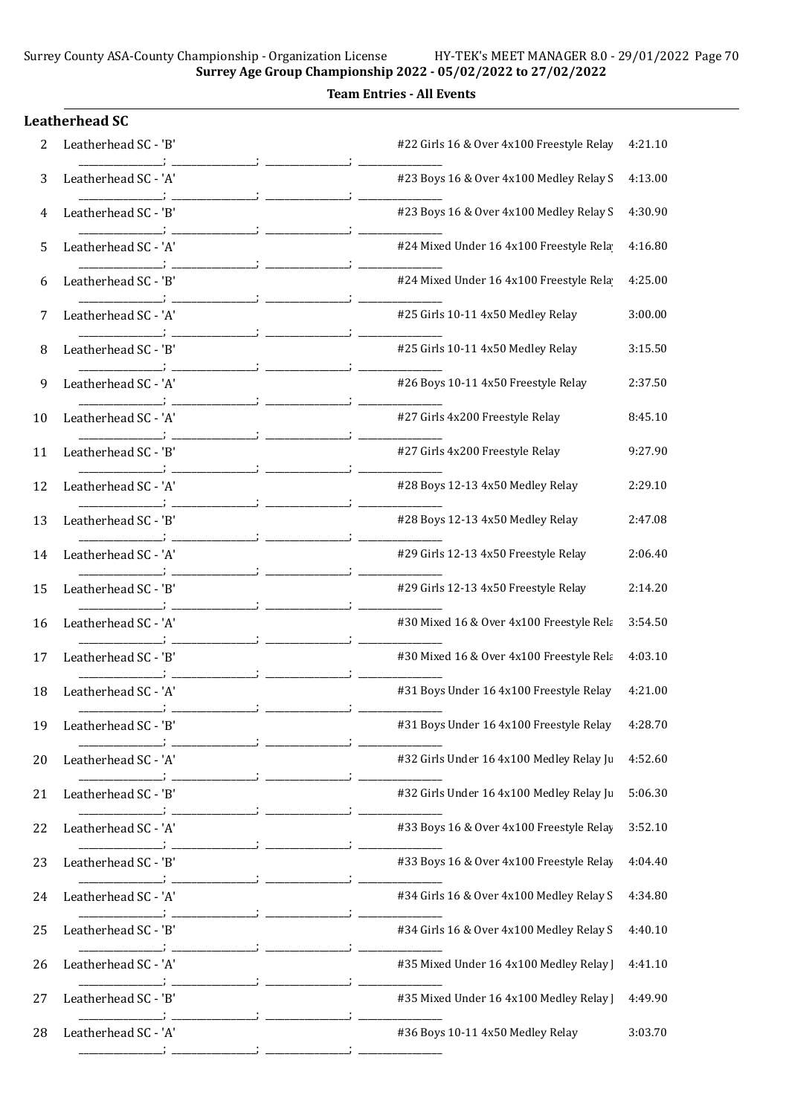Surrey Age Group Championship 2022 - 05/02/2022 to 27/02/2022 Team Entries - All Events

|    | <b>Leatherhead SC</b> |                                           |         |
|----|-----------------------|-------------------------------------------|---------|
| 2  | Leatherhead SC - 'B'  | #22 Girls 16 & Over 4x100 Freestyle Relay | 4:21.10 |
| 3  | Leatherhead SC - 'A'  | #23 Boys 16 & Over 4x100 Medley Relay S   | 4:13.00 |
| 4  | Leatherhead SC - 'B'  | #23 Boys 16 & Over 4x100 Medley Relay S   | 4:30.90 |
| 5  | Leatherhead SC - 'A'  | #24 Mixed Under 16 4x100 Freestyle Rela   | 4:16.80 |
| 6  | Leatherhead SC - 'B'  | #24 Mixed Under 16 4x100 Freestyle Rela   | 4:25.00 |
| 7  | Leatherhead SC - 'A'  | #25 Girls 10-11 4x50 Medley Relay         | 3:00.00 |
| 8  | Leatherhead SC - 'B'  | #25 Girls 10-11 4x50 Medley Relay         | 3:15.50 |
| 9  | Leatherhead SC - 'A'  | #26 Boys 10-11 4x50 Freestyle Relay       | 2:37.50 |
| 10 | Leatherhead SC - 'A'  | #27 Girls 4x200 Freestyle Relay           | 8:45.10 |
| 11 | Leatherhead SC - 'B'  | #27 Girls 4x200 Freestyle Relay           | 9:27.90 |
| 12 | Leatherhead SC - 'A'  | #28 Boys 12-13 4x50 Medley Relay          | 2:29.10 |
| 13 | Leatherhead SC - 'B'  | #28 Boys 12-13 4x50 Medley Relay          | 2:47.08 |
| 14 | Leatherhead SC - 'A'  | #29 Girls 12-13 4x50 Freestyle Relay      | 2:06.40 |
| 15 | Leatherhead SC - 'B'  | #29 Girls 12-13 4x50 Freestyle Relay      | 2:14.20 |
| 16 | Leatherhead SC - 'A'  | #30 Mixed 16 & Over 4x100 Freestyle Rela  | 3:54.50 |
| 17 | Leatherhead SC - 'B'  | #30 Mixed 16 & Over 4x100 Freestyle Rela  | 4:03.10 |
| 18 | Leatherhead SC - 'A'  | #31 Boys Under 16 4x100 Freestyle Relay   | 4:21.00 |
| 19 | Leatherhead SC - 'B'  | #31 Boys Under 16 4x100 Freestyle Relay   | 4:28.70 |
| 20 | Leatherhead SC - 'A'  | #32 Girls Under 16 4x100 Medley Relay Ju  | 4:52.60 |
| 21 | Leatherhead SC - 'B'  | #32 Girls Under 16 4x100 Medley Relay Ju  | 5:06.30 |
| 22 | Leatherhead SC - 'A'  | #33 Boys 16 & Over 4x100 Freestyle Relay  | 3:52.10 |
| 23 | Leatherhead SC - 'B'  | #33 Boys 16 & Over 4x100 Freestyle Relay  | 4:04.40 |
| 24 | Leatherhead SC - 'A'  | #34 Girls 16 & Over 4x100 Medley Relay S  | 4:34.80 |
| 25 | Leatherhead SC - 'B'  | #34 Girls 16 & Over 4x100 Medley Relay S  | 4:40.10 |
| 26 | Leatherhead SC - 'A'  | #35 Mixed Under 16 4x100 Medley Relay ]   | 4:41.10 |
| 27 | Leatherhead SC - 'B'  | #35 Mixed Under 16 4x100 Medley Relay ]   | 4:49.90 |
| 28 | Leatherhead SC - 'A'  | #36 Boys 10-11 4x50 Medley Relay          | 3:03.70 |
|    |                       |                                           |         |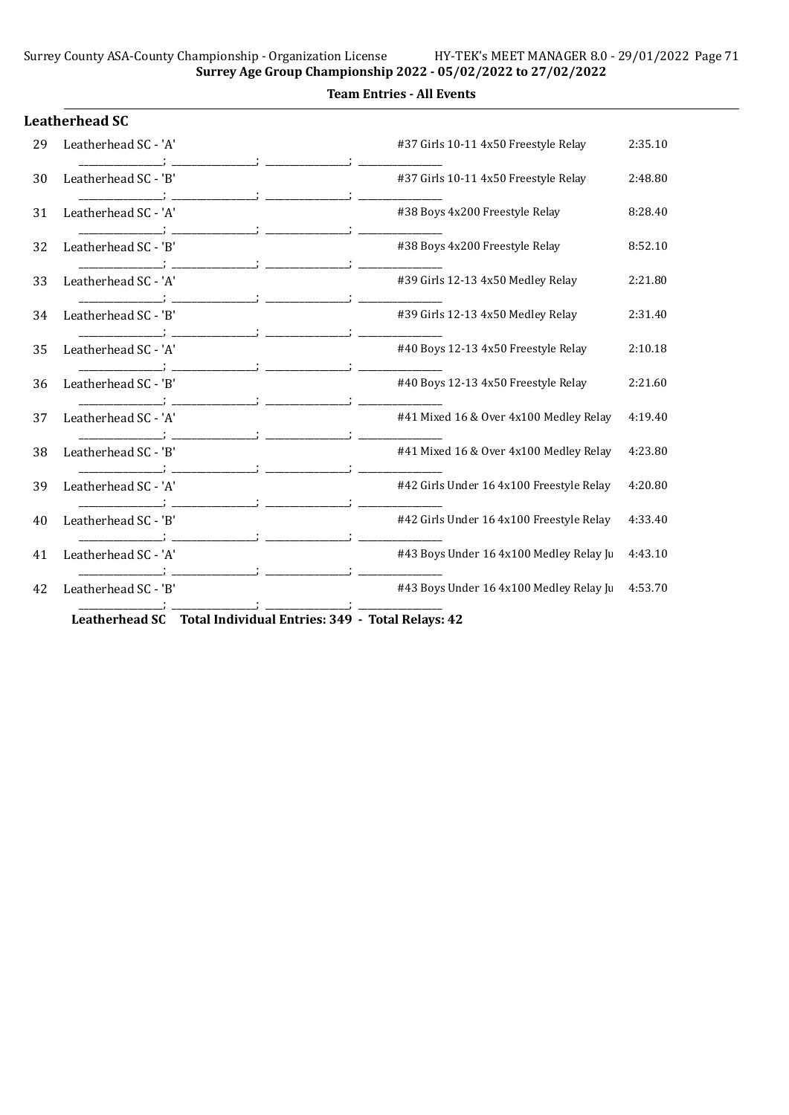Surrey Age Group Championship 2022 - 05/02/2022 to 27/02/2022 Team Entries - All Events

|    | <b>Leatherhead SC</b> |                                          |         |
|----|-----------------------|------------------------------------------|---------|
| 29 | Leatherhead SC - 'A'  | #37 Girls 10-11 4x50 Freestyle Relay     | 2:35.10 |
| 30 | Leatherhead SC - 'B'  | #37 Girls 10-11 4x50 Freestyle Relay     | 2:48.80 |
| 31 | Leatherhead SC - 'A'  | #38 Boys 4x200 Freestyle Relay           | 8:28.40 |
| 32 | Leatherhead SC - 'B'  | #38 Boys 4x200 Freestyle Relay           | 8:52.10 |
| 33 | Leatherhead SC - 'A'  | #39 Girls 12-13 4x50 Medley Relay        | 2:21.80 |
| 34 | Leatherhead SC - 'B'  | #39 Girls 12-13 4x50 Medley Relay        | 2:31.40 |
| 35 | Leatherhead SC - 'A'  | #40 Boys 12-13 4x50 Freestyle Relay      | 2:10.18 |
| 36 | Leatherhead SC - 'B'  | #40 Boys 12-13 4x50 Freestyle Relay      | 2:21.60 |
| 37 | Leatherhead SC - 'A'  | #41 Mixed 16 & Over 4x100 Medley Relay   | 4:19.40 |
| 38 | Leatherhead SC - 'B'  | #41 Mixed 16 & Over 4x100 Medley Relay   | 4:23.80 |
| 39 | Leatherhead SC - 'A'  | #42 Girls Under 16 4x100 Freestyle Relay | 4:20.80 |
| 40 | Leatherhead SC - 'B'  | #42 Girls Under 16 4x100 Freestyle Relay | 4:33.40 |
| 41 | Leatherhead SC - 'A'  | #43 Boys Under 16 4x100 Medley Relay Ju  | 4:43.10 |
| 42 | Leatherhead SC - 'B'  | #43 Boys Under 16 4x100 Medley Relay Ju  | 4:53.70 |
|    |                       | $\cdot$ 1 m $\cdot$ 1                    |         |

Leatherhead SC Total Individual Entries: 349 - Total Relays: 42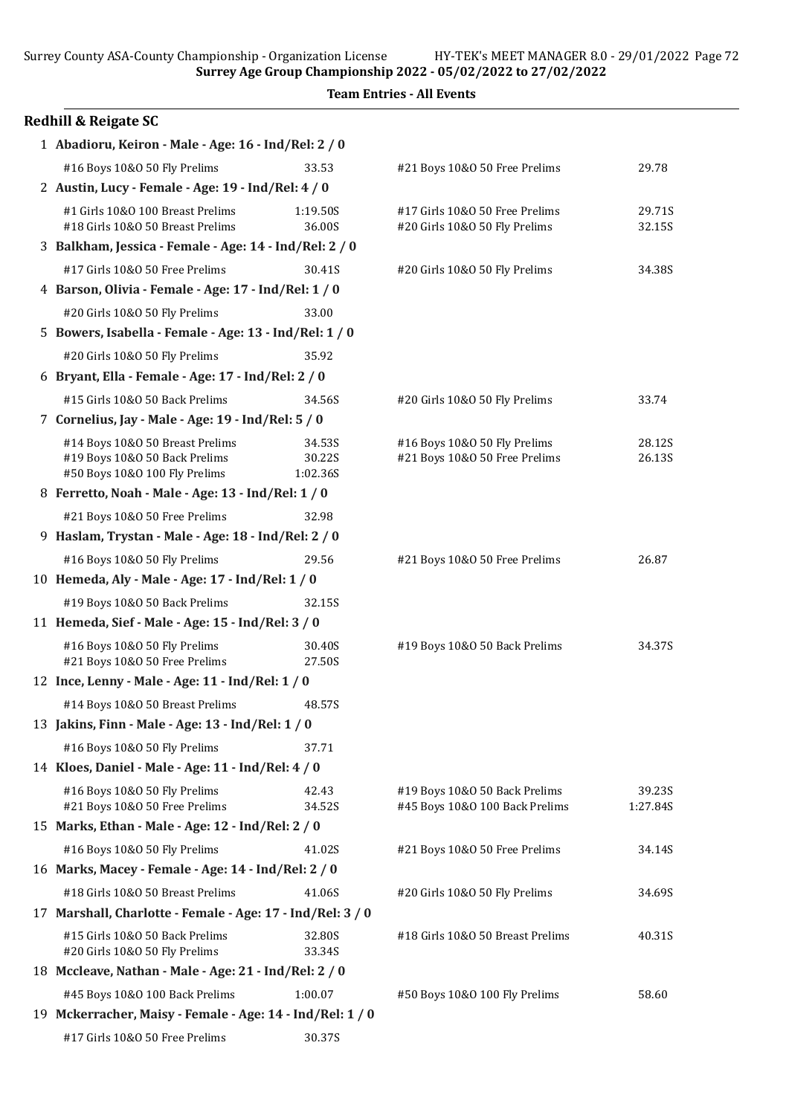Surrey County ASA-County Championship - Organization License HY-TEK's MEET MANAGER 8.0 - 29/01/2022 Page 72

Surrey Age Group Championship 2022 - 05/02/2022 to 27/02/2022

| <b>Redhill &amp; Reigate SC</b>                                                                   |                              |                                                                 |                    |  |
|---------------------------------------------------------------------------------------------------|------------------------------|-----------------------------------------------------------------|--------------------|--|
| 1 Abadioru, Keiron - Male - Age: 16 - Ind/Rel: 2 / 0                                              |                              |                                                                 |                    |  |
| #16 Boys 10&0 50 Fly Prelims                                                                      | 33.53                        | #21 Boys 10&0 50 Free Prelims                                   | 29.78              |  |
| 2 Austin, Lucy - Female - Age: 19 - Ind/Rel: 4 / 0                                                |                              |                                                                 |                    |  |
| #1 Girls 10&0 100 Breast Prelims<br>#18 Girls 10&0 50 Breast Prelims                              | 1:19.50S<br>36.00S           | #17 Girls 10&0 50 Free Prelims<br>#20 Girls 10&O 50 Fly Prelims | 29.71S<br>32.15S   |  |
| 3 Balkham, Jessica - Female - Age: 14 - Ind/Rel: 2 / 0                                            |                              |                                                                 |                    |  |
| #17 Girls 10&0 50 Free Prelims                                                                    | 30.41S                       | #20 Girls 10&O 50 Fly Prelims                                   | 34.38S             |  |
| 4 Barson, Olivia - Female - Age: 17 - Ind/Rel: 1 / 0                                              |                              |                                                                 |                    |  |
| #20 Girls 10&0 50 Fly Prelims<br>33.00                                                            |                              |                                                                 |                    |  |
| 5 Bowers, Isabella - Female - Age: 13 - Ind/Rel: 1 / 0                                            |                              |                                                                 |                    |  |
| #20 Girls 10&O 50 Fly Prelims                                                                     | 35.92                        |                                                                 |                    |  |
| 6 Bryant, Ella - Female - Age: 17 - Ind/Rel: 2 / 0                                                |                              |                                                                 |                    |  |
| #15 Girls 10&0 50 Back Prelims                                                                    | 34.56S                       | #20 Girls 10&O 50 Fly Prelims                                   | 33.74              |  |
| 7 Cornelius, Jay - Male - Age: 19 - Ind/Rel: 5 / 0                                                |                              |                                                                 |                    |  |
| #14 Boys 10&0 50 Breast Prelims<br>#19 Boys 10&0 50 Back Prelims<br>#50 Boys 10&0 100 Fly Prelims | 34.53S<br>30.22S<br>1:02.36S | #16 Boys 10&0 50 Fly Prelims<br>#21 Boys 10&0 50 Free Prelims   | 28.12S<br>26.13S   |  |
| 8 Ferretto, Noah - Male - Age: 13 - Ind/Rel: 1 / 0                                                |                              |                                                                 |                    |  |
| #21 Boys 10&0 50 Free Prelims                                                                     | 32.98                        |                                                                 |                    |  |
| 9 Haslam, Trystan - Male - Age: 18 - Ind/Rel: 2 / 0                                               |                              |                                                                 |                    |  |
| #16 Boys 10&0 50 Fly Prelims                                                                      | 29.56                        | #21 Boys 10&0 50 Free Prelims                                   | 26.87              |  |
| 10 Hemeda, Aly - Male - Age: 17 - Ind/Rel: 1 / 0                                                  |                              |                                                                 |                    |  |
| #19 Boys 10&0 50 Back Prelims                                                                     | 32.15S                       |                                                                 |                    |  |
| 11 Hemeda, Sief - Male - Age: 15 - Ind/Rel: 3 / 0                                                 |                              |                                                                 |                    |  |
| #16 Boys 10&0 50 Fly Prelims<br>#21 Boys 10&0 50 Free Prelims                                     | 30.40S<br>27.50S             | #19 Boys 10&0 50 Back Prelims                                   | 34.37S             |  |
| 12 Ince, Lenny - Male - Age: 11 - Ind/Rel: 1 / 0                                                  |                              |                                                                 |                    |  |
| #14 Boys 10&0 50 Breast Prelims<br>48.57S                                                         |                              |                                                                 |                    |  |
| 13 Jakins, Finn - Male - Age: 13 - Ind/Rel: 1 / 0                                                 |                              |                                                                 |                    |  |
| #16 Boys 10&0 50 Fly Prelims                                                                      | 37.71                        |                                                                 |                    |  |
| 14 Kloes, Daniel - Male - Age: 11 - Ind/Rel: 4 / 0                                                |                              |                                                                 |                    |  |
| #16 Boys 10&0 50 Fly Prelims<br>#21 Boys 10&0 50 Free Prelims                                     | 42.43<br>34.52S              | #19 Boys 10&0 50 Back Prelims<br>#45 Boys 10&0 100 Back Prelims | 39.23S<br>1:27.84S |  |
| 15 Marks, Ethan - Male - Age: 12 - Ind/Rel: 2 / 0                                                 |                              |                                                                 |                    |  |
| #16 Boys 10&0 50 Fly Prelims                                                                      | 41.02S                       | #21 Boys 10&0 50 Free Prelims                                   | 34.14S             |  |
| 16 Marks, Macey - Female - Age: 14 - Ind/Rel: 2 / 0                                               |                              |                                                                 |                    |  |
| #18 Girls 10&0 50 Breast Prelims                                                                  | 41.06S                       | #20 Girls 10&O 50 Fly Prelims                                   | 34.69S             |  |
| 17 Marshall, Charlotte - Female - Age: 17 - Ind/Rel: 3 / 0                                        |                              |                                                                 |                    |  |
| #15 Girls 10&0 50 Back Prelims<br>#20 Girls 10&O 50 Fly Prelims                                   | 32.80S<br>33.34S             | #18 Girls 10&0 50 Breast Prelims                                | 40.31S             |  |
| 18 Mccleave, Nathan - Male - Age: 21 - Ind/Rel: 2 / 0                                             |                              |                                                                 |                    |  |
| #45 Boys 10&0 100 Back Prelims                                                                    | 1:00.07                      | #50 Boys 10&0 100 Fly Prelims                                   | 58.60              |  |
| 19 Mckerracher, Maisy - Female - Age: 14 - Ind/Rel: 1 / 0                                         |                              |                                                                 |                    |  |
| #17 Girls 10&0 50 Free Prelims                                                                    | 30.37S                       |                                                                 |                    |  |

#### Team Entries - All Events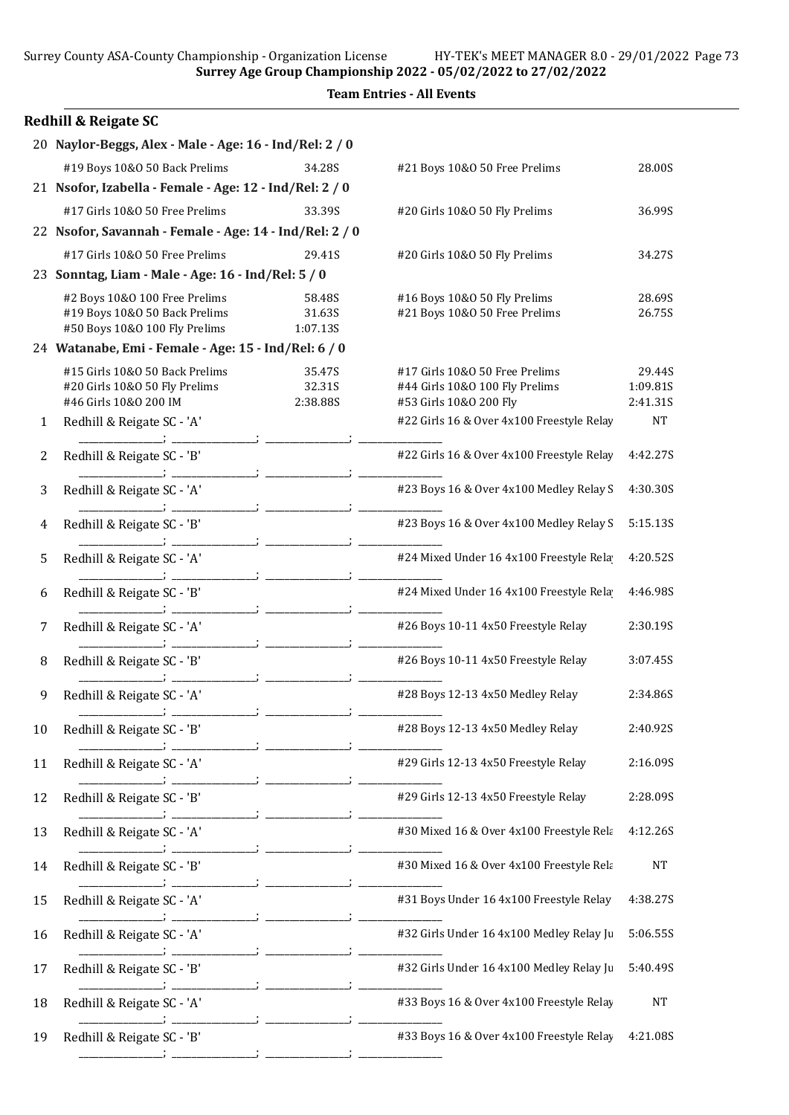Surrey Age Group Championship 2022 - 05/02/2022 to 27/02/2022

| <b>Team Entries - All Events</b> |                                                                                                                                                                                           |                                                                                                                                                                                                                                                                                                                               |                                                                                                                                                                                                                                                                                                                                                                                                                                        |  |  |
|----------------------------------|-------------------------------------------------------------------------------------------------------------------------------------------------------------------------------------------|-------------------------------------------------------------------------------------------------------------------------------------------------------------------------------------------------------------------------------------------------------------------------------------------------------------------------------|----------------------------------------------------------------------------------------------------------------------------------------------------------------------------------------------------------------------------------------------------------------------------------------------------------------------------------------------------------------------------------------------------------------------------------------|--|--|
|                                  |                                                                                                                                                                                           |                                                                                                                                                                                                                                                                                                                               |                                                                                                                                                                                                                                                                                                                                                                                                                                        |  |  |
|                                  |                                                                                                                                                                                           |                                                                                                                                                                                                                                                                                                                               |                                                                                                                                                                                                                                                                                                                                                                                                                                        |  |  |
|                                  | 34.28S                                                                                                                                                                                    |                                                                                                                                                                                                                                                                                                                               | 28.00S                                                                                                                                                                                                                                                                                                                                                                                                                                 |  |  |
|                                  |                                                                                                                                                                                           |                                                                                                                                                                                                                                                                                                                               |                                                                                                                                                                                                                                                                                                                                                                                                                                        |  |  |
| #17 Girls 10&0 50 Free Prelims   | 33.39S                                                                                                                                                                                    | #20 Girls 10&O 50 Fly Prelims                                                                                                                                                                                                                                                                                                 | 36.99S                                                                                                                                                                                                                                                                                                                                                                                                                                 |  |  |
|                                  |                                                                                                                                                                                           |                                                                                                                                                                                                                                                                                                                               |                                                                                                                                                                                                                                                                                                                                                                                                                                        |  |  |
| #17 Girls 10&0 50 Free Prelims   | 29.41S                                                                                                                                                                                    | #20 Girls 10&O 50 Fly Prelims                                                                                                                                                                                                                                                                                                 | 34.27S                                                                                                                                                                                                                                                                                                                                                                                                                                 |  |  |
|                                  |                                                                                                                                                                                           |                                                                                                                                                                                                                                                                                                                               |                                                                                                                                                                                                                                                                                                                                                                                                                                        |  |  |
| #2 Boys 10&0 100 Free Prelims    | 58.48S                                                                                                                                                                                    | #16 Boys 10&0 50 Fly Prelims                                                                                                                                                                                                                                                                                                  | 28.69S                                                                                                                                                                                                                                                                                                                                                                                                                                 |  |  |
|                                  |                                                                                                                                                                                           |                                                                                                                                                                                                                                                                                                                               | 26.75S                                                                                                                                                                                                                                                                                                                                                                                                                                 |  |  |
|                                  |                                                                                                                                                                                           |                                                                                                                                                                                                                                                                                                                               |                                                                                                                                                                                                                                                                                                                                                                                                                                        |  |  |
| #15 Girls 10&0 50 Back Prelims   | 35.47S                                                                                                                                                                                    | #17 Girls 10&O 50 Free Prelims                                                                                                                                                                                                                                                                                                | 29.44S                                                                                                                                                                                                                                                                                                                                                                                                                                 |  |  |
| #20 Girls 10&O 50 Fly Prelims    | 32.31S                                                                                                                                                                                    | #44 Girls 10&0 100 Fly Prelims                                                                                                                                                                                                                                                                                                | 1:09.81S                                                                                                                                                                                                                                                                                                                                                                                                                               |  |  |
|                                  |                                                                                                                                                                                           |                                                                                                                                                                                                                                                                                                                               | 2:41.31S<br><b>NT</b>                                                                                                                                                                                                                                                                                                                                                                                                                  |  |  |
|                                  |                                                                                                                                                                                           |                                                                                                                                                                                                                                                                                                                               |                                                                                                                                                                                                                                                                                                                                                                                                                                        |  |  |
| Redhill & Reigate SC - 'B'       |                                                                                                                                                                                           | #22 Girls 16 & Over 4x100 Freestyle Relay                                                                                                                                                                                                                                                                                     | 4:42.27S                                                                                                                                                                                                                                                                                                                                                                                                                               |  |  |
| Redhill & Reigate SC - 'A'       |                                                                                                                                                                                           | #23 Boys 16 & Over 4x100 Medley Relay S                                                                                                                                                                                                                                                                                       | 4:30.30S                                                                                                                                                                                                                                                                                                                                                                                                                               |  |  |
| Redhill & Reigate SC - 'B'       |                                                                                                                                                                                           | #23 Boys 16 & Over 4x100 Medley Relay S                                                                                                                                                                                                                                                                                       | 5:15.13S                                                                                                                                                                                                                                                                                                                                                                                                                               |  |  |
| Redhill & Reigate SC - 'A'       |                                                                                                                                                                                           | #24 Mixed Under 16 4x100 Freestyle Rela                                                                                                                                                                                                                                                                                       | 4:20.52S                                                                                                                                                                                                                                                                                                                                                                                                                               |  |  |
| Redhill & Reigate SC - 'B'       |                                                                                                                                                                                           | #24 Mixed Under 16 4x100 Freestyle Rela                                                                                                                                                                                                                                                                                       | 4:46.98S                                                                                                                                                                                                                                                                                                                                                                                                                               |  |  |
| Redhill & Reigate SC - 'A'       |                                                                                                                                                                                           | #26 Boys 10-11 4x50 Freestyle Relay                                                                                                                                                                                                                                                                                           | 2:30.19S                                                                                                                                                                                                                                                                                                                                                                                                                               |  |  |
| Redhill & Reigate SC - 'B'       |                                                                                                                                                                                           | #26 Boys 10-11 4x50 Freestyle Relay                                                                                                                                                                                                                                                                                           | 3:07.45S                                                                                                                                                                                                                                                                                                                                                                                                                               |  |  |
| Redhill & Reigate SC - 'A'       |                                                                                                                                                                                           | #28 Boys 12-13 4x50 Medley Relay                                                                                                                                                                                                                                                                                              | 2:34.86S                                                                                                                                                                                                                                                                                                                                                                                                                               |  |  |
| Redhill & Reigate SC - 'B'       |                                                                                                                                                                                           | #28 Boys 12-13 4x50 Medley Relay                                                                                                                                                                                                                                                                                              | 2:40.92S                                                                                                                                                                                                                                                                                                                                                                                                                               |  |  |
| Redhill & Reigate SC - 'A'       |                                                                                                                                                                                           | #29 Girls 12-13 4x50 Freestyle Relay                                                                                                                                                                                                                                                                                          | 2:16.09S                                                                                                                                                                                                                                                                                                                                                                                                                               |  |  |
| Redhill & Reigate SC - 'B'       |                                                                                                                                                                                           | #29 Girls 12-13 4x50 Freestyle Relay                                                                                                                                                                                                                                                                                          | 2:28.09S                                                                                                                                                                                                                                                                                                                                                                                                                               |  |  |
| Redhill & Reigate SC - 'A'       |                                                                                                                                                                                           | #30 Mixed 16 & Over 4x100 Freestyle Rela                                                                                                                                                                                                                                                                                      | 4:12.26S                                                                                                                                                                                                                                                                                                                                                                                                                               |  |  |
| Redhill & Reigate SC - 'B'       |                                                                                                                                                                                           | #30 Mixed 16 & Over 4x100 Freestyle Rela                                                                                                                                                                                                                                                                                      | <b>NT</b>                                                                                                                                                                                                                                                                                                                                                                                                                              |  |  |
| Redhill & Reigate SC - 'A'       |                                                                                                                                                                                           | #31 Boys Under 16 4x100 Freestyle Relay                                                                                                                                                                                                                                                                                       | 4:38.27S                                                                                                                                                                                                                                                                                                                                                                                                                               |  |  |
| Redhill & Reigate SC - 'A'       |                                                                                                                                                                                           | #32 Girls Under 16 4x100 Medley Relay Ju                                                                                                                                                                                                                                                                                      | 5:06.55S                                                                                                                                                                                                                                                                                                                                                                                                                               |  |  |
| Redhill & Reigate SC - 'B'       |                                                                                                                                                                                           | #32 Girls Under 16 4x100 Medley Relay Ju                                                                                                                                                                                                                                                                                      | 5:40.49S                                                                                                                                                                                                                                                                                                                                                                                                                               |  |  |
| Redhill & Reigate SC - 'A'       |                                                                                                                                                                                           | #33 Boys 16 & Over 4x100 Freestyle Relay                                                                                                                                                                                                                                                                                      | <b>NT</b>                                                                                                                                                                                                                                                                                                                                                                                                                              |  |  |
|                                  |                                                                                                                                                                                           |                                                                                                                                                                                                                                                                                                                               |                                                                                                                                                                                                                                                                                                                                                                                                                                        |  |  |
|                                  | <b>Redhill &amp; Reigate SC</b><br>#19 Boys 10&0 50 Back Prelims<br>#19 Boys 10&0 50 Back Prelims<br>#50 Boys 10&0 100 Fly Prelims<br>#46 Girls 10&0 200 IM<br>Redhill & Reigate SC - 'A' | 20 Naylor-Beggs, Alex - Male - Age: 16 - Ind/Rel: 2 / 0<br>21 Nsofor, Izabella - Female - Age: 12 - Ind/Rel: 2 / 0<br>22 Nsofor, Savannah - Female - Age: 14 - Ind/Rel: 2 / 0<br>23 Sonntag, Liam - Male - Age: 16 - Ind/Rel: 5 / 0<br>31.63S<br>1:07.13S<br>24 Watanabe, Emi - Female - Age: 15 - Ind/Rel: 6 / 0<br>2:38.88S | $\frac{1}{2}$ and $\frac{1}{2}$ and $\frac{1}{2}$ and $\frac{1}{2}$ and $\frac{1}{2}$ and $\frac{1}{2}$ and $\frac{1}{2}$ and $\frac{1}{2}$ and $\frac{1}{2}$ and $\frac{1}{2}$ and $\frac{1}{2}$ and $\frac{1}{2}$ and $\frac{1}{2}$ and $\frac{1}{2}$ and $\frac{1}{2}$ and $\frac{1}{2}$ a<br>#21 Boys 10&0 50 Free Prelims<br>#21 Boys 10&0 50 Free Prelims<br>#53 Girls 10&0 200 Fly<br>#22 Girls 16 & Over 4x100 Freestyle Relay |  |  |

19 Redhill & Reigate SC - 'B'  $\#33$  Boys 16 & Over 4x100 Freestyle Relay 4:21.08S \_\_\_\_\_\_\_\_\_\_\_\_\_\_\_\_\_; \_\_\_\_\_\_\_\_\_\_\_\_\_\_\_\_\_; \_\_\_\_\_\_\_\_\_\_\_\_\_\_\_\_\_; \_\_\_\_\_\_\_\_\_\_\_\_\_\_\_\_\_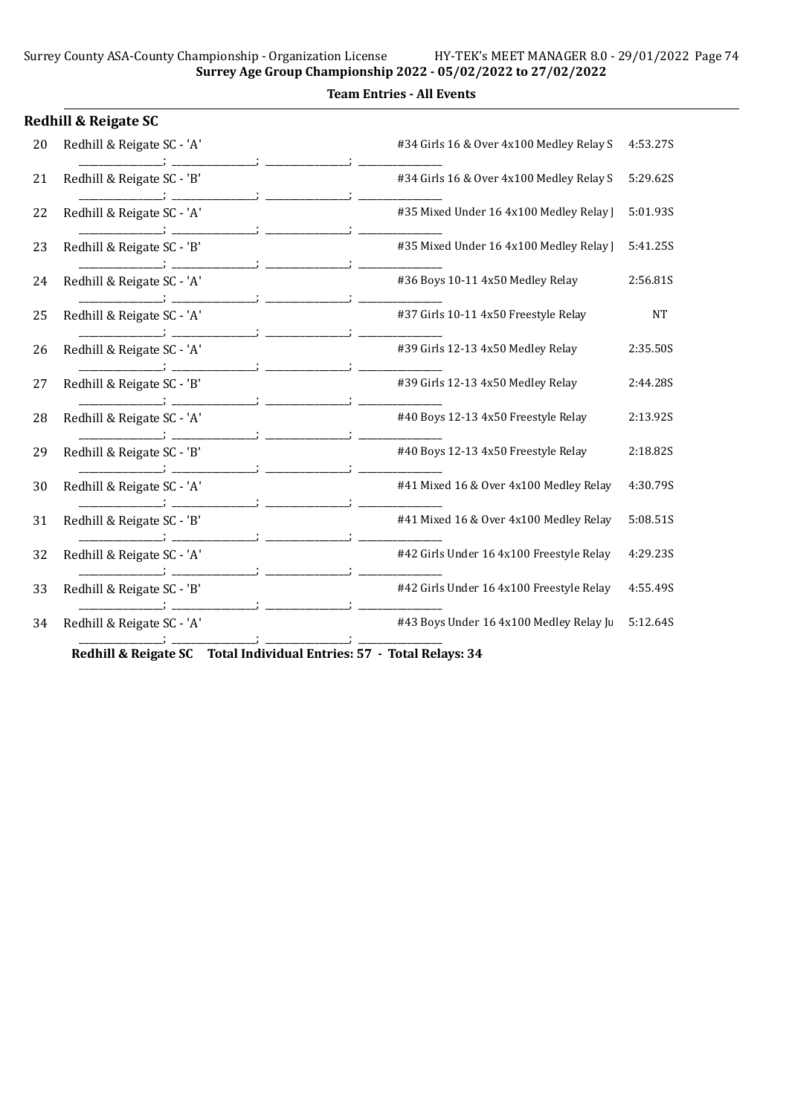### Team Entries - All Events

|    | <b>Redhill &amp; Reigate SC</b> |                                          |           |
|----|---------------------------------|------------------------------------------|-----------|
| 20 | Redhill & Reigate SC - 'A'      | #34 Girls 16 & Over 4x100 Medley Relay S | 4:53.27S  |
| 21 | Redhill & Reigate SC - 'B'      | #34 Girls 16 & Over 4x100 Medley Relay S | 5:29.62S  |
| 22 | Redhill & Reigate SC - 'A'      | #35 Mixed Under 16 4x100 Medley Relay    | 5:01.93S  |
| 23 | Redhill & Reigate SC - 'B'      | #35 Mixed Under 16 4x100 Medley Relay ]  | 5:41.25S  |
| 24 | Redhill & Reigate SC - 'A'      | #36 Boys 10-11 4x50 Medley Relay         | 2:56.81S  |
| 25 | Redhill & Reigate SC - 'A'      | #37 Girls 10-11 4x50 Freestyle Relay     | <b>NT</b> |
| 26 | Redhill & Reigate SC - 'A'      | #39 Girls 12-13 4x50 Medley Relay        | 2:35.50S  |
| 27 | Redhill & Reigate SC - 'B'      | #39 Girls 12-13 4x50 Medley Relay        | 2:44.28S  |
| 28 | Redhill & Reigate SC - 'A'      | #40 Boys 12-13 4x50 Freestyle Relay      | 2:13.92S  |
| 29 | Redhill & Reigate SC - 'B'      | #40 Boys 12-13 4x50 Freestyle Relay      | 2:18.82S  |
| 30 | Redhill & Reigate SC - 'A'      | #41 Mixed 16 & Over 4x100 Medley Relay   | 4:30.79S  |
| 31 | Redhill & Reigate SC - 'B'      | #41 Mixed 16 & Over 4x100 Medley Relay   | 5:08.51S  |
| 32 | Redhill & Reigate SC - 'A'      | #42 Girls Under 16 4x100 Freestyle Relay | 4:29.23S  |
| 33 | Redhill & Reigate SC - 'B'      | #42 Girls Under 16 4x100 Freestyle Relay | 4:55.49S  |
| 34 | Redhill & Reigate SC - 'A'      | #43 Boys Under 16 4x100 Medley Relay Ju  | 5:12.64S  |

Redhill & Reigate SC Total Individual Entries: 57 - Total Relays: 34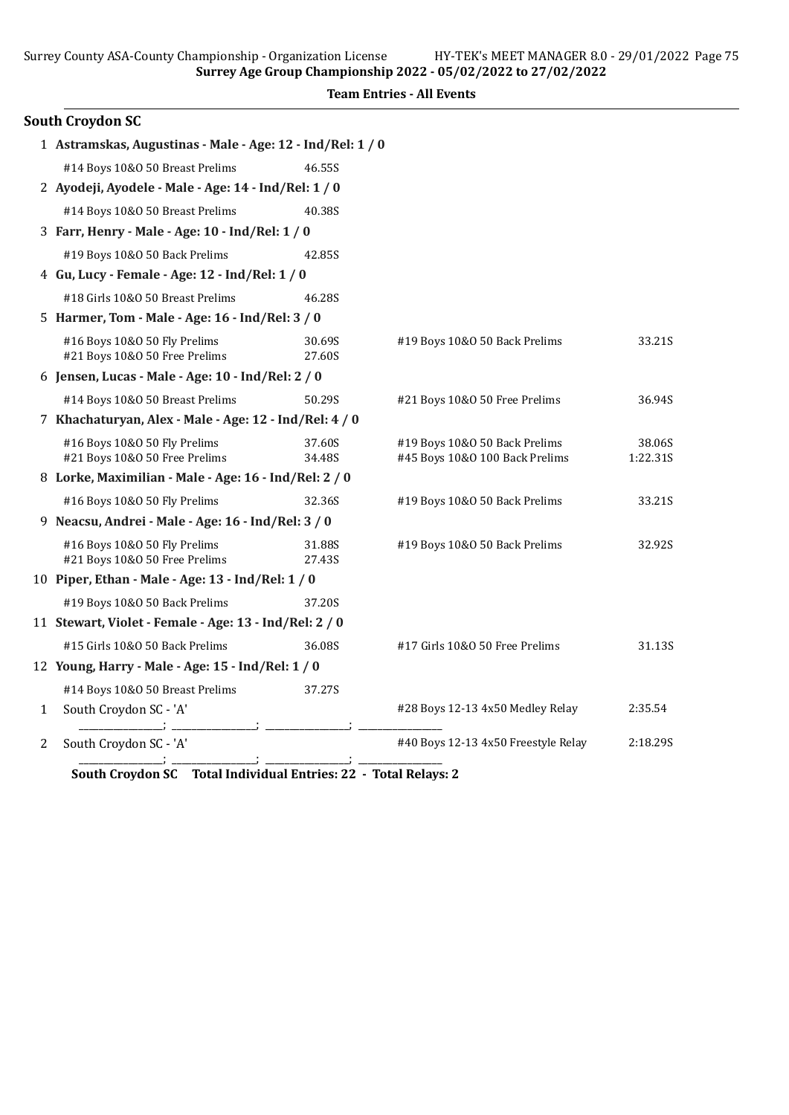| Surrey County ASA-County Championship - Organization License  |                  | HY-TEK's MEET MANAGER 8.0 - 29/01/2022 Page 75<br>Surrey Age Group Championship 2022 - 05/02/2022 to 27/02/2022 |                    |  |  |
|---------------------------------------------------------------|------------------|-----------------------------------------------------------------------------------------------------------------|--------------------|--|--|
| <b>Team Entries - All Events</b>                              |                  |                                                                                                                 |                    |  |  |
| <b>South Croydon SC</b>                                       |                  |                                                                                                                 |                    |  |  |
| 1 Astramskas, Augustinas - Male - Age: 12 - Ind/Rel: 1 / 0    |                  |                                                                                                                 |                    |  |  |
| #14 Boys 10&0 50 Breast Prelims                               | 46.55S           |                                                                                                                 |                    |  |  |
| 2 Ayodeji, Ayodele - Male - Age: 14 - Ind/Rel: 1 / 0          |                  |                                                                                                                 |                    |  |  |
| #14 Boys 10&0 50 Breast Prelims                               | 40.38S           |                                                                                                                 |                    |  |  |
| 3 Farr, Henry - Male - Age: 10 - Ind/Rel: 1 / 0               |                  |                                                                                                                 |                    |  |  |
| #19 Boys 10&0 50 Back Prelims                                 | 42.85S           |                                                                                                                 |                    |  |  |
| 4 Gu, Lucy - Female - Age: 12 - Ind/Rel: 1 / 0                |                  |                                                                                                                 |                    |  |  |
| #18 Girls 10&0 50 Breast Prelims                              | 46.28S           |                                                                                                                 |                    |  |  |
| 5 Harmer, Tom - Male - Age: 16 - Ind/Rel: 3 / 0               |                  |                                                                                                                 |                    |  |  |
| #16 Boys 10&0 50 Fly Prelims<br>#21 Boys 10&0 50 Free Prelims | 30.69S<br>27.60S | #19 Boys 10&0 50 Back Prelims                                                                                   | 33.21S             |  |  |
| 6 Jensen, Lucas - Male - Age: 10 - Ind/Rel: 2 / 0             |                  |                                                                                                                 |                    |  |  |
| #14 Boys 10&0 50 Breast Prelims                               | 50.29S           | #21 Boys 10&0 50 Free Prelims                                                                                   | 36.94S             |  |  |
| 7 Khachaturyan, Alex - Male - Age: 12 - Ind/Rel: 4 / 0        |                  |                                                                                                                 |                    |  |  |
| #16 Boys 10&0 50 Fly Prelims<br>#21 Boys 10&0 50 Free Prelims | 37.60S<br>34.48S | #19 Boys 10&0 50 Back Prelims<br>#45 Boys 10&0 100 Back Prelims                                                 | 38.06S<br>1:22.31S |  |  |
| 8 Lorke, Maximilian - Male - Age: 16 - Ind/Rel: 2 / 0         |                  |                                                                                                                 |                    |  |  |
| #16 Boys 10&0 50 Fly Prelims                                  | 32.36S           | #19 Boys 10&0 50 Back Prelims                                                                                   | 33.21S             |  |  |
| 9 Neacsu, Andrei - Male - Age: 16 - Ind/Rel: 3 / 0            |                  |                                                                                                                 |                    |  |  |
| #16 Boys 10&0 50 Fly Prelims<br>#21 Boys 10&0 50 Free Prelims | 31.88S<br>27.43S | #19 Boys 10&0 50 Back Prelims                                                                                   | 32.92S             |  |  |
| 10 Piper, Ethan - Male - Age: 13 - Ind/Rel: 1 / 0             |                  |                                                                                                                 |                    |  |  |
| #19 Boys 10&0 50 Back Prelims                                 | 37.20S           |                                                                                                                 |                    |  |  |
| 11 Stewart, Violet - Female - Age: 13 - Ind/Rel: 2 / 0        |                  |                                                                                                                 |                    |  |  |
| #15 Girls 10&0 50 Back Prelims                                | 36.08S           | #17 Girls 10&0 50 Free Prelims                                                                                  | 31.13S             |  |  |

1 South Croydon SC - 'A' #28 Boys 12-13 4x50 Medley Relay 2:35.54<br>  $\begin{array}{ccc}\n & & \#28 \text{ Boys 12-13 4x50 Medley Relay\n\end{array}$  2:35.54

#40 Boys 12-13 4x50 Freestyle Relay 2:18.29S

\_\_\_\_\_\_\_\_\_\_\_\_\_\_\_\_\_; \_\_\_\_\_\_\_\_\_\_\_\_\_\_\_\_\_; \_\_\_\_\_\_\_\_\_\_\_\_\_\_\_\_\_; \_\_\_\_\_\_\_\_\_\_\_\_\_\_\_\_\_ South Croydon SC Total Individual Entries: 22 - Total Relays: 2

12 Young, Harry - Male - Age: 15 - Ind/Rel: 1 / 0

 $\frac{1}{2}$  South Croydon SC - 'A'

#14 Boys 10&O 50 Breast Prelims 37.27S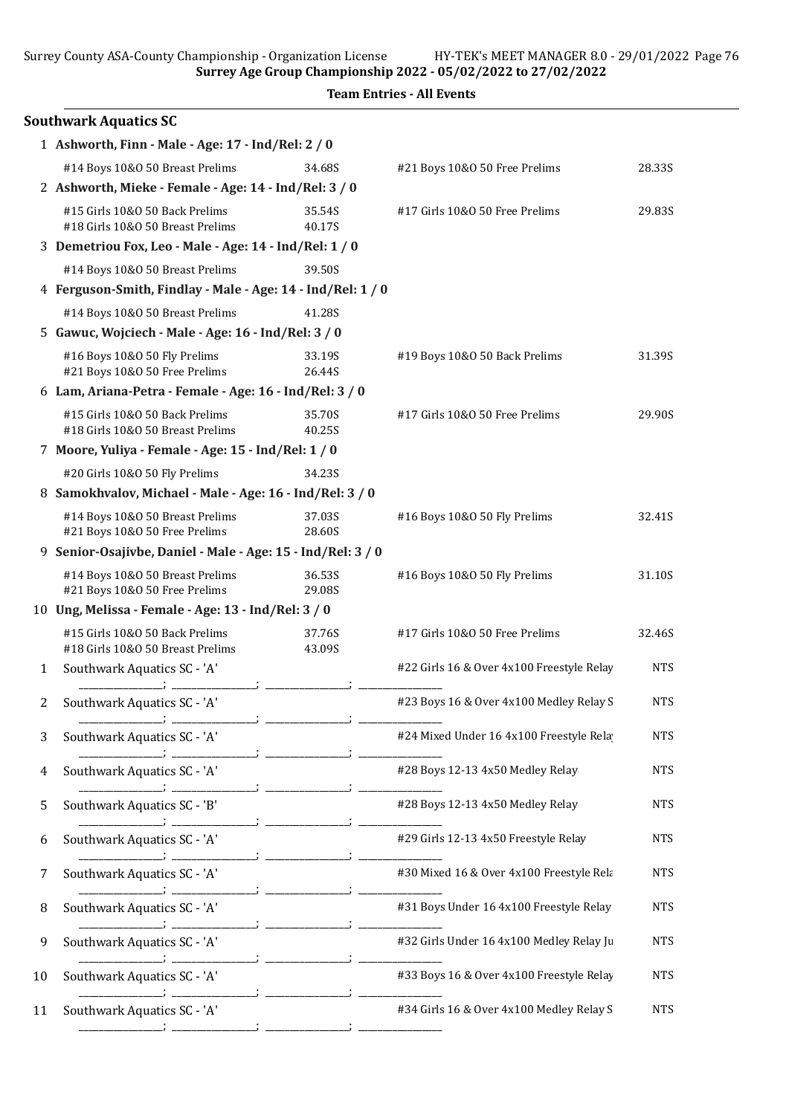Surrey Age Group Championship 2022 - 05/02/2022 to 27/02/2022

|    |                                                                    |                  | <b>Team Entries - All Events</b>          |            |  |  |
|----|--------------------------------------------------------------------|------------------|-------------------------------------------|------------|--|--|
|    | <b>Southwark Aquatics SC</b>                                       |                  |                                           |            |  |  |
|    | 1 Ashworth, Finn - Male - Age: 17 - Ind/Rel: 2 / 0                 |                  |                                           |            |  |  |
|    | #14 Boys 10&0 50 Breast Prelims                                    | 34.68S           | #21 Boys 10&0 50 Free Prelims             | 28.33S     |  |  |
|    | 2 Ashworth, Mieke - Female - Age: 14 - Ind/Rel: 3 / 0              |                  |                                           |            |  |  |
|    | #15 Girls 10&0 50 Back Prelims<br>#18 Girls 10&0 50 Breast Prelims | 35.54S<br>40.17S | #17 Girls 10&0 50 Free Prelims            | 29.83S     |  |  |
|    | 3 Demetriou Fox, Leo - Male - Age: 14 - Ind/Rel: 1 / 0             |                  |                                           |            |  |  |
|    | #14 Boys 10&0 50 Breast Prelims                                    | 39.50S           |                                           |            |  |  |
|    | 4 Ferguson-Smith, Findlay - Male - Age: 14 - Ind/Rel: 1 / 0        |                  |                                           |            |  |  |
|    | #14 Boys 10&0 50 Breast Prelims                                    | 41.28S           |                                           |            |  |  |
|    | 5 Gawuc, Wojciech - Male - Age: 16 - Ind/Rel: 3 / 0                |                  |                                           |            |  |  |
|    | #16 Boys 10&0 50 Fly Prelims<br>#21 Boys 10&0 50 Free Prelims      | 33.19S<br>26.44S | #19 Boys 10&0 50 Back Prelims             | 31.39S     |  |  |
|    | 6 Lam, Ariana-Petra - Female - Age: 16 - Ind/Rel: 3 / 0            |                  |                                           |            |  |  |
|    | #15 Girls 10&0 50 Back Prelims<br>#18 Girls 10&0 50 Breast Prelims | 35.70S<br>40.25S | #17 Girls 10&0 50 Free Prelims            | 29.90S     |  |  |
|    | 7 Moore, Yuliya - Female - Age: 15 - Ind/Rel: 1 / 0                |                  |                                           |            |  |  |
|    | #20 Girls 10&0 50 Fly Prelims                                      | 34.23S           |                                           |            |  |  |
|    | 8 Samokhvalov, Michael - Male - Age: 16 - Ind/Rel: 3 / 0           |                  |                                           |            |  |  |
|    | #14 Boys 10&0 50 Breast Prelims<br>#21 Boys 10&0 50 Free Prelims   | 37.03S<br>28.60S | #16 Boys 10&0 50 Fly Prelims              | 32.41S     |  |  |
|    | 9 Senior-Osajivbe, Daniel - Male - Age: 15 - Ind/Rel: 3 / 0        |                  |                                           |            |  |  |
|    | #14 Boys 10&0 50 Breast Prelims<br>#21 Boys 10&0 50 Free Prelims   | 36.53S<br>29.08S | #16 Boys 10&0 50 Fly Prelims              | 31.10S     |  |  |
|    | 10 Ung, Melissa - Female - Age: 13 - Ind/Rel: 3 / 0                |                  |                                           |            |  |  |
|    | #15 Girls 10&0 50 Back Prelims<br>#18 Girls 10&0 50 Breast Prelims | 37.76S<br>43.09S | #17 Girls 10&0 50 Free Prelims            | 32.46S     |  |  |
| 1  | Southwark Aquatics SC - 'A'                                        |                  | #22 Girls 16 & Over 4x100 Freestyle Relay | <b>NTS</b> |  |  |
| 2  | Southwark Aquatics SC - 'A'                                        |                  | #23 Boys 16 & Over 4x100 Medley Relay S   | <b>NTS</b> |  |  |
| 3  | Southwark Aquatics SC - 'A'                                        |                  | #24 Mixed Under 16 4x100 Freestyle Rela   | <b>NTS</b> |  |  |
| 4  | Southwark Aquatics SC - 'A'                                        |                  | #28 Boys 12-13 4x50 Medley Relay          | <b>NTS</b> |  |  |
| 5  | Southwark Aquatics SC - 'B'                                        |                  | #28 Boys 12-13 4x50 Medley Relay          | <b>NTS</b> |  |  |
| 6  | Southwark Aquatics SC - 'A'                                        |                  | #29 Girls 12-13 4x50 Freestyle Relay      | <b>NTS</b> |  |  |
| 7  | Southwark Aquatics SC - 'A'                                        |                  | #30 Mixed 16 & Over 4x100 Freestyle Rela  | <b>NTS</b> |  |  |
| 8  | Southwark Aquatics SC - 'A'                                        |                  | #31 Boys Under 16 4x100 Freestyle Relay   | <b>NTS</b> |  |  |
| 9  | Southwark Aquatics SC - 'A'                                        |                  | #32 Girls Under 16 4x100 Medley Relay Ju  | <b>NTS</b> |  |  |
| 10 | Southwark Aquatics SC - 'A'                                        |                  | #33 Boys 16 & Over 4x100 Freestyle Relay  | <b>NTS</b> |  |  |
| 11 | Southwark Aquatics SC - 'A'                                        |                  | #34 Girls 16 & Over 4x100 Medley Relay S  | <b>NTS</b> |  |  |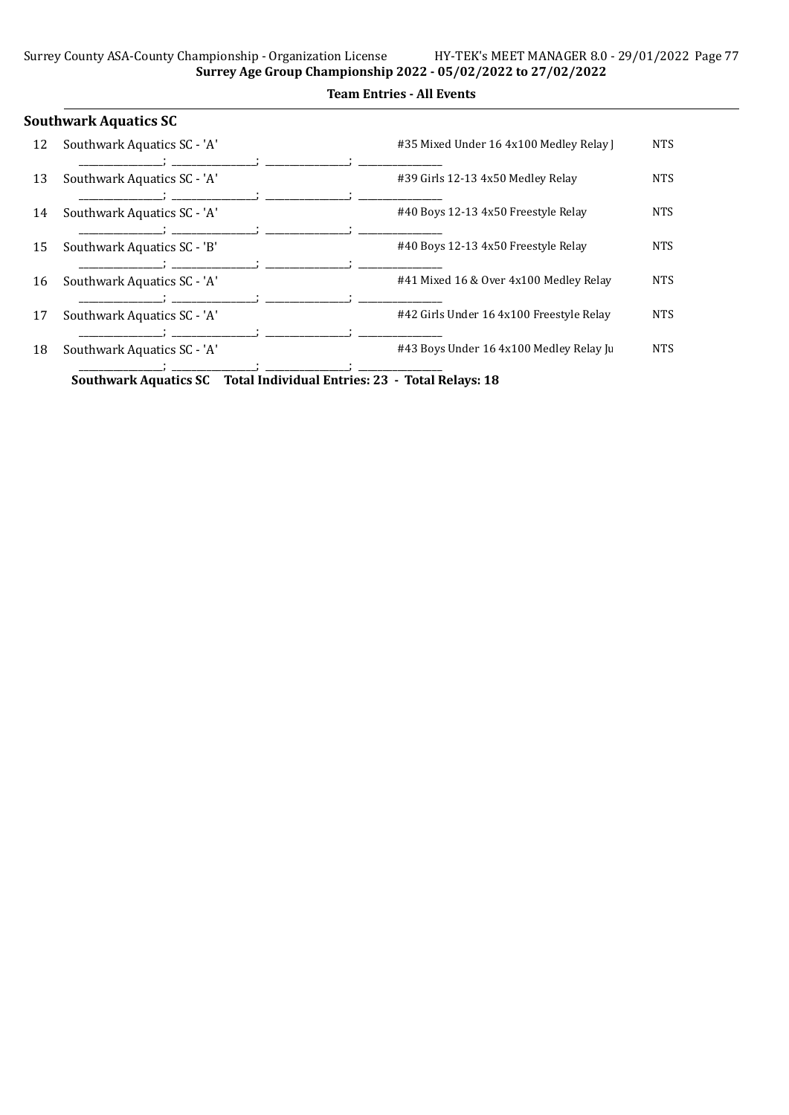|    | <b>Southwark Aquatics SC</b>                                          |                                          |            |
|----|-----------------------------------------------------------------------|------------------------------------------|------------|
| 12 | Southwark Aquatics SC - 'A'                                           | #35 Mixed Under 16 4x100 Medley Relay    | <b>NTS</b> |
|    |                                                                       |                                          |            |
| 13 | Southwark Aquatics SC - 'A'                                           | #39 Girls 12-13 4x50 Medley Relay        | <b>NTS</b> |
|    |                                                                       |                                          |            |
| 14 | Southwark Aquatics SC - 'A'                                           | #40 Boys 12-13 4x50 Freestyle Relay      | <b>NTS</b> |
|    |                                                                       |                                          |            |
| 15 | Southwark Aquatics SC - 'B'                                           | #40 Boys 12-13 4x50 Freestyle Relay      | <b>NTS</b> |
|    |                                                                       |                                          |            |
| 16 | Southwark Aquatics SC - 'A'                                           | #41 Mixed 16 & Over 4x100 Medley Relay   | <b>NTS</b> |
|    |                                                                       |                                          |            |
| 17 | Southwark Aquatics SC - 'A'                                           | #42 Girls Under 16 4x100 Freestyle Relay | <b>NTS</b> |
|    |                                                                       |                                          |            |
| 18 | Southwark Aquatics SC - 'A'                                           | #43 Boys Under 16 4x100 Medley Relay Ju  | <b>NTS</b> |
|    |                                                                       |                                          |            |
|    | Southwark Aquatics SC Total Individual Entries: 23 - Total Relays: 18 |                                          |            |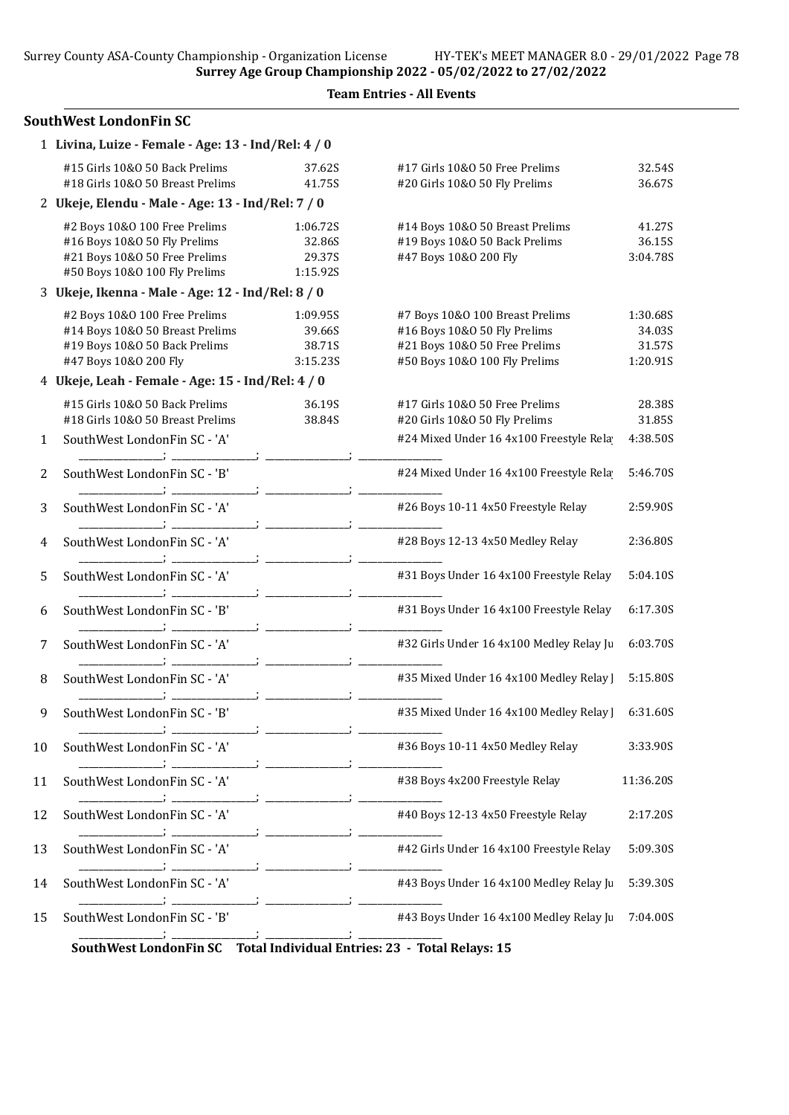|    | <b>SouthWest LondonFin SC</b>                                                                                                   |                                          |                                                                                                                                   |                                          |  |  |  |
|----|---------------------------------------------------------------------------------------------------------------------------------|------------------------------------------|-----------------------------------------------------------------------------------------------------------------------------------|------------------------------------------|--|--|--|
|    | 1 Livina, Luize - Female - Age: 13 - Ind/Rel: 4 / 0                                                                             |                                          |                                                                                                                                   |                                          |  |  |  |
|    | #15 Girls 10&0 50 Back Prelims<br>#18 Girls 10&0 50 Breast Prelims                                                              | 37.62S<br>41.75S                         | #17 Girls 10&0 50 Free Prelims<br>#20 Girls 10&O 50 Fly Prelims                                                                   | 32.54S<br>36.67S                         |  |  |  |
|    | 2 Ukeje, Elendu - Male - Age: 13 - Ind/Rel: 7 / 0                                                                               |                                          |                                                                                                                                   |                                          |  |  |  |
|    | #2 Boys 10&0 100 Free Prelims<br>#16 Boys 10&0 50 Fly Prelims<br>#21 Boys 10&0 50 Free Prelims<br>#50 Boys 10&0 100 Fly Prelims | 1:06.72S<br>32.86S<br>29.37S<br>1:15.92S | #14 Boys 10&0 50 Breast Prelims<br>#19 Boys 10&0 50 Back Prelims<br>#47 Boys 10&0 200 Fly                                         | 41.27S<br>36.15S<br>3:04.78S             |  |  |  |
|    | 3 Ukeje, Ikenna - Male - Age: 12 - Ind/Rel: 8 / 0                                                                               |                                          |                                                                                                                                   |                                          |  |  |  |
|    | #2 Boys 10&0 100 Free Prelims<br>#14 Boys 10&0 50 Breast Prelims<br>#19 Boys 10&0 50 Back Prelims<br>#47 Boys 10&0 200 Fly      | 1:09.95S<br>39.66S<br>38.71S<br>3:15.23S | #7 Boys 10&0 100 Breast Prelims<br>#16 Boys 10&0 50 Fly Prelims<br>#21 Boys 10&0 50 Free Prelims<br>#50 Boys 10&0 100 Fly Prelims | 1:30.68S<br>34.03S<br>31.57S<br>1:20.91S |  |  |  |
|    | 4 Ukeje, Leah - Female - Age: 15 - Ind/Rel: 4 / 0                                                                               |                                          |                                                                                                                                   |                                          |  |  |  |
|    | #15 Girls 10&0 50 Back Prelims<br>#18 Girls 10&0 50 Breast Prelims                                                              | 36.19S<br>38.84S                         | #17 Girls 10&O 50 Free Prelims<br>#20 Girls 10&O 50 Fly Prelims                                                                   | 28.38S<br>31.85S                         |  |  |  |
| 1  | SouthWest LondonFin SC - 'A'                                                                                                    |                                          | #24 Mixed Under 16 4x100 Freestyle Rela                                                                                           | 4:38.50S                                 |  |  |  |
| 2  | SouthWest LondonFin SC - 'B'                                                                                                    |                                          | #24 Mixed Under 16 4x100 Freestyle Rela                                                                                           | 5:46.70S                                 |  |  |  |
| 3  | SouthWest LondonFin SC - 'A'                                                                                                    |                                          | #26 Boys 10-11 4x50 Freestyle Relay                                                                                               | 2:59.90S                                 |  |  |  |
| 4  | SouthWest LondonFin SC - 'A'                                                                                                    |                                          | #28 Boys 12-13 4x50 Medley Relay                                                                                                  | 2:36.80S                                 |  |  |  |
| 5  | SouthWest LondonFin SC - 'A'                                                                                                    |                                          | #31 Boys Under 16 4x100 Freestyle Relay                                                                                           | 5:04.10S                                 |  |  |  |
| 6  | SouthWest LondonFin SC - 'B'                                                                                                    |                                          | #31 Boys Under 16 4x100 Freestyle Relay                                                                                           | 6:17.30S                                 |  |  |  |
| 7  | SouthWest LondonFin SC - 'A'                                                                                                    |                                          | #32 Girls Under 16 4x100 Medley Relay Ju                                                                                          | 6:03.70S                                 |  |  |  |
| 8  | SouthWest LondonFin SC - 'A'                                                                                                    |                                          | #35 Mixed Under 16 4x100 Medley Relay                                                                                             | 5:15.80S                                 |  |  |  |
| 9  | SouthWest LondonFin SC - 'B'                                                                                                    |                                          | #35 Mixed Under 16 4x100 Medley Relay                                                                                             | 6:31.60S                                 |  |  |  |
| 10 | SouthWest LondonFin SC - 'A'                                                                                                    |                                          | #36 Boys 10-11 4x50 Medley Relay                                                                                                  | 3:33.90S                                 |  |  |  |
| 11 | SouthWest LondonFin SC - 'A'                                                                                                    |                                          | #38 Boys 4x200 Freestyle Relay                                                                                                    | 11:36.20S                                |  |  |  |
| 12 | SouthWest LondonFin SC - 'A'                                                                                                    |                                          | #40 Boys 12-13 4x50 Freestyle Relay                                                                                               | 2:17.20S                                 |  |  |  |
| 13 | SouthWest LondonFin SC - 'A'                                                                                                    |                                          | #42 Girls Under 16 4x100 Freestyle Relay                                                                                          | 5:09.30S                                 |  |  |  |
| 14 | SouthWest LondonFin SC - 'A'                                                                                                    |                                          | #43 Boys Under 16 4x100 Medley Relay Ju                                                                                           | 5:39.30S                                 |  |  |  |
| 15 | SouthWest LondonFin SC - 'B'                                                                                                    |                                          | #43 Boys Under 16 4x100 Medley Relay Ju                                                                                           | 7:04.00S                                 |  |  |  |
|    | SouthWest LondonFin SC                                                                                                          |                                          | Total Individual Entries: 23 - Total Relays: 15                                                                                   |                                          |  |  |  |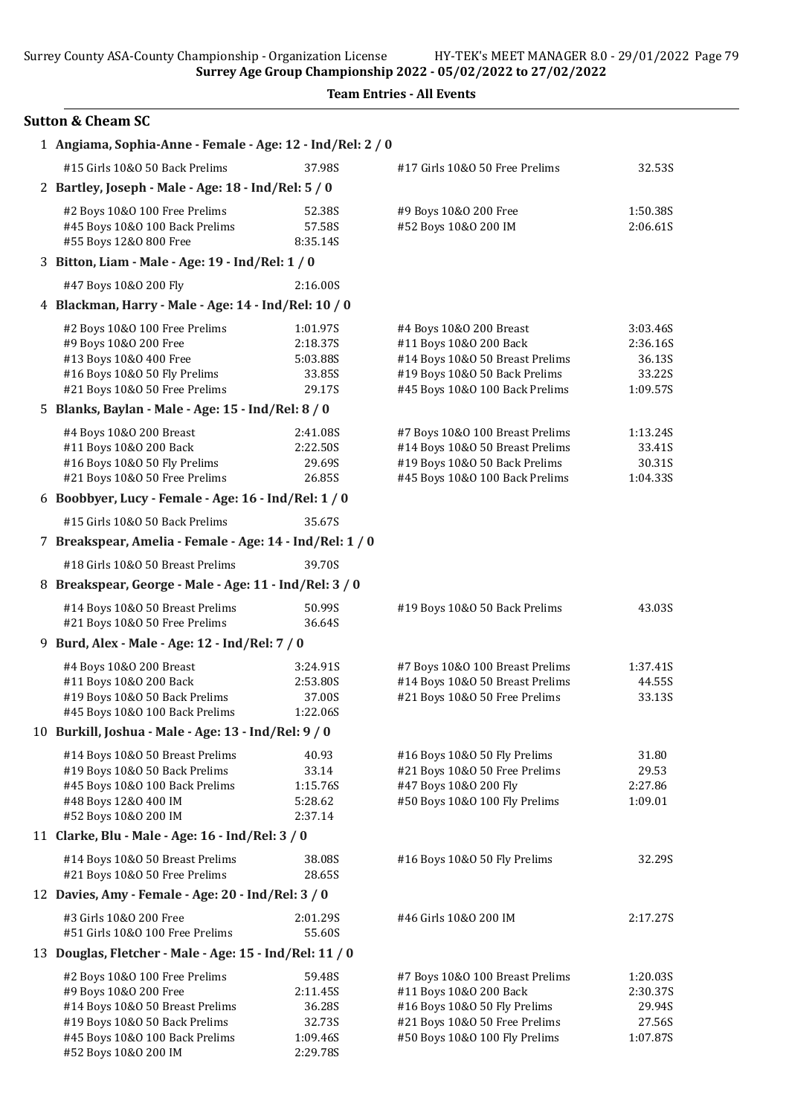Surrey Age Group Championship 2022 - 05/02/2022 to 27/02/2022

|  | <b>Team Entries - All Events</b> |  |  |
|--|----------------------------------|--|--|
|--|----------------------------------|--|--|

### Sutton & Cheam SC

| 1 Angiama, Sophia-Anne - Female - Age: 12 - Ind/Rel: 2 / 0                                                                                                                           |                                                                |                                                                                                                                                             |                                                      |
|--------------------------------------------------------------------------------------------------------------------------------------------------------------------------------------|----------------------------------------------------------------|-------------------------------------------------------------------------------------------------------------------------------------------------------------|------------------------------------------------------|
| #15 Girls 10&0 50 Back Prelims                                                                                                                                                       | 37.98S                                                         | #17 Girls 10&O 50 Free Prelims                                                                                                                              | 32.53S                                               |
| 2 Bartley, Joseph - Male - Age: 18 - Ind/Rel: 5 / 0                                                                                                                                  |                                                                |                                                                                                                                                             |                                                      |
| #2 Boys 10&0 100 Free Prelims<br>#45 Boys 10&0 100 Back Prelims<br>#55 Boys 12&0 800 Free                                                                                            | 52.38S<br>57.58S<br>8:35.14S                                   | #9 Boys 10&0 200 Free<br>#52 Boys 10&0 200 IM                                                                                                               | 1:50.38S<br>2:06.61S                                 |
| 3 Bitton, Liam - Male - Age: 19 - Ind/Rel: 1 / 0                                                                                                                                     |                                                                |                                                                                                                                                             |                                                      |
| #47 Boys 10&0 200 Fly                                                                                                                                                                | 2:16.00S                                                       |                                                                                                                                                             |                                                      |
| 4 Blackman, Harry - Male - Age: 14 - Ind/Rel: 10 / 0                                                                                                                                 |                                                                |                                                                                                                                                             |                                                      |
| #2 Boys 10&0 100 Free Prelims<br>#9 Boys 10&0 200 Free<br>#13 Boys 10&0 400 Free<br>#16 Boys 10&0 50 Fly Prelims<br>#21 Boys 10&0 50 Free Prelims                                    | 1:01.97S<br>2:18.37S<br>5:03.88S<br>33.85S<br>29.17S           | #4 Boys 10&0 200 Breast<br>#11 Boys 10&0 200 Back<br>#14 Boys 10&0 50 Breast Prelims<br>#19 Boys 10&0 50 Back Prelims<br>#45 Boys 10&0 100 Back Prelims     | 3:03.46S<br>2:36.16S<br>36.13S<br>33.22S<br>1:09.57S |
| 5 Blanks, Baylan - Male - Age: 15 - Ind/Rel: 8 / 0                                                                                                                                   |                                                                |                                                                                                                                                             |                                                      |
| #4 Boys 10&0 200 Breast<br>#11 Boys 10&0 200 Back<br>#16 Boys 10&0 50 Fly Prelims<br>#21 Boys 10&0 50 Free Prelims                                                                   | 2:41.08S<br>2:22.50S<br>29.69S<br>26.85S                       | #7 Boys 10&0 100 Breast Prelims<br>#14 Boys 10&0 50 Breast Prelims<br>#19 Boys 10&0 50 Back Prelims<br>#45 Boys 10&0 100 Back Prelims                       | 1:13.24S<br>33.41S<br>30.31S<br>1:04.33S             |
| 6 Boobbyer, Lucy - Female - Age: 16 - Ind/Rel: 1 / 0                                                                                                                                 |                                                                |                                                                                                                                                             |                                                      |
| #15 Girls 10&0 50 Back Prelims                                                                                                                                                       | 35.67S                                                         |                                                                                                                                                             |                                                      |
| 7 Breakspear, Amelia - Female - Age: 14 - Ind/Rel: 1 / 0                                                                                                                             |                                                                |                                                                                                                                                             |                                                      |
| #18 Girls 10&0 50 Breast Prelims                                                                                                                                                     | 39.70S                                                         |                                                                                                                                                             |                                                      |
| 8 Breakspear, George - Male - Age: 11 - Ind/Rel: 3 / 0                                                                                                                               |                                                                |                                                                                                                                                             |                                                      |
| #14 Boys 10&0 50 Breast Prelims<br>#21 Boys 10&0 50 Free Prelims                                                                                                                     | 50.99S<br>36.64S                                               | #19 Boys 10&0 50 Back Prelims                                                                                                                               | 43.03S                                               |
| 9 Burd, Alex - Male - Age: 12 - Ind/Rel: 7 / 0                                                                                                                                       |                                                                |                                                                                                                                                             |                                                      |
| #4 Boys 10&0 200 Breast<br>#11 Boys 10&0 200 Back<br>#19 Boys 10&0 50 Back Prelims<br>#45 Boys 10&0 100 Back Prelims                                                                 | 3:24.91S<br>2:53.80S<br>37.00S<br>1:22.06S                     | #7 Boys 10&0 100 Breast Prelims<br>#14 Boys 10&0 50 Breast Prelims<br>#21 Boys 10&0 50 Free Prelims                                                         | 1:37.41S<br>44.55S<br>33.13S                         |
| 10 Burkill, Joshua - Male - Age: 13 - Ind/Rel: 9 / 0                                                                                                                                 |                                                                |                                                                                                                                                             |                                                      |
| #14 Boys 10&0 50 Breast Prelims<br>#19 Boys 10&0 50 Back Prelims<br>#45 Boys 10&0 100 Back Prelims<br>#48 Boys 12&0 400 IM<br>#52 Boys 10&0 200 IM                                   | 40.93<br>33.14<br>1:15.76S<br>5:28.62<br>2:37.14               | #16 Boys 10&0 50 Fly Prelims<br>#21 Boys 10&0 50 Free Prelims<br>#47 Boys 10&0 200 Fly<br>#50 Boys 10&0 100 Fly Prelims                                     | 31.80<br>29.53<br>2:27.86<br>1:09.01                 |
| 11 Clarke, Blu - Male - Age: 16 - Ind/Rel: 3 / 0                                                                                                                                     |                                                                |                                                                                                                                                             |                                                      |
| #14 Boys 10&0 50 Breast Prelims<br>#21 Boys 10&0 50 Free Prelims                                                                                                                     | 38.08S<br>28.65S                                               | #16 Boys 10&0 50 Fly Prelims                                                                                                                                | 32.29S                                               |
| 12 Davies, Amy - Female - Age: 20 - Ind/Rel: 3 / 0                                                                                                                                   |                                                                |                                                                                                                                                             |                                                      |
| #3 Girls 10&0 200 Free<br>#51 Girls 10&0 100 Free Prelims                                                                                                                            | 2:01.29S<br>55.60S                                             | #46 Girls 10&0 200 IM                                                                                                                                       | 2:17.27S                                             |
| 13 Douglas, Fletcher - Male - Age: 15 - Ind/Rel: 11 / 0                                                                                                                              |                                                                |                                                                                                                                                             |                                                      |
| #2 Boys 10&0 100 Free Prelims<br>#9 Boys 10&0 200 Free<br>#14 Boys 10&0 50 Breast Prelims<br>#19 Boys 10&0 50 Back Prelims<br>#45 Boys 10&0 100 Back Prelims<br>#52 Boys 10&0 200 IM | 59.48S<br>2:11.45S<br>36.28S<br>32.73S<br>1:09.46S<br>2:29.78S | #7 Boys 10&0 100 Breast Prelims<br>#11 Boys 10&0 200 Back<br>#16 Boys 10&0 50 Fly Prelims<br>#21 Boys 10&0 50 Free Prelims<br>#50 Boys 10&0 100 Fly Prelims | 1:20.03S<br>2:30.37S<br>29.94S<br>27.56S<br>1:07.87S |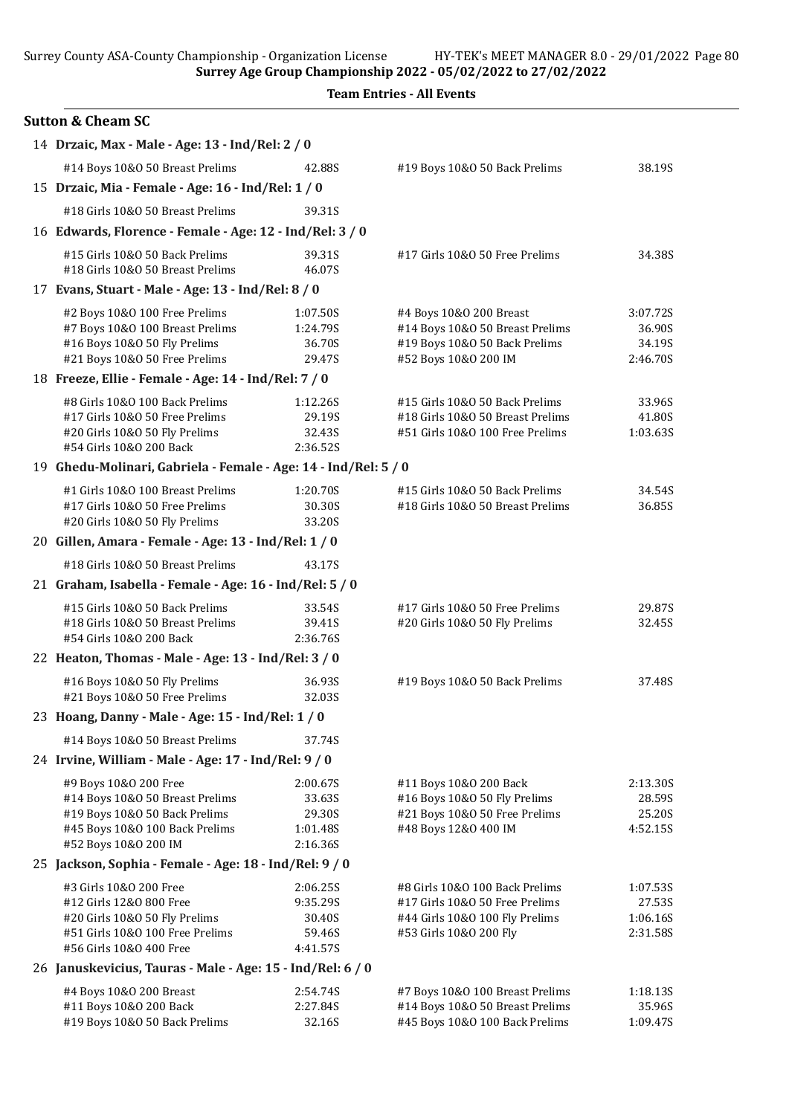Surrey Age Group Championship 2022 - 05/02/2022 to 27/02/2022

| <b>Team Entries - All Events</b> |  |  |
|----------------------------------|--|--|
|----------------------------------|--|--|

| <b>Sutton &amp; Cheam SC</b>                                                                                                                        |                                                      |                                                                                                                              |                                            |
|-----------------------------------------------------------------------------------------------------------------------------------------------------|------------------------------------------------------|------------------------------------------------------------------------------------------------------------------------------|--------------------------------------------|
| 14 Drzaic, Max - Male - Age: 13 - Ind/Rel: 2 / 0                                                                                                    |                                                      |                                                                                                                              |                                            |
| #14 Boys 10&0 50 Breast Prelims                                                                                                                     | 42.88S                                               | #19 Boys 10&0 50 Back Prelims                                                                                                | 38.19S                                     |
| 15 Drzaic, Mia - Female - Age: 16 - Ind/Rel: 1 / 0                                                                                                  |                                                      |                                                                                                                              |                                            |
| #18 Girls 10&0 50 Breast Prelims                                                                                                                    | 39.31S                                               |                                                                                                                              |                                            |
| 16 Edwards, Florence - Female - Age: 12 - Ind/Rel: 3 / 0                                                                                            |                                                      |                                                                                                                              |                                            |
| #15 Girls 10&0 50 Back Prelims<br>#18 Girls 10&0 50 Breast Prelims                                                                                  | 39.31S<br>46.07S                                     | #17 Girls 10&0 50 Free Prelims                                                                                               | 34.38S                                     |
| 17 Evans, Stuart - Male - Age: 13 - Ind/Rel: 8 / 0                                                                                                  |                                                      |                                                                                                                              |                                            |
| #2 Boys 10&0 100 Free Prelims                                                                                                                       | 1:07.50S                                             | #4 Boys 10&0 200 Breast                                                                                                      | 3:07.72S                                   |
| #7 Boys 10&0 100 Breast Prelims<br>#16 Boys 10&0 50 Fly Prelims<br>#21 Boys 10&0 50 Free Prelims                                                    | 1:24.79S<br>36.70S<br>29.47S                         | #14 Boys 10&0 50 Breast Prelims<br>#19 Boys 10&0 50 Back Prelims<br>#52 Boys 10&0 200 IM                                     | 36.90S<br>34.19S<br>2:46.70S               |
| 18 Freeze, Ellie - Female - Age: 14 - Ind/Rel: 7 / 0                                                                                                |                                                      |                                                                                                                              |                                            |
| #8 Girls 10&0 100 Back Prelims<br>#17 Girls 10&0 50 Free Prelims<br>#20 Girls 10&O 50 Fly Prelims<br>#54 Girls 10&0 200 Back                        | 1:12.26S<br>29.19S<br>32.43S<br>2:36.52S             | #15 Girls 10&0 50 Back Prelims<br>#18 Girls 10&0 50 Breast Prelims<br>#51 Girls 10&0 100 Free Prelims                        | 33.96S<br>41.80S<br>1:03.63S               |
| 19 Ghedu-Molinari, Gabriela - Female - Age: 14 - Ind/Rel: 5 / 0                                                                                     |                                                      |                                                                                                                              |                                            |
| #1 Girls 10&0 100 Breast Prelims<br>#17 Girls 10&0 50 Free Prelims<br>#20 Girls 10&O 50 Fly Prelims                                                 | 1:20.70S<br>30.30S<br>33.20S                         | #15 Girls 10&0 50 Back Prelims<br>#18 Girls 10&0 50 Breast Prelims                                                           | 34.54S<br>36.85S                           |
| 20 Gillen, Amara - Female - Age: 13 - Ind/Rel: 1 / 0                                                                                                |                                                      |                                                                                                                              |                                            |
| #18 Girls 10&0 50 Breast Prelims                                                                                                                    | 43.17S                                               |                                                                                                                              |                                            |
| 21 Graham, Isabella - Female - Age: 16 - Ind/Rel: 5 / 0                                                                                             |                                                      |                                                                                                                              |                                            |
| #15 Girls 10&0 50 Back Prelims<br>#18 Girls 10&0 50 Breast Prelims<br>#54 Girls 10&0 200 Back                                                       | 33.54S<br>39.41S<br>2:36.76S                         | #17 Girls 10&0 50 Free Prelims<br>#20 Girls 10&O 50 Fly Prelims                                                              | 29.87S<br>32.45S                           |
| 22 Heaton, Thomas - Male - Age: 13 - Ind/Rel: 3 / 0                                                                                                 |                                                      |                                                                                                                              |                                            |
| #16 Boys 10&0 50 Fly Prelims<br>#21 Boys 10&0 50 Free Prelims                                                                                       | 36.93S<br>32.03S                                     | #19 Boys 10&0 50 Back Prelims                                                                                                | 37.48S                                     |
| 23 Hoang, Danny - Male - Age: 15 - Ind/Rel: 1 / 0                                                                                                   |                                                      |                                                                                                                              |                                            |
| #14 Boys 10&0 50 Breast Prelims                                                                                                                     | 37.74S                                               |                                                                                                                              |                                            |
| 24 Irvine, William - Male - Age: 17 - Ind/Rel: 9 / 0                                                                                                |                                                      |                                                                                                                              |                                            |
| #9 Boys 10&0 200 Free<br>#14 Boys 10&0 50 Breast Prelims<br>#19 Boys 10&0 50 Back Prelims<br>#45 Boys 10&0 100 Back Prelims<br>#52 Boys 10&0 200 IM | 2:00.67S<br>33.63S<br>29.30S<br>1:01.48S<br>2:16.36S | #11 Boys 10&0 200 Back<br>#16 Boys 10&0 50 Fly Prelims<br>#21 Boys 10&0 50 Free Prelims<br>#48 Boys 12&0 400 IM              | 2:13.30S<br>28.59S<br>25.20S<br>4:52.15S   |
| 25 Jackson, Sophia - Female - Age: 18 - Ind/Rel: 9 / 0                                                                                              |                                                      |                                                                                                                              |                                            |
| #3 Girls 10&0 200 Free<br>#12 Girls 12&0 800 Free<br>#20 Girls 10&O 50 Fly Prelims<br>#51 Girls 10&0 100 Free Prelims<br>#56 Girls 10&0 400 Free    | 2:06.25S<br>9:35.29S<br>30.40S<br>59.46S<br>4:41.57S | #8 Girls 10&0 100 Back Prelims<br>#17 Girls 10&0 50 Free Prelims<br>#44 Girls 10&0 100 Fly Prelims<br>#53 Girls 10&0 200 Fly | 1:07.53S<br>27.53S<br>1:06.16S<br>2:31.58S |
| 26 Januskevicius, Tauras - Male - Age: 15 - Ind/Rel: 6 / 0                                                                                          |                                                      |                                                                                                                              |                                            |
| #4 Boys 10&0 200 Breast<br>#11 Boys 10&0 200 Back<br>#19 Boys 10&0 50 Back Prelims                                                                  | 2:54.74S<br>2:27.84S<br>32.16S                       | #7 Boys 10&0 100 Breast Prelims<br>#14 Boys 10&0 50 Breast Prelims<br>#45 Boys 10&0 100 Back Prelims                         | 1:18.13S<br>35.96S<br>1:09.47S             |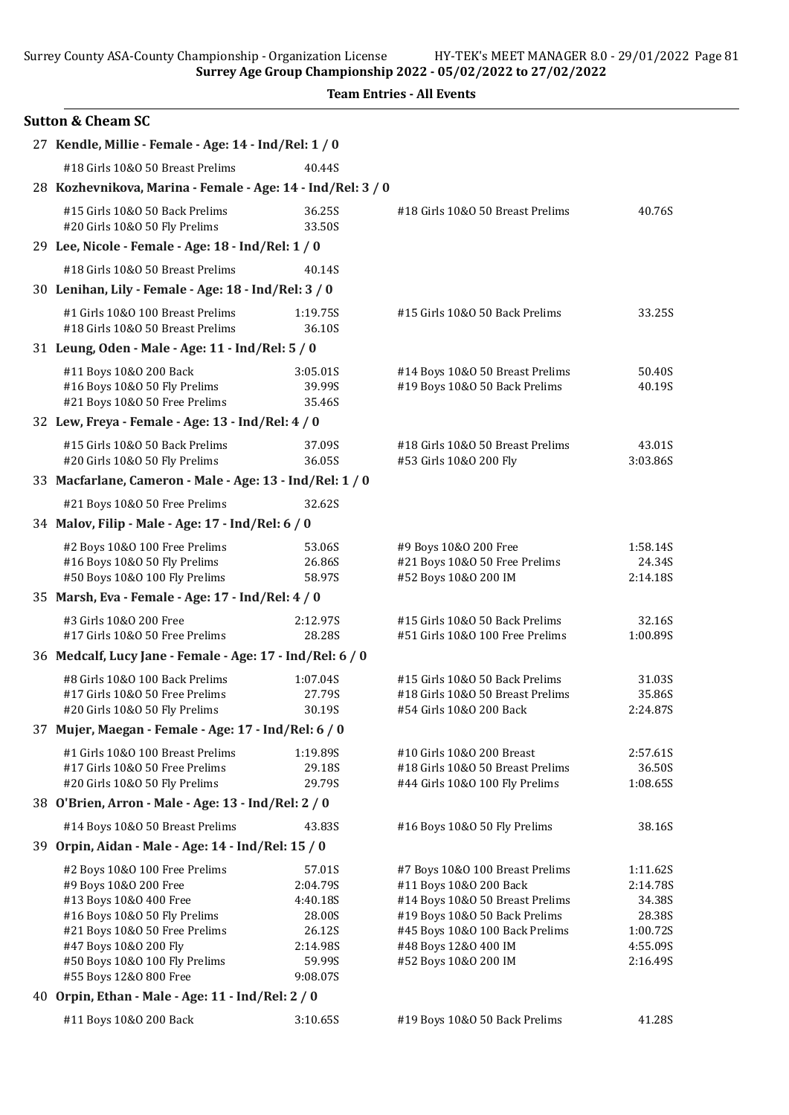| <b>Sutton &amp; Cheam SC</b>                                                                                                                                                                                                          |                                                                                      |                                                                                                                                                                                                                 |                                                                              |
|---------------------------------------------------------------------------------------------------------------------------------------------------------------------------------------------------------------------------------------|--------------------------------------------------------------------------------------|-----------------------------------------------------------------------------------------------------------------------------------------------------------------------------------------------------------------|------------------------------------------------------------------------------|
| 27 Kendle, Millie - Female - Age: 14 - Ind/Rel: 1 / 0                                                                                                                                                                                 |                                                                                      |                                                                                                                                                                                                                 |                                                                              |
| #18 Girls 10&0 50 Breast Prelims                                                                                                                                                                                                      | 40.44S                                                                               |                                                                                                                                                                                                                 |                                                                              |
| 28 Kozhevnikova, Marina - Female - Age: 14 - Ind/Rel: 3 / 0                                                                                                                                                                           |                                                                                      |                                                                                                                                                                                                                 |                                                                              |
| #15 Girls 10&0 50 Back Prelims<br>#20 Girls 10&0 50 Fly Prelims                                                                                                                                                                       | 36.25S<br>33.50S                                                                     | #18 Girls 10&0 50 Breast Prelims                                                                                                                                                                                | 40.76S                                                                       |
| 29 Lee, Nicole - Female - Age: 18 - Ind/Rel: 1 / 0                                                                                                                                                                                    |                                                                                      |                                                                                                                                                                                                                 |                                                                              |
| #18 Girls 10&0 50 Breast Prelims                                                                                                                                                                                                      | 40.14S                                                                               |                                                                                                                                                                                                                 |                                                                              |
| 30 Lenihan, Lily - Female - Age: 18 - Ind/Rel: 3 / 0                                                                                                                                                                                  |                                                                                      |                                                                                                                                                                                                                 |                                                                              |
| #1 Girls 10&0 100 Breast Prelims<br>#18 Girls 10&0 50 Breast Prelims                                                                                                                                                                  | 1:19.75S<br>36.10S                                                                   | #15 Girls 10&0 50 Back Prelims                                                                                                                                                                                  | 33.25S                                                                       |
| 31 Leung, Oden - Male - Age: 11 - Ind/Rel: 5 / 0                                                                                                                                                                                      |                                                                                      |                                                                                                                                                                                                                 |                                                                              |
| #11 Boys 10&0 200 Back<br>#16 Boys 10&0 50 Fly Prelims<br>#21 Boys 10&0 50 Free Prelims                                                                                                                                               | 3:05.01S<br>39.99S<br>35.46S                                                         | #14 Boys 10&0 50 Breast Prelims<br>#19 Boys 10&0 50 Back Prelims                                                                                                                                                | 50.40S<br>40.19S                                                             |
| 32 Lew, Freya - Female - Age: 13 - Ind/Rel: 4 / 0                                                                                                                                                                                     |                                                                                      |                                                                                                                                                                                                                 |                                                                              |
| #15 Girls 10&0 50 Back Prelims<br>#20 Girls 10&O 50 Fly Prelims                                                                                                                                                                       | 37.09S<br>36.05S                                                                     | #18 Girls 10&0 50 Breast Prelims<br>#53 Girls 10&0 200 Fly                                                                                                                                                      | 43.01S<br>3:03.86S                                                           |
| 33 Macfarlane, Cameron - Male - Age: 13 - Ind/Rel: 1 / 0                                                                                                                                                                              |                                                                                      |                                                                                                                                                                                                                 |                                                                              |
| #21 Boys 10&0 50 Free Prelims                                                                                                                                                                                                         | 32.62S                                                                               |                                                                                                                                                                                                                 |                                                                              |
| 34 Malov, Filip - Male - Age: 17 - Ind/Rel: 6 / 0                                                                                                                                                                                     |                                                                                      |                                                                                                                                                                                                                 |                                                                              |
| #2 Boys 10&0 100 Free Prelims<br>#16 Boys 10&0 50 Fly Prelims<br>#50 Boys 10&0 100 Fly Prelims                                                                                                                                        | 53.06S<br>26.86S<br>58.97S                                                           | #9 Boys 10&0 200 Free<br>#21 Boys 10&0 50 Free Prelims<br>#52 Boys 10&0 200 IM                                                                                                                                  | 1:58.14S<br>24.34S<br>2:14.18S                                               |
| 35 Marsh, Eva - Female - Age: 17 - Ind/Rel: 4 / 0                                                                                                                                                                                     |                                                                                      |                                                                                                                                                                                                                 |                                                                              |
| #3 Girls 10&0 200 Free<br>#17 Girls 10&0 50 Free Prelims                                                                                                                                                                              | 2:12.97S<br>28.28S                                                                   | #15 Girls 10&0 50 Back Prelims<br>#51 Girls 10&0 100 Free Prelims                                                                                                                                               | 32.16S<br>1:00.89S                                                           |
| 36 Medcalf, Lucy Jane - Female - Age: 17 - Ind/Rel: 6 / 0                                                                                                                                                                             |                                                                                      |                                                                                                                                                                                                                 |                                                                              |
| #8 Girls 10&0 100 Back Prelims<br>#17 Girls 10&O 50 Free Prelims<br>#20 Girls 10&0 50 Fly Prelims                                                                                                                                     | 1:07.04S<br>27.79S<br>30.19S                                                         | #15 Girls 10&0 50 Back Prelims<br>#18 Girls 10&O 50 Breast Prelims<br>#54 Girls 10&0 200 Back                                                                                                                   | 31.03S<br>35.86S<br>2:24.87S                                                 |
| 37 Mujer, Maegan - Female - Age: 17 - Ind/Rel: 6 / 0                                                                                                                                                                                  |                                                                                      |                                                                                                                                                                                                                 |                                                                              |
| #1 Girls 10&0 100 Breast Prelims<br>#17 Girls 10&0 50 Free Prelims<br>#20 Girls 10&O 50 Fly Prelims                                                                                                                                   | 1:19.89S<br>29.18S<br>29.79S                                                         | #10 Girls 10&0 200 Breast<br>#18 Girls 10&0 50 Breast Prelims<br>#44 Girls 10&0 100 Fly Prelims                                                                                                                 | 2:57.61S<br>36.50S<br>1:08.65S                                               |
| 38 O'Brien, Arron - Male - Age: 13 - Ind/Rel: 2 / 0                                                                                                                                                                                   |                                                                                      |                                                                                                                                                                                                                 |                                                                              |
| #14 Boys 10&0 50 Breast Prelims                                                                                                                                                                                                       | 43.83S                                                                               | #16 Boys 10&0 50 Fly Prelims                                                                                                                                                                                    | 38.16S                                                                       |
| 39 Orpin, Aidan - Male - Age: 14 - Ind/Rel: 15 / 0                                                                                                                                                                                    |                                                                                      |                                                                                                                                                                                                                 |                                                                              |
| #2 Boys 10&0 100 Free Prelims<br>#9 Boys 10&0 200 Free<br>#13 Boys 10&O 400 Free<br>#16 Boys 10&0 50 Fly Prelims<br>#21 Boys 10&0 50 Free Prelims<br>#47 Boys 10&0 200 Fly<br>#50 Boys 10&0 100 Fly Prelims<br>#55 Boys 12&0 800 Free | 57.01S<br>2:04.79S<br>4:40.18S<br>28.00S<br>26.12S<br>2:14.98S<br>59.99S<br>9:08.07S | #7 Boys 10&0 100 Breast Prelims<br>#11 Boys 10&0 200 Back<br>#14 Boys 10&0 50 Breast Prelims<br>#19 Boys 10&0 50 Back Prelims<br>#45 Boys 10&0 100 Back Prelims<br>#48 Boys 12&0 400 IM<br>#52 Boys 10&0 200 IM | 1:11.62S<br>2:14.78S<br>34.38S<br>28.38S<br>1:00.72S<br>4:55.09S<br>2:16.49S |
| 40 Orpin, Ethan - Male - Age: 11 - Ind/Rel: 2 / 0                                                                                                                                                                                     |                                                                                      |                                                                                                                                                                                                                 |                                                                              |
| #11 Boys 10&0 200 Back                                                                                                                                                                                                                | 3:10.65S                                                                             | #19 Boys 10&0 50 Back Prelims                                                                                                                                                                                   | 41.28S                                                                       |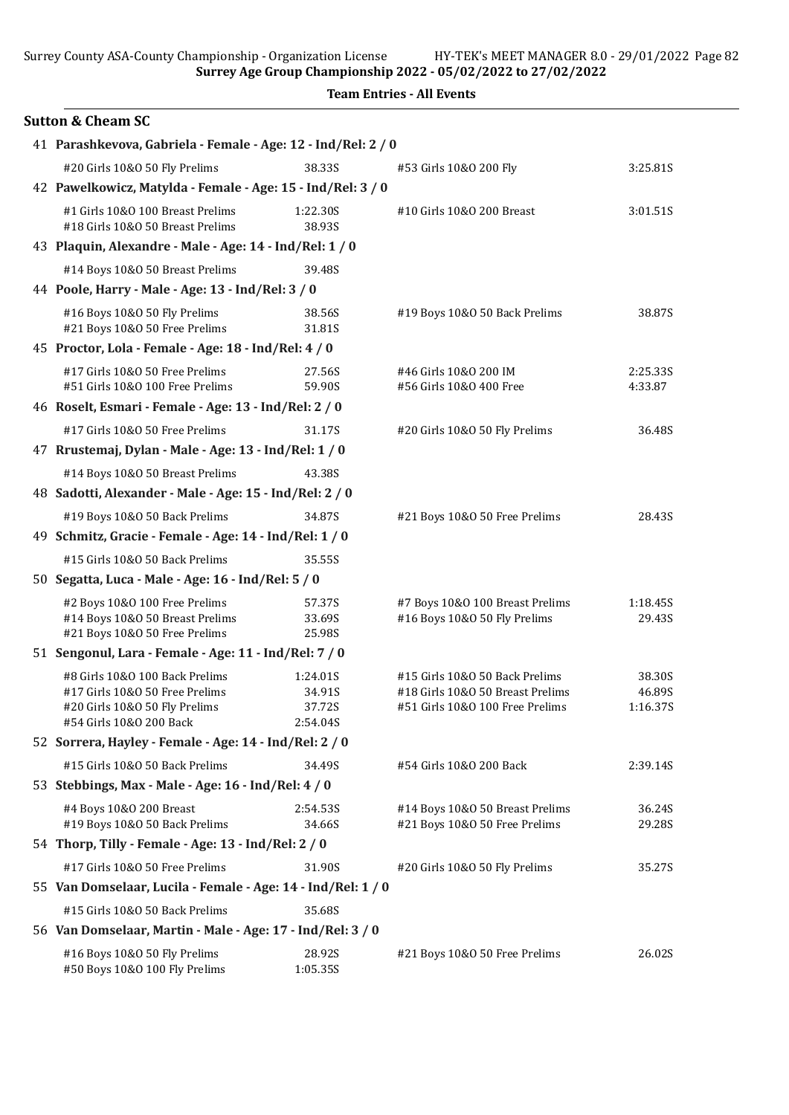Surrey Age Group Championship 2022 - 05/02/2022 to 27/02/2022

|  | <b>Team Entries - All Events</b> |  |  |
|--|----------------------------------|--|--|
|--|----------------------------------|--|--|

| <b>Sutton &amp; Cheam SC</b>                                                                                                 |                                                             |                                                                                                       |                              |  |  |
|------------------------------------------------------------------------------------------------------------------------------|-------------------------------------------------------------|-------------------------------------------------------------------------------------------------------|------------------------------|--|--|
| 41 Parashkevova, Gabriela - Female - Age: 12 - Ind/Rel: 2 / 0                                                                |                                                             |                                                                                                       |                              |  |  |
| #20 Girls 10&0 50 Fly Prelims                                                                                                | 38.33S                                                      | #53 Girls 10&0 200 Fly                                                                                | 3:25.81S                     |  |  |
|                                                                                                                              | 42 Pawelkowicz, Matylda - Female - Age: 15 - Ind/Rel: 3 / 0 |                                                                                                       |                              |  |  |
| #1 Girls 10&0 100 Breast Prelims<br>#18 Girls 10&0 50 Breast Prelims                                                         | 1:22.30S<br>38.93S                                          | #10 Girls 10&0 200 Breast                                                                             | 3:01.51S                     |  |  |
| 43 Plaquin, Alexandre - Male - Age: 14 - Ind/Rel: 1 / 0                                                                      |                                                             |                                                                                                       |                              |  |  |
| #14 Boys 10&0 50 Breast Prelims                                                                                              | 39.48S                                                      |                                                                                                       |                              |  |  |
| 44 Poole, Harry - Male - Age: 13 - Ind/Rel: 3 / 0                                                                            |                                                             |                                                                                                       |                              |  |  |
| #16 Boys 10&0 50 Fly Prelims<br>#21 Boys 10&0 50 Free Prelims                                                                | 38.56S<br>31.81S                                            | #19 Boys 10&0 50 Back Prelims                                                                         | 38.87S                       |  |  |
| 45 Proctor, Lola - Female - Age: 18 - Ind/Rel: 4 / 0                                                                         |                                                             |                                                                                                       |                              |  |  |
| #17 Girls 10&0 50 Free Prelims<br>#51 Girls 10&0 100 Free Prelims                                                            | 27.56S<br>59.90S                                            | #46 Girls 10&0 200 IM<br>#56 Girls 10&0 400 Free                                                      | 2:25.335<br>4:33.87          |  |  |
| 46 Roselt, Esmari - Female - Age: 13 - Ind/Rel: 2 / 0                                                                        |                                                             |                                                                                                       |                              |  |  |
| #17 Girls 10&0 50 Free Prelims                                                                                               | 31.17S                                                      | #20 Girls 10&O 50 Fly Prelims                                                                         | 36.48S                       |  |  |
| 47 Rrustemaj, Dylan - Male - Age: 13 - Ind/Rel: 1 / 0                                                                        |                                                             |                                                                                                       |                              |  |  |
| #14 Boys 10&0 50 Breast Prelims                                                                                              | 43.38S                                                      |                                                                                                       |                              |  |  |
| 48 Sadotti, Alexander - Male - Age: 15 - Ind/Rel: 2 / 0                                                                      |                                                             |                                                                                                       |                              |  |  |
| #19 Boys 10&0 50 Back Prelims                                                                                                | 34.87S                                                      | #21 Boys 10&0 50 Free Prelims                                                                         | 28.43S                       |  |  |
| 49 Schmitz, Gracie - Female - Age: 14 - Ind/Rel: 1 / 0                                                                       |                                                             |                                                                                                       |                              |  |  |
| #15 Girls 10&0 50 Back Prelims                                                                                               | 35.55S                                                      |                                                                                                       |                              |  |  |
| 50 Segatta, Luca - Male - Age: 16 - Ind/Rel: 5 / 0                                                                           |                                                             |                                                                                                       |                              |  |  |
| #2 Boys 10&0 100 Free Prelims<br>#14 Boys 10&0 50 Breast Prelims<br>#21 Boys 10&0 50 Free Prelims                            | 57.37S<br>33.69S<br>25.98S                                  | #7 Boys 10&0 100 Breast Prelims<br>#16 Boys 10&0 50 Fly Prelims                                       | 1:18.45S<br>29.43S           |  |  |
| 51 Sengonul, Lara - Female - Age: 11 - Ind/Rel: 7 / 0                                                                        |                                                             |                                                                                                       |                              |  |  |
| #8 Girls 10&0 100 Back Prelims<br>#17 Girls 10&0 50 Free Prelims<br>#20 Girls 10&O 50 Fly Prelims<br>#54 Girls 10&0 200 Back | 1:24.01S<br>34.91S<br>37.72S<br>2:54.04S                    | #15 Girls 10&0 50 Back Prelims<br>#18 Girls 10&0 50 Breast Prelims<br>#51 Girls 10&O 100 Free Prelims | 38.30S<br>46.89S<br>1:16.37S |  |  |
| 52 Sorrera, Hayley - Female - Age: 14 - Ind/Rel: 2 / 0                                                                       |                                                             |                                                                                                       |                              |  |  |
| #15 Girls 10&0 50 Back Prelims<br>53 Stebbings, Max - Male - Age: 16 - Ind/Rel: 4 / 0                                        | 34.49S                                                      | #54 Girls 10&0 200 Back                                                                               | 2:39.14S                     |  |  |
| #4 Boys 10&0 200 Breast<br>#19 Boys 10&0 50 Back Prelims                                                                     | 2:54.53S<br>34.66S                                          | #14 Boys 10&0 50 Breast Prelims<br>#21 Boys 10&0 50 Free Prelims                                      | 36.24S<br>29.28S             |  |  |
| 54 Thorp, Tilly - Female - Age: 13 - Ind/Rel: 2 / 0                                                                          |                                                             |                                                                                                       |                              |  |  |
| #17 Girls 10&0 50 Free Prelims                                                                                               | 31.90S                                                      | #20 Girls 10&O 50 Fly Prelims                                                                         | 35.27S                       |  |  |
| 55 Van Domselaar, Lucila - Female - Age: 14 - Ind/Rel: 1 / 0                                                                 |                                                             |                                                                                                       |                              |  |  |
| #15 Girls 10&0 50 Back Prelims<br>56 Van Domselaar, Martin - Male - Age: 17 - Ind/Rel: 3 / 0                                 | 35.68S                                                      |                                                                                                       |                              |  |  |
| #16 Boys 10&0 50 Fly Prelims<br>#50 Boys 10&0 100 Fly Prelims                                                                | 28.92S<br>1:05.35S                                          | #21 Boys 10&0 50 Free Prelims                                                                         | 26.02S                       |  |  |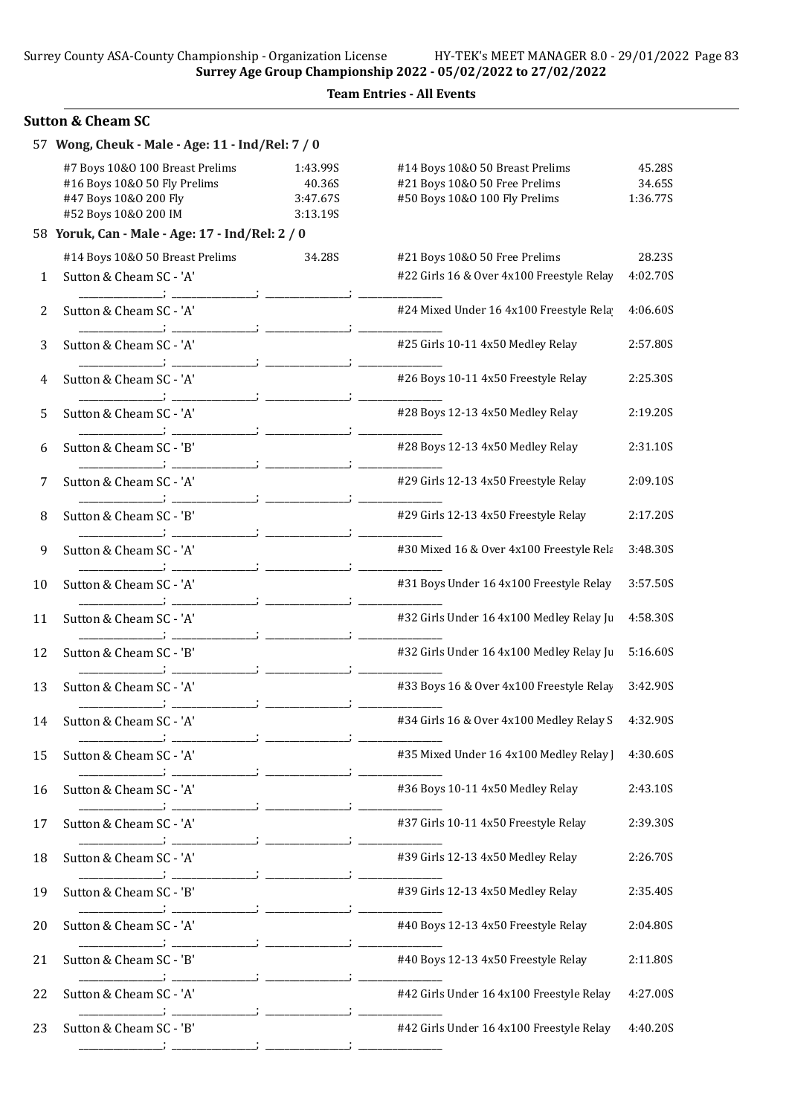### Team Entries - All Events

## Sutton & Cheam SC

|    | 57 Wong, Cheuk - Male - Age: 11 - Ind/Rel: 7 / 0                                                                 |                                            |                                                                                                   |                              |
|----|------------------------------------------------------------------------------------------------------------------|--------------------------------------------|---------------------------------------------------------------------------------------------------|------------------------------|
|    | #7 Boys 10&0 100 Breast Prelims<br>#16 Boys 10&0 50 Fly Prelims<br>#47 Boys 10&0 200 Fly<br>#52 Boys 10&0 200 IM | 1:43.99S<br>40.36S<br>3:47.67S<br>3:13.19S | #14 Boys 10&0 50 Breast Prelims<br>#21 Boys 10&0 50 Free Prelims<br>#50 Boys 10&0 100 Fly Prelims | 45.28S<br>34.65S<br>1:36.77S |
|    | 58 Yoruk, Can - Male - Age: 17 - Ind/Rel: 2 / 0                                                                  |                                            |                                                                                                   |                              |
|    | #14 Boys 10&0 50 Breast Prelims                                                                                  | 34.28S                                     | #21 Boys 10&0 50 Free Prelims                                                                     | 28.23S                       |
| 1  | Sutton & Cheam SC - 'A'                                                                                          |                                            | #22 Girls 16 & Over 4x100 Freestyle Relay                                                         | 4:02.70S                     |
| 2  | Sutton & Cheam SC - 'A'                                                                                          |                                            | #24 Mixed Under 16 4x100 Freestyle Rela                                                           | 4:06.60S                     |
| 3  | Sutton & Cheam SC - 'A'                                                                                          |                                            | #25 Girls 10-11 4x50 Medley Relay                                                                 | 2:57.80S                     |
| 4  | Sutton & Cheam SC - 'A'                                                                                          |                                            | #26 Boys 10-11 4x50 Freestyle Relay                                                               | 2:25.30S                     |
| 5  | Sutton & Cheam SC - 'A'                                                                                          |                                            | #28 Boys 12-13 4x50 Medley Relay                                                                  | 2:19.20S                     |
| 6  | Sutton & Cheam SC - 'B'                                                                                          |                                            | #28 Boys 12-13 4x50 Medley Relay                                                                  | 2:31.10S                     |
| 7  | Sutton & Cheam SC - 'A'                                                                                          |                                            | #29 Girls 12-13 4x50 Freestyle Relay                                                              | 2:09.10S                     |
| 8  | Sutton & Cheam SC - 'B'                                                                                          |                                            | #29 Girls 12-13 4x50 Freestyle Relay                                                              | 2:17.20S                     |
| 9  | Sutton & Cheam SC - 'A'                                                                                          |                                            | #30 Mixed 16 & Over 4x100 Freestyle Rela                                                          | 3:48.30S                     |
| 10 | Sutton & Cheam SC - 'A'                                                                                          |                                            | #31 Boys Under 16 4x100 Freestyle Relay                                                           | 3:57.50S                     |
| 11 | Sutton & Cheam SC - 'A'                                                                                          |                                            | #32 Girls Under 16 4x100 Medley Relay Ju                                                          | 4:58.30S                     |
| 12 | Sutton & Cheam SC - 'B'                                                                                          |                                            | #32 Girls Under 16 4x100 Medley Relay Ju                                                          | 5:16.60S                     |
| 13 | Sutton & Cheam SC - 'A'                                                                                          |                                            | #33 Boys 16 & Over 4x100 Freestyle Relay                                                          | 3:42.90S                     |
| 14 | Sutton & Cheam SC - 'A'                                                                                          |                                            | #34 Girls 16 & Over 4x100 Medley Relay S                                                          | 4:32.90S                     |
| 15 | Sutton & Cheam SC - 'A'                                                                                          |                                            | #35 Mixed Under 16 4x100 Medley Relay ]                                                           | 4:30.60S                     |
| 16 | Sutton & Cheam SC - 'A'                                                                                          |                                            | #36 Boys 10-11 4x50 Medley Relay                                                                  | 2:43.10S                     |
| 17 | Sutton & Cheam SC - 'A'                                                                                          |                                            | #37 Girls 10-11 4x50 Freestyle Relay                                                              | 2:39.30S                     |
| 18 | Sutton & Cheam SC - 'A'                                                                                          |                                            | #39 Girls 12-13 4x50 Medley Relay                                                                 | 2:26.70S                     |
| 19 | Sutton & Cheam SC - 'B'                                                                                          |                                            | #39 Girls 12-13 4x50 Medley Relay                                                                 | 2:35.40S                     |
| 20 | Sutton & Cheam SC - 'A'                                                                                          |                                            | #40 Boys 12-13 4x50 Freestyle Relay                                                               | 2:04.80S                     |
| 21 | Sutton & Cheam SC - 'B'                                                                                          |                                            | #40 Boys 12-13 4x50 Freestyle Relay                                                               | 2:11.80S                     |
| 22 | Sutton & Cheam SC - 'A'                                                                                          |                                            | #42 Girls Under 16 4x100 Freestyle Relay                                                          | 4:27.00S                     |
| 23 | Sutton & Cheam SC - 'B'                                                                                          |                                            | #42 Girls Under 16 4x100 Freestyle Relay                                                          | 4:40.20S                     |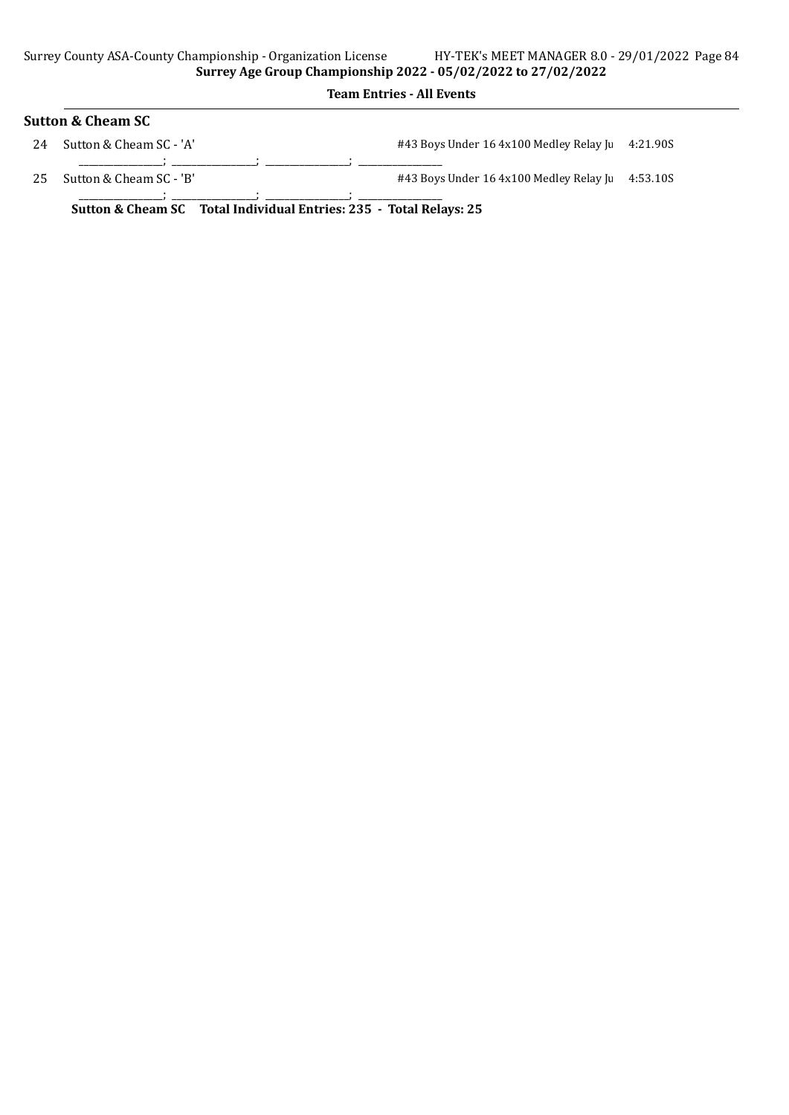# Sutton & Cheam SC 24 Sutton & Cheam SC - 'A'  $\#43$  Boys Under 16 4x100 Medley Relay Junior 4:21.90S

\_\_\_\_\_\_\_\_\_\_\_\_\_\_\_\_\_; \_\_\_\_\_\_\_\_\_\_\_\_\_\_\_\_\_; \_\_\_\_\_\_\_\_\_\_\_\_\_\_\_\_\_; \_\_\_\_\_\_\_\_\_\_\_\_\_\_\_\_\_ 25 Sutton & Cheam SC - 'B' <br>#43 Boys Under 16 4x100 Medley Relay Junior 4:53.10S

\_\_\_\_\_\_\_\_\_\_\_\_\_\_\_\_\_; \_\_\_\_\_\_\_\_\_\_\_\_\_\_\_\_\_; \_\_\_\_\_\_\_\_\_\_\_\_\_\_\_\_\_; \_\_\_\_\_\_\_\_\_\_\_\_\_\_\_\_\_

Sutton & Cheam SC Total Individual Entries: 235 - Total Relays: 25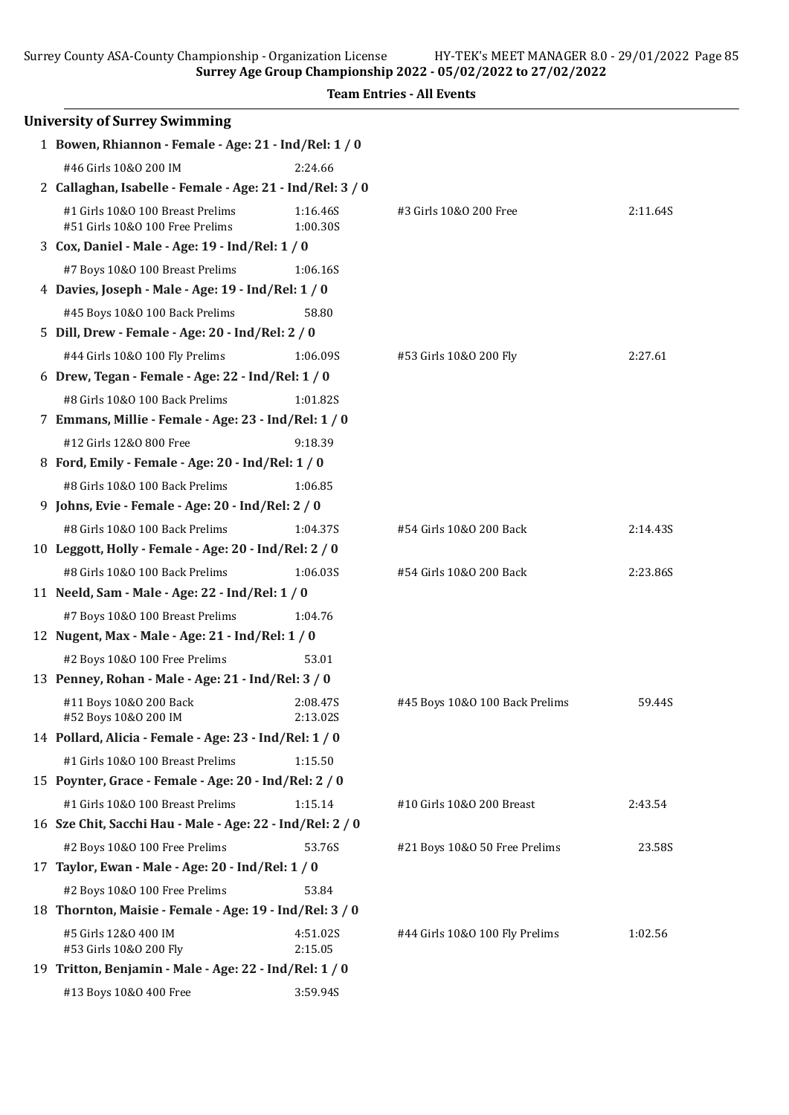Surrey Age Group Championship 2022 - 05/02/2022 to 27/02/2022

| <b>University of Surrey Swimming</b>                                |                      |                                |          |
|---------------------------------------------------------------------|----------------------|--------------------------------|----------|
| 1 Bowen, Rhiannon - Female - Age: 21 - Ind/Rel: 1 / 0               |                      |                                |          |
| #46 Girls 10&0 200 IM                                               | 2:24.66              |                                |          |
| 2 Callaghan, Isabelle - Female - Age: 21 - Ind/Rel: 3 / 0           |                      |                                |          |
| #1 Girls 10&0 100 Breast Prelims<br>#51 Girls 10&0 100 Free Prelims | 1:16.46S<br>1:00.30S | #3 Girls 10&0 200 Free         | 2:11.64S |
| 3 Cox, Daniel - Male - Age: 19 - Ind/Rel: 1 / 0                     |                      |                                |          |
| #7 Boys 10&0 100 Breast Prelims                                     | 1:06.16S             |                                |          |
| 4 Davies, Joseph - Male - Age: 19 - Ind/Rel: 1 / 0                  |                      |                                |          |
| #45 Boys 10&0 100 Back Prelims                                      | 58.80                |                                |          |
| 5 Dill, Drew - Female - Age: 20 - Ind/Rel: 2 / 0                    |                      |                                |          |
| #44 Girls 10&0 100 Fly Prelims                                      | 1:06.09S             | #53 Girls 10&0 200 Fly         | 2:27.61  |
| 6 Drew, Tegan - Female - Age: 22 - Ind/Rel: 1 / 0                   |                      |                                |          |
| #8 Girls 10&0 100 Back Prelims                                      | 1:01.82S             |                                |          |
| 7 Emmans, Millie - Female - Age: 23 - Ind/Rel: 1 / 0                |                      |                                |          |
| #12 Girls 12&0 800 Free                                             | 9:18.39              |                                |          |
| 8 Ford, Emily - Female - Age: 20 - Ind/Rel: 1 / 0                   |                      |                                |          |
| #8 Girls 10&0 100 Back Prelims                                      | 1:06.85              |                                |          |
| 9 Johns, Evie - Female - Age: 20 - Ind/Rel: 2 / 0                   |                      |                                |          |
| #8 Girls 10&0 100 Back Prelims                                      | 1:04.37S             | #54 Girls 10&0 200 Back        | 2:14.43S |
| 10 Leggott, Holly - Female - Age: 20 - Ind/Rel: 2 / 0               |                      |                                |          |
| #8 Girls 10&0 100 Back Prelims                                      | 1:06.03S             | #54 Girls 10&0 200 Back        | 2:23.86S |
| 11 Neeld, Sam - Male - Age: 22 - Ind/Rel: 1 / 0                     |                      |                                |          |
| #7 Boys 10&0 100 Breast Prelims                                     | 1:04.76              |                                |          |
| 12 Nugent, Max - Male - Age: 21 - Ind/Rel: 1 / 0                    |                      |                                |          |
| #2 Boys 10&0 100 Free Prelims                                       | 53.01                |                                |          |
| 13 Penney, Rohan - Male - Age: 21 - Ind/Rel: 3 / 0                  |                      |                                |          |
| #11 Boys 10&0 200 Back<br>#52 Boys 10&0 200 IM                      | 2:08.47S<br>2:13.02S | #45 Boys 10&0 100 Back Prelims | 59.44S   |
| 14 Pollard, Alicia - Female - Age: 23 - Ind/Rel: 1 / 0              |                      |                                |          |
| #1 Girls 10&0 100 Breast Prelims                                    | 1:15.50              |                                |          |
| 15 Poynter, Grace - Female - Age: 20 - Ind/Rel: 2 / 0               |                      |                                |          |
| #1 Girls 10&0 100 Breast Prelims                                    | 1:15.14              | #10 Girls 10&0 200 Breast      | 2:43.54  |
| 16 Sze Chit, Sacchi Hau - Male - Age: 22 - Ind/Rel: 2 / 0           |                      |                                |          |
| #2 Boys 10&0 100 Free Prelims                                       | 53.76S               | #21 Boys 10&0 50 Free Prelims  | 23.58S   |
| 17 Taylor, Ewan - Male - Age: 20 - Ind/Rel: 1 / 0                   |                      |                                |          |
| #2 Boys 10&0 100 Free Prelims                                       | 53.84                |                                |          |
| 18 Thornton, Maisie - Female - Age: 19 - Ind/Rel: 3 / 0             |                      |                                |          |
| #5 Girls 12&0 400 IM<br>#53 Girls 10&0 200 Fly                      | 4:51.02S<br>2:15.05  | #44 Girls 10&O 100 Fly Prelims | 1:02.56  |
| 19 Tritton, Benjamin - Male - Age: 22 - Ind/Rel: 1 / 0              |                      |                                |          |
| #13 Boys 10&0 400 Free                                              | 3:59.94S             |                                |          |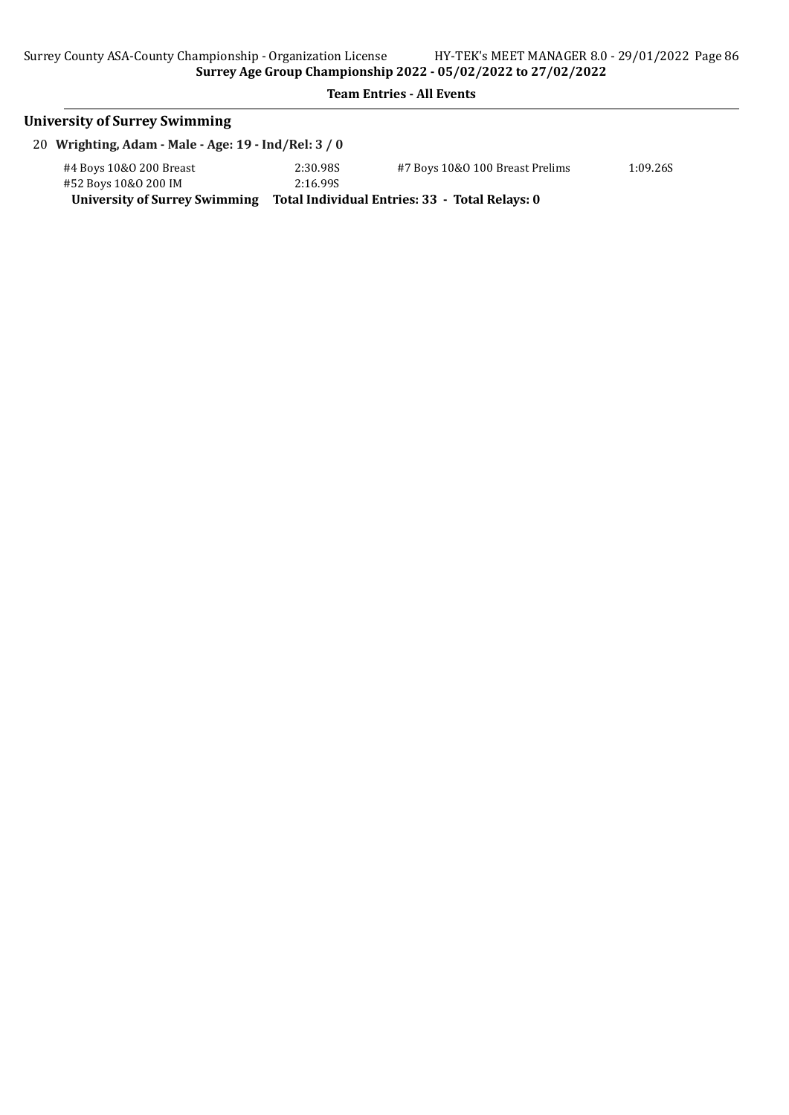# University of Surrey Swimming 20 Wrighting, Adam - Male - Age: 19 - Ind/Rel: 3 / 0 #4 Boys 10&O 200 Breast 2:30.98S #7 Boys 10&O 100 Breast Prelims 1:09.26S #52 Boys 10&0 200 IM University of Surrey Swimming Total Individual Entries: 33 - Total Relays: 0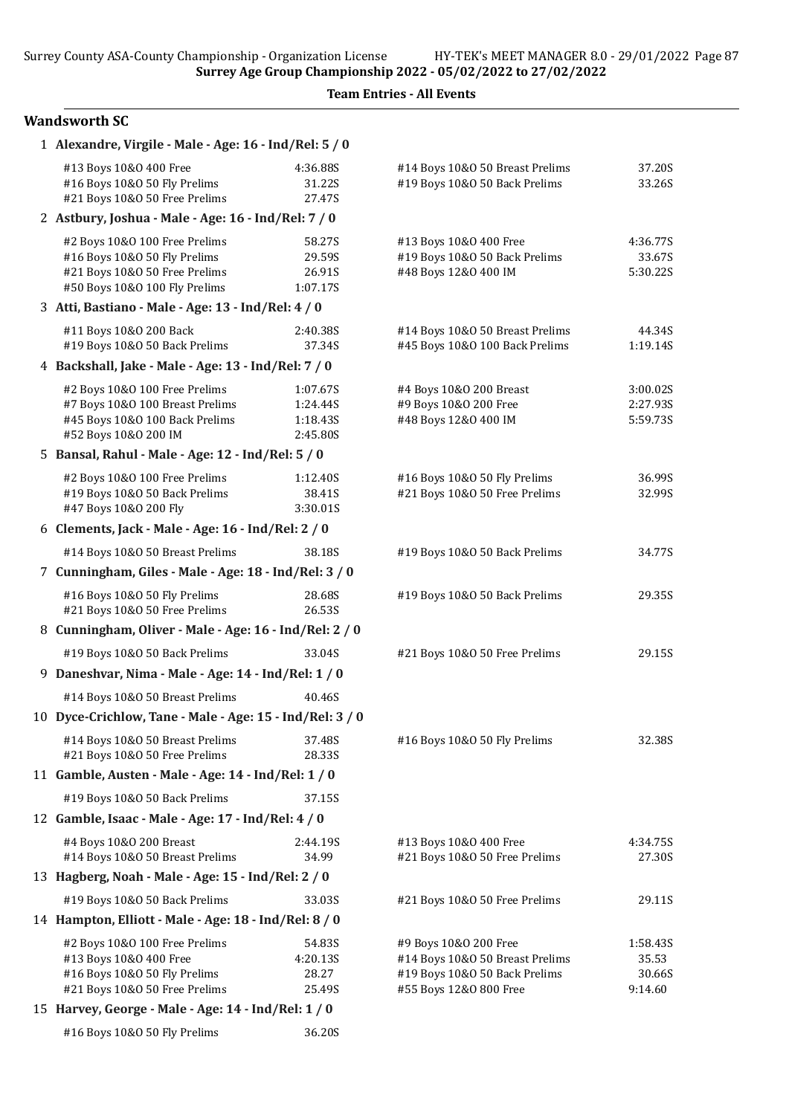Team Entries - All Events

### Wandsworth SC

| 1 Alexandre, Virgile - Male - Age: 16 - Ind/Rel: 5 / 0                                                                                                                          |                                              |                                                                                                                     |                                        |
|---------------------------------------------------------------------------------------------------------------------------------------------------------------------------------|----------------------------------------------|---------------------------------------------------------------------------------------------------------------------|----------------------------------------|
| #13 Boys 10&0 400 Free<br>#16 Boys 10&0 50 Fly Prelims<br>#21 Boys 10&0 50 Free Prelims                                                                                         | 4:36.88S<br>31.22S<br>27.47S                 | #14 Boys 10&0 50 Breast Prelims<br>#19 Boys 10&0 50 Back Prelims                                                    | 37.20S<br>33.26S                       |
| 2 Astbury, Joshua - Male - Age: 16 - Ind/Rel: 7 / 0                                                                                                                             |                                              |                                                                                                                     |                                        |
| #2 Boys 10&0 100 Free Prelims<br>#16 Boys 10&0 50 Fly Prelims<br>#21 Boys 10&0 50 Free Prelims<br>#50 Boys 10&0 100 Fly Prelims                                                 | 58.27S<br>29.59S<br>26.91S<br>1:07.17S       | #13 Boys 10&0 400 Free<br>#19 Boys 10&0 50 Back Prelims<br>#48 Boys 12&0 400 IM                                     | 4:36.77S<br>33.67S<br>5:30.22S         |
| 3 Atti, Bastiano - Male - Age: 13 - Ind/Rel: 4 / 0                                                                                                                              |                                              |                                                                                                                     |                                        |
| #11 Boys 10&0 200 Back<br>#19 Boys 10&0 50 Back Prelims                                                                                                                         | 2:40.38S<br>37.34S                           | #14 Boys 10&0 50 Breast Prelims<br>#45 Boys 10&0 100 Back Prelims                                                   | 44.34S<br>1:19.14S                     |
| 4 Backshall, Jake - Male - Age: 13 - Ind/Rel: 7 / 0                                                                                                                             |                                              |                                                                                                                     |                                        |
| #2 Boys 10&0 100 Free Prelims<br>#7 Boys 10&0 100 Breast Prelims<br>#45 Boys 10&0 100 Back Prelims<br>#52 Boys 10&0 200 IM                                                      | 1:07.67S<br>1:24.44S<br>1:18.435<br>2:45.80S | #4 Boys 10&0 200 Breast<br>#9 Boys 10&0 200 Free<br>#48 Boys 12&0 400 IM                                            | 3:00.02S<br>2:27.93S<br>5:59.73S       |
| 5 Bansal, Rahul - Male - Age: 12 - Ind/Rel: 5 / 0                                                                                                                               |                                              |                                                                                                                     |                                        |
| #2 Boys 10&0 100 Free Prelims<br>#19 Boys 10&0 50 Back Prelims<br>#47 Boys 10&0 200 Fly                                                                                         | 1:12.40S<br>38.41S<br>3:30.01S               | #16 Boys 10&0 50 Fly Prelims<br>#21 Boys 10&0 50 Free Prelims                                                       | 36.99S<br>32.99S                       |
| 6 Clements, Jack - Male - Age: 16 - Ind/Rel: 2 / 0                                                                                                                              |                                              |                                                                                                                     |                                        |
| #14 Boys 10&0 50 Breast Prelims                                                                                                                                                 | 38.18S                                       | #19 Boys 10&0 50 Back Prelims                                                                                       | 34.77S                                 |
| 7 Cunningham, Giles - Male - Age: 18 - Ind/Rel: 3 / 0                                                                                                                           |                                              |                                                                                                                     |                                        |
| #16 Boys 10&0 50 Fly Prelims<br>#21 Boys 10&0 50 Free Prelims                                                                                                                   | 28.68S<br>26.53S                             | #19 Boys 10&0 50 Back Prelims                                                                                       | 29.35S                                 |
| 8 Cunningham, Oliver - Male - Age: 16 - Ind/Rel: 2 / 0                                                                                                                          |                                              |                                                                                                                     |                                        |
| #19 Boys 10&O 50 Back Prelims                                                                                                                                                   | 33.04S                                       | #21 Boys 10&0 50 Free Prelims                                                                                       | 29.15S                                 |
| 9 Daneshvar, Nima - Male - Age: 14 - Ind/Rel: 1 / 0                                                                                                                             |                                              |                                                                                                                     |                                        |
| #14 Boys 10&0 50 Breast Prelims                                                                                                                                                 | 40.46S                                       |                                                                                                                     |                                        |
| 10 Dyce-Crichlow, Tane - Male - Age: 15 - Ind/Rel: 3 / 0                                                                                                                        |                                              |                                                                                                                     |                                        |
| #14 Boys 10&0 50 Breast Prelims<br>#21 Boys 10&0 50 Free Prelims                                                                                                                | 37.48S<br>28.33S                             | #16 Boys 10&0 50 Fly Prelims                                                                                        | 32.38S                                 |
| 11 Gamble, Austen - Male - Age: 14 - Ind/Rel: 1 / 0                                                                                                                             |                                              |                                                                                                                     |                                        |
| #19 Boys 10&0 50 Back Prelims                                                                                                                                                   | 37.15S                                       |                                                                                                                     |                                        |
| 12 Gamble, Isaac - Male - Age: 17 - Ind/Rel: 4 / 0                                                                                                                              |                                              |                                                                                                                     |                                        |
| #4 Boys 10&0 200 Breast<br>#14 Boys 10&0 50 Breast Prelims                                                                                                                      | 2:44.19S<br>34.99                            | #13 Boys 10&O 400 Free<br>#21 Boys 10&0 50 Free Prelims                                                             | 4:34.75S<br>27.30S                     |
| 13 Hagberg, Noah - Male - Age: 15 - Ind/Rel: 2 / 0                                                                                                                              |                                              |                                                                                                                     |                                        |
| #19 Boys 10&0 50 Back Prelims                                                                                                                                                   | 33.03S                                       | #21 Boys 10&0 50 Free Prelims                                                                                       | 29.11S                                 |
| 14 Hampton, Elliott - Male - Age: 18 - Ind/Rel: 8 / 0                                                                                                                           |                                              |                                                                                                                     |                                        |
| #2 Boys 10&0 100 Free Prelims<br>#13 Boys 10&0 400 Free<br>#16 Boys 10&0 50 Fly Prelims<br>#21 Boys 10&0 50 Free Prelims<br>15 Harvey, George - Male - Age: 14 - Ind/Rel: 1 / 0 | 54.83S<br>4:20.13S<br>28.27<br>25.49S        | #9 Boys 10&0 200 Free<br>#14 Boys 10&0 50 Breast Prelims<br>#19 Boys 10&0 50 Back Prelims<br>#55 Boys 12&0 800 Free | 1:58.43S<br>35.53<br>30.66S<br>9:14.60 |
| #16 Boys 10&0 50 Fly Prelims                                                                                                                                                    | 36.20S                                       |                                                                                                                     |                                        |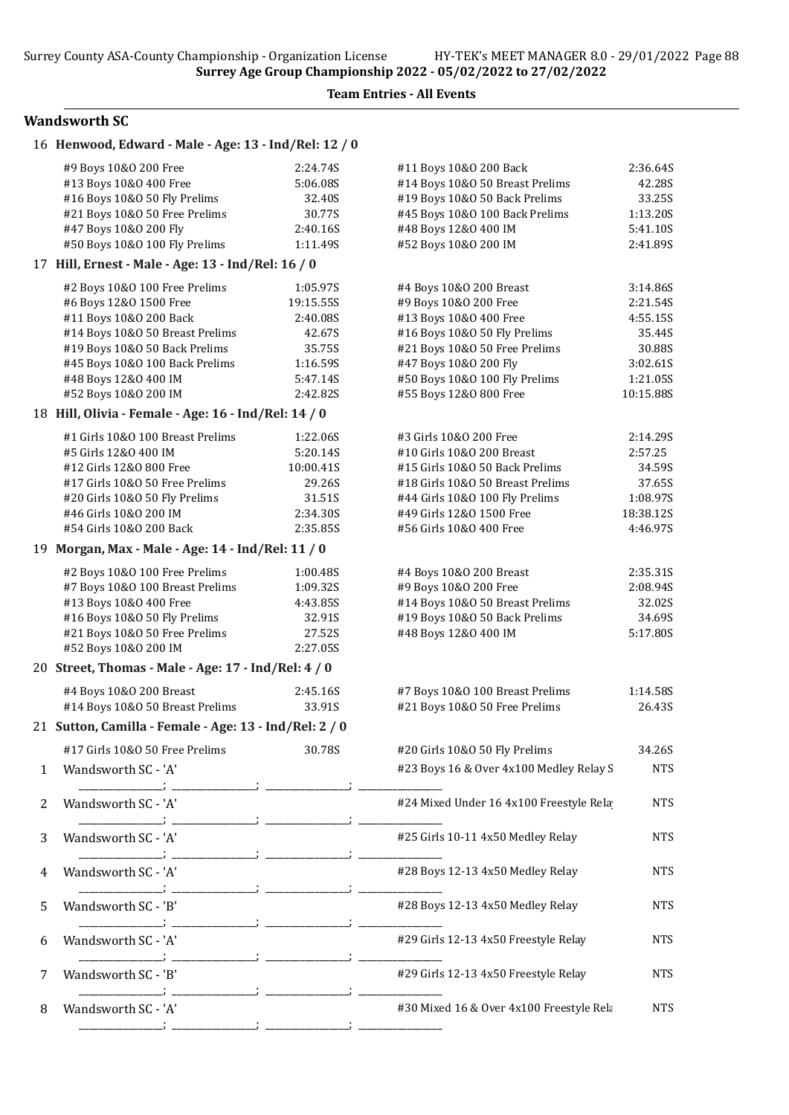## Wandsworth SC

|   | 16 Henwood, Edward - Male - Age: 13 - Ind/Rel: 12 / 0  |                      |                                                            |                       |
|---|--------------------------------------------------------|----------------------|------------------------------------------------------------|-----------------------|
|   | #9 Boys 10&0 200 Free                                  | 2:24.74S             | #11 Boys 10&0 200 Back                                     | 2:36.64S              |
|   | #13 Boys 10&0 400 Free                                 | 5:06.08S             | #14 Boys 10&0 50 Breast Prelims                            | 42.28S                |
|   | #16 Boys 10&0 50 Fly Prelims                           | 32.40S               | #19 Boys 10&0 50 Back Prelims                              | 33.25S                |
|   | #21 Boys 10&0 50 Free Prelims<br>#47 Boys 10&0 200 Fly | 30.77S<br>2:40.16S   | #45 Boys 10&0 100 Back Prelims<br>#48 Boys 12&0 400 IM     | 1:13.20S<br>5:41.10S  |
|   | #50 Boys 10&0 100 Fly Prelims                          | 1:11.49S             | #52 Boys 10&0 200 IM                                       | 2:41.89S              |
|   | 17 Hill, Ernest - Male - Age: 13 - Ind/Rel: 16 / 0     |                      |                                                            |                       |
|   | #2 Boys 10&0 100 Free Prelims                          | 1:05.97S             | #4 Boys 10&0 200 Breast                                    | 3:14.86S              |
|   | #6 Boys 12&0 1500 Free                                 | 19:15.55S            | #9 Boys 10&0 200 Free                                      | 2:21.54S              |
|   | #11 Boys 10&0 200 Back                                 | 2:40.08S             | #13 Boys 10&0 400 Free                                     | 4:55.15S              |
|   | #14 Boys 10&0 50 Breast Prelims                        | 42.67S               | #16 Boys 10&0 50 Fly Prelims                               | 35.44S                |
|   | #19 Boys 10&0 50 Back Prelims                          | 35.75S               | #21 Boys 10&0 50 Free Prelims                              | 30.88S                |
|   | #45 Boys 10&0 100 Back Prelims                         | 1:16.59S             | #47 Boys 10&0 200 Fly                                      | 3:02.61S              |
|   | #48 Boys 12&0 400 IM                                   | 5:47.14S             | #50 Boys 10&0 100 Fly Prelims                              | 1:21.05S              |
|   | #52 Boys 10&0 200 IM                                   | 2:42.82S             | #55 Boys 12&0 800 Free                                     | 10:15.88S             |
|   | 18 Hill, Olivia - Female - Age: 16 - Ind/Rel: 14 / 0   |                      |                                                            |                       |
|   | #1 Girls 10&0 100 Breast Prelims                       | 1:22.06S             | #3 Girls 10&0 200 Free                                     | 2:14.295              |
|   | #5 Girls 12&0 400 IM                                   | 5:20.14S             | #10 Girls 10&0 200 Breast                                  | 2:57.25               |
|   | #12 Girls 12&0 800 Free                                | 10:00.41S            | #15 Girls 10&0 50 Back Prelims                             | 34.59S                |
|   | #17 Girls 10&0 50 Free Prelims                         | 29.26S               | #18 Girls 10&0 50 Breast Prelims                           | 37.65S                |
|   | #20 Girls 10&O 50 Fly Prelims                          | 31.51S               | #44 Girls 10&0 100 Fly Prelims<br>#49 Girls 12&0 1500 Free | 1:08.97S              |
|   | #46 Girls 10&0 200 IM<br>#54 Girls 10&0 200 Back       | 2:34.30S<br>2:35.85S | #56 Girls 10&0 400 Free                                    | 18:38.12S<br>4:46.97S |
|   | 19 Morgan, Max - Male - Age: 14 - Ind/Rel: 11 / 0      |                      |                                                            |                       |
|   |                                                        |                      |                                                            |                       |
|   | #2 Boys 10&0 100 Free Prelims                          | 1:00.48S             | #4 Boys 10&0 200 Breast                                    | 2:35.31S              |
|   | #7 Boys 10&0 100 Breast Prelims                        | 1:09.32S             | #9 Boys 10&0 200 Free<br>#14 Boys 10&0 50 Breast Prelims   | 2:08.945              |
|   | #13 Boys 10&0 400 Free<br>#16 Boys 10&0 50 Fly Prelims | 4:43.85S<br>32.91S   | #19 Boys 10&0 50 Back Prelims                              | 32.02S<br>34.69S      |
|   | #21 Boys 10&0 50 Free Prelims                          | 27.52S               | #48 Boys 12&0 400 IM                                       | 5:17.80S              |
|   | #52 Boys 10&0 200 IM                                   | 2:27.05S             |                                                            |                       |
|   | 20 Street, Thomas - Male - Age: 17 - Ind/Rel: 4 / 0    |                      |                                                            |                       |
|   | #4 Boys 10&0 200 Breast                                | 2:45.16S             | #7 Boys 10&0 100 Breast Prelims                            | 1:14.58S              |
|   | #14 Boys 10&0 50 Breast Prelims                        | 33.91S               | #21 Boys 10&0 50 Free Prelims                              | 26.43S                |
|   | 21 Sutton, Camilla - Female - Age: 13 - Ind/Rel: 2 / 0 |                      |                                                            |                       |
|   | #17 Girls 10&O 50 Free Prelims                         | 30.78S               | #20 Girls 10&O 50 Fly Prelims                              | 34.26S                |
| 1 | Wandsworth SC - 'A'                                    |                      | #23 Boys 16 & Over 4x100 Medley Relay S                    | <b>NTS</b>            |
|   |                                                        |                      |                                                            |                       |
| 2 | Wandsworth SC - 'A'                                    |                      | #24 Mixed Under 16 4x100 Freestyle Rela                    | <b>NTS</b>            |
| 3 | Wandsworth SC - 'A'                                    |                      | #25 Girls 10-11 4x50 Medley Relay                          | <b>NTS</b>            |
| 4 | Wandsworth SC - 'A'                                    |                      | #28 Boys 12-13 4x50 Medley Relay                           | <b>NTS</b>            |
|   |                                                        |                      |                                                            |                       |
| 5 | Wandsworth SC - 'B'                                    |                      | #28 Boys 12-13 4x50 Medley Relay                           | <b>NTS</b>            |
| 6 | Wandsworth SC - 'A'                                    |                      | #29 Girls 12-13 4x50 Freestyle Relay                       | <b>NTS</b>            |
| 7 | Wandsworth SC - 'B'                                    |                      | #29 Girls 12-13 4x50 Freestyle Relay                       | <b>NTS</b>            |
| 8 | Wandsworth SC - 'A'                                    |                      | #30 Mixed 16 & Over 4x100 Freestyle Rela                   | <b>NTS</b>            |
|   |                                                        |                      |                                                            |                       |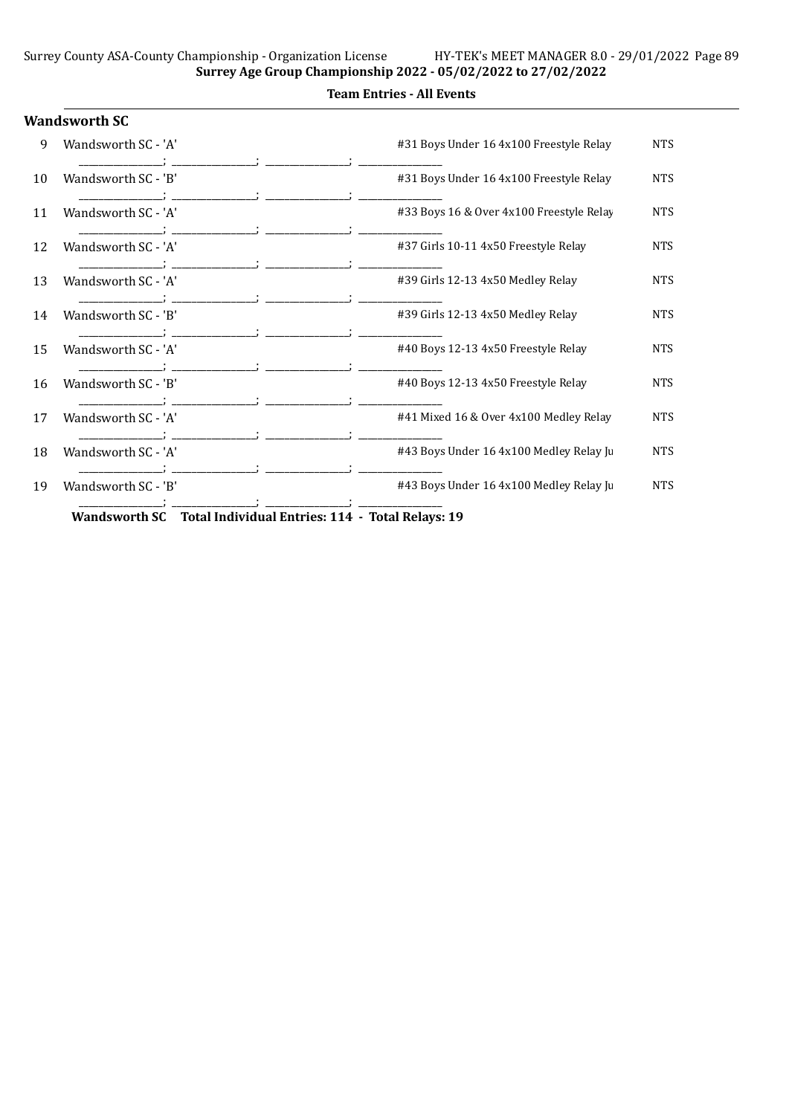|    | <b>Wandsworth SC</b>                                           |                                          |            |
|----|----------------------------------------------------------------|------------------------------------------|------------|
| 9  | Wandsworth SC - 'A'                                            | #31 Boys Under 16 4x100 Freestyle Relay  | <b>NTS</b> |
| 10 | Wandsworth SC - 'B'                                            | #31 Boys Under 16 4x100 Freestyle Relay  | <b>NTS</b> |
| 11 | Wandsworth SC - 'A'                                            | #33 Boys 16 & Over 4x100 Freestyle Relay | <b>NTS</b> |
| 12 | Wandsworth SC - 'A'                                            | #37 Girls 10-11 4x50 Freestyle Relay     | <b>NTS</b> |
| 13 | Wandsworth SC - 'A'                                            | #39 Girls 12-13 4x50 Medley Relay        | <b>NTS</b> |
| 14 | Wandsworth SC - 'B'                                            | #39 Girls 12-13 4x50 Medley Relay        | <b>NTS</b> |
| 15 | Wandsworth SC - 'A'                                            | #40 Boys 12-13 4x50 Freestyle Relay      | <b>NTS</b> |
| 16 | Wandsworth SC - 'B'                                            | #40 Boys 12-13 4x50 Freestyle Relay      | <b>NTS</b> |
| 17 | Wandsworth SC - 'A'                                            | #41 Mixed 16 & Over 4x100 Medley Relay   | <b>NTS</b> |
| 18 | Wandsworth SC - 'A'                                            | #43 Boys Under 16 4x100 Medley Relay Ju  | <b>NTS</b> |
| 19 | Wandsworth SC - 'B'                                            | #43 Boys Under 16 4x100 Medley Relay Ju  | <b>NTS</b> |
|    | Wandsworth SC Total Individual Entries: 114 - Total Relays: 19 |                                          |            |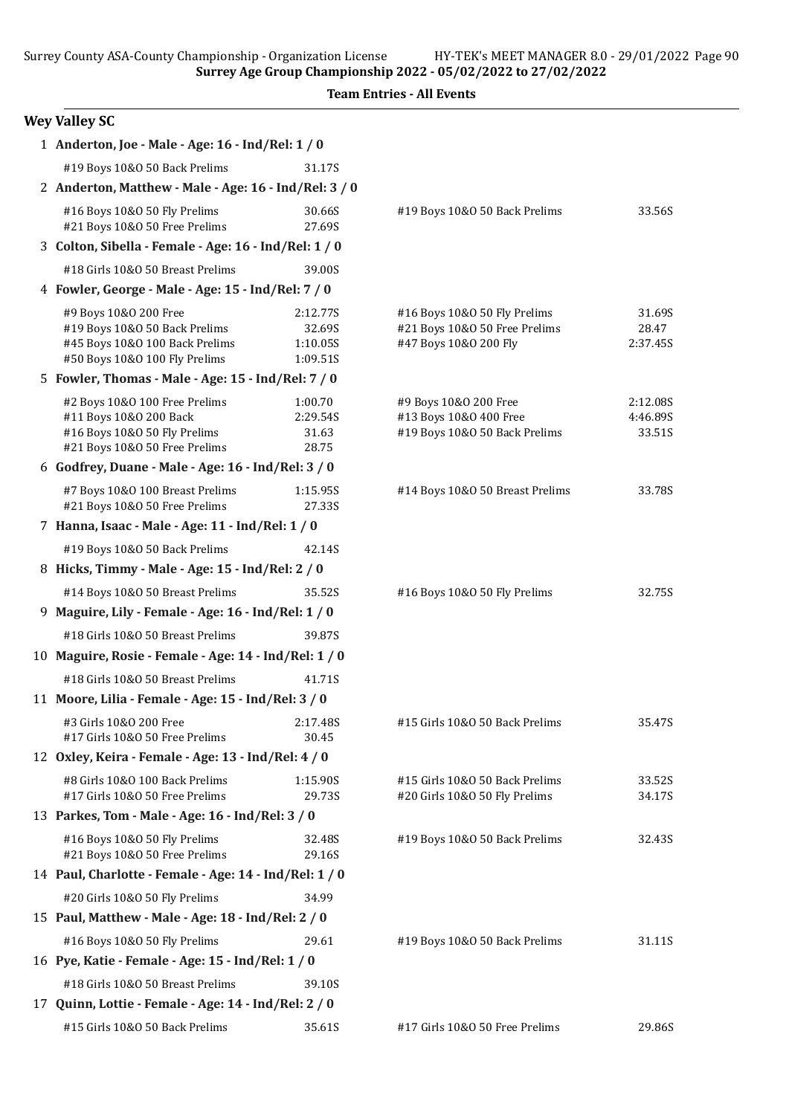Surrey Age Group Championship 2022 - 05/02/2022 to 27/02/2022

| <b>Wey Valley SC</b> |  |  |  |
|----------------------|--|--|--|
|----------------------|--|--|--|

| 1 Anderton, Joe - Male - Age: 16 - Ind/Rel: 1 / 0                |                      |                                 |          |  |
|------------------------------------------------------------------|----------------------|---------------------------------|----------|--|
| #19 Boys 10&0 50 Back Prelims                                    | 31.17S               |                                 |          |  |
| 2 Anderton, Matthew - Male - Age: 16 - Ind/Rel: 3 / 0            |                      |                                 |          |  |
| #16 Boys 10&0 50 Fly Prelims<br>#21 Boys 10&0 50 Free Prelims    | 30.66S<br>27.69S     | #19 Boys 10&0 50 Back Prelims   | 33.56S   |  |
| 3 Colton, Sibella - Female - Age: 16 - Ind/Rel: 1 / 0            |                      |                                 |          |  |
| #18 Girls 10&0 50 Breast Prelims                                 | 39.00S               |                                 |          |  |
| 4 Fowler, George - Male - Age: 15 - Ind/Rel: 7 / 0               |                      |                                 |          |  |
| #9 Boys 10&0 200 Free                                            | 2:12.77S             | #16 Boys 10&0 50 Fly Prelims    | 31.69S   |  |
| #19 Boys 10&0 50 Back Prelims                                    | 32.69S               | #21 Boys 10&0 50 Free Prelims   | 28.47    |  |
| #45 Boys 10&0 100 Back Prelims<br>#50 Boys 10&0 100 Fly Prelims  | 1:10.05S<br>1:09.51S | #47 Boys 10&0 200 Fly           | 2:37.45S |  |
| 5 Fowler, Thomas - Male - Age: 15 - Ind/Rel: 7 / 0               |                      |                                 |          |  |
| #2 Boys 10&0 100 Free Prelims                                    | 1:00.70              | #9 Boys 10&0 200 Free           | 2:12.08S |  |
| #11 Boys 10&0 200 Back                                           | 2:29.54S             | #13 Boys 10&0 400 Free          | 4:46.89S |  |
| #16 Boys 10&0 50 Fly Prelims                                     | 31.63                | #19 Boys 10&0 50 Back Prelims   | 33.51S   |  |
| #21 Boys 10&0 50 Free Prelims                                    | 28.75                |                                 |          |  |
| 6 Godfrey, Duane - Male - Age: 16 - Ind/Rel: 3 / 0               |                      |                                 |          |  |
| #7 Boys 10&0 100 Breast Prelims<br>#21 Boys 10&0 50 Free Prelims | 1:15.95S<br>27.33S   | #14 Boys 10&0 50 Breast Prelims | 33.78S   |  |
| 7 Hanna, Isaac - Male - Age: 11 - Ind/Rel: 1 / 0                 |                      |                                 |          |  |
| #19 Boys 10&0 50 Back Prelims                                    | 42.14S               |                                 |          |  |
| 8 Hicks, Timmy - Male - Age: 15 - Ind/Rel: 2 / 0                 |                      |                                 |          |  |
| #14 Boys 10&0 50 Breast Prelims                                  | 35.52S               | #16 Boys 10&0 50 Fly Prelims    | 32.75S   |  |
| 9 Maguire, Lily - Female - Age: 16 - Ind/Rel: 1 / 0              |                      |                                 |          |  |
| #18 Girls 10&0 50 Breast Prelims                                 | 39.87S               |                                 |          |  |
| 10 Maguire, Rosie - Female - Age: 14 - Ind/Rel: 1 / 0            |                      |                                 |          |  |
| #18 Girls 10&0 50 Breast Prelims                                 | 41.71S               |                                 |          |  |
| 11 Moore, Lilia - Female - Age: 15 - Ind/Rel: 3 / 0              |                      |                                 |          |  |
| #3 Girls 10&0 200 Free<br>#17 Girls 10&0 50 Free Prelims         | 2:17.48S<br>30.45    | #15 Girls 10&0 50 Back Prelims  | 35.47S   |  |
| 12 Oxley, Keira - Female - Age: 13 - Ind/Rel: 4 / 0              |                      |                                 |          |  |
| #8 Girls 10&0 100 Back Prelims                                   | 1:15.90S             | #15 Girls 10&0 50 Back Prelims  | 33.52S   |  |
| #17 Girls 10&0 50 Free Prelims                                   | 29.73S               | #20 Girls 10&O 50 Fly Prelims   | 34.17S   |  |
| 13 Parkes, Tom - Male - Age: 16 - Ind/Rel: 3 / 0                 |                      |                                 |          |  |
| #16 Boys 10&0 50 Fly Prelims<br>#21 Boys 10&0 50 Free Prelims    | 32.48S<br>29.16S     | #19 Boys 10&0 50 Back Prelims   | 32.43S   |  |
| 14 Paul, Charlotte - Female - Age: 14 - Ind/Rel: 1 / 0           |                      |                                 |          |  |
| #20 Girls 10&O 50 Fly Prelims                                    | 34.99                |                                 |          |  |
| 15 Paul, Matthew - Male - Age: 18 - Ind/Rel: 2 / 0               |                      |                                 |          |  |
| #16 Boys 10&0 50 Fly Prelims                                     | 29.61                | #19 Boys 10&0 50 Back Prelims   | 31.11S   |  |
| 16 Pye, Katie - Female - Age: 15 - Ind/Rel: 1 / 0                |                      |                                 |          |  |
| #18 Girls 10&0 50 Breast Prelims                                 | 39.10S               |                                 |          |  |
| 17 Quinn, Lottie - Female - Age: 14 - Ind/Rel: 2 / 0             |                      |                                 |          |  |
| #15 Girls 10&0 50 Back Prelims                                   | 35.61S               | #17 Girls 10&O 50 Free Prelims  | 29.86S   |  |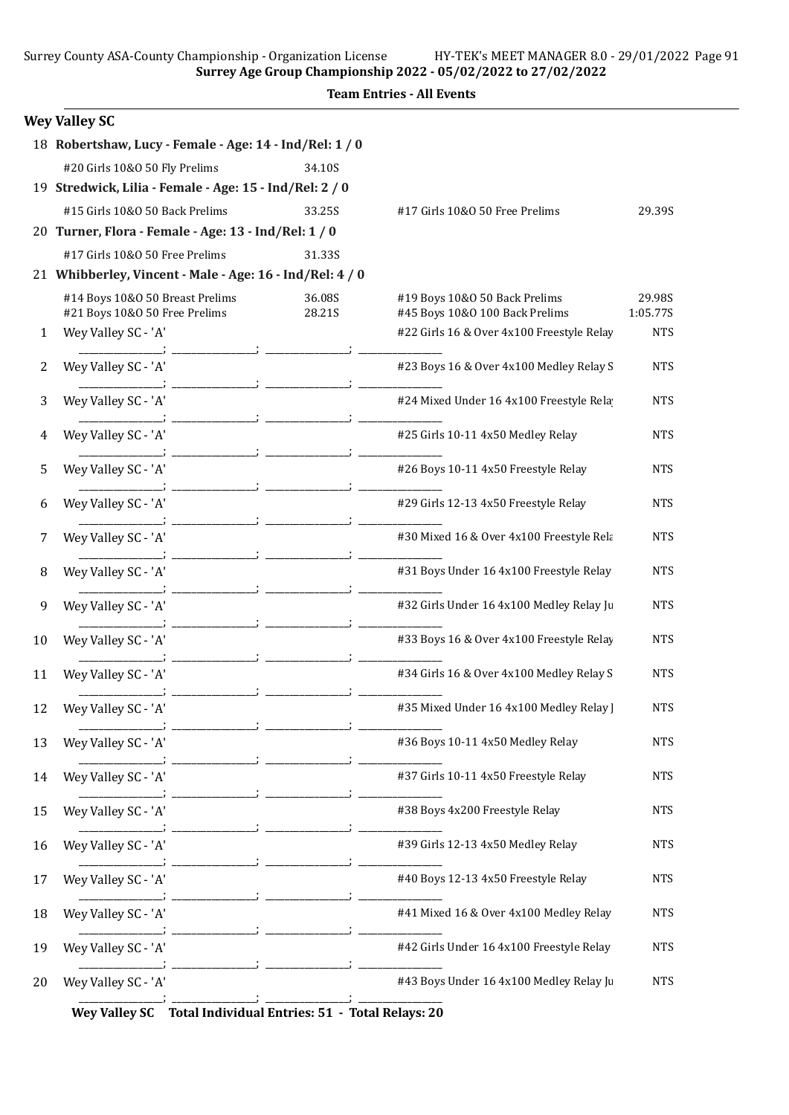Surrey Age Group Championship 2022 - 05/02/2022 to 27/02/2022

Team Entries - All Events

|              | <b>Wey Valley SC</b>                                             |                  |                                                                 |                    |
|--------------|------------------------------------------------------------------|------------------|-----------------------------------------------------------------|--------------------|
|              | 18 Robertshaw, Lucy - Female - Age: 14 - Ind/Rel: 1 / 0          |                  |                                                                 |                    |
|              | #20 Girls 10&O 50 Fly Prelims                                    | 34.10S           |                                                                 |                    |
|              | 19 Stredwick, Lilia - Female - Age: 15 - Ind/Rel: 2 / 0          |                  |                                                                 |                    |
|              | #15 Girls 10&0 50 Back Prelims                                   | 33.25S           | #17 Girls 10&O 50 Free Prelims                                  | 29.39S             |
|              | 20 Turner, Flora - Female - Age: 13 - Ind/Rel: 1 / 0             |                  |                                                                 |                    |
|              | #17 Girls 10&0 50 Free Prelims                                   | 31.33S           |                                                                 |                    |
|              | 21 Whibberley, Vincent - Male - Age: 16 - Ind/Rel: 4 / 0         |                  |                                                                 |                    |
|              | #14 Boys 10&0 50 Breast Prelims<br>#21 Boys 10&0 50 Free Prelims | 36.08S<br>28.21S | #19 Boys 10&0 50 Back Prelims<br>#45 Boys 10&0 100 Back Prelims | 29.98S<br>1:05.77S |
| $\mathbf{1}$ | Wey Valley SC - 'A'                                              |                  | #22 Girls 16 & Over 4x100 Freestyle Relay                       | <b>NTS</b>         |
| 2            | Wey Valley SC - 'A'                                              |                  | #23 Boys 16 & Over 4x100 Medley Relay S                         | <b>NTS</b>         |
| 3            | Wey Valley SC - 'A'                                              |                  | #24 Mixed Under 16 4x100 Freestyle Rela                         | <b>NTS</b>         |
| 4            | Wey Valley SC - 'A'                                              |                  | #25 Girls 10-11 4x50 Medley Relay                               | <b>NTS</b>         |
| 5            | Wey Valley SC - 'A'                                              |                  | #26 Boys 10-11 4x50 Freestyle Relay                             | <b>NTS</b>         |
| 6            | Wey Valley SC - 'A'                                              |                  | #29 Girls 12-13 4x50 Freestyle Relay                            | <b>NTS</b>         |
| 7            | Wey Valley SC - 'A'                                              |                  | #30 Mixed 16 & Over 4x100 Freestyle Rela                        | <b>NTS</b>         |
| 8            | Wey Valley SC - 'A'                                              |                  | #31 Boys Under 16 4x100 Freestyle Relay                         | <b>NTS</b>         |
| 9            | Wey Valley SC - 'A'                                              |                  | #32 Girls Under 16 4x100 Medley Relay Ju                        | <b>NTS</b>         |
| 10           | Wey Valley SC - 'A'                                              |                  | #33 Boys 16 & Over 4x100 Freestyle Relay                        | <b>NTS</b>         |
| 11           | Wey Valley SC - 'A'                                              |                  | #34 Girls 16 & Over 4x100 Medley Relay S                        | <b>NTS</b>         |
| 12           | Wey Valley SC - 'A'                                              |                  | #35 Mixed Under 16 4x100 Medley Relay                           | <b>NTS</b>         |
| 13           | Wey Valley SC - 'A'                                              |                  | #36 Boys 10-11 4x50 Medley Relay                                | <b>NTS</b>         |
| 14           | Wey Valley SC - 'A'                                              |                  | #37 Girls 10-11 4x50 Freestyle Relay                            | ${\rm NTS}$        |
| 15           | Wey Valley SC - 'A'                                              |                  | #38 Boys 4x200 Freestyle Relay                                  | <b>NTS</b>         |
| 16           | Wey Valley SC - 'A'                                              |                  | #39 Girls 12-13 4x50 Medley Relay                               | <b>NTS</b>         |
| 17           | Wey Valley SC - 'A'                                              |                  | #40 Boys 12-13 4x50 Freestyle Relay                             | <b>NTS</b>         |
| 18           | Wey Valley SC - 'A'                                              |                  | #41 Mixed 16 & Over 4x100 Medley Relay                          | <b>NTS</b>         |
| 19           | Wey Valley SC - 'A'                                              |                  | #42 Girls Under 16 4x100 Freestyle Relay                        | <b>NTS</b>         |
| 20           | Wey Valley SC - 'A'                                              |                  | #43 Boys Under 16 4x100 Medley Relay Ju                         | <b>NTS</b>         |

Wey Valley SC Total Individual Entries: 51 - Total Relays: 20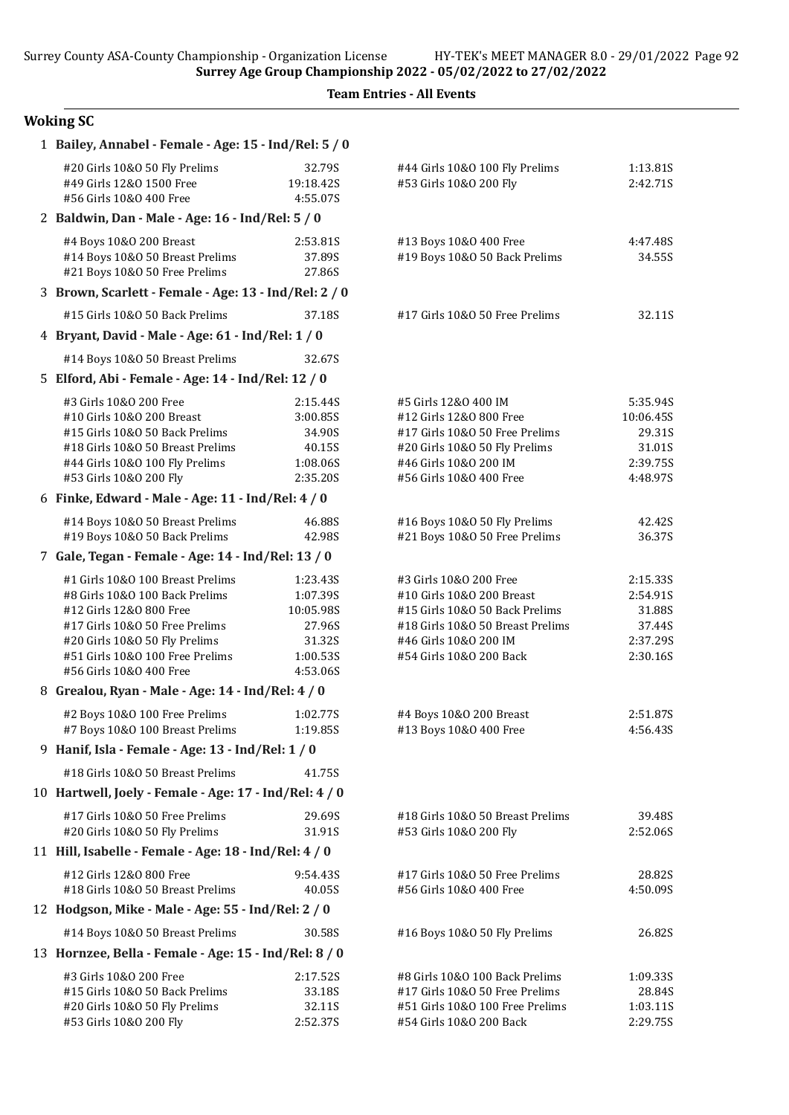### Woking SC

| 1 Bailey, Annabel - Female - Age: 15 - Ind/Rel: 5 / 0                                                                                                                                                                          |                                                                               |                                                                                                                                                                               |                                                                   |
|--------------------------------------------------------------------------------------------------------------------------------------------------------------------------------------------------------------------------------|-------------------------------------------------------------------------------|-------------------------------------------------------------------------------------------------------------------------------------------------------------------------------|-------------------------------------------------------------------|
| #20 Girls 10&O 50 Fly Prelims<br>#49 Girls 12&0 1500 Free<br>#56 Girls 10&0 400 Free                                                                                                                                           | 32.79S<br>19:18.42S<br>4:55.07S                                               | #44 Girls 10&0 100 Fly Prelims<br>#53 Girls 10&0 200 Fly                                                                                                                      | 1:13.81S<br>2:42.71S                                              |
| 2 Baldwin, Dan - Male - Age: 16 - Ind/Rel: 5 / 0                                                                                                                                                                               |                                                                               |                                                                                                                                                                               |                                                                   |
| #4 Boys 10&0 200 Breast<br>#14 Boys 10&0 50 Breast Prelims<br>#21 Boys 10&0 50 Free Prelims                                                                                                                                    | 2:53.81S<br>37.89S<br>27.86S                                                  | #13 Boys 10&0 400 Free<br>#19 Boys 10&0 50 Back Prelims                                                                                                                       | 4:47.48S<br>34.55S                                                |
| 3 Brown, Scarlett - Female - Age: 13 - Ind/Rel: 2 / 0                                                                                                                                                                          |                                                                               |                                                                                                                                                                               |                                                                   |
| #15 Girls 10&O 50 Back Prelims                                                                                                                                                                                                 | 37.18S                                                                        | #17 Girls 10&0 50 Free Prelims                                                                                                                                                | 32.11S                                                            |
| 4 Bryant, David - Male - Age: 61 - Ind/Rel: 1 / 0                                                                                                                                                                              |                                                                               |                                                                                                                                                                               |                                                                   |
| #14 Boys 10&0 50 Breast Prelims                                                                                                                                                                                                | 32.67S                                                                        |                                                                                                                                                                               |                                                                   |
| 5 Elford, Abi - Female - Age: 14 - Ind/Rel: 12 / 0                                                                                                                                                                             |                                                                               |                                                                                                                                                                               |                                                                   |
| #3 Girls 10&0 200 Free<br>#10 Girls 10&0 200 Breast<br>#15 Girls 10&0 50 Back Prelims<br>#18 Girls 10&0 50 Breast Prelims<br>#44 Girls 10&0 100 Fly Prelims<br>#53 Girls 10&0 200 Fly                                          | 2:15.44S<br>3:00.85S<br>34.90S<br>40.15S<br>1:08.06S<br>2:35.20S              | #5 Girls 12&0 400 IM<br>#12 Girls 12&0 800 Free<br>#17 Girls 10&0 50 Free Prelims<br>#20 Girls 10&O 50 Fly Prelims<br>#46 Girls 10&0 200 IM<br>#56 Girls 10&0 400 Free        | 5:35.94S<br>10:06.45S<br>29.31S<br>31.01S<br>2:39.75S<br>4:48.97S |
| 6 Finke, Edward - Male - Age: 11 - Ind/Rel: 4 / 0                                                                                                                                                                              |                                                                               |                                                                                                                                                                               |                                                                   |
| #14 Boys 10&0 50 Breast Prelims<br>#19 Boys 10&0 50 Back Prelims                                                                                                                                                               | 46.88S<br>42.98S                                                              | #16 Boys 10&0 50 Fly Prelims<br>#21 Boys 10&0 50 Free Prelims                                                                                                                 | 42.42S<br>36.37S                                                  |
| 7 Gale, Tegan - Female - Age: 14 - Ind/Rel: 13 / 0                                                                                                                                                                             |                                                                               |                                                                                                                                                                               |                                                                   |
| #1 Girls 10&0 100 Breast Prelims<br>#8 Girls 10&0 100 Back Prelims<br>#12 Girls 12&0 800 Free<br>#17 Girls 10&0 50 Free Prelims<br>#20 Girls 10&O 50 Fly Prelims<br>#51 Girls 10&0 100 Free Prelims<br>#56 Girls 10&0 400 Free | 1:23.43S<br>1:07.39S<br>10:05.98S<br>27.96S<br>31.32S<br>1:00.53S<br>4:53.06S | #3 Girls 10&0 200 Free<br>#10 Girls 10&0 200 Breast<br>#15 Girls 10&0 50 Back Prelims<br>#18 Girls 10&0 50 Breast Prelims<br>#46 Girls 10&0 200 IM<br>#54 Girls 10&0 200 Back | 2:15.335<br>2:54.91S<br>31.88S<br>37.44S<br>2:37.29S<br>2:30.16S  |
| 8 Grealou, Ryan - Male - Age: 14 - Ind/Rel: 4 / 0                                                                                                                                                                              |                                                                               |                                                                                                                                                                               |                                                                   |
| #2 Boys 10&0 100 Free Prelims<br>#7 Boys 10&0 100 Breast Prelims<br>9 Hanif, Isla - Female - Age: 13 - Ind/Rel: 1 / 0                                                                                                          | 1:02.77S<br>1:19.85S                                                          | #4 Boys 10&0 200 Breast<br>#13 Boys 10&0 400 Free                                                                                                                             | 2:51.87S<br>4:56.43S                                              |
| #18 Girls 10&0 50 Breast Prelims                                                                                                                                                                                               | 41.75S                                                                        |                                                                                                                                                                               |                                                                   |
| 10 Hartwell, Joely - Female - Age: 17 - Ind/Rel: 4 / 0                                                                                                                                                                         |                                                                               |                                                                                                                                                                               |                                                                   |
| #17 Girls 10&0 50 Free Prelims<br>#20 Girls 10&O 50 Fly Prelims                                                                                                                                                                | 29.69S<br>31.91S                                                              | #18 Girls 10&0 50 Breast Prelims<br>#53 Girls 10&0 200 Fly                                                                                                                    | 39.48S<br>2:52.06S                                                |
| 11 Hill, Isabelle - Female - Age: 18 - Ind/Rel: 4 / 0                                                                                                                                                                          |                                                                               |                                                                                                                                                                               |                                                                   |
| #12 Girls 12&0 800 Free<br>#18 Girls 10&0 50 Breast Prelims                                                                                                                                                                    | 9:54.43S<br>40.05S                                                            | #17 Girls 10&0 50 Free Prelims<br>#56 Girls 10&0 400 Free                                                                                                                     | 28.82S<br>4:50.09S                                                |
| 12 Hodgson, Mike - Male - Age: 55 - Ind/Rel: 2 / 0                                                                                                                                                                             |                                                                               |                                                                                                                                                                               |                                                                   |
| #14 Boys 10&0 50 Breast Prelims                                                                                                                                                                                                | 30.58S                                                                        | #16 Boys 10&0 50 Fly Prelims                                                                                                                                                  | 26.82S                                                            |
| 13 Hornzee, Bella - Female - Age: 15 - Ind/Rel: 8 / 0                                                                                                                                                                          |                                                                               |                                                                                                                                                                               |                                                                   |
| #3 Girls 10&0 200 Free<br>#15 Girls 10&0 50 Back Prelims<br>#20 Girls 10&O 50 Fly Prelims<br>#53 Girls 10&0 200 Fly                                                                                                            | 2:17.52S<br>33.18S<br>32.11S<br>2:52.37S                                      | #8 Girls 10&0 100 Back Prelims<br>#17 Girls 10&0 50 Free Prelims<br>#51 Girls 10&0 100 Free Prelims<br>#54 Girls 10&0 200 Back                                                | 1:09.33S<br>28.84S<br>1:03.11S<br>2:29.75S                        |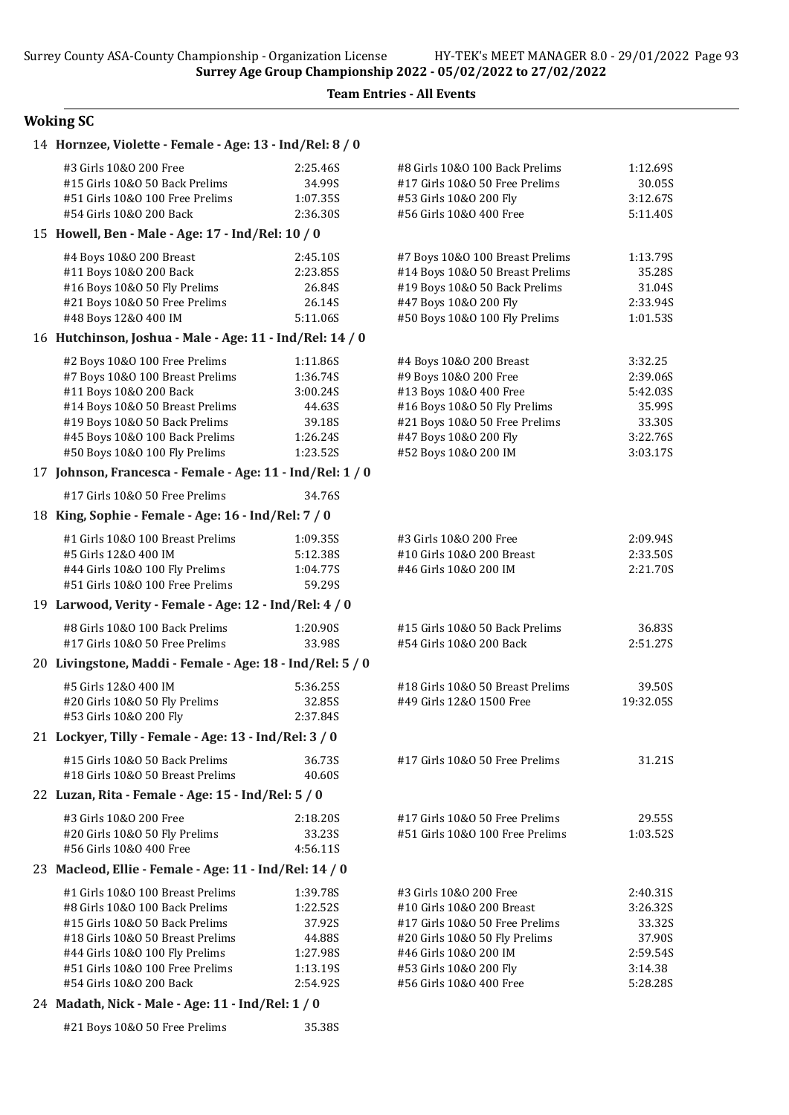# Woking SC

| 14 Hornzee, Violette - Female - Age: 13 - Ind/Rel: 8 / 0  |          |                                  |           |
|-----------------------------------------------------------|----------|----------------------------------|-----------|
| #3 Girls 10&0 200 Free                                    | 2:25.46S | #8 Girls 10&0 100 Back Prelims   | 1:12.69S  |
| #15 Girls 10&0 50 Back Prelims                            | 34.99S   | #17 Girls 10&O 50 Free Prelims   | 30.05S    |
| #51 Girls 10&0 100 Free Prelims                           | 1:07.35S | #53 Girls 10&0 200 Fly           | 3:12.67S  |
| #54 Girls 10&0 200 Back                                   | 2:36.30S | #56 Girls 10&0 400 Free          | 5:11.40S  |
| 15 Howell, Ben - Male - Age: 17 - Ind/Rel: 10 / 0         |          |                                  |           |
| #4 Boys 10&0 200 Breast                                   | 2:45.10S | #7 Boys 10&0 100 Breast Prelims  | 1:13.79S  |
| #11 Boys 10&0 200 Back                                    | 2:23.85S | #14 Boys 10&0 50 Breast Prelims  | 35.28S    |
| #16 Boys 10&0 50 Fly Prelims                              | 26.84S   | #19 Boys 10&0 50 Back Prelims    | 31.04S    |
| #21 Boys 10&0 50 Free Prelims                             | 26.14S   | #47 Boys 10&0 200 Fly            | 2:33.94S  |
| #48 Boys 12&0 400 IM                                      | 5:11.06S | #50 Boys 10&0 100 Fly Prelims    | 1:01.53S  |
| 16 Hutchinson, Joshua - Male - Age: 11 - Ind/Rel: 14 / 0  |          |                                  |           |
| #2 Boys 10&0 100 Free Prelims                             | 1:11.86S | #4 Boys 10&0 200 Breast          | 3:32.25   |
| #7 Boys 10&0 100 Breast Prelims                           | 1:36.74S | #9 Boys 10&0 200 Free            | 2:39.06S  |
| #11 Boys 10&0 200 Back                                    | 3:00.24S | #13 Boys 10&0 400 Free           | 5:42.03S  |
| #14 Boys 10&0 50 Breast Prelims                           | 44.63S   | #16 Boys 10&0 50 Fly Prelims     | 35.99S    |
| #19 Boys 10&0 50 Back Prelims                             | 39.18S   | #21 Boys 10&0 50 Free Prelims    | 33.30S    |
| #45 Boys 10&0 100 Back Prelims                            | 1:26.24S | #47 Boys 10&0 200 Fly            | 3:22.76S  |
| #50 Boys 10&0 100 Fly Prelims                             | 1:23.52S | #52 Boys 10&0 200 IM             | 3:03.17S  |
| 17 Johnson, Francesca - Female - Age: 11 - Ind/Rel: 1 / 0 |          |                                  |           |
| #17 Girls 10&0 50 Free Prelims                            | 34.76S   |                                  |           |
| 18 King, Sophie - Female - Age: 16 - Ind/Rel: 7 / 0       |          |                                  |           |
| #1 Girls 10&0 100 Breast Prelims                          | 1:09.35S | #3 Girls 10&0 200 Free           | 2:09.94S  |
| #5 Girls 12&0 400 IM                                      | 5:12.38S | #10 Girls 10&0 200 Breast        | 2:33.50S  |
| #44 Girls 10&0 100 Fly Prelims                            | 1:04.77S | #46 Girls 10&0 200 IM            | 2:21.70S  |
| #51 Girls 10&0 100 Free Prelims                           | 59.29S   |                                  |           |
| 19 Larwood, Verity - Female - Age: 12 - Ind/Rel: 4 / 0    |          |                                  |           |
| #8 Girls 10&0 100 Back Prelims                            | 1:20.90S | #15 Girls 10&0 50 Back Prelims   | 36.83S    |
| #17 Girls 10&0 50 Free Prelims                            | 33.98S   | #54 Girls 10&0 200 Back          | 2:51.27S  |
| 20 Livingstone, Maddi - Female - Age: 18 - Ind/Rel: 5 / 0 |          |                                  |           |
| #5 Girls 12&0 400 IM                                      | 5:36.25S | #18 Girls 10&0 50 Breast Prelims | 39.50S    |
| #20 Girls 10&O 50 Fly Prelims                             | 32.85S   | #49 Girls 12&0 1500 Free         | 19:32.05S |
| #53 Girls 10&0 200 Fly                                    | 2:37.84S |                                  |           |
| 21 Lockyer, Tilly - Female - Age: 13 - Ind/Rel: 3 / 0     |          |                                  |           |
| #15 Girls 10&0 50 Back Prelims                            | 36.73S   | #17 Girls 10&O 50 Free Prelims   | 31.21S    |
| #18 Girls 10&0 50 Breast Prelims                          | 40.60S   |                                  |           |
| 22 Luzan, Rita - Female - Age: 15 - Ind/Rel: 5 / 0        |          |                                  |           |
| #3 Girls 10&0 200 Free                                    | 2:18.20S | #17 Girls 10&0 50 Free Prelims   | 29.55S    |
| #20 Girls 10&0 50 Fly Prelims                             | 33.23S   | #51 Girls 10&0 100 Free Prelims  | 1:03.52S  |
| #56 Girls 10&0 400 Free                                   | 4:56.11S |                                  |           |
| 23 Macleod, Ellie - Female - Age: 11 - Ind/Rel: 14 / 0    |          |                                  |           |
| #1 Girls 10&0 100 Breast Prelims                          | 1:39.78S | #3 Girls 10&0 200 Free           | 2:40.31S  |
| #8 Girls 10&0 100 Back Prelims                            | 1:22.52S | #10 Girls 10&0 200 Breast        | 3:26.32S  |
| #15 Girls 10&0 50 Back Prelims                            | 37.92S   | #17 Girls 10&0 50 Free Prelims   | 33.32S    |
| #18 Girls 10&0 50 Breast Prelims                          | 44.88S   | #20 Girls 10&O 50 Fly Prelims    | 37.90S    |
| #44 Girls 10&0 100 Fly Prelims                            | 1:27.98S | #46 Girls 10&0 200 IM            | 2:59.54S  |
| #51 Girls 10&0 100 Free Prelims                           | 1:13.19S | #53 Girls 10&0 200 Fly           | 3:14.38   |
| #54 Girls 10&0 200 Back                                   | 2:54.92S | #56 Girls 10&0 400 Free          | 5:28.28S  |
| 24 Madath, Nick - Male - Age: 11 - Ind/Rel: 1 / 0         |          |                                  |           |
| #21 Boys 10&0 50 Free Prelims                             | 35.38S   |                                  |           |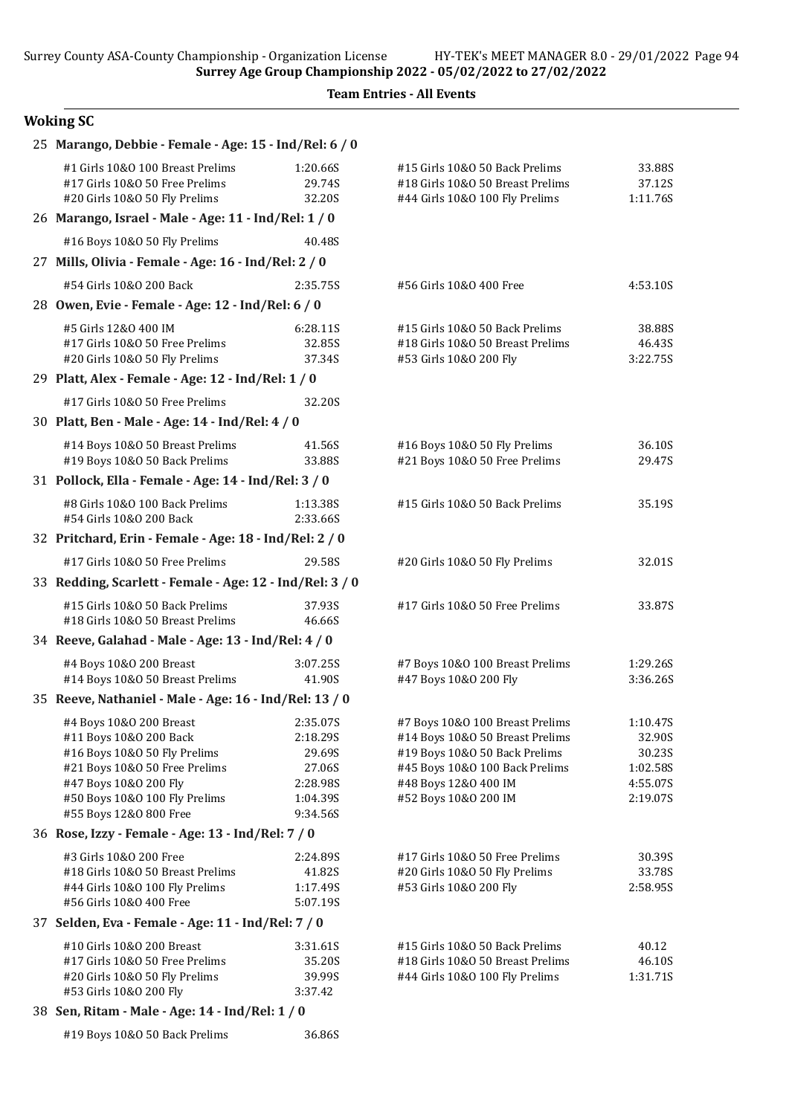Surrey Age Group Championship 2022 - 05/02/2022 to 27/02/2022

Team Entries - All Events

# Woking SC

| 25 Marango, Debbie - Female - Age: 15 - Ind/Rel: 6 / 0                                |                    |                                                                    |                    |
|---------------------------------------------------------------------------------------|--------------------|--------------------------------------------------------------------|--------------------|
| #1 Girls 10&0 100 Breast Prelims                                                      | 1:20.66S           | #15 Girls 10&0 50 Back Prelims                                     | 33.88S             |
| #17 Girls 10&0 50 Free Prelims                                                        | 29.74S             | #18 Girls 10&0 50 Breast Prelims                                   | 37.12S             |
| #20 Girls 10&0 50 Fly Prelims<br>26 Marango, Israel - Male - Age: 11 - Ind/Rel: 1 / 0 | 32.20S             | #44 Girls 10&0 100 Fly Prelims                                     | 1:11.76S           |
| #16 Boys 10&0 50 Fly Prelims                                                          | 40.48S             |                                                                    |                    |
| 27 Mills, Olivia - Female - Age: 16 - Ind/Rel: 2 / 0                                  |                    |                                                                    |                    |
| #54 Girls 10&0 200 Back                                                               | 2:35.75\$          | #56 Girls 10&0 400 Free                                            | 4:53.10S           |
| 28 Owen, Evie - Female - Age: 12 - Ind/Rel: 6 / 0                                     |                    |                                                                    |                    |
|                                                                                       |                    |                                                                    |                    |
| #5 Girls 12&0 400 IM<br>#17 Girls 10&0 50 Free Prelims                                | 6:28.11S<br>32.85S | #15 Girls 10&0 50 Back Prelims<br>#18 Girls 10&0 50 Breast Prelims | 38.88S<br>46.43S   |
| #20 Girls 10&0 50 Fly Prelims                                                         | 37.34S             | #53 Girls 10&0 200 Fly                                             | 3:22.75S           |
| 29 Platt, Alex - Female - Age: 12 - Ind/Rel: 1 / 0                                    |                    |                                                                    |                    |
| #17 Girls 10&0 50 Free Prelims                                                        | 32.20S             |                                                                    |                    |
| 30 Platt, Ben - Male - Age: 14 - Ind/Rel: 4 / 0                                       |                    |                                                                    |                    |
| #14 Boys 10&0 50 Breast Prelims                                                       | 41.56S             | #16 Boys 10&0 50 Fly Prelims                                       | 36.10S             |
| #19 Boys 10&0 50 Back Prelims                                                         | 33.88S             | #21 Boys 10&0 50 Free Prelims                                      | 29.47S             |
| 31 Pollock, Ella - Female - Age: 14 - Ind/Rel: 3 / 0                                  |                    |                                                                    |                    |
| #8 Girls 10&0 100 Back Prelims                                                        | 1:13.38S           | #15 Girls 10&0 50 Back Prelims                                     | 35.19S             |
| #54 Girls 10&0 200 Back                                                               | 2:33.66S           |                                                                    |                    |
| 32 Pritchard, Erin - Female - Age: 18 - Ind/Rel: 2 / 0                                |                    |                                                                    |                    |
| #17 Girls 10&0 50 Free Prelims                                                        | 29.58S             | #20 Girls 10&O 50 Fly Prelims                                      | 32.01S             |
| 33 Redding, Scarlett - Female - Age: 12 - Ind/Rel: 3 / 0                              |                    |                                                                    |                    |
| #15 Girls 10&0 50 Back Prelims                                                        | 37.93S             | #17 Girls 10&0 50 Free Prelims                                     | 33.87S             |
| #18 Girls 10&0 50 Breast Prelims                                                      | 46.66S             |                                                                    |                    |
| 34 Reeve, Galahad - Male - Age: 13 - Ind/Rel: 4 / 0                                   |                    |                                                                    |                    |
| #4 Boys 10&0 200 Breast                                                               | 3:07.25S           | #7 Boys 10&0 100 Breast Prelims                                    | 1:29.26S           |
| #14 Boys 10&0 50 Breast Prelims                                                       | 41.90S             | #47 Boys 10&0 200 Fly                                              | 3:36.26S           |
| 35 Reeve, Nathaniel - Male - Age: 16 - Ind/Rel: 13 / 0                                |                    |                                                                    |                    |
| #4 Boys 10&0 200 Breast                                                               | 2:35.07S           | #7 Boys 10&0 100 Breast Prelims                                    | 1:10.47S           |
| #11 Boys 10&0 200 Back                                                                | 2:18.29S           | #14 Boys 10&0 50 Breast Prelims                                    | 32.90S             |
| #16 Boys 10&0 50 Fly Prelims<br>#21 Boys 10&0 50 Free Prelims                         | 29.69S<br>27.06S   | #19 Boys 10&0 50 Back Prelims<br>#45 Boys 10&0 100 Back Prelims    | 30.23S<br>1:02.58S |
| #47 Boys 10&0 200 Fly                                                                 | 2:28.98S           | #48 Boys 12&0 400 IM                                               | 4:55.07S           |
| #50 Boys 10&0 100 Fly Prelims                                                         | 1:04.39S           | #52 Boys 10&0 200 IM                                               | 2:19.07S           |
| #55 Boys 12&0 800 Free                                                                | 9:34.56S           |                                                                    |                    |
| 36 Rose, Izzy - Female - Age: 13 - Ind/Rel: 7 / 0                                     |                    |                                                                    |                    |
| #3 Girls 10&0 200 Free                                                                | 2:24.89S           | #17 Girls 10&0 50 Free Prelims                                     | 30.39S             |
| #18 Girls 10&0 50 Breast Prelims                                                      | 41.82S             | #20 Girls 10&O 50 Fly Prelims                                      | 33.78S             |
| #44 Girls 10&0 100 Fly Prelims                                                        | 1:17.49S           | #53 Girls 10&0 200 Fly                                             | 2:58.95S           |
| #56 Girls 10&0 400 Free                                                               | 5:07.19S           |                                                                    |                    |
| 37 Selden, Eva - Female - Age: 11 - Ind/Rel: 7 / 0                                    |                    |                                                                    |                    |
| #10 Girls 10&0 200 Breast                                                             | 3:31.61S           | #15 Girls 10&0 50 Back Prelims                                     | 40.12              |
| #17 Girls 10&0 50 Free Prelims                                                        | 35.20S             | #18 Girls 10&0 50 Breast Prelims                                   | 46.10S             |
| #20 Girls 10&O 50 Fly Prelims<br>#53 Girls 10&0 200 Fly                               | 39.99S<br>3:37.42  | #44 Girls 10&0 100 Fly Prelims                                     | 1:31.71S           |
| 38 Sen, Ritam - Male - Age: 14 - Ind/Rel: 1 / 0                                       |                    |                                                                    |                    |

#19 Boys 10&O 50 Back Prelims 36.86S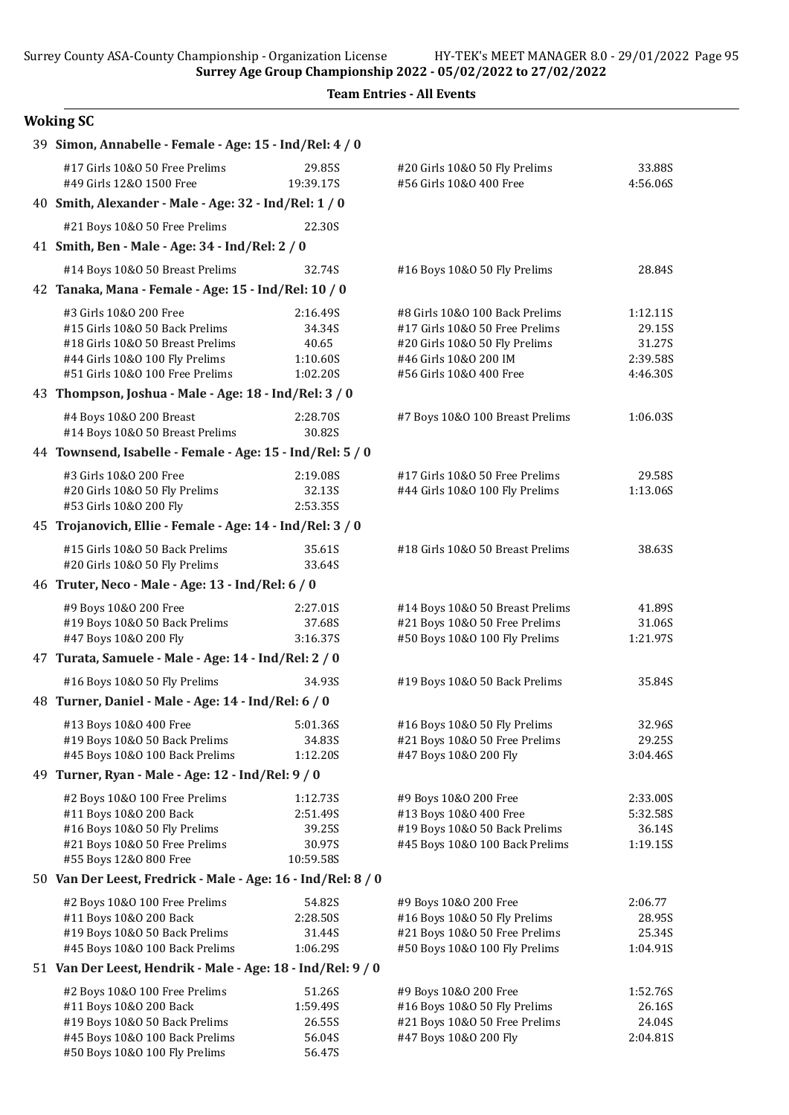Surrey Age Group Championship 2022 - 05/02/2022 to 27/02/2022

Team Entries - All Events

# Woking SC

| 39 Simon, Annabelle - Female - Age: 15 - Ind/Rel: 4 / 0 |                                                                 |                                                      |                                                                |                    |  |  |  |
|---------------------------------------------------------|-----------------------------------------------------------------|------------------------------------------------------|----------------------------------------------------------------|--------------------|--|--|--|
|                                                         | #17 Girls 10&0 50 Free Prelims<br>#49 Girls 12&0 1500 Free      | 29.85S<br>19:39.17S                                  | #20 Girls 10&O 50 Fly Prelims<br>#56 Girls 10&0 400 Free       | 33.88S<br>4:56.06S |  |  |  |
|                                                         | 40 Smith, Alexander - Male - Age: 32 - Ind/Rel: 1 / 0           |                                                      |                                                                |                    |  |  |  |
|                                                         | #21 Boys 10&0 50 Free Prelims                                   | 22.30S                                               |                                                                |                    |  |  |  |
|                                                         | 41 Smith, Ben - Male - Age: 34 - Ind/Rel: 2 / 0                 |                                                      |                                                                |                    |  |  |  |
|                                                         | #14 Boys 10&0 50 Breast Prelims                                 | 32.74S                                               | #16 Boys 10&0 50 Fly Prelims                                   | 28.84S             |  |  |  |
|                                                         |                                                                 | 42 Tanaka, Mana - Female - Age: 15 - Ind/Rel: 10 / 0 |                                                                |                    |  |  |  |
|                                                         | #3 Girls 10&0 200 Free                                          | 2:16.49S                                             | #8 Girls 10&0 100 Back Prelims                                 | 1:12.11S           |  |  |  |
|                                                         | #15 Girls 10&0 50 Back Prelims                                  | 34.34S                                               | #17 Girls 10&0 50 Free Prelims                                 | 29.15S             |  |  |  |
|                                                         | #18 Girls 10&0 50 Breast Prelims                                | 40.65                                                | #20 Girls 10&O 50 Fly Prelims                                  | 31.27S             |  |  |  |
|                                                         | #44 Girls 10&0 100 Fly Prelims                                  | 1:10.60S                                             | #46 Girls 10&0 200 IM                                          | 2:39.58S           |  |  |  |
|                                                         | #51 Girls 10&0 100 Free Prelims                                 | 1:02.20S                                             | #56 Girls 10&0 400 Free                                        | 4:46.30S           |  |  |  |
|                                                         | 43 Thompson, Joshua - Male - Age: 18 - Ind/Rel: 3 / 0           |                                                      |                                                                |                    |  |  |  |
|                                                         | #4 Boys 10&0 200 Breast<br>#14 Boys 10&0 50 Breast Prelims      | 2:28.70S<br>30.82S                                   | #7 Boys 10&0 100 Breast Prelims                                | 1:06.03S           |  |  |  |
|                                                         | 44 Townsend, Isabelle - Female - Age: 15 - Ind/Rel: 5 / 0       |                                                      |                                                                |                    |  |  |  |
|                                                         | #3 Girls 10&0 200 Free                                          | 2:19.08S                                             | #17 Girls 10&0 50 Free Prelims                                 | 29.58S             |  |  |  |
|                                                         | #20 Girls 10&0 50 Fly Prelims                                   | 32.13S                                               | #44 Girls 10&0 100 Fly Prelims                                 | 1:13.06S           |  |  |  |
|                                                         | #53 Girls 10&0 200 Fly                                          | 2:53.35S                                             |                                                                |                    |  |  |  |
|                                                         | 45 Trojanovich, Ellie - Female - Age: 14 - Ind/Rel: 3 / 0       |                                                      |                                                                |                    |  |  |  |
|                                                         | #15 Girls 10&0 50 Back Prelims<br>#20 Girls 10&0 50 Fly Prelims | 35.61S<br>33.64S                                     | #18 Girls 10&0 50 Breast Prelims                               | 38.63S             |  |  |  |
|                                                         | 46 Truter, Neco - Male - Age: 13 - Ind/Rel: 6 / 0               |                                                      |                                                                |                    |  |  |  |
|                                                         | #9 Boys 10&0 200 Free                                           | 2:27.01S                                             | #14 Boys 10&0 50 Breast Prelims                                | 41.89S             |  |  |  |
|                                                         | #19 Boys 10&0 50 Back Prelims                                   | 37.68S                                               | #21 Boys 10&0 50 Free Prelims                                  | 31.06S             |  |  |  |
|                                                         | #47 Boys 10&0 200 Fly                                           | 3:16.37S                                             | #50 Boys 10&0 100 Fly Prelims                                  | 1:21.97S           |  |  |  |
|                                                         | 47 Turata, Samuele - Male - Age: 14 - Ind/Rel: 2 / 0            |                                                      |                                                                |                    |  |  |  |
|                                                         | #16 Boys 10&0 50 Fly Prelims                                    | 34.93S                                               | #19 Boys 10&0 50 Back Prelims                                  | 35.84S             |  |  |  |
|                                                         |                                                                 | 48 Turner, Daniel - Male - Age: 14 - Ind/Rel: 6 / 0  |                                                                |                    |  |  |  |
|                                                         | #13 Boys 10&0 400 Free                                          | 5:01.36S                                             | #16 Boys 10&0 50 Fly Prelims                                   | 32.96S             |  |  |  |
|                                                         | #19 Boys 10&O 50 Back Prelims                                   | 34.83S                                               | #21 Boys 10&0 50 Free Prelims                                  | 29.25S             |  |  |  |
|                                                         | #45 Boys 10&0 100 Back Prelims                                  | 1:12.20S                                             | #47 Boys 10&0 200 Fly                                          | 3:04.46S           |  |  |  |
|                                                         | 49 Turner, Ryan - Male - Age: 12 - Ind/Rel: 9 / 0               |                                                      |                                                                |                    |  |  |  |
|                                                         | #2 Boys 10&0 100 Free Prelims                                   | 1:12.73S                                             | #9 Boys 10&O 200 Free                                          | 2:33.00S           |  |  |  |
|                                                         | #11 Boys 10&0 200 Back                                          | 2:51.49S                                             | #13 Boys 10&0 400 Free                                         | 5:32.58S           |  |  |  |
|                                                         | #16 Boys 10&0 50 Fly Prelims                                    | 39.25S                                               | #19 Boys 10&0 50 Back Prelims                                  | 36.14S             |  |  |  |
|                                                         | #21 Boys 10&0 50 Free Prelims                                   | 30.97S                                               | #45 Boys 10&0 100 Back Prelims                                 | 1:19.15S           |  |  |  |
|                                                         | #55 Boys 12&0 800 Free                                          | 10:59.58S                                            |                                                                |                    |  |  |  |
|                                                         | 50 Van Der Leest, Fredrick - Male - Age: 16 - Ind/Rel: 8 / 0    |                                                      |                                                                |                    |  |  |  |
|                                                         | #2 Boys 10&0 100 Free Prelims                                   | 54.82S                                               | #9 Boys 10&0 200 Free                                          | 2:06.77            |  |  |  |
|                                                         | #11 Boys 10&0 200 Back                                          | 2:28.50S                                             | #16 Boys 10&0 50 Fly Prelims                                   | 28.95S             |  |  |  |
|                                                         | #19 Boys 10&0 50 Back Prelims<br>#45 Boys 10&0 100 Back Prelims | 31.44S<br>1:06.29S                                   | #21 Boys 10&0 50 Free Prelims<br>#50 Boys 10&0 100 Fly Prelims | 25.34S<br>1:04.91S |  |  |  |
|                                                         |                                                                 |                                                      |                                                                |                    |  |  |  |
|                                                         | 51 Van Der Leest, Hendrik - Male - Age: 18 - Ind/Rel: 9 / 0     |                                                      |                                                                |                    |  |  |  |
|                                                         | #2 Boys 10&0 100 Free Prelims                                   | 51.26S                                               | #9 Boys 10&0 200 Free                                          | 1:52.76S           |  |  |  |
|                                                         | #11 Boys 10&0 200 Back                                          | 1:59.49S                                             | #16 Boys 10&0 50 Fly Prelims                                   | 26.16S             |  |  |  |
|                                                         | #19 Boys 10&0 50 Back Prelims<br>#45 Boys 10&0 100 Back Prelims | 26.55S<br>56.04S                                     | #21 Boys 10&0 50 Free Prelims<br>#47 Boys 10&0 200 Fly         | 24.04S<br>2:04.81S |  |  |  |
|                                                         | #50 Boys 10&0 100 Fly Prelims                                   | 56.47S                                               |                                                                |                    |  |  |  |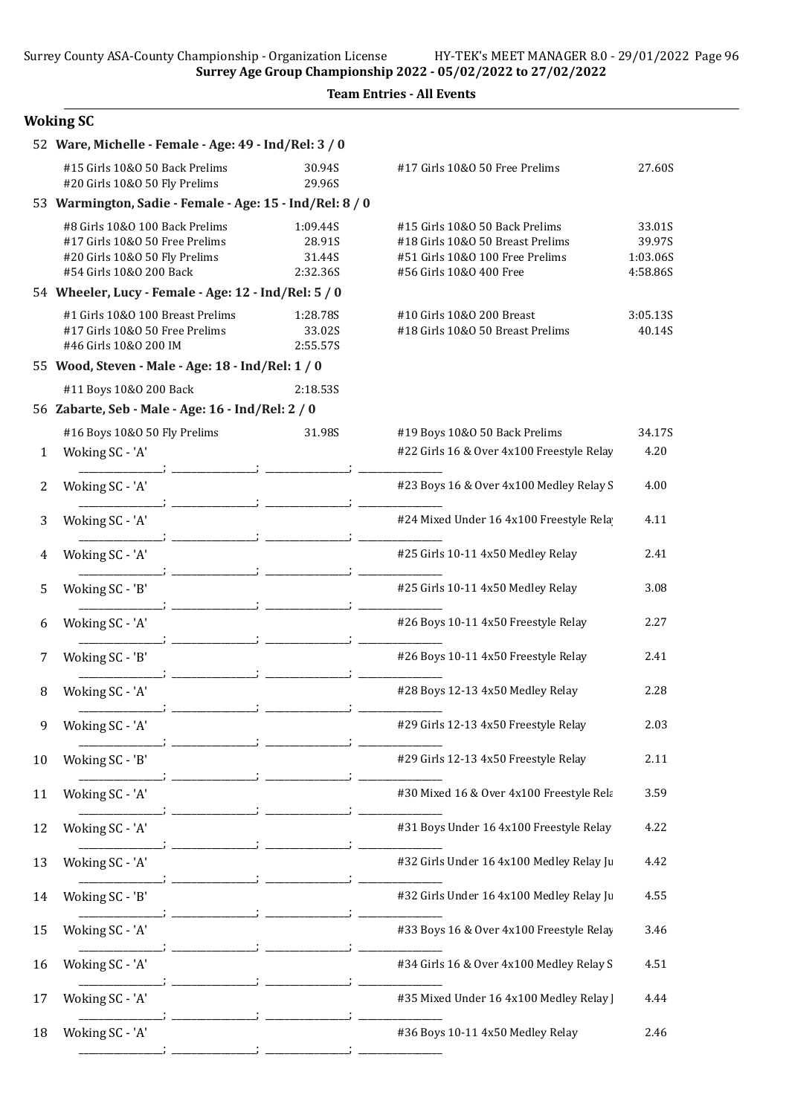|  | <b>Team Entries - All Events</b> |  |  |
|--|----------------------------------|--|--|
|--|----------------------------------|--|--|

# Woking SC

|    | 52 Ware, Michelle - Female - Age: 49 - Ind/Rel: 3 / 0                                                                        |                                                          |                                          |                                                                                                                                  |                                          |  |  |
|----|------------------------------------------------------------------------------------------------------------------------------|----------------------------------------------------------|------------------------------------------|----------------------------------------------------------------------------------------------------------------------------------|------------------------------------------|--|--|
|    | #15 Girls 10&0 50 Back Prelims<br>#20 Girls 10&O 50 Fly Prelims                                                              |                                                          | 30.94S<br>29.96S                         | #17 Girls 10&0 50 Free Prelims                                                                                                   | 27.60S                                   |  |  |
|    |                                                                                                                              | 53 Warmington, Sadie - Female - Age: 15 - Ind/Rel: 8 / 0 |                                          |                                                                                                                                  |                                          |  |  |
|    | #8 Girls 10&0 100 Back Prelims<br>#17 Girls 10&0 50 Free Prelims<br>#20 Girls 10&O 50 Fly Prelims<br>#54 Girls 10&0 200 Back |                                                          | 1:09.44S<br>28.91S<br>31.44S<br>2:32.36S | #15 Girls 10&0 50 Back Prelims<br>#18 Girls 10&0 50 Breast Prelims<br>#51 Girls 10&0 100 Free Prelims<br>#56 Girls 10&0 400 Free | 33.01S<br>39.97S<br>1:03.06S<br>4:58.86S |  |  |
|    |                                                                                                                              | 54 Wheeler, Lucy - Female - Age: 12 - Ind/Rel: 5 / 0     |                                          |                                                                                                                                  |                                          |  |  |
|    | #1 Girls 10&0 100 Breast Prelims<br>#17 Girls 10&0 50 Free Prelims<br>#46 Girls 10&0 200 IM                                  |                                                          | 1:28.78S<br>33.02S<br>2:55.57S           | #10 Girls 10&0 200 Breast<br>#18 Girls 10&0 50 Breast Prelims                                                                    | 3:05.13S<br>40.14S                       |  |  |
|    |                                                                                                                              | 55 Wood, Steven - Male - Age: 18 - Ind/Rel: 1 / 0        |                                          |                                                                                                                                  |                                          |  |  |
|    | #11 Boys 10&0 200 Back                                                                                                       |                                                          | 2:18.535                                 |                                                                                                                                  |                                          |  |  |
|    | 56 Zabarte, Seb - Male - Age: 16 - Ind/Rel: 2 / 0                                                                            |                                                          |                                          |                                                                                                                                  |                                          |  |  |
|    | #16 Boys 10&0 50 Fly Prelims                                                                                                 |                                                          | 31.98S                                   | #19 Boys 10&0 50 Back Prelims                                                                                                    | 34.17S                                   |  |  |
| 1  | Woking SC - 'A'                                                                                                              |                                                          |                                          | #22 Girls 16 & Over 4x100 Freestyle Relay                                                                                        | 4.20                                     |  |  |
| 2  | Woking SC - 'A'                                                                                                              |                                                          |                                          | #23 Boys 16 & Over 4x100 Medley Relay S                                                                                          | 4.00                                     |  |  |
| 3  | Woking SC - 'A'                                                                                                              |                                                          |                                          | #24 Mixed Under 16 4x100 Freestyle Rela                                                                                          | 4.11                                     |  |  |
| 4  | Woking SC - 'A'                                                                                                              |                                                          |                                          | #25 Girls 10-11 4x50 Medley Relay                                                                                                | 2.41                                     |  |  |
| 5  | Woking SC - 'B'                                                                                                              |                                                          |                                          | #25 Girls 10-11 4x50 Medley Relay                                                                                                | 3.08                                     |  |  |
| 6  | Woking SC - 'A'                                                                                                              |                                                          |                                          | #26 Boys 10-11 4x50 Freestyle Relay                                                                                              | 2.27                                     |  |  |
| 7  | Woking SC - 'B'                                                                                                              |                                                          |                                          | #26 Boys 10-11 4x50 Freestyle Relay                                                                                              | 2.41                                     |  |  |
| 8  | Woking SC - 'A'                                                                                                              |                                                          |                                          | #28 Boys 12-13 4x50 Medley Relay                                                                                                 | 2.28                                     |  |  |
| 9  | Woking SC - 'A'                                                                                                              |                                                          |                                          | #29 Girls 12-13 4x50 Freestyle Relay                                                                                             | 2.03                                     |  |  |
| 10 | Woking SC - 'B'                                                                                                              |                                                          |                                          | #29 Girls 12-13 4x50 Freestyle Relay                                                                                             | 2.11                                     |  |  |
| 11 | Woking SC - 'A'                                                                                                              |                                                          |                                          | #30 Mixed 16 & Over 4x100 Freestyle Rela                                                                                         | 3.59                                     |  |  |
| 12 | Woking SC - 'A'                                                                                                              |                                                          |                                          | #31 Boys Under 16 4x100 Freestyle Relay                                                                                          | 4.22                                     |  |  |
| 13 | Woking SC - 'A'                                                                                                              |                                                          |                                          | #32 Girls Under 16 4x100 Medley Relay Ju                                                                                         | 4.42                                     |  |  |
| 14 | Woking SC - 'B'                                                                                                              |                                                          |                                          | #32 Girls Under 16 4x100 Medley Relay Ju                                                                                         | 4.55                                     |  |  |
| 15 | Woking SC - 'A'                                                                                                              |                                                          |                                          | #33 Boys 16 & Over 4x100 Freestyle Relay                                                                                         | 3.46                                     |  |  |
| 16 | Woking SC - 'A'                                                                                                              |                                                          |                                          | #34 Girls 16 & Over 4x100 Medley Relay S                                                                                         | 4.51                                     |  |  |
| 17 | Woking SC - 'A'                                                                                                              |                                                          |                                          | #35 Mixed Under 16 4x100 Medley Relay                                                                                            | 4.44                                     |  |  |
| 18 | Woking SC - 'A'                                                                                                              |                                                          |                                          | #36 Boys 10-11 4x50 Medley Relay                                                                                                 | 2.46                                     |  |  |